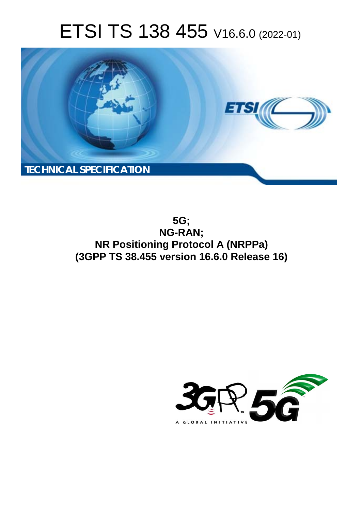# ETSI TS 138 455 V16.6.0 (2022-01)



**5G; NG-RAN; NR Positioning Protocol A (NRPPa) (3GPP TS 38.455 version 16.6.0 Release 16)** 

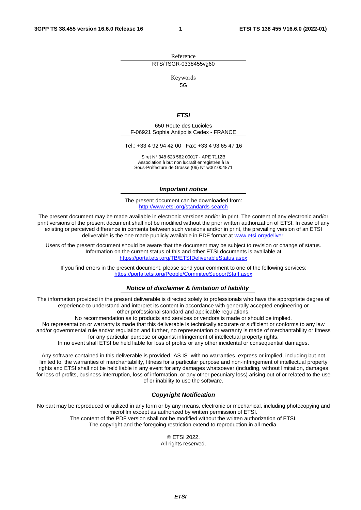Reference RTS/TSGR-0338455vg60

Keywords

 $\overline{5G}$ 

#### *ETSI*

650 Route des Lucioles F-06921 Sophia Antipolis Cedex - FRANCE

Tel.: +33 4 92 94 42 00 Fax: +33 4 93 65 47 16

Siret N° 348 623 562 00017 - APE 7112B Association à but non lucratif enregistrée à la Sous-Préfecture de Grasse (06) N° w061004871

#### *Important notice*

The present document can be downloaded from: <http://www.etsi.org/standards-search>

The present document may be made available in electronic versions and/or in print. The content of any electronic and/or print versions of the present document shall not be modified without the prior written authorization of ETSI. In case of any existing or perceived difference in contents between such versions and/or in print, the prevailing version of an ETSI deliverable is the one made publicly available in PDF format at [www.etsi.org/deliver](http://www.etsi.org/deliver).

Users of the present document should be aware that the document may be subject to revision or change of status. Information on the current status of this and other ETSI documents is available at <https://portal.etsi.org/TB/ETSIDeliverableStatus.aspx>

If you find errors in the present document, please send your comment to one of the following services: <https://portal.etsi.org/People/CommiteeSupportStaff.aspx>

#### *Notice of disclaimer & limitation of liability*

The information provided in the present deliverable is directed solely to professionals who have the appropriate degree of experience to understand and interpret its content in accordance with generally accepted engineering or other professional standard and applicable regulations.

No recommendation as to products and services or vendors is made or should be implied.

No representation or warranty is made that this deliverable is technically accurate or sufficient or conforms to any law and/or governmental rule and/or regulation and further, no representation or warranty is made of merchantability or fitness for any particular purpose or against infringement of intellectual property rights.

In no event shall ETSI be held liable for loss of profits or any other incidental or consequential damages.

Any software contained in this deliverable is provided "AS IS" with no warranties, express or implied, including but not limited to, the warranties of merchantability, fitness for a particular purpose and non-infringement of intellectual property rights and ETSI shall not be held liable in any event for any damages whatsoever (including, without limitation, damages for loss of profits, business interruption, loss of information, or any other pecuniary loss) arising out of or related to the use of or inability to use the software.

#### *Copyright Notification*

No part may be reproduced or utilized in any form or by any means, electronic or mechanical, including photocopying and microfilm except as authorized by written permission of ETSI. The content of the PDF version shall not be modified without the written authorization of ETSI.

The copyright and the foregoing restriction extend to reproduction in all media.

© ETSI 2022. All rights reserved.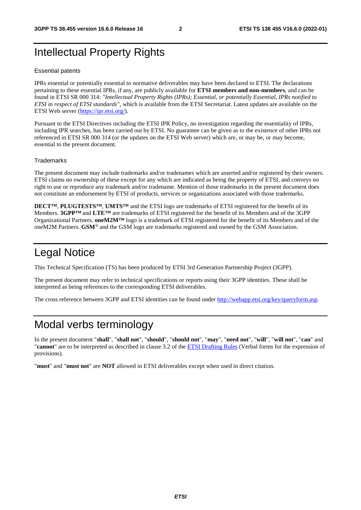# Intellectual Property Rights

#### Essential patents

IPRs essential or potentially essential to normative deliverables may have been declared to ETSI. The declarations pertaining to these essential IPRs, if any, are publicly available for **ETSI members and non-members**, and can be found in ETSI SR 000 314: *"Intellectual Property Rights (IPRs); Essential, or potentially Essential, IPRs notified to ETSI in respect of ETSI standards"*, which is available from the ETSI Secretariat. Latest updates are available on the ETSI Web server ([https://ipr.etsi.org/\)](https://ipr.etsi.org/).

Pursuant to the ETSI Directives including the ETSI IPR Policy, no investigation regarding the essentiality of IPRs, including IPR searches, has been carried out by ETSI. No guarantee can be given as to the existence of other IPRs not referenced in ETSI SR 000 314 (or the updates on the ETSI Web server) which are, or may be, or may become, essential to the present document.

#### **Trademarks**

The present document may include trademarks and/or tradenames which are asserted and/or registered by their owners. ETSI claims no ownership of these except for any which are indicated as being the property of ETSI, and conveys no right to use or reproduce any trademark and/or tradename. Mention of those trademarks in the present document does not constitute an endorsement by ETSI of products, services or organizations associated with those trademarks.

**DECT™**, **PLUGTESTS™**, **UMTS™** and the ETSI logo are trademarks of ETSI registered for the benefit of its Members. **3GPP™** and **LTE™** are trademarks of ETSI registered for the benefit of its Members and of the 3GPP Organizational Partners. **oneM2M™** logo is a trademark of ETSI registered for the benefit of its Members and of the oneM2M Partners. **GSM**® and the GSM logo are trademarks registered and owned by the GSM Association.

# Legal Notice

This Technical Specification (TS) has been produced by ETSI 3rd Generation Partnership Project (3GPP).

The present document may refer to technical specifications or reports using their 3GPP identities. These shall be interpreted as being references to the corresponding ETSI deliverables.

The cross reference between 3GPP and ETSI identities can be found under<http://webapp.etsi.org/key/queryform.asp>.

# Modal verbs terminology

In the present document "**shall**", "**shall not**", "**should**", "**should not**", "**may**", "**need not**", "**will**", "**will not**", "**can**" and "**cannot**" are to be interpreted as described in clause 3.2 of the [ETSI Drafting Rules](https://portal.etsi.org/Services/editHelp!/Howtostart/ETSIDraftingRules.aspx) (Verbal forms for the expression of provisions).

"**must**" and "**must not**" are **NOT** allowed in ETSI deliverables except when used in direct citation.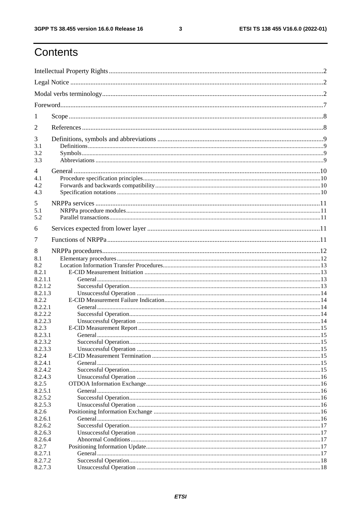$\mathbf{3}$ 

# Contents

| 1                      |  |  |  |
|------------------------|--|--|--|
| 2                      |  |  |  |
| 3<br>3.1<br>3.2<br>3.3 |  |  |  |
| 4<br>4.1<br>4.2<br>4.3 |  |  |  |
| 5<br>5.1<br>5.2        |  |  |  |
| 6                      |  |  |  |
| 7                      |  |  |  |
| 8                      |  |  |  |
| 8.1<br>8.2             |  |  |  |
| 8.2.1                  |  |  |  |
| 8.2.1.1                |  |  |  |
| 8.2.1.2                |  |  |  |
| 8.2.1.3                |  |  |  |
| 8.2.2                  |  |  |  |
| 8.2.2.1                |  |  |  |
| 8.2.2.2                |  |  |  |
| 8.2.2.3                |  |  |  |
| 8.2.3<br>8.2.3.1       |  |  |  |
| 8.2.3.2                |  |  |  |
| 8.2.3.3                |  |  |  |
| 8.2.4                  |  |  |  |
| 8.2.4.1                |  |  |  |
| 8.2.4.2                |  |  |  |
| 8.2.4.3                |  |  |  |
| 8.2.5<br>8.2.5.1       |  |  |  |
| 8.2.5.2                |  |  |  |
| 8.2.5.3                |  |  |  |
| 8.2.6                  |  |  |  |
| 8.2.6.1                |  |  |  |
| 8.2.6.2                |  |  |  |
| 8.2.6.3                |  |  |  |
| 8.2.6.4                |  |  |  |
| 8.2.7<br>8.2.7.1       |  |  |  |
| 8.2.7.2                |  |  |  |
| 8.2.7.3                |  |  |  |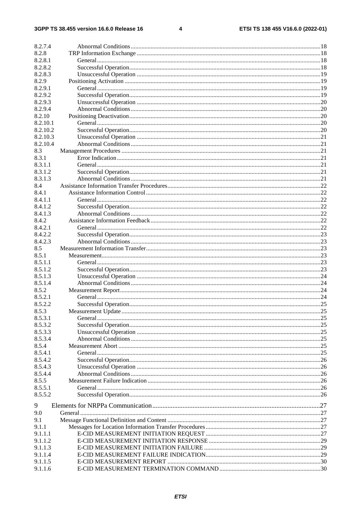#### $\overline{\mathbf{4}}$

| 8.2.7.4  |  |
|----------|--|
| 8.2.8    |  |
| 8.2.8.1  |  |
| 8.2.8.2  |  |
| 8.2.8.3  |  |
| 8.2.9    |  |
| 8.2.9.1  |  |
| 8.2.9.2  |  |
| 8.2.9.3  |  |
| 8.2.9.4  |  |
| 8.2.10   |  |
| 8.2.10.1 |  |
| 8.2.10.2 |  |
| 8.2.10.3 |  |
| 8.2.10.4 |  |
| 8.3      |  |
| 8.3.1    |  |
| 8.3.1.1  |  |
| 8.3.1.2  |  |
| 8.3.1.3  |  |
| 8.4      |  |
| 8.4.1    |  |
| 8.4.1.1  |  |
| 8.4.1.2  |  |
| 8.4.1.3  |  |
| 8.4.2    |  |
| 8.4.2.1  |  |
| 8.4.2.2  |  |
| 8.4.2.3  |  |
| 8.5      |  |
| 8.5.1    |  |
| 8.5.1.1  |  |
| 8.5.1.2  |  |
| 8.5.1.3  |  |
| 8.5.1.4  |  |
| 8.5.2    |  |
| 8.5.2.1  |  |
| 8.5.2.2  |  |
| 8.5.3    |  |
| 8.5.3.1  |  |
| 8.5.3.2  |  |
| 8.5.3.3  |  |
| 8.5.3.4  |  |
| 8.5.4    |  |
| 8.5.4.1  |  |
| 8.5.4.2  |  |
| 8.5.4.3  |  |
| 8.5.4.4  |  |
| 8.5.5    |  |
| 8.5.5.1  |  |
| 8.5.5.2  |  |
|          |  |
| 9        |  |
| 9.0      |  |
| 9.1      |  |
| 9.1.1    |  |
| 9.1.1.1  |  |
| 9.1.1.2  |  |
| 9.1.1.3  |  |
| 9.1.1.4  |  |
| 9.1.1.5  |  |
| 9.1.1.6  |  |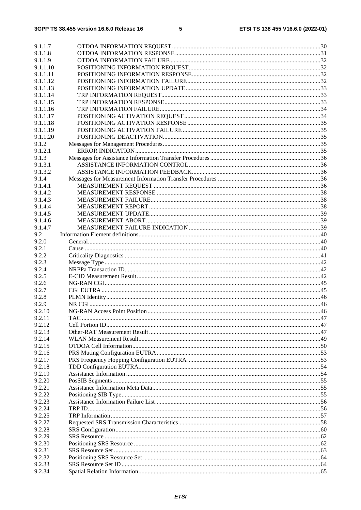| 9.1.1.7  |  |
|----------|--|
| 9.1.1.8  |  |
| 9.1.1.9  |  |
| 9.1.1.10 |  |
| 9.1.1.11 |  |
| 9.1.1.12 |  |
| 9.1.1.13 |  |
| 9.1.1.14 |  |
| 9.1.1.15 |  |
| 9.1.1.16 |  |
| 9.1.1.17 |  |
| 9.1.1.18 |  |
| 9.1.1.19 |  |
| 9.1.1.20 |  |
| 9.1.2    |  |
| 9.1.2.1  |  |
| 9.1.3    |  |
| 9.1.3.1  |  |
| 9.1.3.2  |  |
| 9.1.4    |  |
| 9.1.4.1  |  |
| 9.1.4.2  |  |
| 9.1.4.3  |  |
| 9.1.4.4  |  |
| 9.1.4.5  |  |
| 9.1.4.6  |  |
| 9.1.4.7  |  |
| 9.2      |  |
| 9.2.0    |  |
| 9.2.1    |  |
| 9.2.2    |  |
| 9.2.3    |  |
| 9.2.4    |  |
| 9.2.5    |  |
| 9.2.6    |  |
| 9.2.7    |  |
| 9.2.8    |  |
| 9.2.9    |  |
| 9.2.10   |  |
| 9.2.11   |  |
| 9.2.12   |  |
| 9.2.13   |  |
| 9.2.14   |  |
| 9.2.15   |  |
| 9.2.16   |  |
| 9.2.17   |  |
| 9.2.18   |  |
| 9.2.19   |  |
| 9.2.20   |  |
| 9.2.21   |  |
| 9.2.22   |  |
| 9.2.23   |  |
| 9.2.24   |  |
| 9.2.25   |  |
| 9.2.27   |  |
| 9.2.28   |  |
| 9.2.29   |  |
| 9.2.30   |  |
| 9.2.31   |  |
| 9.2.32   |  |
| 9.2.33   |  |
| 9.2.34   |  |
|          |  |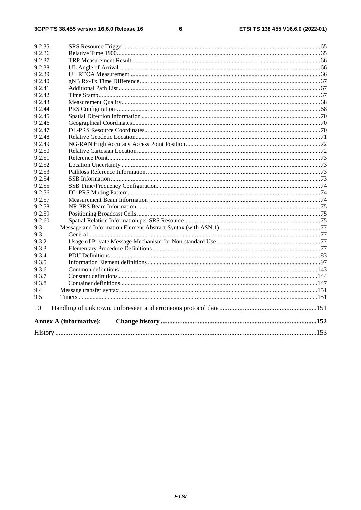#### $\bf 6$

| 9.2.35 |                               |  |
|--------|-------------------------------|--|
| 9.2.36 |                               |  |
| 9.2.37 |                               |  |
| 9.2.38 |                               |  |
| 9.2.39 |                               |  |
| 9.2.40 |                               |  |
| 9.2.41 |                               |  |
| 9.2.42 |                               |  |
| 9.2.43 |                               |  |
| 9.2.44 |                               |  |
| 9.2.45 |                               |  |
| 9.2.46 |                               |  |
| 9.2.47 |                               |  |
| 9.2.48 |                               |  |
| 9.2.49 |                               |  |
| 9.2.50 |                               |  |
| 9.2.51 |                               |  |
| 9.2.52 |                               |  |
| 9.2.53 |                               |  |
| 9.2.54 |                               |  |
| 9.2.55 |                               |  |
| 9.2.56 |                               |  |
| 9.2.57 |                               |  |
| 9.2.58 |                               |  |
| 9.2.59 |                               |  |
| 9.2.60 |                               |  |
| 9.3    |                               |  |
| 9.3.1  |                               |  |
| 9.3.2  |                               |  |
| 9.3.3  |                               |  |
| 9.3.4  |                               |  |
| 9.3.5  |                               |  |
| 9.3.6  |                               |  |
| 9.3.7  |                               |  |
| 9.3.8  |                               |  |
| 9.4    |                               |  |
| 9.5    |                               |  |
| 10     |                               |  |
|        | <b>Annex A (informative):</b> |  |
|        |                               |  |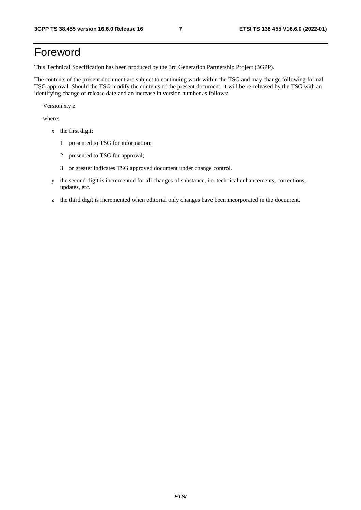# Foreword

This Technical Specification has been produced by the 3rd Generation Partnership Project (3GPP).

The contents of the present document are subject to continuing work within the TSG and may change following formal TSG approval. Should the TSG modify the contents of the present document, it will be re-released by the TSG with an identifying change of release date and an increase in version number as follows:

Version x.y.z

where:

- x the first digit:
	- 1 presented to TSG for information;
	- 2 presented to TSG for approval;
	- 3 or greater indicates TSG approved document under change control.
- y the second digit is incremented for all changes of substance, i.e. technical enhancements, corrections, updates, etc.
- z the third digit is incremented when editorial only changes have been incorporated in the document.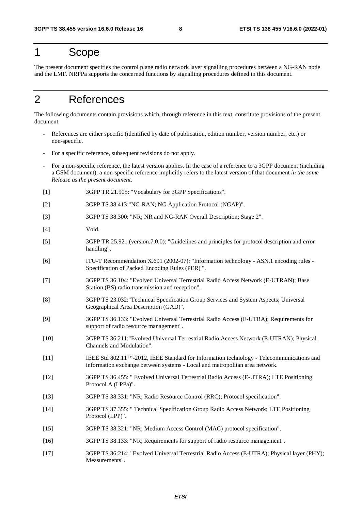# 1 Scope

The present document specifies the control plane radio network layer signalling procedures between a NG-RAN node and the LMF. NRPPa supports the concerned functions by signalling procedures defined in this document.

# 2 References

The following documents contain provisions which, through reference in this text, constitute provisions of the present document.

- References are either specific (identified by date of publication, edition number, version number, etc.) or non-specific.
- For a specific reference, subsequent revisions do not apply.
- For a non-specific reference, the latest version applies. In the case of a reference to a 3GPP document (including a GSM document), a non-specific reference implicitly refers to the latest version of that document *in the same Release as the present document*.
- [1] 3GPP TR 21.905: "Vocabulary for 3GPP Specifications".
- [2] 3GPP TS 38.413:"NG-RAN; NG Application Protocol (NGAP)".
- [3] 3GPP TS 38.300: "NR; NR and NG-RAN Overall Description; Stage 2".
- [4] Void.
- [5] 3GPP TR 25.921 (version.7.0.0): "Guidelines and principles for protocol description and error handling".
- [6] ITU-T Recommendation X.691 (2002-07): "Information technology ASN.1 encoding rules Specification of Packed Encoding Rules (PER) ".
- [7] 3GPP TS 36.104: "Evolved Universal Terrestrial Radio Access Network (E-UTRAN); Base Station (BS) radio transmission and reception".
- [8] 3GPP TS 23.032:"Technical Specification Group Services and System Aspects; Universal Geographical Area Description (GAD)".
- [9] 3GPP TS 36.133: "Evolved Universal Terrestrial Radio Access (E-UTRA); Requirements for support of radio resource management".
- [10] 3GPP TS 36.211:"Evolved Universal Terrestrial Radio Access Network (E-UTRAN); Physical Channels and Modulation".
- [11] IEEE Std 802.11™-2012, IEEE Standard for Information technology Telecommunications and information exchange between systems - Local and metropolitan area network.
- [12] 3GPP TS 36.455: " Evolved Universal Terrestrial Radio Access (E-UTRA); LTE Positioning Protocol A (LPPa)".
- [13] 3GPP TS 38.331: "NR; Radio Resource Control (RRC); Protocol specification".
- [14] 3GPP TS 37.355: " Technical Specification Group Radio Access Network; LTE Positioning Protocol (LPP)".
- [15] 3GPP TS 38.321: "NR; Medium Access Control (MAC) protocol specification".
- [16] 3GPP TS 38.133: "NR; Requirements for support of radio resource management".
- [17] 3GPP TS 36:214: "Evolved Universal Terrestrial Radio Access (E-UTRA); Physical layer (PHY); Measurements".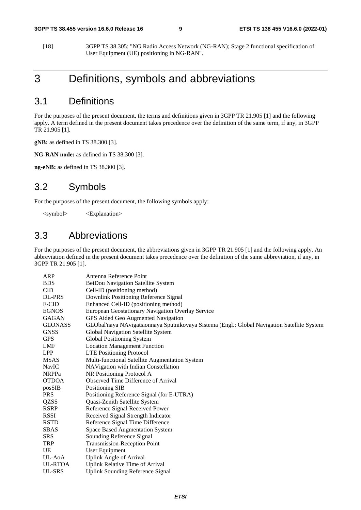[18] 3GPP TS 38.305: "NG Radio Access Network (NG-RAN); Stage 2 functional specification of User Equipment (UE) positioning in NG-RAN".

# 3 Definitions, symbols and abbreviations

# 3.1 Definitions

For the purposes of the present document, the terms and definitions given in 3GPP TR 21.905 [1] and the following apply. A term defined in the present document takes precedence over the definition of the same term, if any, in 3GPP TR 21.905 [1].

**gNB:** as defined in TS 38.300 [3].

**NG-RAN node:** as defined in TS 38.300 [3].

**ng-eNB:** as defined in TS 38.300 [3].

# 3.2 Symbols

For the purposes of the present document, the following symbols apply:

<symbol> <Explanation>

# 3.3 Abbreviations

For the purposes of the present document, the abbreviations given in 3GPP TR 21.905 [1] and the following apply. An abbreviation defined in the present document takes precedence over the definition of the same abbreviation, if any, in 3GPP TR 21.905 [1].

| ARP           | Antenna Reference Point                                                                     |  |  |
|---------------|---------------------------------------------------------------------------------------------|--|--|
| <b>BDS</b>    | BeiDou Navigation Satellite System                                                          |  |  |
| CID           | Cell-ID (positioning method)                                                                |  |  |
| <b>DL-PRS</b> | Downlink Positioning Reference Signal                                                       |  |  |
| E-CID         | Enhanced Cell-ID (positioning method)                                                       |  |  |
| EGNOS         | European Geostationary Navigation Overlay Service                                           |  |  |
| GAGAN         | GPS Aided Geo Augmented Navigation                                                          |  |  |
| GLONASS       | GLObal'naya NAvigatsionnaya Sputnikovaya Sistema (Engl.: Global Navigation Satellite System |  |  |
| GNSS          | Global Navigation Satellite System                                                          |  |  |
| GPS           | Global Positioning System                                                                   |  |  |
| LMF           | <b>Location Management Function</b>                                                         |  |  |
| LPP           | <b>LTE Positioning Protocol</b>                                                             |  |  |
| MSAS          | Multi-functional Satellite Augmentation System                                              |  |  |
| NavIC         | NAVigation with Indian Constellation                                                        |  |  |
| <b>NRPPa</b>  | NR Positioning Protocol A                                                                   |  |  |
| <b>OTDOA</b>  | Observed Time Difference of Arrival                                                         |  |  |
| posSIB        | Positioning SIB                                                                             |  |  |
| PRS           | Positioning Reference Signal (for E-UTRA)                                                   |  |  |
| QZSS          | Quasi-Zenith Satellite System                                                               |  |  |
| RSRP          | Reference Signal Received Power                                                             |  |  |
| RSSI          | Received Signal Strength Indicator                                                          |  |  |
| RSTD          | Reference Signal Time Difference                                                            |  |  |
| SBAS          | <b>Space Based Augmentation System</b>                                                      |  |  |
| SRS           | Sounding Reference Signal                                                                   |  |  |
| TRP           | Transmission-Reception Point                                                                |  |  |
| UE            | User Equipment                                                                              |  |  |
| UL-AoA        | <b>Uplink Angle of Arrival</b>                                                              |  |  |
| UL-RTOA       | Uplink Relative Time of Arrival                                                             |  |  |
| UL-SRS        | <b>Uplink Sounding Reference Signal</b>                                                     |  |  |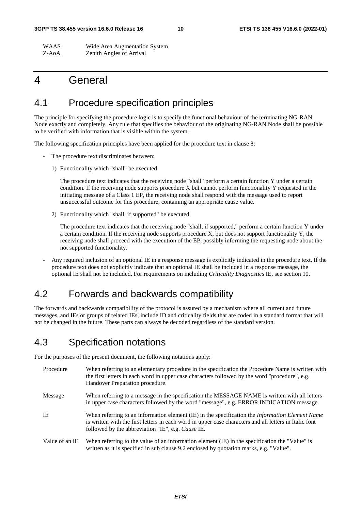#### **3GPP TS 38.455 version 16.6.0 Release 16 10 ETSI TS 138 455 V16.6.0 (2022-01)**

WAAS Wide Area Augmentation System Z-AoA Zenith Angles of Arrival

# 4 General

# 4.1 Procedure specification principles

The principle for specifying the procedure logic is to specify the functional behaviour of the terminating NG-RAN Node exactly and completely. Any rule that specifies the behaviour of the originating NG-RAN Node shall be possible to be verified with information that is visible within the system.

The following specification principles have been applied for the procedure text in clause 8:

- The procedure text discriminates between:
	- 1) Functionality which "shall" be executed

 The procedure text indicates that the receiving node "shall" perform a certain function Y under a certain condition. If the receiving node supports procedure X but cannot perform functionality Y requested in the initiating message of a Class 1 EP, the receiving node shall respond with the message used to report unsuccessful outcome for this procedure, containing an appropriate cause value.

2) Functionality which "shall, if supported" be executed

 The procedure text indicates that the receiving node "shall, if supported," perform a certain function Y under a certain condition. If the receiving node supports procedure X, but does not support functionality Y, the receiving node shall proceed with the execution of the EP, possibly informing the requesting node about the not supported functionality.

- Any required inclusion of an optional IE in a response message is explicitly indicated in the procedure text. If the procedure text does not explicitly indicate that an optional IE shall be included in a response message, the optional IE shall not be included. For requirements on including *Criticality Diagnostics* IE, see section 10.

# 4.2 Forwards and backwards compatibility

The forwards and backwards compatibility of the protocol is assured by a mechanism where all current and future messages, and IEs or groups of related IEs, include ID and criticality fields that are coded in a standard format that will not be changed in the future. These parts can always be decoded regardless of the standard version.

# 4.3 Specification notations

For the purposes of the present document, the following notations apply:

| Procedure      | When referring to an elementary procedure in the specification the Procedure Name is written with<br>the first letters in each word in upper case characters followed by the word "procedure", e.g.<br>Handover Preparation procedure.                                |
|----------------|-----------------------------------------------------------------------------------------------------------------------------------------------------------------------------------------------------------------------------------------------------------------------|
| Message        | When referring to a message in the specification the MESSAGE NAME is written with all letters<br>in upper case characters followed by the word "message", e.g. ERROR INDICATION message.                                                                              |
| IE             | When referring to an information element (IE) in the specification the <i>Information Element Name</i><br>is written with the first letters in each word in upper case characters and all letters in Italic font<br>followed by the abbreviation "IE", e.g. Cause IE. |
| Value of an IE | When referring to the value of an information element (IE) in the specification the "Value" is<br>written as it is specified in sub clause 9.2 enclosed by quotation marks, e.g. "Value".                                                                             |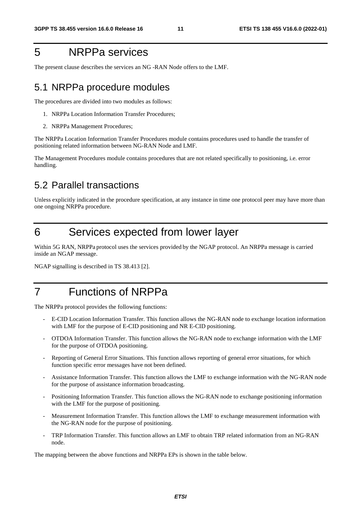# 5 NRPPa services

The present clause describes the services an NG -RAN Node offers to the LMF.

# 5.1 NRPPa procedure modules

The procedures are divided into two modules as follows:

- 1. NRPPa Location Information Transfer Procedures;
- 2. NRPPa Management Procedures;

The NRPPa Location Information Transfer Procedures module contains procedures used to handle the transfer of positioning related information between NG-RAN Node and LMF.

The Management Procedures module contains procedures that are not related specifically to positioning, i.e. error handling.

# 5.2 Parallel transactions

Unless explicitly indicated in the procedure specification, at any instance in time one protocol peer may have more than one ongoing NRPPa procedure.

# 6 Services expected from lower layer

Within 5G RAN, NRPPa protocol uses the services provided by the NGAP protocol. An NRPPa message is carried inside an NGAP message.

NGAP signalling is described in TS 38.413 [2].

# 7 Functions of NRPPa

The NRPPa protocol provides the following functions:

- E-CID Location Information Transfer. This function allows the NG-RAN node to exchange location information with LMF for the purpose of E-CID positioning and NR E-CID positioning.
- OTDOA Information Transfer. This function allows the NG-RAN node to exchange information with the LMF for the purpose of OTDOA positioning.
- Reporting of General Error Situations. This function allows reporting of general error situations, for which function specific error messages have not been defined.
- Assistance Information Transfer. This function allows the LMF to exchange information with the NG-RAN node for the purpose of assistance information broadcasting.
- Positioning Information Transfer. This function allows the NG-RAN node to exchange positioning information with the LMF for the purpose of positioning.
- Measurement Information Transfer. This function allows the LMF to exchange measurement information with the NG-RAN node for the purpose of positioning.
- TRP Information Transfer. This function allows an LMF to obtain TRP related information from an NG-RAN node.

The mapping between the above functions and NRPPa EPs is shown in the table below.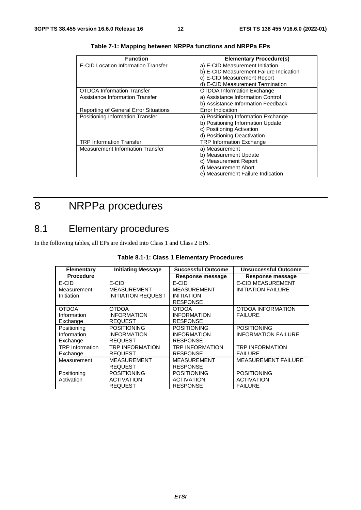| <b>Function</b>                              | <b>Elementary Procedure(s)</b>          |
|----------------------------------------------|-----------------------------------------|
| E-CID Location Information Transfer          | a) E-CID Measurement Initiation         |
|                                              | b) E-CID Measurement Failure Indication |
|                                              | c) E-CID Measurement Report             |
|                                              | d) E-CID Measurement Termination        |
| <b>OTDOA Information Transfer</b>            | <b>OTDOA Information Exchange</b>       |
| Assistance Information Transfer              | a) Assistance Information Control       |
|                                              | b) Assistance Information Feedback      |
| <b>Reporting of General Error Situations</b> | Error Indication                        |
| Positioning Information Transfer             | a) Positioning Information Exchange     |
|                                              | b) Positioning Information Update       |
|                                              | c) Positioning Activation               |
|                                              | d) Positioning Deactivation             |
| <b>TRP Information Transfer</b>              | <b>TRP Information Exchange</b>         |
| Measurement Information Transfer             | a) Measurement                          |
|                                              | b) Measurement Update                   |
|                                              | c) Measurement Report                   |
|                                              | d) Measurement Abort                    |
|                                              | e) Measurement Failure Indication       |

**Table 7-1: Mapping between NRPPa functions and NRPPa EPs** 

# 8 NRPPa procedures

# 8.1 Elementary procedures

In the following tables, all EPs are divided into Class 1 and Class 2 EPs.

| <b>Elementary</b>      | <b>Initiating Message</b> | <b>Successful Outcome</b> | <b>Unsuccessful Outcome</b> |
|------------------------|---------------------------|---------------------------|-----------------------------|
| <b>Procedure</b>       |                           | Response message          | Response message            |
| E-CID                  | E-CID                     | E-CID                     | <b>E-CID MEASUREMENT</b>    |
| Measurement            | <b>MEASUREMENT</b>        | <b>MEASUREMENT</b>        | <b>INITIATION FAILURE</b>   |
| Initiation             | INITIATION REQUEST        | <b>INITIATION</b>         |                             |
|                        |                           | <b>RESPONSE</b>           |                             |
| <b>OTDOA</b>           | <b>OTDOA</b>              | OTDOA                     | OTDOA INFORMATION           |
| Information            | <b>INFORMATION</b>        | <b>INFORMATION</b>        | <b>FAILURE</b>              |
| Exchange               | <b>REQUEST</b>            | <b>RESPONSE</b>           |                             |
| Positioning            | <b>POSITIONING</b>        | <b>POSITIONING</b>        | <b>POSITIONING</b>          |
| Information            | <b>INFORMATION</b>        | <b>INFORMATION</b>        | <b>INFORMATION FAILURE</b>  |
| Exchange               | <b>REQUEST</b>            | <b>RESPONSE</b>           |                             |
| <b>TRP</b> Information | TRP INFORMATION           | TRP INFORMATION           | <b>TRP INFORMATION</b>      |
| Exchange               | <b>REQUEST</b>            | <b>RESPONSE</b>           | <b>FAILURE</b>              |
| Measurement            | <b>MEASUREMENT</b>        | <b>MEASUREMENT</b>        | <b>MEASUREMENT FAILURE</b>  |
|                        | <b>REQUEST</b>            | <b>RESPONSE</b>           |                             |
| Positioning            | <b>POSITIONING</b>        | <b>POSITIONING</b>        | <b>POSITIONING</b>          |
| Activation             | <b>ACTIVATION</b>         | <b>ACTIVATION</b>         | <b>ACTIVATION</b>           |
|                        | <b>REQUEST</b>            | <b>RESPONSE</b>           | <b>FAILURE</b>              |

| Table 8.1-1: Class 1 Elementary Procedures |  |
|--------------------------------------------|--|
|--------------------------------------------|--|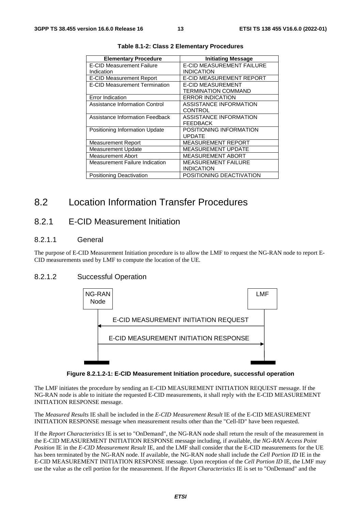| <b>Elementary Procedure</b>           | <b>Initiating Message</b>        |
|---------------------------------------|----------------------------------|
| <b>E-CID Measurement Failure</b>      | <b>E-CID MEASUREMENT FAILURE</b> |
| Indication                            | <b>INDICATION</b>                |
| <b>E-CID Measurement Report</b>       | E-CID MEASUREMENT REPORT         |
| <b>E-CID Measurement Termination</b>  | <b>E-CID MEASUREMENT</b>         |
|                                       | TERMINATION COMMAND              |
| Error Indication                      | <b>ERROR INDICATION</b>          |
| Assistance Information Control        | <b>ASSISTANCE INFORMATION</b>    |
|                                       | CONTROL                          |
| Assistance Information Feedback       | <b>ASSISTANCE INFORMATION</b>    |
|                                       | FEEDBACK                         |
| Positioning Information Update        | POSITIONING INFORMATION          |
|                                       | <b>UPDATE</b>                    |
| <b>Measurement Report</b>             | MEASUREMENT REPORT               |
| <b>Measurement Update</b>             | <b>MEASUREMENT UPDATE</b>        |
| <b>Measurement Abort</b>              | <b>MEASUREMENT ABORT</b>         |
| <b>Measurement Failure Indication</b> | MEASUREMENT FAILURE              |
|                                       | <b>INDICATION</b>                |
| Positioning Deactivation              | POSITIONING DEACTIVATION         |

**Table 8.1-2: Class 2 Elementary Procedures** 

# 8.2 Location Information Transfer Procedures

### 8.2.1 E-CID Measurement Initiation

#### 8.2.1.1 General

The purpose of E-CID Measurement Initiation procedure is to allow the LMF to request the NG-RAN node to report E-CID measurements used by LMF to compute the location of the UE.

#### 8.2.1.2 Successful Operation



**Figure 8.2.1.2-1: E-CID Measurement Initiation procedure, successful operation** 

The LMF initiates the procedure by sending an E-CID MEASUREMENT INITIATION REQUEST message. If the NG-RAN node is able to initiate the requested E-CID measurements, it shall reply with the E-CID MEASUREMENT INITIATION RESPONSE message.

The *Measured Results* IE shall be included in the *E-CID Measurement Result* IE of the E-CID MEASUREMENT INITIATION RESPONSE message when measurement results other than the "Cell-ID" have been requested.

If the *Report Characteristics* IE is set to "OnDemand", the NG-RAN node shall return the result of the measurement in the E-CID MEASUREMENT INITIATION RESPONSE message including, if available, the *NG-RAN Access Point Position* IE in the *E-CID Measurement Result* IE, and the LMF shall consider that the E-CID measurements for the UE has been terminated by the NG-RAN node. If available, the NG-RAN node shall include the *Cell Portion ID* IE in the E-CID MEASUREMENT INITIATION RESPONSE message. Upon reception of the *Cell Portion ID* IE, the LMF may use the value as the cell portion for the measurement. If the *Report Characteristics* IE is set to "OnDemand" and the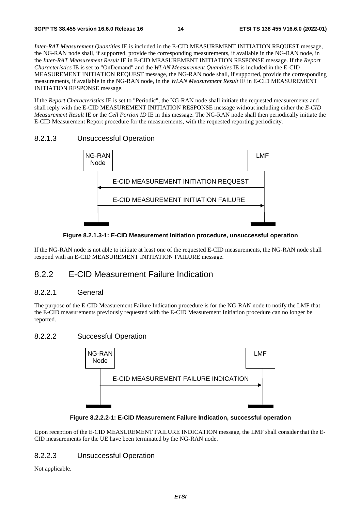*Inter-RAT Measurement Quantities* IE is included in the E-CID MEASUREMENT INITIATION REQUEST message, the NG-RAN node shall, if supported, provide the corresponding measurements, if available in the NG-RAN node, in the *Inter-RAT Measurement Result* IE in E-CID MEASUREMENT INITIATION RESPONSE message. If the *Report Characteristics* IE is set to "OnDemand" and the *WLAN Measurement Quantities* IE is included in the E-CID MEASUREMENT INITIATION REQUEST message, the NG-RAN node shall, if supported, provide the corresponding measurements, if available in the NG-RAN node, in the *WLAN Measurement Result* IE in E-CID MEASUREMENT INITIATION RESPONSE message.

If the *Report Characteristics* IE is set to "Periodic", the NG-RAN node shall initiate the requested measurements and shall reply with the E-CID MEASUREMENT INITIATION RESPONSE message without including either the *E-CID Measurement Result* IE or the *Cell Portion ID* IE in this message. The NG-RAN node shall then periodically initiate the E-CID Measurement Report procedure for the measurements, with the requested reporting periodicity.

#### 8.2.1.3 Unsuccessful Operation



**Figure 8.2.1.3-1: E-CID Measurement Initiation procedure, unsuccessful operation** 

If the NG-RAN node is not able to initiate at least one of the requested E-CID measurements, the NG-RAN node shall respond with an E-CID MEASUREMENT INITIATION FAILURE message.

#### 8.2.2 E-CID Measurement Failure Indication

#### 8.2.2.1 General

The purpose of the E-CID Measurement Failure Indication procedure is for the NG-RAN node to notify the LMF that the E-CID measurements previously requested with the E-CID Measurement Initiation procedure can no longer be reported.

#### 8.2.2.2 Successful Operation





Upon reception of the E-CID MEASUREMENT FAILURE INDICATION message, the LMF shall consider that the E-CID measurements for the UE have been terminated by the NG-RAN node.

#### 8.2.2.3 Unsuccessful Operation

Not applicable.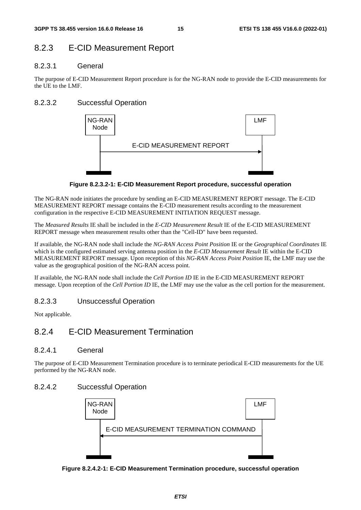# 8.2.3 E-CID Measurement Report

#### 8.2.3.1 General

The purpose of E-CID Measurement Report procedure is for the NG-RAN node to provide the E-CID measurements for the UE to the LMF.

### 8.2.3.2 Successful Operation



**Figure 8.2.3.2-1: E-CID Measurement Report procedure, successful operation** 

The NG-RAN node initiates the procedure by sending an E-CID MEASUREMENT REPORT message. The E-CID MEASUREMENT REPORT message contains the E-CID measurement results according to the measurement configuration in the respective E-CID MEASUREMENT INITIATION REQUEST message.

The *Measured Results* IE shall be included in the *E-CID Measurement Result* IE of the E-CID MEASUREMENT REPORT message when measurement results other than the "Cell-ID" have been requested.

If available, the NG-RAN node shall include the *NG-RAN Access Point Position* IE or the *Geographical Coordinates* IE which is the configured estimated serving antenna position in the *E-CID Measurement Result* IE within the E-CID MEASUREMENT REPORT message. Upon reception of this *NG-RAN Access Point Position* IE, the LMF may use the value as the geographical position of the NG-RAN access point.

If available, the NG-RAN node shall include the *Cell Portion ID* IE in the E-CID MEASUREMENT REPORT message. Upon reception of the *Cell Portion ID* IE, the LMF may use the value as the cell portion for the measurement.

### 8.2.3.3 Unsuccessful Operation

Not applicable.

# 8.2.4 E-CID Measurement Termination

#### 8.2.4.1 General

The purpose of E-CID Measurement Termination procedure is to terminate periodical E-CID measurements for the UE performed by the NG-RAN node.

#### 8.2.4.2 Successful Operation



**Figure 8.2.4.2-1: E-CID Measurement Termination procedure, successful operation**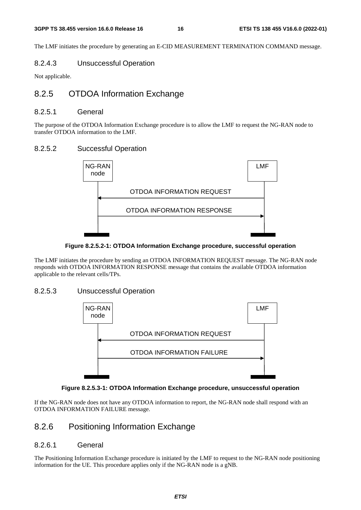The LMF initiates the procedure by generating an E-CID MEASUREMENT TERMINATION COMMAND message.

#### 8.2.4.3 Unsuccessful Operation

Not applicable.

# 8.2.5 OTDOA Information Exchange

#### 8.2.5.1 General

The purpose of the OTDOA Information Exchange procedure is to allow the LMF to request the NG-RAN node to transfer OTDOA information to the LMF.

#### 8.2.5.2 Successful Operation



#### **Figure 8.2.5.2-1: OTDOA Information Exchange procedure, successful operation**

The LMF initiates the procedure by sending an OTDOA INFORMATION REQUEST message. The NG-RAN node responds with OTDOA INFORMATION RESPONSE message that contains the available OTDOA information applicable to the relevant cells/TPs.

#### 8.2.5.3 Unsuccessful Operation





If the NG-RAN node does not have any OTDOA information to report, the NG-RAN node shall respond with an OTDOA INFORMATION FAILURE message.

# 8.2.6 Positioning Information Exchange

#### 8.2.6.1 General

The Positioning Information Exchange procedure is initiated by the LMF to request to the NG-RAN node positioning information for the UE. This procedure applies only if the NG-RAN node is a gNB.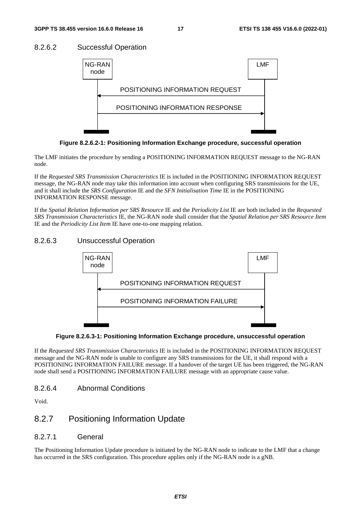### 8.2.6.2 Successful Operation



**Figure 8.2.6.2-1: Positioning Information Exchange procedure, successful operation** 

The LMF initiates the procedure by sending a POSITIONING INFORMATION REQUEST message to the NG-RAN node.

If the *Requested SRS Transmission Characteristics* IE is included in the POSITIONING INFORMATION REQUEST message, the NG-RAN node may take this information into account when configuring SRS transmissions for the UE, and it shall include the *SRS Configuration* IE and the *SFN Initialisation Time* IE in the POSITIONING INFORMATION RESPONSE message.

If the *Spatial Relation Information per SRS Resource* IE and the *Periodicity List* IE are both included in the *Requested SRS Transmission Characteristics* IE, the NG-RAN node shall consider that the *Spatial Relation per SRS Resource Item* IE and the *Periodicity List Item* IE have one-to-one mapping relation.

### 8.2.6.3 Unsuccessful Operation



**Figure 8.2.6.3-1: Positioning Information Exchange procedure, unsuccessful operation** 

If the *Requested SRS Transmission Characteristics* IE is included in the POSITIONING INFORMATION REQUEST message and the NG-RAN node is unable to configure any SRS transmissions for the UE, it shall respond with a POSITIONING INFORMATION FAILURE message. If a handover of the target UE has been triggered, the NG-RAN node shall send a POSITIONING INFORMATION FAILURE message with an appropriate cause value.

#### 8.2.6.4 Abnormal Conditions

Void.

# 8.2.7 Positioning Information Update

#### 8.2.7.1 General

The Positioning Information Update procedure is initiated by the NG-RAN node to indicate to the LMF that a change has occurred in the SRS configuration. This procedure applies only if the NG-RAN node is a gNB.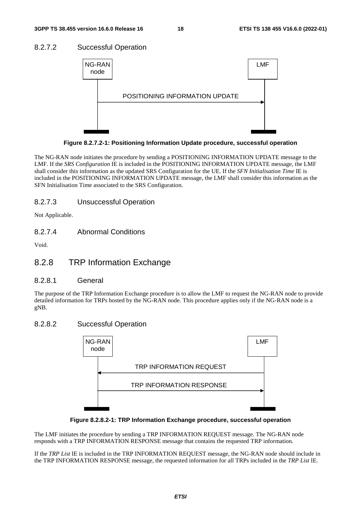### 8.2.7.2 Successful Operation



**Figure 8.2.7.2-1: Positioning Information Update procedure, successful operation** 

The NG-RAN node initiates the procedure by sending a POSITIONING INFORMATION UPDATE message to the LMF. If the *SRS Configuration* IE is included in the POSITIONING INFORMATION UPDATE message, the LMF shall consider this information as the updated SRS Configuration for the UE. If the *SFN Initialisation Time* IE is included in the POSITIONING INFORMATION UPDATE message, the LMF shall consider this information as the SFN Initialisation Time associated to the SRS Configuration.

### 8.2.7.3 Unsuccessful Operation

Not Applicable.

#### 8.2.7.4 Abnormal Conditions

Void.

# 8.2.8 TRP Information Exchange

#### 8.2.8.1 General

The purpose of the TRP Information Exchange procedure is to allow the LMF to request the NG-RAN node to provide detailed information for TRPs hosted by the NG-RAN node. This procedure applies only if the NG-RAN node is a gNB.

#### 8.2.8.2 Successful Operation





The LMF initiates the procedure by sending a TRP INFORMATION REQUEST message. The NG-RAN node responds with a TRP INFORMATION RESPONSE message that contains the requested TRP information.

If the *TRP List* IE is included in the TRP INFORMATION REQUEST message, the NG-RAN node should include in the TRP INFORMATION RESPONSE message, the requested information for all TRPs included in the *TRP List* IE.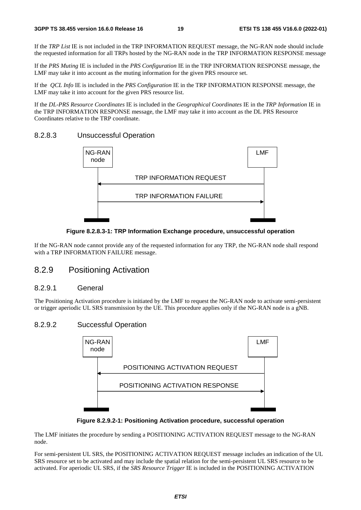If the *TRP List* IE is not included in the TRP INFORMATION REQUEST message, the NG-RAN node should include the requested information for all TRPs hosted by the NG-RAN node in the TRP INFORMATION RESPONSE message

If the *PRS Muting* IE is included in the *PRS Configuration* IE in the TRP INFORMATION RESPONSE message, the LMF may take it into account as the muting information for the given PRS resource set.

If the *QCL Info* IE is included in the *PRS Configuration* IE in the TRP INFORMATION RESPONSE message, the LMF may take it into account for the given PRS resource list.

If the *DL-PRS Resource Coordinates* IE is included in the *Geographical Coordinates* IE in the *TRP Information* IE in the TRP INFORMATION RESPONSE message, the LMF may take it into account as the DL PRS Resource Coordinates relative to the TRP coordinate.

#### 8.2.8.3 Unsuccessful Operation



#### **Figure 8.2.8.3-1: TRP Information Exchange procedure, unsuccessful operation**

If the NG-RAN node cannot provide any of the requested information for any TRP, the NG-RAN node shall respond with a TRP INFORMATION FAILURE message.

### 8.2.9 Positioning Activation

#### 8.2.9.1 General

The Positioning Activation procedure is initiated by the LMF to request the NG-RAN node to activate semi-persistent or trigger aperiodic UL SRS transmission by the UE. This procedure applies only if the NG-RAN node is a gNB.

#### 8.2.9.2 Successful Operation



**Figure 8.2.9.2-1: Positioning Activation procedure, successful operation** 

The LMF initiates the procedure by sending a POSITIONING ACTIVATION REQUEST message to the NG-RAN node.

For semi-persistent UL SRS, the POSITIONING ACTIVATION REQUEST message includes an indication of the UL SRS resource set to be activated and may include the spatial relation for the semi-persistent UL SRS resource to be activated. For aperiodic UL SRS, if the *SRS Resource Trigger* IE is included in the POSITIONING ACTIVATION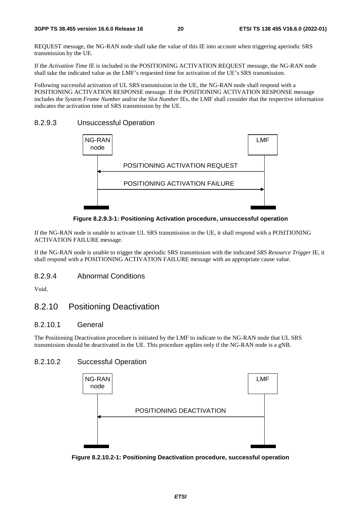REQUEST message, the NG-RAN node shall take the value of this IE into account when triggering aperiodic SRS transmission by the UE.

If the *Activation Time* IE is included in the POSITIONING ACTIVATION REQUEST message, the NG-RAN node shall take the indicated value as the LMF's requested time for activation of the UE's SRS transmission.

Following successful activation of UL SRS transmission in the UE, the NG-RAN node shall respond with a POSITIONING ACTIVATION RESPONSE message. If the POSITIONING ACTIVATION RESPONSE message includes the *System Frame Number* and/or the *Slot Number* IEs, the LMF shall consider that the respective information indicates the activation time of SRS transmission by the UE.

#### 8.2.9.3 Unsuccessful Operation



**Figure 8.2.9.3-1: Positioning Activation procedure, unsuccessful operation** 

If the NG-RAN node is unable to activate UL SRS transmission in the UE, it shall respond with a POSITIONING ACTIVATION FAILURE message.

If the NG-RAN node is unable to trigger the aperiodic SRS transmission with the indicated *SRS Resource Trigger* IE, it shall respond with a POSITIONING ACTIVATION FAILURE message with an appropriate cause value.

#### 8.2.9.4 Abnormal Conditions

Void.

## 8.2.10 Positioning Deactivation

#### 8.2.10.1 General

The Positioning Deactivation procedure is initiated by the LMF to indicate to the NG-RAN node that UL SRS transmission should be deactivated in the UE. This procedure applies only if the NG-RAN node is a gNB.

#### 8.2.10.2 Successful Operation



**Figure 8.2.10.2-1: Positioning Deactivation procedure, successful operation**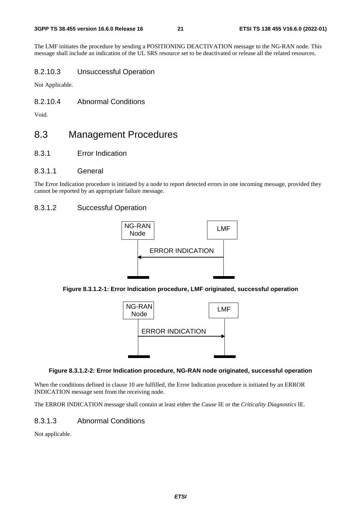The LMF initiates the procedure by sending a POSITIONING DEACTIVATION message to the NG-RAN node. This message shall include an indication of the UL SRS resource set to be deactivated or release all the related resources.

#### 8.2.10.3 Unsuccessful Operation

Not Applicable.

8.2.10.4 Abnormal Conditions

Void.

# 8.3 Management Procedures

- 8.3.1 Error Indication
- 8.3.1.1 General

The Error Indication procedure is initiated by a node to report detected errors in one incoming message, provided they cannot be reported by an appropriate failure message.

#### 8.3.1.2 Successful Operation







#### **Figure 8.3.1.2-2: Error Indication procedure, NG-RAN node originated, successful operation**

When the conditions defined in clause 10 are fulfilled, the Error Indication procedure is initiated by an ERROR INDICATION message sent from the receiving node.

The ERROR INDICATION message shall contain at least either the *Cause* IE or the *Criticality Diagnostics* IE.

#### 8.3.1.3 Abnormal Conditions

Not applicable.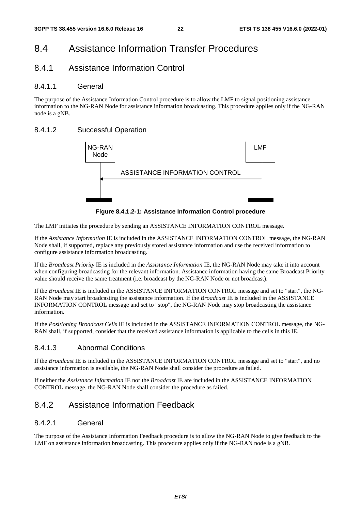# 8.4 Assistance Information Transfer Procedures

# 8.4.1 Assistance Information Control

#### 8.4.1.1 General

The purpose of the Assistance Information Control procedure is to allow the LMF to signal positioning assistance information to the NG-RAN Node for assistance information broadcasting. This procedure applies only if the NG-RAN node is a gNB.

### 8.4.1.2 Successful Operation



**Figure 8.4.1.2-1: Assistance Information Control procedure** 

The LMF initiates the procedure by sending an ASSISTANCE INFORMATION CONTROL message.

If the *Assistance Information* IE is included in the ASSISTANCE INFORMATION CONTROL message, the NG-RAN Node shall, if supported, replace any previously stored assistance information and use the received information to configure assistance information broadcasting.

If the *Broadcast Priority* IE is included in the *Assistance Information* IE, the NG-RAN Node may take it into account when configuring broadcasting for the relevant information. Assistance information having the same Broadcast Priority value should receive the same treatment (i.e. broadcast by the NG-RAN Node or not broadcast).

If the *Broadcast* IE is included in the ASSISTANCE INFORMATION CONTROL message and set to "start", the NG-RAN Node may start broadcasting the assistance information. If the *Broadcast* IE is included in the ASSISTANCE INFORMATION CONTROL message and set to "stop", the NG-RAN Node may stop broadcasting the assistance information.

If the *Positioning Broadcast Cells* IE is included in the ASSISTANCE INFORMATION CONTROL message, the NG-RAN shall, if supported, consider that the received assistance information is applicable to the cells in this IE.

### 8.4.1.3 Abnormal Conditions

If the *Broadcast* IE is included in the ASSISTANCE INFORMATION CONTROL message and set to "start", and no assistance information is available, the NG-RAN Node shall consider the procedure as failed.

If neither the *Assistance Information* IE nor the *Broadcast* IE are included in the ASSISTANCE INFORMATION CONTROL message, the NG-RAN Node shall consider the procedure as failed.

# 8.4.2 Assistance Information Feedback

#### 8.4.2.1 General

The purpose of the Assistance Information Feedback procedure is to allow the NG-RAN Node to give feedback to the LMF on assistance information broadcasting. This procedure applies only if the NG-RAN node is a gNB.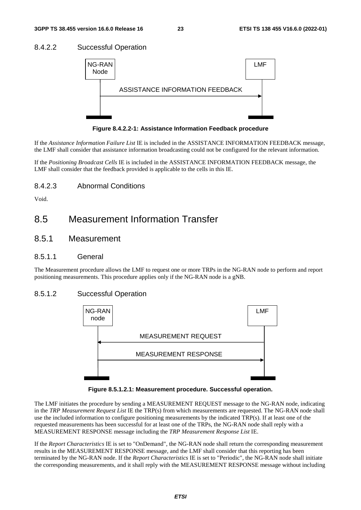#### 8.4.2.2 Successful Operation



**Figure 8.4.2.2-1: Assistance Information Feedback procedure** 

If the *Assistance Information Failure List* IE is included in the ASSISTANCE INFORMATION FEEDBACK message, the LMF shall consider that assistance information broadcasting could not be configured for the relevant information.

If the *Positioning Broadcast Cells* IE is included in the ASSISTANCE INFORMATION FEEDBACK message, the LMF shall consider that the feedback provided is applicable to the cells in this IE.

#### 8.4.2.3 Abnormal Conditions

Void.

# 8.5 Measurement Information Transfer

### 8.5.1 Measurement

#### 8.5.1.1 General

The Measurement procedure allows the LMF to request one or more TRPs in the NG-RAN node to perform and report positioning measurements. This procedure applies only if the NG-RAN node is a gNB.

#### 8.5.1.2 Successful Operation



**Figure 8.5.1.2.1: Measurement procedure. Successful operation.** 

The LMF initiates the procedure by sending a MEASUREMENT REQUEST message to the NG-RAN node, indicating in the *TRP Measurement Request List* IE the TRP(s) from which measurements are requested. The NG-RAN node shall use the included information to configure positioning measurements by the indicated TRP(s). If at least one of the requested measurements has been successful for at least one of the TRPs, the NG-RAN node shall reply with a MEASUREMENT RESPONSE message including the *TRP Measurement Response List* IE.

If the *Report Characteristics* IE is set to "OnDemand", the NG-RAN node shall return the corresponding measurement results in the MEASUREMENT RESPONSE message, and the LMF shall consider that this reporting has been terminated by the NG-RAN node. If the *Report Characteristics* IE is set to "Periodic", the NG-RAN node shall initiate the corresponding measurements, and it shall reply with the MEASUREMENT RESPONSE message without including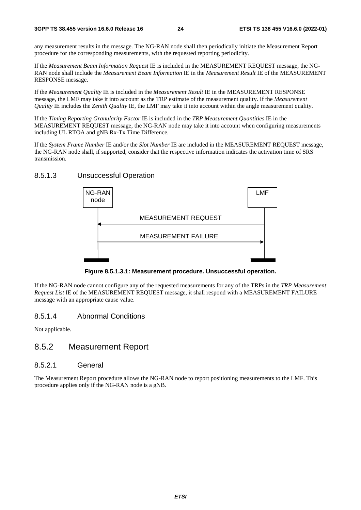any measurement results in the message. The NG-RAN node shall then periodically initiate the Measurement Report procedure for the corresponding measurements, with the requested reporting periodicity.

If the *Measurement Beam Information Request* IE is included in the MEASUREMENT REQUEST message, the NG-RAN node shall include the *Measurement Beam Information* IE in the *Measurement Result* IE of the MEASUREMENT RESPONSE message.

If the *Measurement Quality* IE is included in the *Measurement Result* IE in the MEASUREMENT RESPONSE message, the LMF may take it into account as the TRP estimate of the measurement quality. If the *Measurement Quality* IE includes the *Zenith Quality* IE, the LMF may take it into account within the angle measurement quality.

If the *Timing Reporting Granularity Factor* IE is included in the *TRP Measurement Quantities* IE in the MEASUREMENT REQUEST message, the NG-RAN node may take it into account when configuring measurements including UL RTOA and gNB Rx-Tx Time Difference.

If the *System Frame Number* IE and/or the *Slot Number* IE are included in the MEASUREMENT REQUEST message, the NG-RAN node shall, if supported, consider that the respective information indicates the activation time of SRS transmission.

8.5.1.3 Unsuccessful Operation



**Figure 8.5.1.3.1: Measurement procedure. Unsuccessful operation.** 

If the NG-RAN node cannot configure any of the requested measurements for any of the TRPs in the *TRP Measurement Request List* IE of the MEASUREMENT REQUEST message, it shall respond with a MEASUREMENT FAILURE message with an appropriate cause value.

#### 8.5.1.4 Abnormal Conditions

Not applicable.

### 8.5.2 Measurement Report

#### 8.5.2.1 General

The Measurement Report procedure allows the NG-RAN node to report positioning measurements to the LMF. This procedure applies only if the NG-RAN node is a gNB.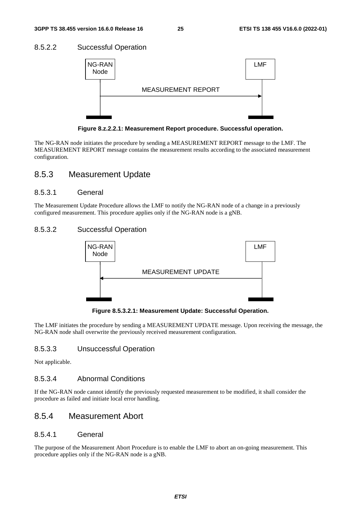#### 8.5.2.2 Successful Operation



**Figure 8.z.2.2.1: Measurement Report procedure. Successful operation.** 

The NG-RAN node initiates the procedure by sending a MEASUREMENT REPORT message to the LMF. The MEASUREMENT REPORT message contains the measurement results according to the associated measurement configuration.

### 8.5.3 Measurement Update

#### 8.5.3.1 General

The Measurement Update Procedure allows the LMF to notify the NG-RAN node of a change in a previously configured measurement. This procedure applies only if the NG-RAN node is a gNB.

### 8.5.3.2 Successful Operation



**Figure 8.5.3.2.1: Measurement Update: Successful Operation.** 

The LMF initiates the procedure by sending a MEASUREMENT UPDATE message. Upon receiving the message, the NG-RAN node shall overwrite the previously received measurement configuration.

#### 8.5.3.3 Unsuccessful Operation

Not applicable.

#### 8.5.3.4 Abnormal Conditions

If the NG-RAN node cannot identify the previously requested measurement to be modified, it shall consider the procedure as failed and initiate local error handling.

### 8.5.4 Measurement Abort

#### 8.5.4.1 General

The purpose of the Measurement Abort Procedure is to enable the LMF to abort an on-going measurement. This procedure applies only if the NG-RAN node is a gNB.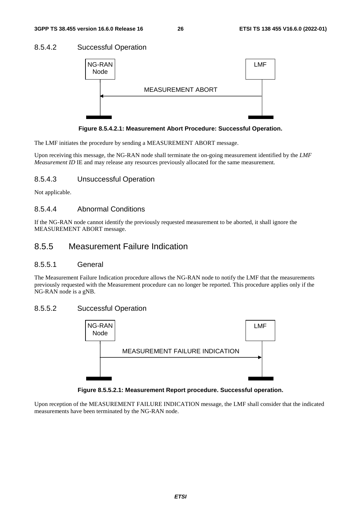#### 8.5.4.2 Successful Operation



**Figure 8.5.4.2.1: Measurement Abort Procedure: Successful Operation.** 

The LMF initiates the procedure by sending a MEASUREMENT ABORT message.

Upon receiving this message, the NG-RAN node shall terminate the on-going measurement identified by the *LMF Measurement ID* IE and may release any resources previously allocated for the same measurement.

### 8.5.4.3 Unsuccessful Operation

Not applicable.

#### 8.5.4.4 Abnormal Conditions

If the NG-RAN node cannot identify the previously requested measurement to be aborted, it shall ignore the MEASUREMENT ABORT message.

## 8.5.5 Measurement Failure Indication

#### 8.5.5.1 General

The Measurement Failure Indication procedure allows the NG-RAN node to notify the LMF that the measurements previously requested with the Measurement procedure can no longer be reported. This procedure applies only if the NG-RAN node is a gNB.

#### 8.5.5.2 Successful Operation



**Figure 8.5.5.2.1: Measurement Report procedure. Successful operation.** 

Upon reception of the MEASUREMENT FAILURE INDICATION message, the LMF shall consider that the indicated measurements have been terminated by the NG-RAN node.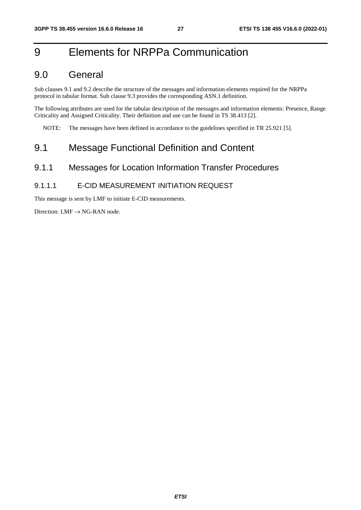# 9 Elements for NRPPa Communication

# 9.0 General

Sub clauses 9.1 and 9.2 describe the structure of the messages and information elements required for the NRPPa protocol in tabular format. Sub clause 9.3 provides the corresponding ASN.1 definition.

The following attributes are used for the tabular description of the messages and information elements: Presence, Range Criticality and Assigned Criticality. Their definition and use can be found in TS 38.413 [2].

NOTE: The messages have been defined in accordance to the guidelines specified in TR 25.921 [5].

# 9.1 Message Functional Definition and Content

### 9.1.1 Messages for Location Information Transfer Procedures

#### 9.1.1.1 E-CID MEASUREMENT INITIATION REQUEST

This message is sent by LMF to initiate E-CID measurements.

Direction:  $LMF \rightarrow NG-RAN$  node.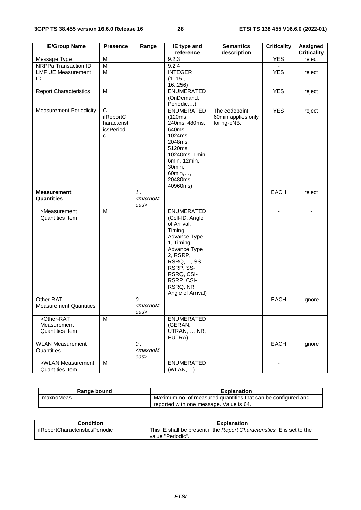| <b>IE/Group Name</b>                                | <b>Presence</b>                                     | Range                                           | IE type and<br>reference                                                                                                                                                                                | <b>Semantics</b><br>description                    | <b>Criticality</b>       | Assigned<br><b>Criticality</b> |
|-----------------------------------------------------|-----------------------------------------------------|-------------------------------------------------|---------------------------------------------------------------------------------------------------------------------------------------------------------------------------------------------------------|----------------------------------------------------|--------------------------|--------------------------------|
| Message Type                                        | M                                                   |                                                 | 9.2.3                                                                                                                                                                                                   |                                                    | <b>YES</b>               | reject                         |
| NRPPa Transaction ID                                | $\overline{M}$                                      |                                                 | 9.2.4                                                                                                                                                                                                   |                                                    |                          |                                |
| <b>LMF UE Measurement</b><br>ID                     | M                                                   |                                                 | <b>INTEGER</b><br>(115, ,<br>16256)                                                                                                                                                                     |                                                    | <b>YES</b>               | reject                         |
| <b>Report Characteristics</b>                       | M                                                   |                                                 | ENUMERATED<br>(OnDemand,<br>Periodic,)                                                                                                                                                                  |                                                    | <b>YES</b>               | reject                         |
| <b>Measurement Periodicity</b>                      | $C-$<br>ifReportC<br>haracterist<br>icsPeriodi<br>C |                                                 | <b>ENUMERATED</b><br>(120ms,<br>240ms, 480ms,<br>640ms,<br>1024ms,<br>2048ms,<br>5120ms,<br>10240ms, 1min,<br>6min, 12min,<br>30min,<br>60min,,<br>20480ms,<br>40960ms)                                 | The codepoint<br>60min applies only<br>for ng-eNB. | <b>YES</b>               | reject                         |
| <b>Measurement</b>                                  |                                                     | 1.                                              |                                                                                                                                                                                                         |                                                    | EACH                     | reject                         |
| Quantities                                          |                                                     | $<$ maxnoM<br>eas>                              |                                                                                                                                                                                                         |                                                    |                          |                                |
| >Measurement<br><b>Quantities Item</b>              | M                                                   |                                                 | ENUMERATED<br>(Cell-ID, Angle<br>of Arrival,<br>Timing<br>Advance Type<br>1, Timing<br>Advance Type<br>2, RSRP,<br>RSRQ,, SS-<br>RSRP, SS-<br>RSRQ, CSI-<br>RSRP, CSI-<br>RSRQ, NR<br>Angle of Arrival) |                                                    |                          |                                |
| Other-RAT<br><b>Measurement Quantities</b>          |                                                     | $\mathcal{O}$<br><maxnom<br>eas&gt;</maxnom<br> |                                                                                                                                                                                                         |                                                    | EACH                     | ignore                         |
| >Other-RAT<br>Measurement<br><b>Quantities Item</b> | M                                                   |                                                 | <b>ENUMERATED</b><br>(GERAN,<br>UTRAN,, NR,<br>EUTRA)                                                                                                                                                   |                                                    |                          |                                |
| <b>WLAN Measurement</b><br>Quantities               |                                                     | $0$<br><maxnom<br>eas&gt;</maxnom<br>           |                                                                                                                                                                                                         |                                                    | EACH                     | ignore                         |
| >WLAN Measurement<br><b>Quantities Item</b>         | M                                                   |                                                 | <b>ENUMERATED</b><br>(WLAN, )                                                                                                                                                                           |                                                    | $\overline{\phantom{a}}$ |                                |

| Range bound | <b>Explanation</b>                                            |
|-------------|---------------------------------------------------------------|
| maxnoMeas   | Maximum no. of measured quantities that can be configured and |
|             | reported with one message. Value is 64.                       |

| Condition                       | <b>Explanation</b>                                                      |
|---------------------------------|-------------------------------------------------------------------------|
| ifReportCharacteristicsPeriodic | This IE shall be present if the Report Characteristics IE is set to the |
|                                 | value "Periodic".                                                       |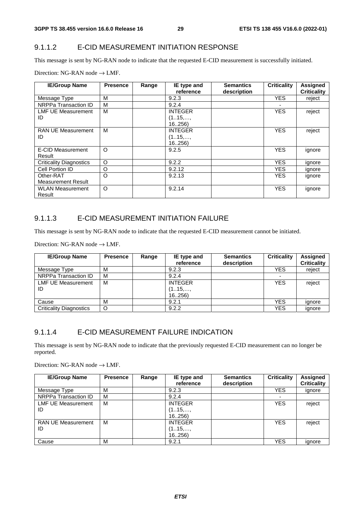### 9.1.1.2 E-CID MEASUREMENT INITIATION RESPONSE

This message is sent by NG-RAN node to indicate that the requested E-CID measurement is successfully initiated.

| Direction: NG-RAN node $\rightarrow$ LMF. |  |
|-------------------------------------------|--|
|-------------------------------------------|--|

| <b>IE/Group Name</b>           | <b>Presence</b> | Range | IE type and    | <b>Semantics</b> | <b>Criticality</b> | <b>Assigned</b>    |
|--------------------------------|-----------------|-------|----------------|------------------|--------------------|--------------------|
|                                |                 |       | reference      | description      |                    | <b>Criticality</b> |
| Message Type                   | м               |       | 9.2.3          |                  | <b>YES</b>         | reject             |
| NRPPa Transaction ID           | м               |       | 9.2.4          |                  |                    |                    |
| LMF UE Measurement             | м               |       | <b>INTEGER</b> |                  | <b>YES</b>         | reject             |
| ID                             |                 |       | (115,,         |                  |                    |                    |
|                                |                 |       | 16256          |                  |                    |                    |
| <b>RAN UE Measurement</b>      | м               |       | <b>INTEGER</b> |                  | <b>YES</b>         | reject             |
| ID                             |                 |       | (115,,         |                  |                    |                    |
|                                |                 |       | 16256          |                  |                    |                    |
| <b>E-CID Measurement</b>       | O               |       | 9.2.5          |                  | <b>YES</b>         | ignore             |
| Result                         |                 |       |                |                  |                    |                    |
| <b>Criticality Diagnostics</b> | O               |       | 9.2.2          |                  | <b>YES</b>         | ignore             |
| Cell Portion ID                | O               |       | 9.2.12         |                  | <b>YES</b>         | ignore             |
| Other-RAT                      | O               |       | 9.2.13         |                  | <b>YES</b>         | ignore             |
| <b>Measurement Result</b>      |                 |       |                |                  |                    |                    |
| <b>WLAN Measurement</b>        | $\circ$         |       | 9.2.14         |                  | <b>YES</b>         | ignore             |
| Result                         |                 |       |                |                  |                    |                    |

#### 9.1.1.3 E-CID MEASUREMENT INITIATION FAILURE

This message is sent by NG-RAN node to indicate that the requested E-CID measurement cannot be initiated.

Direction: NG-RAN node  $\rightarrow$  LMF.

| <b>IE/Group Name</b>            | <b>Presence</b> | Range | IE type and<br>reference          | <b>Semantics</b><br>description | <b>Criticality</b>       | <b>Assigned</b><br><b>Criticality</b> |
|---------------------------------|-----------------|-------|-----------------------------------|---------------------------------|--------------------------|---------------------------------------|
| Message Type                    | м               |       | 9.2.3                             |                                 | <b>YES</b>               | reject                                |
| NRPPa Transaction ID            | M               |       | 9.2.4                             |                                 | $\overline{\phantom{0}}$ |                                       |
| <b>LMF UE Measurement</b><br>ID | М               |       | <b>INTEGER</b><br>(115,,<br>16256 |                                 | <b>YES</b>               | reject                                |
| Cause                           | M               |       | 9.2.1                             |                                 | YES                      | ignore                                |
| <b>Criticality Diagnostics</b>  | O               |       | 9.2.2                             |                                 | <b>YES</b>               | ignore                                |

#### 9.1.1.4 E-CID MEASUREMENT FAILURE INDICATION

This message is sent by NG-RAN node to indicate that the previously requested E-CID measurement can no longer be reported.

| <b>IE/Group Name</b>      | <b>Presence</b> | Range | IE type and<br>reference | <b>Semantics</b><br>description | <b>Criticality</b>       | <b>Assigned</b><br><b>Criticality</b> |
|---------------------------|-----------------|-------|--------------------------|---------------------------------|--------------------------|---------------------------------------|
|                           |                 |       |                          |                                 |                          |                                       |
| Message Type              | M               |       | 9.2.3                    |                                 | <b>YES</b>               | ignore                                |
| NRPPa Transaction ID      | M               |       | 9.2.4                    |                                 | $\overline{\phantom{0}}$ |                                       |
| <b>LMF UE Measurement</b> | М               |       | <b>INTEGER</b>           |                                 | <b>YES</b>               | reject                                |
| ID                        |                 |       | (115,,                   |                                 |                          |                                       |
|                           |                 |       | 16.,256                  |                                 |                          |                                       |
| <b>RAN UE Measurement</b> | м               |       | <b>INTEGER</b>           |                                 | <b>YES</b>               | reject                                |
| ID                        |                 |       | (115,,                   |                                 |                          |                                       |
|                           |                 |       | 16256                    |                                 |                          |                                       |
| Cause                     | M               |       | 9.2.1                    |                                 | <b>YES</b>               | ignore                                |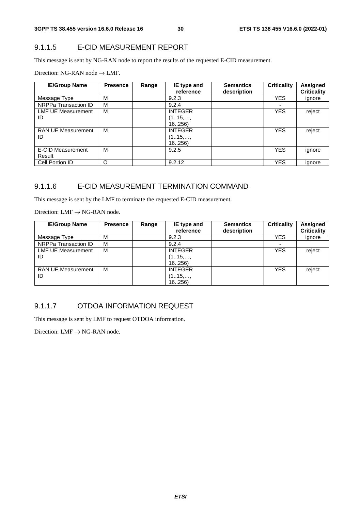### 9.1.1.5 E-CID MEASUREMENT REPORT

This message is sent by NG-RAN node to report the results of the requested E-CID measurement.

Direction: NG-RAN node  $\rightarrow$  LMF.

| <b>IE/Group Name</b>            | <b>Presence</b> | Range | IE type and<br>reference            | <b>Semantics</b><br>description | <b>Criticality</b> | <b>Assigned</b><br><b>Criticality</b> |
|---------------------------------|-----------------|-------|-------------------------------------|---------------------------------|--------------------|---------------------------------------|
| Message Type                    | м               |       | 9.2.3                               |                                 | <b>YES</b>         | ignore                                |
| NRPPa Transaction ID            | м               |       | 9.2.4                               |                                 | ۰                  |                                       |
| <b>LMF UE Measurement</b><br>ID | М               |       | <b>INTEGER</b><br>(115,,<br>16.,256 |                                 | <b>YES</b>         | reject                                |
| <b>RAN UE Measurement</b><br>ID | м               |       | <b>INTEGER</b><br>(115,,<br>16256   |                                 | <b>YES</b>         | reject                                |
| E-CID Measurement<br>Result     | м               |       | 9.2.5                               |                                 | <b>YES</b>         | ignore                                |
| Cell Portion ID                 | O               |       | 9.2.12                              |                                 | <b>YES</b>         | ignore                                |

### 9.1.1.6 E-CID MEASUREMENT TERMINATION COMMAND

This message is sent by the LMF to terminate the requested E-CID measurement.

Direction:  $LMF \rightarrow NG-RAN$  node.

| <b>IE/Group Name</b>            | <b>Presence</b> | Range | IE type and<br>reference          | <b>Semantics</b><br>description | <b>Criticality</b> | Assigned<br><b>Criticality</b> |
|---------------------------------|-----------------|-------|-----------------------------------|---------------------------------|--------------------|--------------------------------|
| Message Type                    | м               |       | 9.2.3                             |                                 | YES                | ignore                         |
| NRPPa Transaction ID            | M               |       | 9.2.4                             |                                 |                    |                                |
| <b>LMF UE Measurement</b><br>ID | м               |       | <b>INTEGER</b><br>(115,,<br>16256 |                                 | <b>YES</b>         | reject                         |
| <b>RAN UE Measurement</b><br>ID | м               |       | <b>INTEGER</b><br>(115,,<br>16256 |                                 | <b>YES</b>         | reject                         |

### 9.1.1.7 OTDOA INFORMATION REQUEST

This message is sent by LMF to request OTDOA information.

Direction:  $LMF \rightarrow NG-RAN$  node.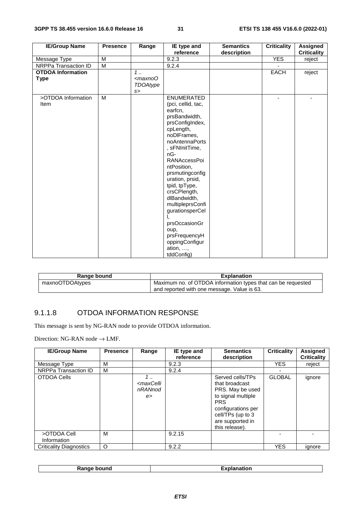| <b>IE/Group Name</b>                    | <b>Presence</b> | Range             | IE type and                                                                                                                                                                                                                                                                                                                                                                                                              | <b>Semantics</b> | <b>Criticality</b> | <b>Assigned</b>    |
|-----------------------------------------|-----------------|-------------------|--------------------------------------------------------------------------------------------------------------------------------------------------------------------------------------------------------------------------------------------------------------------------------------------------------------------------------------------------------------------------------------------------------------------------|------------------|--------------------|--------------------|
|                                         | M               |                   | reference<br>9.2.3                                                                                                                                                                                                                                                                                                                                                                                                       | description      | <b>YES</b>         | <b>Criticality</b> |
| Message Type                            | $\overline{M}$  |                   |                                                                                                                                                                                                                                                                                                                                                                                                                          |                  |                    | reject             |
| NRPPa Transaction ID                    |                 |                   | 9.2.4                                                                                                                                                                                                                                                                                                                                                                                                                    |                  |                    |                    |
| <b>OTDOA</b> Information<br><b>Type</b> |                 | $1$<br>$<$ maxnoO |                                                                                                                                                                                                                                                                                                                                                                                                                          |                  | EACH               | reject             |
|                                         |                 | TDOAtype          |                                                                                                                                                                                                                                                                                                                                                                                                                          |                  |                    |                    |
|                                         |                 | s                 |                                                                                                                                                                                                                                                                                                                                                                                                                          |                  |                    |                    |
| >OTDOA Information<br>Item              | M               |                   | <b>ENUMERATED</b><br>(pci, cellid, tac,<br>earfcn,<br>prsBandwidth,<br>prsConfigIndex,<br>cpLength,<br>noDIFrames,<br>noAntennaPorts<br>, sFNInitTime,<br>nG-<br>RANAccessPoi<br>ntPosition,<br>prsmutingconfig<br>uration, prsid,<br>tpid, tpType,<br>crsCPlength,<br>dlBandwidth,<br>multipleprsConfi<br>gurationsperCel<br>prsOccasionGr<br>oup,<br>prsFrequencyH<br>oppingConfigur<br>ation, $\dots$ ,<br>tddConfig) |                  | ۰                  |                    |

| Range bound     | <b>Explanation</b>                                           |
|-----------------|--------------------------------------------------------------|
| maxnoOTDOAtypes | Maximum no. of OTDOA information types that can be requested |
|                 | and reported with one message. Value is 63.                  |

# 9.1.1.8 OTDOA INFORMATION RESPONSE

This message is sent by NG-RAN node to provide OTDOA information.

| <b>IE/Group Name</b>           | <b>Presence</b> | Range                                         | IE type and<br>reference | <b>Semantics</b><br>description                                                                                                                                             | <b>Criticality</b> | <b>Assigned</b><br><b>Criticality</b> |
|--------------------------------|-----------------|-----------------------------------------------|--------------------------|-----------------------------------------------------------------------------------------------------------------------------------------------------------------------------|--------------------|---------------------------------------|
| Message Type                   | М               |                                               | 9.2.3                    |                                                                                                                                                                             | <b>YES</b>         | reject                                |
| NRPPa Transaction ID           | м               |                                               | 9.2.4                    |                                                                                                                                                                             |                    |                                       |
| OTDOA Cells                    |                 | 1<br><maxcelli<br>nRANnod<br/>e</maxcelli<br> |                          | Served cells/TPs<br>that broadcast<br>PRS. May be used<br>to signal multiple<br><b>PRS</b><br>configurations per<br>cell/TPs (up to 3<br>are supported in<br>this release). | <b>GLOBAL</b>      | ignore                                |
| >OTDOA Cell<br>Information     | М               |                                               | 9.2.15                   |                                                                                                                                                                             |                    |                                       |
| <b>Criticality Diagnostics</b> | O               |                                               | 9.2.2                    |                                                                                                                                                                             | <b>YES</b>         | ignore                                |

|  | <b>Range bound</b> | $T$ walanatian.<br>nation<br>-хим. |
|--|--------------------|------------------------------------|
|--|--------------------|------------------------------------|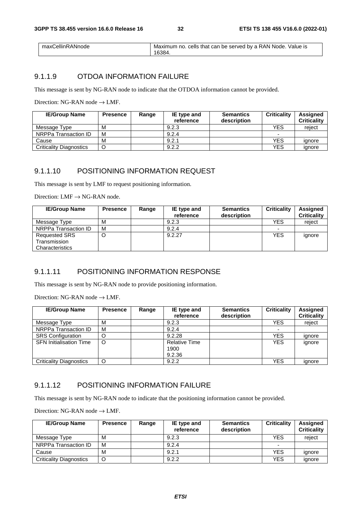| maxCellinRANnode | Maximum no. cells that can be served by a RAN Node. Value is |
|------------------|--------------------------------------------------------------|
|                  | 16384                                                        |

### 9.1.1.9 OTDOA INFORMATION FAILURE

This message is sent by NG-RAN node to indicate that the OTDOA information cannot be provided.

Direction: NG-RAN node  $\rightarrow$  LMF.

| <b>IE/Group Name</b>           | <b>Presence</b> | Range | IE type and<br>reference | <b>Semantics</b><br>description | <b>Criticality</b> | Assigned<br><b>Criticality</b> |
|--------------------------------|-----------------|-------|--------------------------|---------------------------------|--------------------|--------------------------------|
| Message Type                   | м               |       | 9.2.3                    |                                 | YES                | reject                         |
| NRPPa Transaction ID           | м               |       | 9.2.4                    |                                 |                    |                                |
| Cause                          | м               |       | 9.2.1                    |                                 | YES                | ignore                         |
| <b>Criticality Diagnostics</b> |                 |       | 9.2.2                    |                                 | YES                | ignore                         |

#### 9.1.1.10 POSITIONING INFORMATION REQUEST

This message is sent by LMF to request positioning information.

Direction:  $LMF \rightarrow NG-RAN$  node.

| <b>IE/Group Name</b> | <b>Presence</b> | Range | IE type and | <b>Semantics</b> | <b>Criticality</b> | <b>Assigned</b>    |
|----------------------|-----------------|-------|-------------|------------------|--------------------|--------------------|
|                      |                 |       | reference   | description      |                    | <b>Criticality</b> |
| Message Type         | м               |       | 9.2.3       |                  | <b>YES</b>         | reject             |
| NRPPa Transaction ID | м               |       | 9.2.4       |                  |                    |                    |
| <b>Requested SRS</b> |                 |       | 9.2.27      |                  | <b>YES</b>         | ignore             |
| Transmission         |                 |       |             |                  |                    |                    |
| Characteristics      |                 |       |             |                  |                    |                    |

### 9.1.1.11 POSITIONING INFORMATION RESPONSE

This message is sent by NG-RAN node to provide positioning information.

Direction: NG-RAN node  $\rightarrow$  LMF.

| <b>IE/Group Name</b>           | <b>Presence</b> | Range | IE type and<br>reference               | <b>Semantics</b><br>description | <b>Criticality</b> | <b>Assigned</b><br><b>Criticality</b> |
|--------------------------------|-----------------|-------|----------------------------------------|---------------------------------|--------------------|---------------------------------------|
| Message Type                   | м               |       | 9.2.3                                  |                                 | <b>YES</b>         | reject                                |
| NRPPa Transaction ID           | м               |       | 9.2.4                                  |                                 |                    |                                       |
| <b>SRS</b> Configuration       | O               |       | 9.2.28                                 |                                 | <b>YES</b>         | ignore                                |
| <b>SFN Initialisation Time</b> | O               |       | <b>Relative Time</b><br>1900<br>9.2.36 |                                 | <b>YES</b>         | ignore                                |
| <b>Criticality Diagnostics</b> | O               |       | 9.2.2                                  |                                 | <b>YES</b>         | ignore                                |

### 9.1.1.12 POSITIONING INFORMATION FAILURE

This message is sent by NG-RAN node to indicate that the positioning information cannot be provided.

| <b>IE/Group Name</b>           | <b>Presence</b> | Range | IE type and<br>reference | <b>Semantics</b><br>description | <b>Criticality</b> | <b>Assigned</b><br><b>Criticality</b> |
|--------------------------------|-----------------|-------|--------------------------|---------------------------------|--------------------|---------------------------------------|
| Message Type                   | м               |       | 9.2.3                    |                                 | YES                | reiect                                |
| NRPPa Transaction ID           | м               |       | 9.2.4                    |                                 | -                  |                                       |
| Cause                          | м               |       | 9.2.1                    |                                 | <b>YES</b>         | ignore                                |
| <b>Criticality Diagnostics</b> |                 |       | 9.2.2                    |                                 | YES                | ignore                                |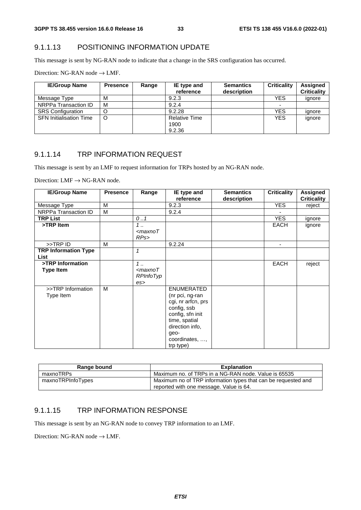### 9.1.1.13 POSITIONING INFORMATION UPDATE

This message is sent by NG-RAN node to indicate that a change in the SRS configuration has occurred.

Direction: NG-RAN node  $\rightarrow$  LMF.

| <b>IE/Group Name</b>           | <b>Presence</b> | Range | IE type and<br>reference | <b>Semantics</b><br>description | <b>Criticality</b> | Assigned<br><b>Criticality</b> |
|--------------------------------|-----------------|-------|--------------------------|---------------------------------|--------------------|--------------------------------|
| Message Type                   | М               |       | 9.2.3                    |                                 | <b>YES</b>         | ignore                         |
| NRPPa Transaction ID           | M               |       | 9.2.4                    |                                 |                    |                                |
| <b>SRS</b> Configuration       | O               |       | 9.2.28                   |                                 | <b>YES</b>         | ignore                         |
| <b>SFN Initialisation Time</b> | O               |       | <b>Relative Time</b>     |                                 | <b>YES</b>         | ignore                         |
|                                |                 |       | 1900                     |                                 |                    |                                |
|                                |                 |       | 9.2.36                   |                                 |                    |                                |

#### 9.1.1.14 TRP INFORMATION REQUEST

This message is sent by an LMF to request information for TRPs hosted by an NG-RAN node.

Direction:  $LMF \rightarrow NG-RAN$  node.

| <b>IE/Group Name</b>                | <b>Presence</b> | Range                       | IE type and                                                                                                                                                              | <b>Semantics</b> | <b>Criticality</b> | Assigned           |
|-------------------------------------|-----------------|-----------------------------|--------------------------------------------------------------------------------------------------------------------------------------------------------------------------|------------------|--------------------|--------------------|
|                                     |                 |                             | reference                                                                                                                                                                | description      |                    | <b>Criticality</b> |
| Message Type                        | M               |                             | 9.2.3                                                                                                                                                                    |                  | <b>YES</b>         | reject             |
| NRPPa Transaction ID                | м               |                             | 9.2.4                                                                                                                                                                    |                  |                    |                    |
| <b>TRP List</b>                     |                 | 0.1                         |                                                                                                                                                                          |                  | <b>YES</b>         | ignore             |
| >TRP Item                           |                 | $1 \ldots$<br>$<$ maxno $T$ |                                                                                                                                                                          |                  | <b>EACH</b>        | ignore             |
|                                     |                 | RPs                         |                                                                                                                                                                          |                  |                    |                    |
| >>TRP ID                            | M               |                             | 9.2.24                                                                                                                                                                   |                  | ٠                  |                    |
| <b>TRP Information Type</b><br>List |                 | 1                           |                                                                                                                                                                          |                  |                    |                    |
| >TRP Information                    |                 | $1 \ldots$                  |                                                                                                                                                                          |                  | <b>EACH</b>        | reject             |
| <b>Type Item</b>                    |                 | $<$ maxno $T$<br>RPInfoTyp  |                                                                                                                                                                          |                  |                    |                    |
| >>TRP Information<br>Type Item      | M               | $\mathsf{es}$               | <b>ENUMERATED</b><br>(nr pci, ng-ran<br>cgi, nr arfcn, prs<br>config, ssb<br>config, sfn init<br>time, spatial<br>direction info,<br>geo-<br>coordinates, ,<br>trp type) |                  |                    |                    |

| Range bound       | <b>Explanation</b>                                                                                       |
|-------------------|----------------------------------------------------------------------------------------------------------|
| maxnoTRPs         | Maximum no. of TRPs in a NG-RAN node. Value is 65535                                                     |
| maxnoTRPInfoTypes | Maximum no of TRP information types that can be requested and<br>reported with one message. Value is 64. |

#### 9.1.1.15 TRP INFORMATION RESPONSE

This message is sent by an NG-RAN node to convey TRP information to an LMF.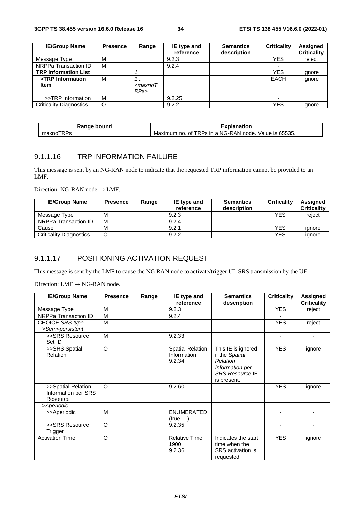| <b>IE/Group Name</b>           | <b>Presence</b> | Range            | IE type and | <b>Semantics</b> | <b>Criticality</b>       | <b>Assigned</b>    |
|--------------------------------|-----------------|------------------|-------------|------------------|--------------------------|--------------------|
|                                |                 |                  | reference   | description      |                          | <b>Criticality</b> |
| Message Type                   | м               |                  | 9.2.3       |                  | YES.                     | reject             |
| NRPPa Transaction ID           | M               |                  | 9.2.4       |                  | ۰                        |                    |
| <b>TRP Information List</b>    |                 |                  |             |                  | <b>YES</b>               | ignore             |
| >TRP Information               | м               | 7.,              |             |                  | <b>EACH</b>              | ignore             |
| Item                           |                 | $<$ maxno $\tau$ |             |                  |                          |                    |
|                                |                 | RPs              |             |                  |                          |                    |
| >>TRP Information              | M               |                  | 9.2.25      |                  | $\overline{\phantom{0}}$ |                    |
| <b>Criticality Diagnostics</b> | O               |                  | 9.2.2       |                  | YES                      | ignore             |

| Range<br>bound        | Explanation                                                                               |  |  |
|-----------------------|-------------------------------------------------------------------------------------------|--|--|
| ----<br>maxnc<br>.RPS | .65535.<br>"DDe<br>⊦a NG-RAN<br>node.<br>Maximum<br>ın<br>value<br>ΩŤ<br>ıс<br>no<br>- נט |  |  |

## 9.1.1.16 TRP INFORMATION FAILURE

This message is sent by an NG-RAN node to indicate that the requested TRP information cannot be provided to an LMF.

Direction: NG-RAN node  $\rightarrow$  LMF.

| <b>IE/Group Name</b>           | <b>Presence</b> | Range | IE type and<br>reference | <b>Semantics</b><br>description | <b>Criticality</b> | Assigned<br><b>Criticality</b> |
|--------------------------------|-----------------|-------|--------------------------|---------------------------------|--------------------|--------------------------------|
| Message Type                   | м               |       | 9.2.3                    |                                 | <b>YES</b>         | reject                         |
| NRPPa Transaction ID           | м               |       | 9.2.4                    |                                 | -                  |                                |
| Cause                          | М               |       | 9.2.1                    |                                 | <b>YES</b>         | ignore                         |
| <b>Criticality Diagnostics</b> |                 |       | 9.2.2                    |                                 | <b>YES</b>         | ignore                         |

## 9.1.1.17 POSITIONING ACTIVATION REQUEST

This message is sent by the LMF to cause the NG RAN node to activate/trigger UL SRS transmission by the UE.

Direction:  $LMF \rightarrow NG-RAN$  node.

| <b>IE/Group Name</b>                                  | <b>Presence</b> | Range | IE type and<br>reference                         | <b>Semantics</b><br>description                                                                              | <b>Criticality</b> | <b>Assigned</b><br><b>Criticality</b> |
|-------------------------------------------------------|-----------------|-------|--------------------------------------------------|--------------------------------------------------------------------------------------------------------------|--------------------|---------------------------------------|
| Message Type                                          | M               |       | 9.2.3                                            |                                                                                                              | <b>YES</b>         | reject                                |
| NRPPa Transaction ID                                  | M               |       | 9.2.4                                            |                                                                                                              |                    |                                       |
| CHOICE SRS type                                       | M               |       |                                                  |                                                                                                              | <b>YES</b>         | reject                                |
| >Semi-persistent                                      |                 |       |                                                  |                                                                                                              |                    |                                       |
| >>SRS Resource<br>Set ID                              | M               |       | 9.2.33                                           |                                                                                                              | $\blacksquare$     |                                       |
| >>SRS Spatial<br><b>Relation</b>                      | O               |       | <b>Spatial Relation</b><br>Information<br>9.2.34 | This IE is ignored<br>if the Spatial<br>Relation<br>Information per<br><b>SRS Resource IE</b><br>is present. | <b>YES</b>         | ignore                                |
| >>Spatial Relation<br>Information per SRS<br>Resource | $\circ$         |       | 9.2.60                                           |                                                                                                              | <b>YES</b>         | ignore                                |
| >Aperiodic                                            |                 |       |                                                  |                                                                                                              |                    |                                       |
| >>Aperiodic                                           | M               |       | <b>ENUMERATED</b><br>(true,)                     |                                                                                                              |                    |                                       |
| >>SRS Resource<br>Trigger                             | $\circ$         |       | 9.2.35                                           |                                                                                                              |                    |                                       |
| <b>Activation Time</b>                                | O               |       | <b>Relative Time</b><br>1900<br>9.2.36           | Indicates the start<br>time when the<br>SRS activation is<br>requested                                       | <b>YES</b>         | ignore                                |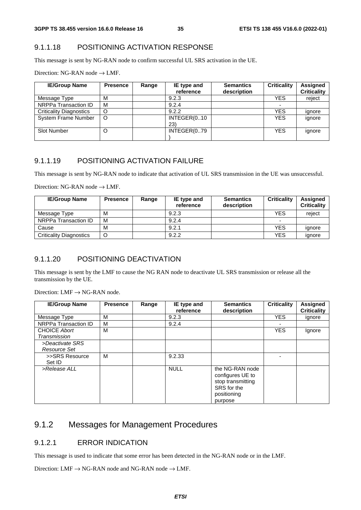#### 9.1.1.18 POSITIONING ACTIVATION RESPONSE

This message is sent by NG-RAN node to confirm successful UL SRS activation in the UE.

Direction: NG-RAN node  $\rightarrow$  LMF.

| <b>IE/Group Name</b>           | <b>Presence</b> | Range | IE type and<br>reference | <b>Semantics</b><br>description | <b>Criticality</b> | Assigned<br><b>Criticality</b> |
|--------------------------------|-----------------|-------|--------------------------|---------------------------------|--------------------|--------------------------------|
| Message Type                   | м               |       | 9.2.3                    |                                 | <b>YES</b>         | reject                         |
| NRPPa Transaction ID           | M               |       | 9.2.4                    |                                 |                    |                                |
| <b>Criticality Diagnostics</b> | O               |       | 9.2.2                    |                                 | <b>YES</b>         | ignore                         |
| System Frame Number            | O               |       | INTEGER(010<br>23)       |                                 | <b>YES</b>         | ignore                         |
| <b>Slot Number</b>             | O               |       | INTEGER(079              |                                 | <b>YES</b>         | ignore                         |

#### 9.1.1.19 POSITIONING ACTIVATION FAILURE

This message is sent by NG-RAN node to indicate that activation of UL SRS transmission in the UE was unsuccessful.

Direction: NG-RAN node  $\rightarrow$  LMF.

| <b>IE/Group Name</b>           | <b>Presence</b> | Range | IE type and<br>reference | <b>Semantics</b><br>description | <b>Criticality</b> | <b>Assigned</b><br><b>Criticality</b> |
|--------------------------------|-----------------|-------|--------------------------|---------------------------------|--------------------|---------------------------------------|
| Message Type                   | M               |       | 9.2.3                    |                                 | YES                | reiect                                |
| NRPPa Transaction ID           | м               |       | 9.2.4                    |                                 | -                  |                                       |
| Cause                          | M               |       | 9.2.1                    |                                 | YES                | ignore                                |
| <b>Criticality Diagnostics</b> |                 |       | 9.2.2                    |                                 | <b>YES</b>         | ignore                                |

### 9.1.1.20 POSITIONING DEACTIVATION

This message is sent by the LMF to cause the NG RAN node to deactivate UL SRS transmission or release all the transmission by the UE.

Direction:  $LMF \rightarrow NG-RAN$  node.

| <b>IE/Group Name</b>                | <b>Presence</b> | Range | IE type and<br>reference | <b>Semantics</b><br>description                                                                   | <b>Criticality</b> | <b>Assigned</b><br><b>Criticality</b> |
|-------------------------------------|-----------------|-------|--------------------------|---------------------------------------------------------------------------------------------------|--------------------|---------------------------------------|
| Message Type                        | м               |       | 9.2.3                    |                                                                                                   | <b>YES</b>         | ignore                                |
| NRPPa Transaction ID                | м               |       | 9.2.4                    |                                                                                                   |                    |                                       |
| <b>CHOICE Abort</b><br>Transmission | м               |       |                          |                                                                                                   | <b>YES</b>         | Ignore                                |
| >Deactivate SRS<br>Resource Set     |                 |       |                          |                                                                                                   |                    |                                       |
| >>SRS Resource<br>Set ID            | м               |       | 9.2.33                   |                                                                                                   |                    |                                       |
| >Release ALL                        |                 |       | <b>NULL</b>              | the NG-RAN node<br>configures UE to<br>stop transmitting<br>SRS for the<br>positioning<br>purpose |                    |                                       |

# 9.1.2 Messages for Management Procedures

### 9.1.2.1 ERROR INDICATION

This message is used to indicate that some error has been detected in the NG-RAN node or in the LMF.

Direction: LMF  $\rightarrow$  NG-RAN node and NG-RAN node  $\rightarrow$  LMF.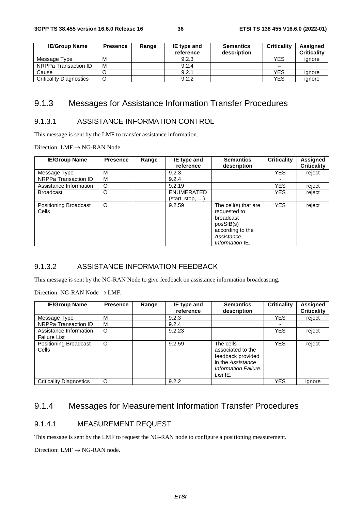| <b>IE/Group Name</b>           | <b>Presence</b> | Range | IE type and | <b>Semantics</b> | <b>Criticality</b> | <b>Assigned</b>    |
|--------------------------------|-----------------|-------|-------------|------------------|--------------------|--------------------|
|                                |                 |       | reference   | description      |                    | <b>Criticality</b> |
| Message Type                   | M               |       | 9.2.3       |                  | YES                | ignore             |
| NRPPa Transaction ID           | M               |       | 9.2.4       |                  | -                  |                    |
| Cause                          |                 |       | 9.2.1       |                  | <b>YES</b>         | ignore             |
| <b>Criticality Diagnostics</b> |                 |       | 9.2.2       |                  | <b>YES</b>         | ignore             |

#### 9.1.3 Messages for Assistance Information Transfer Procedures

#### 9.1.3.1 ASSISTANCE INFORMATION CONTROL

This message is sent by the LMF to transfer assistance information.

Direction:  $LMF \rightarrow NG-RAN$  Node.

| <b>IE/Group Name</b>                  | <b>Presence</b> | Range | IE type and<br>reference             | <b>Semantics</b><br>description                                                                                     | <b>Criticality</b> | <b>Assigned</b><br><b>Criticality</b> |
|---------------------------------------|-----------------|-------|--------------------------------------|---------------------------------------------------------------------------------------------------------------------|--------------------|---------------------------------------|
| Message Type                          | M               |       | 9.2.3                                |                                                                                                                     | <b>YES</b>         | reject                                |
| NRPPa Transaction ID                  | M               |       | 9.2.4                                |                                                                                                                     |                    |                                       |
| Assistance Information                | O               |       | 9.2.19                               |                                                                                                                     | <b>YES</b>         | reject                                |
| <b>Broadcast</b>                      | O               |       | <b>ENUMERATED</b><br>(start, stop, ) |                                                                                                                     | <b>YES</b>         | reject                                |
| <b>Positioning Broadcast</b><br>Cells | O               |       | 9.2.59                               | The cell(s) that are<br>requested to<br>broadcast<br>posSIB(s)<br>according to the<br>Assistance<br>Information IE. | <b>YES</b>         | reject                                |

#### 9.1.3.2 ASSISTANCE INFORMATION FEEDBACK

This message is sent by the NG-RAN Node to give feedback on assistance information broadcasting.

Direction: NG-RAN Node → LMF.

| <b>IE/Group Name</b>                          | <b>Presence</b> | Range | IE type and<br>reference | <b>Semantics</b><br>description                                                                                       | <b>Criticality</b> | <b>Assigned</b><br><b>Criticality</b> |
|-----------------------------------------------|-----------------|-------|--------------------------|-----------------------------------------------------------------------------------------------------------------------|--------------------|---------------------------------------|
| Message Type                                  | M               |       | 9.2.3                    |                                                                                                                       | <b>YES</b>         | reject                                |
| NRPPa Transaction ID                          | M               |       | 9.2.4                    |                                                                                                                       |                    |                                       |
| Assistance Information<br><b>Failure List</b> | O               |       | 9.2.23                   |                                                                                                                       | <b>YES</b>         | reject                                |
| <b>Positioning Broadcast</b><br>Cells         | O               |       | 9.2.59                   | The cells<br>associated to the<br>feedback provided<br>in the Assistance<br><b>Information Failure</b><br>List $IE$ . | <b>YES</b>         | reject                                |
| <b>Criticality Diagnostics</b>                | O               |       | 9.2.2                    |                                                                                                                       | <b>YES</b>         | ignore                                |

#### 9.1.4 Messages for Measurement Information Transfer Procedures

#### 9.1.4.1 MEASUREMENT REQUEST

This message is sent by the LMF to request the NG-RAN node to configure a positioning measurement.

Direction:  $LMF \rightarrow NG-RAN$  node.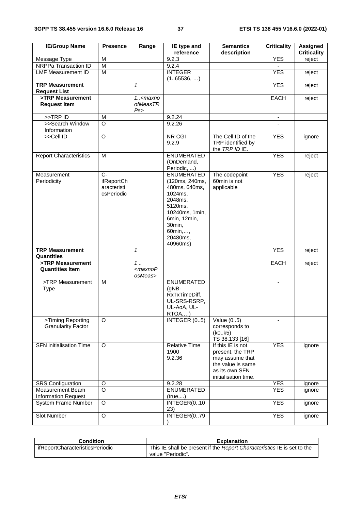| <b>IE/Group Name</b>                                     | <b>Presence</b>                                           | Range                                      | IE type and<br>reference                                                                                                                                             | <b>Semantics</b><br>description                                                                                         | <b>Criticality</b>       | <b>Assigned</b><br><b>Criticality</b> |
|----------------------------------------------------------|-----------------------------------------------------------|--------------------------------------------|----------------------------------------------------------------------------------------------------------------------------------------------------------------------|-------------------------------------------------------------------------------------------------------------------------|--------------------------|---------------------------------------|
| Message Type                                             | M                                                         |                                            | 9.2.3                                                                                                                                                                |                                                                                                                         | <b>YES</b>               | reject                                |
| NRPPa Transaction ID                                     | $\overline{\mathsf{M}}$                                   |                                            | 9.2.4                                                                                                                                                                |                                                                                                                         |                          |                                       |
| <b>LMF Measurement ID</b>                                | M                                                         |                                            | <b>INTEGER</b><br>(165536, )                                                                                                                                         |                                                                                                                         | <b>YES</b>               | reject                                |
| <b>TRP Measurement</b><br><b>Request List</b>            |                                                           | $\mathcal I$                               |                                                                                                                                                                      |                                                                                                                         | <b>YES</b>               | reject                                |
| >TRP Measurement<br><b>Request Item</b>                  |                                                           | $1.5$ <maxno<br>ofMeasTR<br/>Ps</maxno<br> |                                                                                                                                                                      |                                                                                                                         | <b>EACH</b>              | reject                                |
| >>TRP ID                                                 | M                                                         |                                            | 9.2.24                                                                                                                                                               |                                                                                                                         | $\overline{\phantom{a}}$ |                                       |
| >>Search Window<br>Information                           | O                                                         |                                            | 9.2.26                                                                                                                                                               |                                                                                                                         |                          |                                       |
| >>Cell ID                                                | $\overline{O}$                                            |                                            | <b>NR CGI</b><br>9.2.9                                                                                                                                               | The Cell ID of the<br>TRP identified by<br>the TRP ID IE.                                                               | <b>YES</b>               | ignore                                |
| <b>Report Characteristics</b>                            | M                                                         |                                            | <b>ENUMERATED</b><br>(OnDemand,<br>Periodic, )                                                                                                                       |                                                                                                                         | <b>YES</b>               | reject                                |
| Measurement<br>Periodicity                               | $\overline{C}$<br>ifReportCh<br>aracteristi<br>csPeriodic |                                            | <b>ENUMERATED</b><br>(120ms, 240ms,<br>480ms, 640ms,<br>1024ms,<br>2048ms,<br>5120ms,<br>10240ms, 1min,<br>6min, 12min,<br>30min,<br>60min,,<br>20480ms,<br>40960ms) | The codepoint<br>60min is not<br>applicable                                                                             | <b>YES</b>               | reject                                |
| <b>TRP Measurement</b><br><b>Quantities</b>              |                                                           | $\mathbf{1}$                               |                                                                                                                                                                      |                                                                                                                         | <b>YES</b>               | reject                                |
| >TRP Measurement<br><b>Quantities Item</b>               |                                                           | 1.<br>$<$ maxno $P$<br>osMeas>             |                                                                                                                                                                      |                                                                                                                         | EACH                     | reject                                |
| >TRP Measurement<br>Type                                 | M                                                         |                                            | <b>ENUMERATED</b><br>$(gNB -$<br>RxTxTimeDiff,<br>UL-SRS-RSRP,<br>UL-AoA, UL-<br>RTQA,)                                                                              |                                                                                                                         | $\blacksquare$           |                                       |
| >Timing Reporting<br><b>Granularity Factor</b>           | O                                                         |                                            | INTEGER (05)                                                                                                                                                         | Value $(05)$<br>corresponds to<br>(k0k5)<br>TS 38.133 [16]                                                              |                          |                                       |
| <b>SFN</b> initialisation Time                           | O                                                         |                                            | <b>Relative Time</b><br>1900<br>9.2.36                                                                                                                               | If this IE is not<br>present, the TRP<br>may assume that<br>the value is same<br>as its own SFN<br>initialisation time. | <b>YES</b>               | ignore                                |
| <b>SRS</b> Configuration                                 | O                                                         |                                            | 9.2.28                                                                                                                                                               |                                                                                                                         | <b>YES</b>               | ignore                                |
| Measurement Beam                                         | $\overline{O}$                                            |                                            | <b>ENUMERATED</b>                                                                                                                                                    |                                                                                                                         | <b>YES</b>               | ignore                                |
| <b>Information Request</b><br><b>System Frame Number</b> | $\overline{O}$                                            |                                            | (true,)<br>INTEGER(010<br>23)                                                                                                                                        |                                                                                                                         | <b>YES</b>               | ignore                                |
| Slot Number                                              | $\mathsf O$                                               |                                            | INTEGER(079                                                                                                                                                          |                                                                                                                         | <b>YES</b>               | ignore                                |

| Condition                       | <b>Explanation</b>                                                                           |
|---------------------------------|----------------------------------------------------------------------------------------------|
| ifReportCharacteristicsPeriodic | This IE shall be present if the Report Characteristics IE is set to the<br>value "Periodic". |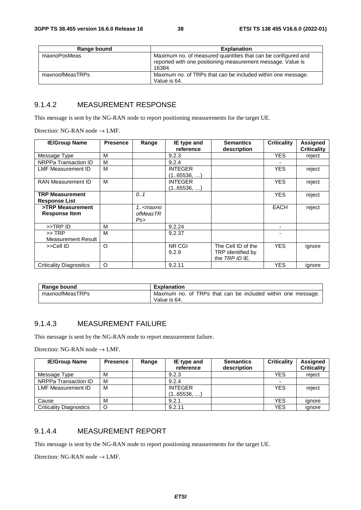| Range bound     | <b>Explanation</b>                                                                                                                     |
|-----------------|----------------------------------------------------------------------------------------------------------------------------------------|
| maxnoPosMeas    | Maximum no. of measured quantities that can be configured and<br>reported with one positioning measurement message. Value is<br>16384. |
| maxnoofMeasTRPs | Maxmum no. of TRPs that can be included within one message.<br>Value is 64.                                                            |

#### 9.1.4.2 MEASUREMENT RESPONSE

This message is sent by the NG-RAN node to report positioning measurements for the target UE.

Direction: NG-RAN node  $\rightarrow$  LMF.

| <b>IE/Group Name</b>                           | <b>Presence</b> | Range                                  | IE type and<br>reference     | <b>Semantics</b><br>description                           | <b>Criticality</b> | <b>Assigned</b><br><b>Criticality</b> |
|------------------------------------------------|-----------------|----------------------------------------|------------------------------|-----------------------------------------------------------|--------------------|---------------------------------------|
| Message Type                                   | М               |                                        | 9.2.3                        |                                                           | <b>YES</b>         | reject                                |
| NRPPa Transaction ID                           | M               |                                        | 9.2.4                        |                                                           |                    |                                       |
| <b>LMF Measurement ID</b>                      | м               |                                        | <b>INTEGER</b><br>(165536, ) |                                                           | <b>YES</b>         | reject                                |
| RAN Measurement ID                             | м               |                                        | <b>INTEGER</b><br>(165536, ) |                                                           | <b>YES</b>         | reject                                |
| <b>TRP Measurement</b><br><b>Response List</b> |                 | 0.1                                    |                              |                                                           | <b>YES</b>         | reject                                |
| >TRP Measurement<br><b>Response Item</b>       |                 | 1 <maxno<br>ofMeasTR<br/>Ps</maxno<br> |                              |                                                           | EACH               | reject                                |
| >>TRP ID                                       | М               |                                        | 9.2.24                       |                                                           | ۰                  |                                       |
| $>>$ TRP<br>Measurement Result                 | M               |                                        | 9.2.37                       |                                                           |                    |                                       |
| >>Cell ID                                      | $\circ$         |                                        | NR CGI<br>9.2.9              | The Cell ID of the<br>TRP identified by<br>the TRP ID IE. | <b>YES</b>         | ignore                                |
| Criticality Diagnostics                        | O               |                                        | 9.2.11                       |                                                           | <b>YES</b>         | ignore                                |

| Range bound     | Explanation                                                 |
|-----------------|-------------------------------------------------------------|
| maxnoofMeasTRPs | Maxmum no. of TRPs that can be included within one message. |
|                 | Value is 64.                                                |

#### 9.1.4.3 MEASUREMENT FAILURE

This message is sent by the NG-RAN node to report measurement failure.

Direction: NG-RAN node  $\rightarrow$  LMF.

| <b>IE/Group Name</b>           | <b>Presence</b> | Range | IE type and<br>reference | <b>Semantics</b><br>description | <b>Criticality</b>       | Assigned<br><b>Criticality</b> |
|--------------------------------|-----------------|-------|--------------------------|---------------------------------|--------------------------|--------------------------------|
| Message Type                   | M               |       | 9.2.3                    |                                 | <b>YES</b>               | reject                         |
| NRPPa Transaction ID           | м               |       | 9.2.4                    |                                 | $\overline{\phantom{0}}$ |                                |
| <b>LMF Measurement ID</b>      | M               |       | <b>INTEGER</b>           |                                 | <b>YES</b>               | reject                         |
|                                |                 |       | (165536, )               |                                 |                          |                                |
| Cause                          | M               |       | 9.2.1                    |                                 | <b>YES</b>               | ignore                         |
| <b>Criticality Diagnostics</b> | O               |       | 9.2.11                   |                                 | <b>YES</b>               | ignore                         |

#### 9.1.4.4 MEASUREMENT REPORT

This message is sent by the NG-RAN node to report positioning measurements for the target UE.

Direction: NG-RAN node  $\rightarrow$  LMF.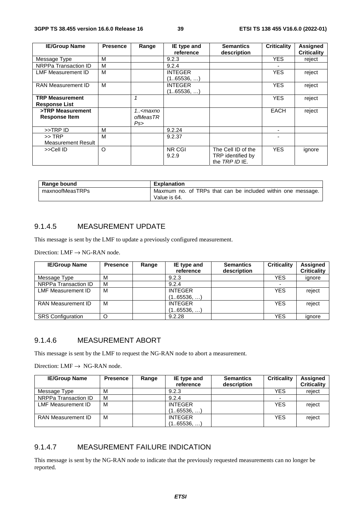| <b>IE/Group Name</b>      | <b>Presence</b> | Range                                                                          | IE type and    | <b>Semantics</b>   | <b>Criticality</b> | <b>Assigned</b>    |
|---------------------------|-----------------|--------------------------------------------------------------------------------|----------------|--------------------|--------------------|--------------------|
|                           |                 |                                                                                | reference      | description        |                    | <b>Criticality</b> |
| Message Type              | М               |                                                                                | 9.2.3          |                    | <b>YES</b>         | reject             |
| NRPPa Transaction ID      | М               |                                                                                | 9.2.4          |                    |                    |                    |
| LMF Measurement ID        | м               |                                                                                | <b>INTEGER</b> |                    | <b>YES</b>         | reject             |
|                           |                 |                                                                                | (165536, )     |                    |                    |                    |
| <b>RAN Measurement ID</b> | м               |                                                                                | <b>INTEGER</b> |                    | <b>YES</b>         | reject             |
|                           |                 |                                                                                | (165536, )     |                    |                    |                    |
| <b>TRP Measurement</b>    |                 |                                                                                |                |                    | <b>YES</b>         | reject             |
| <b>Response List</b>      |                 |                                                                                |                |                    |                    |                    |
| >TRP Measurement          |                 | 1 <maxno< td=""><td></td><td></td><td><b>EACH</b></td><td>reject</td></maxno<> |                |                    | <b>EACH</b>        | reject             |
| <b>Response Item</b>      |                 | ofMeasTR                                                                       |                |                    |                    |                    |
|                           |                 | Ps                                                                             |                |                    |                    |                    |
| >>TRP ID                  | М               |                                                                                | 9.2.24         |                    |                    |                    |
| $>>$ TRP                  | м               |                                                                                | 9.2.37         |                    |                    |                    |
| <b>Measurement Result</b> |                 |                                                                                |                |                    |                    |                    |
| >>Cell ID                 | O               |                                                                                | NR CGI         | The Cell ID of the | <b>YES</b>         | ignore             |
|                           |                 |                                                                                | 9.2.9          | TRP identified by  |                    |                    |
|                           |                 |                                                                                |                | the TRP ID IE.     |                    |                    |

| Range bound     | <b>Explanation</b>                                          |
|-----------------|-------------------------------------------------------------|
| maxnoofMeasTRPs | Maxmum no. of TRPs that can be included within one message. |
|                 | Value is 64.                                                |

#### 9.1.4.5 MEASUREMENT UPDATE

This message is sent by the LMF to update a previously configured measurement.

Direction:  $LMF \rightarrow NG-RAN$  node.

| <b>IE/Group Name</b>      | <b>Presence</b> | Range | IE type and<br>reference     | <b>Semantics</b><br>description | <b>Criticality</b> | <b>Assigned</b><br><b>Criticality</b> |
|---------------------------|-----------------|-------|------------------------------|---------------------------------|--------------------|---------------------------------------|
| Message Type              | М               |       | 9.2.3                        |                                 | YES                | ignore                                |
| NRPPa Transaction ID      | M               |       | 9.2.4                        |                                 |                    |                                       |
| LMF Measurement ID        | м               |       | <b>INTEGER</b><br>(165536, ) |                                 | <b>YES</b>         | reject                                |
| <b>RAN Measurement ID</b> | М               |       | <b>INTEGER</b><br>(165536, ) |                                 | <b>YES</b>         | reject                                |
| <b>SRS Configuration</b>  |                 |       | 9.2.28                       |                                 | <b>YES</b>         | ignore                                |

#### 9.1.4.6 MEASUREMENT ABORT

This message is sent by the LMF to request the NG-RAN node to abort a measurement.

Direction: LMF  $\rightarrow$  NG-RAN node.

| <b>IE/Group Name</b>      | <b>Presence</b> | Range | IE type and<br>reference      | <b>Semantics</b><br>description | <b>Criticality</b> | <b>Assigned</b><br><b>Criticality</b> |
|---------------------------|-----------------|-------|-------------------------------|---------------------------------|--------------------|---------------------------------------|
| Message Type              | М               |       | 9.2.3                         |                                 | YES                | reject                                |
| NRPPa Transaction ID      | м               |       | 9.2.4                         |                                 |                    |                                       |
| <b>LMF Measurement ID</b> | м               |       | <b>INTEGER</b><br>(165536, …) |                                 | <b>YES</b>         | reject                                |
| RAN Measurement ID        | м               |       | <b>INTEGER</b><br>(165536, …) |                                 | <b>YES</b>         | reject                                |

#### 9.1.4.7 MEASUREMENT FAILURE INDICATION

This message is sent by the NG-RAN node to indicate that the previously requested measurements can no longer be reported.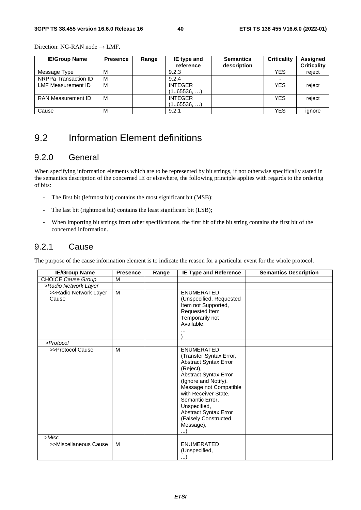Direction: NG-RAN node → LMF.

| <b>IE/Group Name</b>      | <b>Presence</b> | Range | IE type and<br>reference     | <b>Semantics</b><br>description | <b>Criticality</b>       | <b>Assigned</b><br><b>Criticality</b> |
|---------------------------|-----------------|-------|------------------------------|---------------------------------|--------------------------|---------------------------------------|
| Message Type              | M               |       | 9.2.3                        |                                 | <b>YES</b>               | reject                                |
| NRPPa Transaction ID      | M               |       | 9.2.4                        |                                 | $\overline{\phantom{a}}$ |                                       |
| <b>LMF Measurement ID</b> | M               |       | <b>INTEGER</b><br>(165536,)  |                                 | <b>YFS</b>               | reject                                |
| <b>RAN Measurement ID</b> | м               |       | <b>INTEGER</b><br>(165536, ) |                                 | <b>YES</b>               | reject                                |
| Cause                     | M               |       | 9.2.1                        |                                 | <b>YES</b>               | ignore                                |

# 9.2 Information Element definitions

#### 9.2.0 General

When specifying information elements which are to be represented by bit strings, if not otherwise specifically stated in the semantics description of the concerned IE or elsewhere, the following principle applies with regards to the ordering of bits:

- The first bit (leftmost bit) contains the most significant bit (MSB);
- The last bit (rightmost bit) contains the least significant bit (LSB);
- When importing bit strings from other specifications, the first bit of the bit string contains the first bit of the concerned information.

#### 9.2.1 Cause

The purpose of the cause information element is to indicate the reason for a particular event for the whole protocol.

| <b>IE/Group Name</b>           | <b>Presence</b> | Range | <b>IE Type and Reference</b>                                                                                                                                                                                                                                                                                     | <b>Semantics Description</b> |
|--------------------------------|-----------------|-------|------------------------------------------------------------------------------------------------------------------------------------------------------------------------------------------------------------------------------------------------------------------------------------------------------------------|------------------------------|
| <b>CHOICE Cause Group</b>      | M               |       |                                                                                                                                                                                                                                                                                                                  |                              |
| >Radio Network Layer           |                 |       |                                                                                                                                                                                                                                                                                                                  |                              |
| >>Radio Network Layer<br>Cause | M               |       | <b>ENUMERATED</b><br>(Unspecified, Requested<br>Item not Supported,<br>Requested Item<br>Temporarily not<br>Available,                                                                                                                                                                                           |                              |
| >Protocol                      |                 |       |                                                                                                                                                                                                                                                                                                                  |                              |
| >>Protocol Cause               | M               |       | <b>ENUMERATED</b><br>(Transfer Syntax Error,<br><b>Abstract Syntax Error</b><br>(Reject),<br><b>Abstract Syntax Error</b><br>(Ignore and Notify),<br>Message not Compatible<br>with Receiver State,<br>Semantic Error.<br>Unspecified,<br><b>Abstract Syntax Error</b><br>(Falsely Constructed<br>Message),<br>) |                              |
| >Misc                          |                 |       |                                                                                                                                                                                                                                                                                                                  |                              |
| >>Miscellaneous Cause          | M               |       | <b>ENUMERATED</b><br>(Unspecified,<br>                                                                                                                                                                                                                                                                           |                              |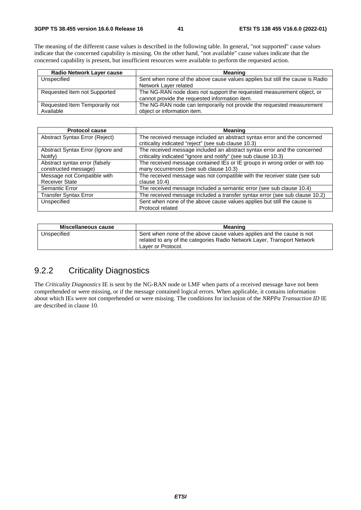The meaning of the different cause values is described in the following table. In general, "not supported" cause values indicate that the concerned capability is missing. On the other hand, "not available" cause values indicate that the concerned capability is present, but insufficient resources were available to perform the requested action.

| <b>Radio Network Layer cause</b> | <b>Meaning</b>                                                                |
|----------------------------------|-------------------------------------------------------------------------------|
| Unspecified                      | Sent when none of the above cause values applies but still the cause is Radio |
|                                  | Network Layer related                                                         |
| Requested Item not Supported     | The NG-RAN node does not support the requested measurement object, or         |
|                                  | cannot provide the requested information item.                                |
| Requested Item Temporarily not   | The NG-RAN node can temporarily not provide the requested measurement         |
| Available                        | object or information item.                                                   |

| <b>Protocol cause</b>             | <b>Meaning</b>                                                              |
|-----------------------------------|-----------------------------------------------------------------------------|
| Abstract Syntax Error (Reject)    | The received message included an abstract syntax error and the concerned    |
|                                   | criticality indicated "reject" (see sub clause 10.3)                        |
| Abstract Syntax Error (Ignore and | The received message included an abstract syntax error and the concerned    |
| Notify)                           | criticality indicated "ignore and notify" (see sub clause 10.3)             |
| Abstract syntax error (falsely    | The received message contained IEs or IE groups in wrong order or with too  |
| constructed message)              | many occurrences (see sub clause 10.3)                                      |
| Message not Compatible with       | The received message was not compatible with the receiver state (see sub    |
| <b>Receiver State</b>             | clause $10.4$ )                                                             |
| Semantic Error                    | The received message included a semantic error (see sub clause 10.4)        |
| <b>Transfer Syntax Error</b>      | The received message included a transfer syntax error (see sub clause 10.2) |
| Unspecified                       | Sent when none of the above cause values applies but still the cause is     |
|                                   | Protocol related                                                            |

| Miscellaneous cause | <b>Meaning</b>                                                                                                                                                         |
|---------------------|------------------------------------------------------------------------------------------------------------------------------------------------------------------------|
| Unspecified         | Sent when none of the above cause values applies and the cause is not<br>related to any of the categories Radio Network Layer, Transport Network<br>Laver or Protocol. |

## 9.2.2 Criticality Diagnostics

The *Criticality Diagnostics* IE is sent by the NG-RAN node or LMF when parts of a received message have not been comprehended or were missing, or if the message contained logical errors. When applicable, it contains information about which IEs were not comprehended or were missing. The conditions for inclusion of the *NRPPa Transaction ID* IE are described in clause 10.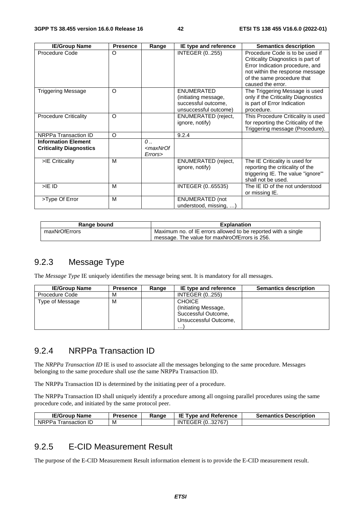| <b>IE/Group Name</b>                                         | <b>Presence</b> | Range                                                  | IE type and reference                                                                     | <b>Semantics description</b>                                                                                                                                                                   |
|--------------------------------------------------------------|-----------------|--------------------------------------------------------|-------------------------------------------------------------------------------------------|------------------------------------------------------------------------------------------------------------------------------------------------------------------------------------------------|
| Procedure Code                                               | O               |                                                        | <b>INTEGER (0255)</b>                                                                     | Procedure Code is to be used if<br>Criticality Diagnostics is part of<br>Error Indication procedure, and<br>not within the response message<br>of the same procedure that<br>caused the error. |
| <b>Triggering Message</b>                                    | O               |                                                        | <b>ENUMERATED</b><br>(initiating message,<br>successful outcome,<br>unsuccessful outcome) | The Triggering Message is used<br>only if the Criticality Diagnostics<br>is part of Error Indication<br>procedure.                                                                             |
| <b>Procedure Criticality</b>                                 | O               |                                                        | ENUMERATED (reject,<br>ignore, notify)                                                    | This Procedure Criticality is used<br>for reporting the Criticality of the<br>Triggering message (Procedure).                                                                                  |
| NRPPa Transaction ID                                         | O               |                                                        | 9.2.4                                                                                     |                                                                                                                                                                                                |
| <b>Information Element</b><br><b>Criticality Diagnostics</b> |                 | $\mathcal{O}$ .<br><maxnrof<br>Errors&gt;</maxnrof<br> |                                                                                           |                                                                                                                                                                                                |
| >IE Criticality                                              | M               |                                                        | ENUMERATED (reject,<br>ignore, notify)                                                    | The IE Criticality is used for<br>reporting the criticality of the<br>triggering IE. The value "ignore"<br>shall not be used.                                                                  |
| $>$ IE ID                                                    | M               |                                                        | INTEGER (0.65535)                                                                         | The IE ID of the not understood<br>or missing IE.                                                                                                                                              |
| >Type Of Error                                               | M               |                                                        | <b>ENUMERATED</b> (not<br>understood, missing, )                                          |                                                                                                                                                                                                |

| Range bound   | <b>Explanation</b>                                            |
|---------------|---------------------------------------------------------------|
| maxNrOfErrors | Maximum no. of IE errors allowed to be reported with a single |
|               | message. The value for maxNroOfErrors is 256.                 |

### 9.2.3 Message Type

The *Message Type* IE uniquely identifies the message being sent. It is mandatory for all messages.

| <b>IE/Group Name</b> | <b>Presence</b> | Range | IE type and reference                                                                      | <b>Semantics description</b> |
|----------------------|-----------------|-------|--------------------------------------------------------------------------------------------|------------------------------|
| Procedure Code       | м               |       | <b>INTEGER (0255)</b>                                                                      |                              |
| Type of Message      | M               |       | <b>CHOICE</b><br>(Initiating Message,<br>Successful Outcome,<br>Unsuccessful Outcome,<br>. |                              |

#### 9.2.4 NRPPa Transaction ID

The *NRPPa Transaction ID* IE is used to associate all the messages belonging to the same procedure. Messages belonging to the same procedure shall use the same NRPPa Transaction ID.

The NRPPa Transaction ID is determined by the initiating peer of a procedure.

The NRPPa Transaction ID shall uniquely identify a procedure among all ongoing parallel procedures using the same procedure code, and initiated by the same protocol peer.

| <b>IE/Group Name</b>           | <b>Presence</b> | Range | <b>IE Type and Reference</b> | <b>Semantics Description</b> |
|--------------------------------|-----------------|-------|------------------------------|------------------------------|
| <b>NRPPa</b><br>Transaction ID | M               |       | (032767)<br>INTEGER          |                              |

#### 9.2.5 E-CID Measurement Result

The purpose of the E-CID Measurement Result information element is to provide the E-CID measurement result.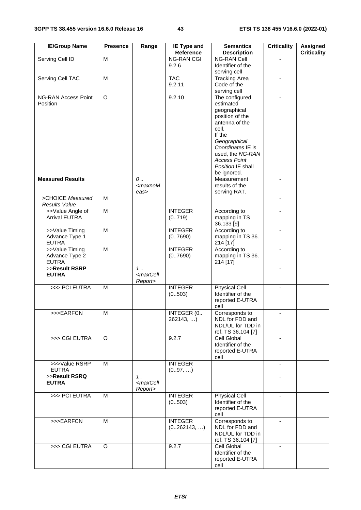| <b>IE/Group Name</b>                             | <b>Presence</b>         | Range                                        | <b>IE Type and</b><br>Reference | <b>Semantics</b><br><b>Description</b>                                                                                                                                                                                  | <b>Criticality</b>       | Assigned<br><b>Criticality</b> |
|--------------------------------------------------|-------------------------|----------------------------------------------|---------------------------------|-------------------------------------------------------------------------------------------------------------------------------------------------------------------------------------------------------------------------|--------------------------|--------------------------------|
| <b>Serving Cell ID</b>                           | M                       |                                              | <b>NG-RAN CGI</b><br>9.2.6      | <b>NG-RAN Cell</b><br>Identifier of the<br>serving cell                                                                                                                                                                 |                          |                                |
| <b>Serving Cell TAC</b>                          | M                       |                                              | <b>TAC</b><br>9.2.11            | <b>Tracking Area</b><br>Code of the<br>serving cell                                                                                                                                                                     | Ξ.                       |                                |
| <b>NG-RAN Access Point</b><br>Position           | $\overline{O}$          |                                              | 9.2.10                          | The configured<br>estimated<br>geographical<br>position of the<br>antenna of the<br>cell.<br>If the<br>Geographical<br>Coordinates IE is<br>used, the NG-RAN<br><b>Access Point</b><br>Position IE shall<br>be ignored. | ٠                        |                                |
| <b>Measured Results</b>                          |                         | $\mathcal{O}$<br>$<$ maxnoM<br>eas>          |                                 | Measurement<br>results of the<br>serving RAT.                                                                                                                                                                           |                          |                                |
| >CHOICE Measured<br><b>Results Value</b>         | M                       |                                              |                                 |                                                                                                                                                                                                                         | $\overline{\phantom{0}}$ |                                |
| >>Value Angle of<br><b>Arrival EUTRA</b>         | $\overline{M}$          |                                              | <b>INTEGER</b><br>(0.719)       | According to<br>mapping in TS<br>36.133 [9]                                                                                                                                                                             |                          |                                |
| >>Value Timing<br>Advance Type 1<br><b>EUTRA</b> | M                       |                                              | <b>INTEGER</b><br>(0.7690)      | According to<br>mapping in TS 36.<br>214 [17]                                                                                                                                                                           | $\blacksquare$           |                                |
| >>Value Timing<br>Advance Type 2<br><b>EUTRA</b> | $\overline{M}$          |                                              | <b>INTEGER</b><br>(0.7690)      | According to<br>mapping in TS 36.<br>214 [17]                                                                                                                                                                           | $\blacksquare$           |                                |
| >>Result RSRP<br><b>EUTRA</b>                    |                         | $1$ .<br><maxcell<br>Report&gt;</maxcell<br> |                                 |                                                                                                                                                                                                                         | $\overline{a}$           |                                |
| >>> PCI EUTRA                                    | M                       |                                              | <b>INTEGER</b><br>(0.503)       | <b>Physical Cell</b><br>Identifier of the<br>reported E-UTRA<br>cell                                                                                                                                                    |                          |                                |
| >>>EARFCN                                        | $\overline{\mathsf{M}}$ |                                              | <b>INTEGER (0</b><br>262143,)   | Corresponds to<br>NDL for FDD and<br>NDL/UL for TDD in<br>ref. TS 36.104 [7]                                                                                                                                            |                          |                                |
| >>> CGI EUTRA                                    | O                       |                                              | 9.2.7                           | Cell Global<br>Identifier of the<br>reported E-UTRA<br>cell                                                                                                                                                             |                          |                                |
| >>>Value RSRP<br><b>EUTRA</b>                    | M                       |                                              | <b>INTEGER</b><br>(097, )       |                                                                                                                                                                                                                         |                          |                                |
| >>Result RSRQ<br><b>EUTRA</b>                    |                         | 1.<br><maxcell<br>Report&gt;</maxcell<br>    |                                 |                                                                                                                                                                                                                         |                          |                                |
| >>> PCI EUTRA                                    | M                       |                                              | <b>INTEGER</b><br>(0.503)       | <b>Physical Cell</b><br>Identifier of the<br>reported E-UTRA<br>cell                                                                                                                                                    | $\sim$                   |                                |
| >>>EARFCN                                        | M                       |                                              | <b>INTEGER</b><br>(0262143, )   | Corresponds to<br>NDL for FDD and<br>NDL/UL for TDD in<br>ref. TS 36.104 [7]                                                                                                                                            |                          |                                |
| >>> CGI EUTRA                                    | O                       |                                              | 9.2.7                           | Cell Global<br>Identifier of the<br>reported E-UTRA<br>cell                                                                                                                                                             |                          |                                |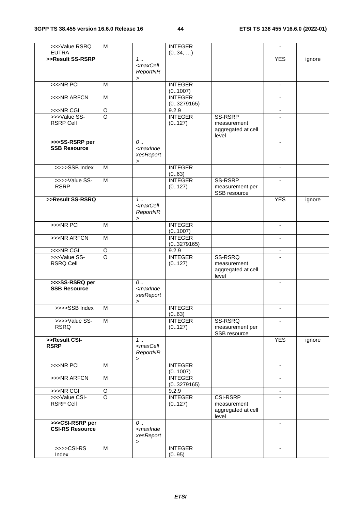| >>>Value RSRQ                                    | M                  |                                                                                                                              | <b>INTEGER</b>             |                    | $\blacksquare$           |        |
|--------------------------------------------------|--------------------|------------------------------------------------------------------------------------------------------------------------------|----------------------------|--------------------|--------------------------|--------|
| <b>EUTRA</b>                                     |                    |                                                                                                                              | (034, )                    |                    |                          |        |
| >>Result SS-RSRP                                 |                    | $1 \ldots$                                                                                                                   |                            |                    | <b>YES</b>               | ignore |
|                                                  |                    | <maxcell< td=""><td></td><td></td><td></td><td></td></maxcell<>                                                              |                            |                    |                          |        |
|                                                  |                    | ReportNR                                                                                                                     |                            |                    |                          |        |
|                                                  |                    | $\,$                                                                                                                         |                            |                    |                          |        |
| $>>NR$ PCI                                       | M                  |                                                                                                                              | <b>INTEGER</b>             |                    | $\blacksquare$           |        |
| >>>NR ARFCN                                      | M                  |                                                                                                                              | (0.1007)<br><b>INTEGER</b> |                    | ٠                        |        |
|                                                  |                    |                                                                                                                              | (03279165)                 |                    |                          |        |
| >>>NR CGI                                        | $\mathsf O$        |                                                                                                                              | 9.2.9                      |                    | $\blacksquare$           |        |
| >>>Value SS-                                     | $\overline{\circ}$ |                                                                                                                              | <b>INTEGER</b>             | SS-RSRP            |                          |        |
| <b>RSRP Cell</b>                                 |                    |                                                                                                                              | (0127)                     | measurement        |                          |        |
|                                                  |                    |                                                                                                                              |                            | aggregated at cell |                          |        |
|                                                  |                    |                                                                                                                              |                            | level              |                          |        |
| >>>SS-RSRP per                                   |                    | $\mathcal{O}$                                                                                                                |                            |                    | $\blacksquare$           |        |
| <b>SSB Resource</b>                              |                    | <maxinde< td=""><td></td><td></td><td></td><td></td></maxinde<>                                                              |                            |                    |                          |        |
|                                                  |                    | xesReport                                                                                                                    |                            |                    |                          |        |
|                                                  |                    | $\,>\,$                                                                                                                      |                            |                    |                          |        |
| >>>>SSB Index                                    | M                  |                                                                                                                              | <b>INTEGER</b>             |                    | $\blacksquare$           |        |
|                                                  |                    |                                                                                                                              | (063)                      |                    |                          |        |
| >>>>Value SS-                                    | M                  |                                                                                                                              | <b>INTEGER</b>             | SS-RSRP            |                          |        |
| <b>RSRP</b>                                      |                    |                                                                                                                              | (0127)                     | measurement per    |                          |        |
|                                                  |                    |                                                                                                                              |                            | SSB resource       |                          |        |
| >>Result SS-RSRQ                                 |                    | 1.                                                                                                                           |                            |                    | <b>YES</b>               | ignore |
|                                                  |                    | <maxcell< td=""><td></td><td></td><td></td><td></td></maxcell<>                                                              |                            |                    |                          |        |
|                                                  |                    | ReportNR                                                                                                                     |                            |                    |                          |        |
|                                                  |                    | $\, > \,$                                                                                                                    |                            |                    |                          |        |
| $>>NR$ PCI                                       | M                  |                                                                                                                              | <b>INTEGER</b>             |                    | $\blacksquare$           |        |
|                                                  |                    |                                                                                                                              | (0.1007)                   |                    |                          |        |
| >>>NR ARFCN                                      | $\overline{M}$     |                                                                                                                              | <b>INTEGER</b>             |                    | $\blacksquare$           |        |
|                                                  |                    |                                                                                                                              | (03279165)                 |                    |                          |        |
| >>>NR CGI                                        | $\circ$            |                                                                                                                              | 9.2.9                      |                    | $\blacksquare$           |        |
| >>>Value SS-                                     | $\circ$            |                                                                                                                              | <b>INTEGER</b>             | SS-RSRQ            |                          |        |
| <b>RSRQ Cell</b>                                 |                    |                                                                                                                              | (0127)                     | measurement        |                          |        |
|                                                  |                    |                                                                                                                              |                            | aggregated at cell |                          |        |
| >>>SS-RSRQ per                                   |                    |                                                                                                                              |                            | level              |                          |        |
| <b>SSB Resource</b>                              |                    | $\mathcal{O}$ .<br><maxinde< td=""><td></td><td></td><td><math display="inline">\blacksquare</math></td><td></td></maxinde<> |                            |                    | $\blacksquare$           |        |
|                                                  |                    | xesReport                                                                                                                    |                            |                    |                          |        |
|                                                  |                    | $\, > \,$                                                                                                                    |                            |                    |                          |        |
| >>>>SSB Index                                    | M                  |                                                                                                                              | <b>INTEGER</b>             |                    |                          |        |
|                                                  |                    |                                                                                                                              | (063)                      |                    |                          |        |
| >>>>Value SS-                                    | M                  |                                                                                                                              | <b>INTEGER</b>             | SS-RSRQ            | $\blacksquare$           |        |
| <b>RSRQ</b>                                      |                    |                                                                                                                              | (0127)                     | measurement per    |                          |        |
|                                                  |                    |                                                                                                                              |                            | SSB resource       |                          |        |
| >>Result CSI-                                    |                    | $1 \ldots$                                                                                                                   |                            |                    | <b>YES</b>               | ignore |
| <b>RSRP</b>                                      |                    | <maxcell< td=""><td></td><td></td><td></td><td></td></maxcell<>                                                              |                            |                    |                          |        |
|                                                  |                    | ReportNR                                                                                                                     |                            |                    |                          |        |
|                                                  |                    | $\,$                                                                                                                         |                            |                    |                          |        |
| >>>NR PCI                                        | M                  |                                                                                                                              | <b>INTEGER</b>             |                    |                          |        |
|                                                  |                    |                                                                                                                              | (01007)                    |                    |                          |        |
| >>>NR ARFCN                                      | M                  |                                                                                                                              | <b>INTEGER</b>             |                    | $\overline{\phantom{a}}$ |        |
|                                                  |                    |                                                                                                                              | (03279165)                 |                    |                          |        |
| >>>NR CGI                                        | $\mathsf O$        |                                                                                                                              | 9.2.9                      |                    |                          |        |
| >>>Value CSI-                                    | $\circ$            |                                                                                                                              | <b>INTEGER</b>             | <b>CSI-RSRP</b>    |                          |        |
| <b>RSRP Cell</b>                                 |                    |                                                                                                                              | (0127)                     | measurement        |                          |        |
|                                                  |                    |                                                                                                                              |                            | aggregated at cell |                          |        |
|                                                  |                    |                                                                                                                              |                            | level              |                          |        |
| >>>CSI-RSRP per                                  |                    | $0$                                                                                                                          |                            |                    | $\blacksquare$           |        |
| <b>CSI-RS Resource</b>                           |                    | <maxinde< td=""><td></td><td></td><td></td><td></td></maxinde<>                                                              |                            |                    |                          |        |
|                                                  |                    | xesReport                                                                                                                    |                            |                    |                          |        |
|                                                  |                    | >                                                                                                                            |                            |                    |                          |        |
| $\rightarrow$ $\rightarrow$ $\sim$ $\sim$ CSI-RS | M                  |                                                                                                                              | <b>INTEGER</b>             |                    | $\blacksquare$           |        |
| Index                                            |                    |                                                                                                                              | (095)                      |                    |                          |        |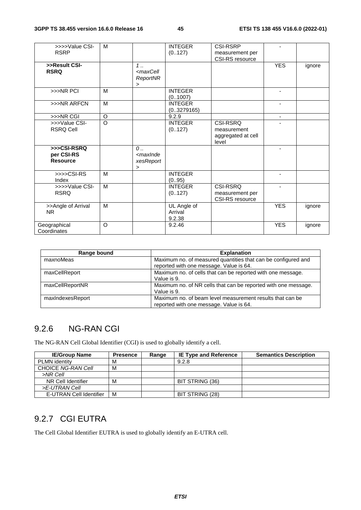| >>>>Value CSI-<br><b>RSRP</b>                | M              |                                                     | <b>INTEGER</b><br>(0.127)        | <b>CSI-RSRP</b><br>measurement per<br>CSI-RS resource  | $\blacksquare$ |        |
|----------------------------------------------|----------------|-----------------------------------------------------|----------------------------------|--------------------------------------------------------|----------------|--------|
| >>Result CSI-<br><b>RSRQ</b>                 |                | $1$ .<br><maxcell<br>ReportNR<br/>&gt;</maxcell<br> |                                  |                                                        | <b>YES</b>     | ignore |
| >>>NR PCI                                    | M              |                                                     | <b>INTEGER</b><br>(0.1007)       |                                                        | ٠              |        |
| >>>NR ARFCN                                  | M              |                                                     | <b>INTEGER</b><br>(03279165)     |                                                        |                |        |
| >>>NR CGI                                    | O              |                                                     | 9.2.9                            |                                                        | $\blacksquare$ |        |
| >>>Value CSI-<br><b>RSRQ Cell</b>            | $\overline{0}$ |                                                     | <b>INTEGER</b><br>(0.127)        | CSI-RSRQ<br>measurement<br>aggregated at cell<br>level |                |        |
| >>>CSI-RSRQ<br>per CSI-RS<br><b>Resource</b> |                | $\mathcal{O}$<br>$<$ maxInde<br>xesReport<br>$\geq$ |                                  |                                                        |                |        |
| $\rightarrow$ >>>CSI-RS<br>Index             | M              |                                                     | <b>INTEGER</b><br>(095)          |                                                        |                |        |
| >>>>Value CSI-<br><b>RSRQ</b>                | M              |                                                     | <b>INTEGER</b><br>(0127)         | CSI-RSRQ<br>measurement per<br>CSI-RS resource         |                |        |
| >>Angle of Arrival<br><b>NR</b>              | M              |                                                     | UL Angle of<br>Arrival<br>9.2.38 |                                                        | <b>YES</b>     | ignore |
| Geographical<br>Coordinates                  | $\circ$        |                                                     | 9.2.46                           |                                                        | <b>YES</b>     | ignore |

| Range bound      | <b>Explanation</b>                                                                                       |
|------------------|----------------------------------------------------------------------------------------------------------|
| maxnoMeas        | Maximum no. of measured quantities that can be configured and<br>reported with one message. Value is 64. |
| maxCellReport    | Maximum no. of cells that can be reported with one message.<br>Value is 9.                               |
| maxCellReportNR  | Maximum no. of NR cells that can be reported with one message.<br>Value is 9.                            |
| maxIndexesReport | Maximum no. of beam level measurement results that can be<br>reported with one message. Value is 64.     |

## 9.2.6 NG-RAN CGI

The NG-RAN Cell Global Identifier (CGI) is used to globally identify a cell.

| <b>IE/Group Name</b>      | <b>Presence</b> | Range | <b>IE Type and Reference</b> | <b>Semantics Description</b> |
|---------------------------|-----------------|-------|------------------------------|------------------------------|
| <b>PLMN</b> identity      | м               |       | 9.2.8                        |                              |
| <b>CHOICE NG-RAN Cell</b> | м               |       |                              |                              |
| >NR Cell                  |                 |       |                              |                              |
| NR Cell Identifier        | M               |       | BIT STRING (36)              |                              |
| >E-UTRAN Cell             |                 |       |                              |                              |
| E-UTRAN Cell Identifier   | M               |       | BIT STRING (28)              |                              |

## 9.2.7 CGI EUTRA

The Cell Global Identifier EUTRA is used to globally identify an E-UTRA cell.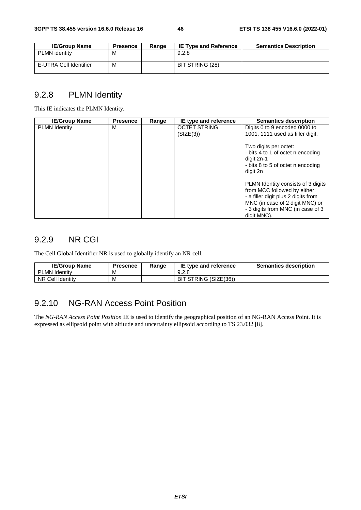| <b>IE/Group Name</b>   | <b>Presence</b> | Range | <b>IE Type and Reference</b> | <b>Semantics Description</b> |
|------------------------|-----------------|-------|------------------------------|------------------------------|
| <b>PLMN</b> identity   | м               |       | 9.2.8                        |                              |
| E-UTRA Cell Identifier | M               |       | BIT STRING (28)              |                              |

#### 9.2.8 PLMN Identity

This IE indicates the PLMN Identity.

| <b>IE/Group Name</b> | <b>Presence</b> | Range | IE type and reference            | <b>Semantics description</b>                                                                                                                                                                     |
|----------------------|-----------------|-------|----------------------------------|--------------------------------------------------------------------------------------------------------------------------------------------------------------------------------------------------|
| <b>PLMN Identity</b> | М               |       | <b>OCTET STRING</b><br>(SIZE(3)) | Digits 0 to 9 encoded 0000 to<br>1001, 1111 used as filler digit.                                                                                                                                |
|                      |                 |       |                                  | Two digits per octet:<br>- bits 4 to 1 of octet n encoding<br>digit 2n-1<br>- bits 8 to 5 of octet n encoding<br>digit 2n                                                                        |
|                      |                 |       |                                  | PLMN Identity consists of 3 digits<br>from MCC followed by either:<br>- a filler digit plus 2 digits from<br>MNC (in case of 2 digit MNC) or<br>- 3 digits from MNC (in case of 3<br>digit MNC). |

#### 9.2.9 NR CGI

The Cell Global Identifier NR is used to globally identify an NR cell.

| <b>IE/Group Name</b> | <b>Presence</b> | Range | IE type and reference    | <b>Semantics description</b> |
|----------------------|-----------------|-------|--------------------------|------------------------------|
| <b>PLMN Identity</b> | M               |       | 9.2.8                    |                              |
| NR Cell Identity     | м               |       | STRING (SIZE(36))<br>BIT |                              |

# 9.2.10 NG-RAN Access Point Position

The *NG-RAN Access Point Position* IE is used to identify the geographical position of an NG-RAN Access Point. It is expressed as ellipsoid point with altitude and uncertainty ellipsoid according to TS 23.032 [8].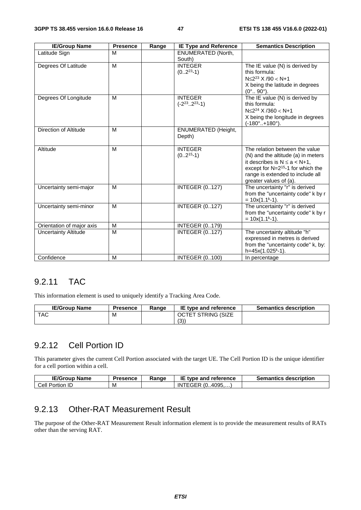| <b>IE/Group Name</b>        | <b>Presence</b> | Range | <b>IE Type and Reference</b>                   | <b>Semantics Description</b>                                                                                                                                                                                      |
|-----------------------------|-----------------|-------|------------------------------------------------|-------------------------------------------------------------------------------------------------------------------------------------------------------------------------------------------------------------------|
| Latitude Sign               | M               |       | <b>ENUMERATED (North,</b><br>South)            |                                                                                                                                                                                                                   |
| Degrees Of Latitude         | M               |       | <b>INTEGER</b><br>$(02^{23}-1)$                | The IE value (N) is derived by<br>this formula:<br>$N \leq 2^{23}$ X /90 < N+1<br>X being the latitude in degrees<br>$(0^{\circ}$ . 90 $^{\circ})$ .                                                              |
| Degrees Of Longitude        | M               |       | <b>INTEGER</b><br>$(-2^{23} \cdot 2^{23} - 1)$ | The IE value (N) is derived by<br>this formula:<br>$N \leq 2^{24}$ X /360 < N+1<br>X being the longitude in degrees<br>$(-180^\circ. + 180^\circ).$                                                               |
| Direction of Altitude       | M               |       | <b>ENUMERATED (Height,</b><br>Depth)           |                                                                                                                                                                                                                   |
| Altitude                    | M               |       | <b>INTEGER</b><br>$(02^{15}-1)$                | The relation between the value<br>(N) and the altitude (a) in meters<br>it describes is $N \le a < N+1$ ,<br>except for $N=2^{15}$ -1 for which the<br>range is extended to include all<br>greater values of (a). |
| Uncertainty semi-major      | M               |       | <b>INTEGER (0127)</b>                          | The uncertainty "r" is derived<br>from the "uncertainty code" k by r<br>$= 10x(1.1k-1).$                                                                                                                          |
| Uncertainty semi-minor      | M               |       | <b>INTEGER (0127)</b>                          | The uncertainty "r" is derived<br>from the "uncertainty code" k by r<br>$= 10x(1.1k-1).$                                                                                                                          |
| Orientation of major axis   | M               |       | <b>INTEGER (0179)</b>                          |                                                                                                                                                                                                                   |
| <b>Uncertainty Altitude</b> | M               |       | <b>INTEGER (0127)</b>                          | The uncertainty altitude "h"<br>expressed in metres is derived<br>from the "uncertainty code" k, by:<br>h=45x(1.025 <sup>k</sup> -1).                                                                             |
| Confidence                  | M               |       | <b>INTEGER (0100)</b>                          | In percentage                                                                                                                                                                                                     |

#### 9.2.11 TAC

This information element is used to uniquely identify a Tracking Area Code.

| <b>IE/Group Name</b> | <b>Presence</b> | Ranɑe | <b>IE type and reference</b> | <b>Semantics description</b> |
|----------------------|-----------------|-------|------------------------------|------------------------------|
| <b>TAC</b>           | M               |       | <b>OCTET STRING (SIZE</b>    |                              |
|                      |                 |       | (3)                          |                              |

### 9.2.12 Cell Portion ID

This parameter gives the current Cell Portion associated with the target UE. The Cell Portion ID is the unique identifier for a cell portion within a cell.

| <b>IE/Group Name</b> | <b>Presence</b> | Ranɑe | IE type and reference                     | <b>Semantics description</b> |
|----------------------|-----------------|-------|-------------------------------------------|------------------------------|
| Cell Portion<br>1 L  | M               |       | $\degree$ 4095<br>ີ (0.<br>'EGER.<br>IN I |                              |

## 9.2.13 Other-RAT Measurement Result

The purpose of the Other-RAT Measurement Result information element is to provide the measurement results of RATs other than the serving RAT.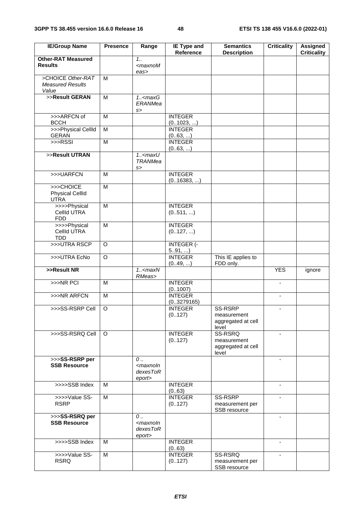| <b>IE/Group Name</b>                                  | <b>Presence</b> | Range                                                            | <b>IE Type and</b><br>Reference | <b>Semantics</b><br><b>Description</b>                | <b>Criticality</b>       | <b>Assigned</b><br><b>Criticality</b> |
|-------------------------------------------------------|-----------------|------------------------------------------------------------------|---------------------------------|-------------------------------------------------------|--------------------------|---------------------------------------|
| <b>Other-RAT Measured</b><br><b>Results</b>           |                 | 1.1<br>$<$ maxnoM<br>eas>                                        |                                 |                                                       |                          |                                       |
| >CHOICE Other-RAT<br><b>Measured Results</b><br>Value | м               |                                                                  |                                 |                                                       |                          |                                       |
| >>Result GERAN                                        | M               | $1.5$ <max<math>G<br/>ERANMea<br/>s</max<math>                   |                                 |                                                       |                          |                                       |
| >>>ARFCN of<br><b>BCCH</b>                            | M               |                                                                  | <b>INTEGER</b><br>(01023, )     |                                                       |                          |                                       |
| >>>Physical CellId<br><b>GERAN</b>                    | M               |                                                                  | <b>INTEGER</b><br>(063, )       |                                                       |                          |                                       |
| $>>$ RSSI                                             | $\overline{M}$  |                                                                  | <b>INTEGER</b><br>(0.63, )      |                                                       |                          |                                       |
| >>Result UTRAN                                        |                 | $1.5$ <maxu<br><b>TRANMea</b><br/>s</maxu<br>                    |                                 |                                                       |                          |                                       |
| >>>UARFCN                                             | M               |                                                                  | <b>INTEGER</b><br>(016383, )    |                                                       |                          |                                       |
| >>>CHOICE<br><b>Physical CellId</b><br><b>UTRA</b>    | M               |                                                                  |                                 |                                                       |                          |                                       |
| >>>>Physical<br>CellId UTRA<br><b>FDD</b>             | M               |                                                                  | <b>INTEGER</b><br>(0511, )      |                                                       |                          |                                       |
| >>>>Physical<br>CellId UTRA<br><b>TDD</b>             | $\overline{M}$  |                                                                  | <b>INTEGER</b><br>(0127, )      |                                                       |                          |                                       |
| >>>UTRA RSCP                                          | O               |                                                                  | <b>INTEGER (-</b><br>591, )     |                                                       |                          |                                       |
| >>>UTRA EcNo                                          | $\Omega$        |                                                                  | <b>INTEGER</b><br>(049, )       | This IE applies to<br>FDD only.                       |                          |                                       |
| >>Result NR                                           |                 | $1.5$ <max<math>N<br/>RMeas&gt;</max<math>                       |                                 |                                                       | <b>YES</b>               | ignore                                |
| >>>NR PCI                                             | M               |                                                                  | <b>INTEGER</b><br>(0.1007)      |                                                       | $\blacksquare$           |                                       |
| >>>NR ARFCN                                           | M               |                                                                  | <b>INTEGER</b><br>(03279165)    |                                                       | $\overline{\phantom{a}}$ |                                       |
| >>>SS-RSRP Cell                                       | O               |                                                                  | <b>INTEGER</b><br>(0127)        | SS-RSRP<br>measurement<br>aggregated at cell<br>level | $\blacksquare$           |                                       |
| >>>SS-RSRQ Cell                                       | O               |                                                                  | <b>INTEGER</b><br>(0127)        | SS-RSRQ<br>measurement<br>aggregated at cell<br>level |                          |                                       |
| >>>SS-RSRP per<br><b>SSB Resource</b>                 |                 | $\mathcal{O}$<br><maxnoln<br>dexesToR<br/>eport&gt;</maxnoln<br> |                                 |                                                       | $\blacksquare$           |                                       |
| >>>>SSB Index                                         | M               |                                                                  | <b>INTEGER</b><br>(063)         |                                                       | $\blacksquare$           |                                       |
| >>>>Value SS-<br><b>RSRP</b>                          | M               |                                                                  | <b>INTEGER</b><br>(0127)        | SS-RSRP<br>measurement per<br>SSB resource            | $\sim$                   |                                       |
| >>>SS-RSRQ per<br><b>SSB Resource</b>                 |                 | 0<br><maxnoln<br>dexesToR<br/>eport&gt;</maxnoln<br>             |                                 |                                                       | $\blacksquare$           |                                       |
| >>>>SSB Index                                         | M               |                                                                  | <b>INTEGER</b><br>(063)         |                                                       | $\blacksquare$           |                                       |
| >>>>Value SS-<br><b>RSRQ</b>                          | $\overline{M}$  |                                                                  | <b>INTEGER</b><br>(0127)        | SS-RSRQ<br>measurement per<br>SSB resource            |                          |                                       |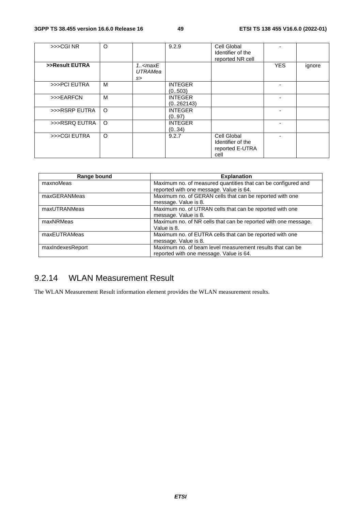| >> <sub>CGI</sub> NR | O       |                                                                                 | 9.2.9          | Cell Global<br>Identifier of the |            |        |
|----------------------|---------|---------------------------------------------------------------------------------|----------------|----------------------------------|------------|--------|
|                      |         |                                                                                 |                | reported NR cell                 |            |        |
| >>Result EUTRA       |         | $1.5$ <maxe< td=""><td></td><td></td><td><b>YES</b></td><td>ignore</td></maxe<> |                |                                  | <b>YES</b> | ignore |
|                      |         | <b>UTRAMea</b>                                                                  |                |                                  |            |        |
|                      |         | s                                                                               |                |                                  |            |        |
| >>>PCI EUTRA         | м       |                                                                                 | <b>INTEGER</b> |                                  |            |        |
|                      |         |                                                                                 | (0.503)        |                                  |            |        |
| >>>EARFCN            | M       |                                                                                 | <b>INTEGER</b> |                                  |            |        |
|                      |         |                                                                                 | (0262143)      |                                  |            |        |
| >>>RSRP EUTRA        | $\circ$ |                                                                                 | <b>INTEGER</b> |                                  |            |        |
|                      |         |                                                                                 | (0.97)         |                                  |            |        |
| >>>RSRQ EUTRA        | $\circ$ |                                                                                 | <b>INTEGER</b> |                                  |            |        |
|                      |         |                                                                                 | (034)          |                                  |            |        |
| >>>CGI EUTRA         | $\circ$ |                                                                                 | 9.2.7          | Cell Global                      |            |        |
|                      |         |                                                                                 |                | Identifier of the                |            |        |
|                      |         |                                                                                 |                | reported E-UTRA                  |            |        |
|                      |         |                                                                                 |                | cell                             |            |        |
|                      |         |                                                                                 |                |                                  |            |        |

| Range bound      | <b>Explanation</b>                                             |
|------------------|----------------------------------------------------------------|
| maxnoMeas        | Maximum no. of measured quantities that can be configured and  |
|                  | reported with one message. Value is 64.                        |
| maxGERANMeas     | Maximum no. of GERAN cells that can be reported with one       |
|                  | message. Value is 8.                                           |
| maxUTRANMeas     | Maximum no. of UTRAN cells that can be reported with one       |
|                  | message. Value is 8.                                           |
| maxNRMeas        | Maximum no. of NR cells that can be reported with one message. |
|                  | Value is 8.                                                    |
| maxEUTRAMeas     | Maximum no. of EUTRA cells that can be reported with one       |
|                  | message. Value is 8.                                           |
| maxIndexesReport | Maximum no, of beam level measurement results that can be      |
|                  | reported with one message. Value is 64.                        |

## 9.2.14 WLAN Measurement Result

The WLAN Measurement Result information element provides the WLAN measurement results.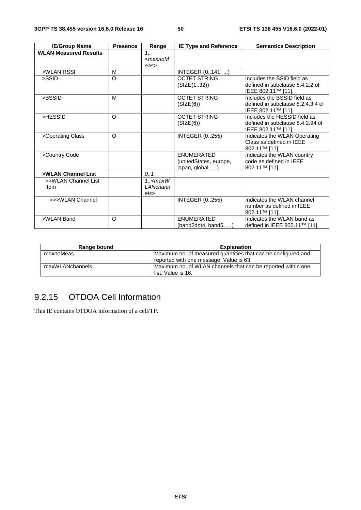| <b>IE/Group Name</b>         | <b>Presence</b> | Range                                     | <b>IE Type and Reference</b>                                    | <b>Semantics Description</b>                                                           |
|------------------------------|-----------------|-------------------------------------------|-----------------------------------------------------------------|----------------------------------------------------------------------------------------|
| <b>WLAN Measured Results</b> |                 | 1.1<br>$<$ maxnoM<br>eas>                 |                                                                 |                                                                                        |
| >WLAN RSSI                   | M               |                                           | INTEGER (0141, )                                                |                                                                                        |
| >SSID                        | O               |                                           | <b>OCTET STRING</b><br>(SIZE(132))                              | Includes the SSID field as<br>defined in subclause 8.4.2.2 of<br>IEEE 802.11™ [11].    |
| >BSSID                       | M               |                                           | <b>OCTET STRING</b><br>(SIZE(6))                                | Includes the BSSID field as<br>defined in subclause 8.2.4.3.4 of<br>IEEE 802.11™ [11]. |
| >HESSID                      | $\Omega$        |                                           | <b>OCTET STRING</b><br>(SIZE(6))                                | Includes the HESSID field as<br>defined in subclause 8.4.2.94 of<br>IEEE 802.11™ [11]. |
| >Operating Class             | O               |                                           | <b>INTEGER (0255)</b>                                           | Indicates the WLAN Operating<br>Class as defined in IEEE<br>802.11™ [11].              |
| >Country Code                |                 |                                           | <b>ENUMERATED</b><br>(unitedStates, europe,<br>japan, global, ) | Indicates the WLAN country<br>code as defined in IEEE<br>802.11™ [11].                 |
| >WLAN Channel List           |                 | 0.1                                       |                                                                 |                                                                                        |
| >>WLAN Channel List<br>Item  |                 | $1.5$ <maxw<br>LANchann<br/>els</maxw<br> |                                                                 |                                                                                        |
| >>>WLAN Channel              |                 |                                           | <b>INTEGER (0255)</b>                                           | Indicates the WLAN channel<br>number as defined in IEEE<br>802.11™ [11].               |
| >WLAN Band                   | O               |                                           | ENUMERATED<br>(band2dot4, band5, )                              | Indicates the WLAN band as<br>defined in IEEE 802.11™ [11].                            |

| Range bound     | <b>Explanation</b>                                                                                       |
|-----------------|----------------------------------------------------------------------------------------------------------|
| maxnoMeas       | Maximum no. of measured quantities that can be configured and<br>reported with one message. Value is 63. |
| maxWLANchannels | Maximum no. of WLAN channels that can be reported within one<br>list. Value is 16.                       |

# 9.2.15 OTDOA Cell Information

This IE contains OTDOA information of a cell/TP.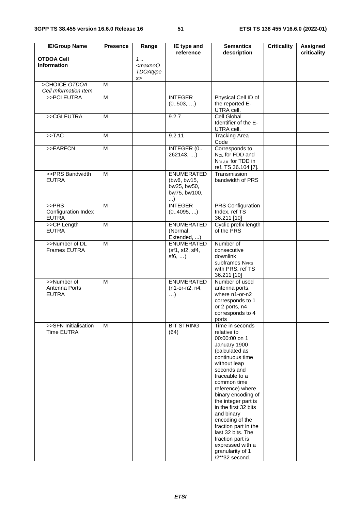| <b>IE/Group Name</b>                           | <b>Presence</b> | Range                                       | IE type and<br>reference                                                    | <b>Semantics</b><br>description                                                                                                                                                                                                                                                                                                                                                                                           | <b>Criticality</b> | <b>Assigned</b><br>criticality |
|------------------------------------------------|-----------------|---------------------------------------------|-----------------------------------------------------------------------------|---------------------------------------------------------------------------------------------------------------------------------------------------------------------------------------------------------------------------------------------------------------------------------------------------------------------------------------------------------------------------------------------------------------------------|--------------------|--------------------------------|
| <b>OTDOA Cell</b><br><b>Information</b>        |                 | 1.<br><maxno0<br>TDOAtype<br/>s</maxno0<br> |                                                                             |                                                                                                                                                                                                                                                                                                                                                                                                                           |                    |                                |
| >CHOICE OTDOA                                  | M               |                                             |                                                                             |                                                                                                                                                                                                                                                                                                                                                                                                                           |                    |                                |
| Cell Information Item<br>>>PCI EUTRA           | $\overline{M}$  |                                             | <b>INTEGER</b><br>(0503, )                                                  | Physical Cell ID of<br>the reported E-<br>UTRA cell.                                                                                                                                                                                                                                                                                                                                                                      |                    |                                |
| >>CGI EUTRA                                    | M               |                                             | 9.2.7                                                                       | <b>Cell Global</b><br>Identifier of the E-<br>UTRA cell.                                                                                                                                                                                                                                                                                                                                                                  |                    |                                |
| >> <b>TAC</b>                                  | M               |                                             | 9.2.11                                                                      | <b>Tracking Area</b><br>Code                                                                                                                                                                                                                                                                                                                                                                                              |                    |                                |
| >>EARFCN                                       | M               |                                             | INTEGER (0<br>262143,)                                                      | Corresponds to<br>N <sub>DL</sub> for FDD and<br>N <sub>DL/UL</sub> for TDD in<br>ref. TS 36.104 [7].                                                                                                                                                                                                                                                                                                                     |                    |                                |
| >>PRS Bandwidth<br><b>EUTRA</b>                | M               |                                             | <b>ENUMERATED</b><br>(bw6, bw15,<br>bw25, bw50,<br>bw75, bw100,<br>$\ldots$ | Transmission<br>bandwidth of PRS                                                                                                                                                                                                                                                                                                                                                                                          |                    |                                |
| $>$ PRS<br>Configuration Index<br><b>EUTRA</b> | M               |                                             | <b>INTEGER</b><br>(04095, )                                                 | <b>PRS Configuration</b><br>Index, ref TS<br>36.211 [10]                                                                                                                                                                                                                                                                                                                                                                  |                    |                                |
| >>CP Length<br><b>EUTRA</b>                    | $\overline{M}$  |                                             | <b>ENUMERATED</b><br>(Normal,<br>Extended, )                                | Cyclic prefix length<br>of the PRS                                                                                                                                                                                                                                                                                                                                                                                        |                    |                                |
| >>Number of DL<br>Frames EUTRA                 | M               |                                             | <b>ENUMERATED</b><br>(sf1, sf2, sf4,<br>$sf6, \ldots)$                      | Number of<br>consecutive<br>downlink<br>subframes N <sub>PRS</sub><br>with PRS, ref TS<br>36.211 [10]                                                                                                                                                                                                                                                                                                                     |                    |                                |
| >>Number of<br>Antenna Ports<br><b>EUTRA</b>   | M               |                                             | <b>ENUMERATED</b><br>(n1-or-n2, n4,<br>$\ldots$                             | Number of used<br>antenna ports,<br>where n1-or-n2<br>corresponds to 1<br>or 2 ports, n4<br>corresponds to 4<br>ports                                                                                                                                                                                                                                                                                                     |                    |                                |
| >>SFN Initialisation<br>Time EUTRA             | M               |                                             | <b>BIT STRING</b><br>(64)                                                   | Time in seconds<br>relative to<br>00:00:00 on 1<br>January 1900<br>(calculated as<br>continuous time<br>without leap<br>seconds and<br>traceable to a<br>common time<br>reference) where<br>binary encoding of<br>the integer part is<br>in the first 32 bits<br>and binary<br>encoding of the<br>fraction part in the<br>last 32 bits. The<br>fraction part is<br>expressed with a<br>granularity of 1<br>/2**32 second. |                    |                                |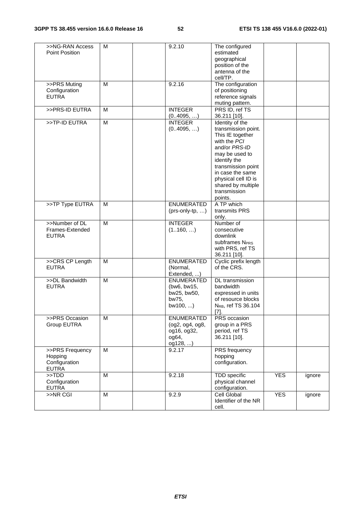| >>NG-RAN Access | M | 9.2.10            | The configured                  |            |        |
|-----------------|---|-------------------|---------------------------------|------------|--------|
| Point Position  |   |                   | estimated                       |            |        |
|                 |   |                   | geographical                    |            |        |
|                 |   |                   | position of the                 |            |        |
|                 |   |                   | antenna of the                  |            |        |
|                 |   |                   |                                 |            |        |
|                 |   |                   | cell/TP.                        |            |        |
| >>PRS Muting    | M | 9.2.16            | The configuration               |            |        |
| Configuration   |   |                   | of positioning                  |            |        |
| <b>EUTRA</b>    |   |                   | reference signals               |            |        |
|                 |   |                   | muting pattern.                 |            |        |
| >>PRS-ID EUTRA  | M | <b>INTEGER</b>    | PRS ID, ref TS                  |            |        |
|                 |   |                   |                                 |            |        |
|                 |   | (0.4095, )        | 36.211 [10].                    |            |        |
| >>TP-ID EUTRA   | M | <b>INTEGER</b>    | Identity of the                 |            |        |
|                 |   | (04095, )         | transmission point.             |            |        |
|                 |   |                   | This IE together                |            |        |
|                 |   |                   | with the PCI                    |            |        |
|                 |   |                   | and/or PRS-ID                   |            |        |
|                 |   |                   | may be used to                  |            |        |
|                 |   |                   |                                 |            |        |
|                 |   |                   | identify the                    |            |        |
|                 |   |                   | transmission point              |            |        |
|                 |   |                   | in case the same                |            |        |
|                 |   |                   | physical cell ID is             |            |        |
|                 |   |                   | shared by multiple              |            |        |
|                 |   |                   | transmission                    |            |        |
|                 |   |                   | points.                         |            |        |
|                 |   | <b>ENUMERATED</b> |                                 |            |        |
| >>TP Type EUTRA | M |                   | A TP which                      |            |        |
|                 |   | $(prs-only(tp, )$ | transmits PRS                   |            |        |
|                 |   |                   | only.                           |            |        |
| >>Number of DL  | M | <b>INTEGER</b>    | Number of                       |            |        |
| Frames-Extended |   | (1160, )          | consecutive                     |            |        |
| <b>EUTRA</b>    |   |                   | downlink                        |            |        |
|                 |   |                   | subframes N <sub>PRS</sub>      |            |        |
|                 |   |                   |                                 |            |        |
|                 |   |                   | with PRS, ref TS                |            |        |
|                 |   |                   | 36.211 [10].                    |            |        |
| >>CRS CP Length | M | <b>ENUMERATED</b> | Cyclic prefix length            |            |        |
| <b>EUTRA</b>    |   | (Normal,          | of the CRS.                     |            |        |
|                 |   | Extended, )       |                                 |            |        |
| >>DL Bandwidth  | M | <b>ENUMERATED</b> | DL transmission                 |            |        |
| <b>EUTRA</b>    |   | (bw6, bw15,       | bandwidth                       |            |        |
|                 |   |                   |                                 |            |        |
|                 |   | bw25, bw50,       | expressed in units              |            |        |
|                 |   | bw75,             | of resource blocks              |            |        |
|                 |   | $bw100, $ )       | N <sub>RB</sub> , ref TS 36.104 |            |        |
|                 |   |                   | $[7]$ .                         |            |        |
| >>PRS Occasion  | M | <b>ENUMERATED</b> | PRS occasion                    |            |        |
| Group EUTRA     |   | (og2, og4, og8,   | group in a PRS                  |            |        |
|                 |   | og16, og32,       | period, ref TS                  |            |        |
|                 |   |                   |                                 |            |        |
|                 |   | $0.064$ ,         | 36.211 [10].                    |            |        |
|                 |   | og128, )          |                                 |            |        |
| >>PRS Frequency | M | 9.2.17            | <b>PRS</b> frequency            |            |        |
| Hopping         |   |                   | hopping                         |            |        |
| Configuration   |   |                   | configuration.                  |            |        |
| <b>EUTRA</b>    |   |                   |                                 |            |        |
| $>>$ TDD        | M | 9.2.18            | <b>TDD</b> specific             | <b>YES</b> |        |
|                 |   |                   |                                 |            | ignore |
| Configuration   |   |                   | physical channel                |            |        |
| <b>EUTRA</b>    |   |                   | configuration.                  |            |        |
| >>NR CGI        | M | 9.2.9             | Cell Global                     | <b>YES</b> | ignore |
|                 |   |                   | Identifier of the NR            |            |        |
|                 |   |                   | cell.                           |            |        |
|                 |   |                   |                                 |            |        |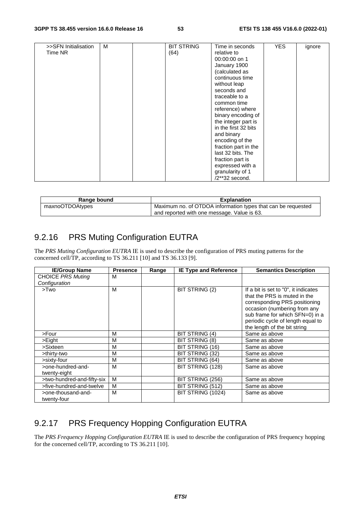| >>SFN Initialisation<br>Time NR | м | <b>BIT STRING</b><br>(64) | Time in seconds<br>relative to<br>00:00:00 on 1<br>January 1900<br>(calculated as<br>continuous time<br>without leap<br>seconds and<br>traceable to a<br>common time<br>reference) where<br>binary encoding of<br>the integer part is<br>in the first 32 bits<br>and binary<br>encoding of the<br>fraction part in the<br>last 32 bits. The<br>fraction part is | <b>YES</b> | ignore |
|---------------------------------|---|---------------------------|-----------------------------------------------------------------------------------------------------------------------------------------------------------------------------------------------------------------------------------------------------------------------------------------------------------------------------------------------------------------|------------|--------|
|                                 |   |                           | expressed with a<br>granularity of 1<br>/2**32 second.                                                                                                                                                                                                                                                                                                          |            |        |

| Range bound     | <b>Explanation</b>                                           |
|-----------------|--------------------------------------------------------------|
| maxnoOTDOAtypes | Maximum no. of OTDOA information types that can be requested |
|                 | and reported with one message. Value is 63.                  |

# 9.2.16 PRS Muting Configuration EUTRA

The *PRS Muting Configuration EUTRA* IE is used to describe the configuration of PRS muting patterns for the concerned cell/TP, according to TS 36.211 [10] and TS 36.133 [9].

| <b>IE/Group Name</b>              | <b>Presence</b> | Range | <b>IE Type and Reference</b> | <b>Semantics Description</b>                                                                                                                                                                                                                  |
|-----------------------------------|-----------------|-------|------------------------------|-----------------------------------------------------------------------------------------------------------------------------------------------------------------------------------------------------------------------------------------------|
| <b>CHOICE PRS Muting</b>          | M               |       |                              |                                                                                                                                                                                                                                               |
| Configuration                     |                 |       |                              |                                                                                                                                                                                                                                               |
| >Two                              | M               |       | BIT STRING (2)               | If a bit is set to "0", it indicates<br>that the PRS is muted in the<br>corresponding PRS positioning<br>occasion (numbering from any<br>sub frame for which SFN=0) in a<br>periodic cycle of length equal to<br>the length of the bit string |
| >Four                             | M               |       | BIT STRING (4)               | Same as above                                                                                                                                                                                                                                 |
| >Eight                            | M               |       | BIT STRING (8)               | Same as above                                                                                                                                                                                                                                 |
| >Sixteen                          | M               |       | BIT STRING (16)              | Same as above                                                                                                                                                                                                                                 |
| >thirty-two                       | M               |       | BIT STRING (32)              | Same as above                                                                                                                                                                                                                                 |
| >sixty-four                       | M               |       | BIT STRING (64)              | Same as above                                                                                                                                                                                                                                 |
| >one-hundred-and-<br>twenty-eight | M               |       | BIT STRING (128)             | Same as above                                                                                                                                                                                                                                 |
| >two-hundred-and-fifty-six        | M               |       | BIT STRING (256)             | Same as above                                                                                                                                                                                                                                 |
| >five-hundred-and-twelve          | M               |       | BIT STRING (512)             | Same as above                                                                                                                                                                                                                                 |
| >one-thousand-and-<br>twenty-four | M               |       | BIT STRING (1024)            | Same as above                                                                                                                                                                                                                                 |

# 9.2.17 PRS Frequency Hopping Configuration EUTRA

The *PRS Frequency Hopping Configuration EUTRA* IE is used to describe the configuration of PRS frequency hopping for the concerned cell/TP, according to TS 36.211 [10].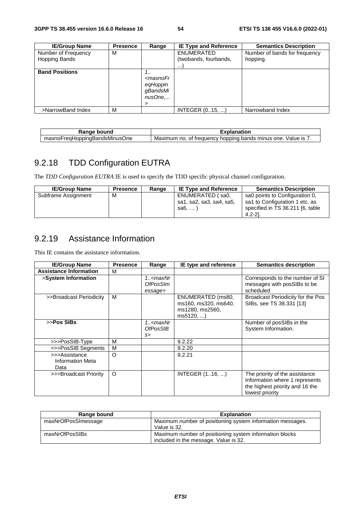| <b>IE/Group Name</b>  | <b>Presence</b> | Range                                         | <b>IE Type and Reference</b> | <b>Semantics Description</b>  |
|-----------------------|-----------------|-----------------------------------------------|------------------------------|-------------------------------|
| Number of Frequency   | M               |                                               | <b>ENUMERATED</b>            | Number of bands for frequency |
| <b>Hopping Bands</b>  |                 |                                               | (twobands, fourbands,        | hopping.                      |
|                       |                 |                                               |                              |                               |
| <b>Band Positions</b> |                 | $1_{-}$                                       |                              |                               |
|                       |                 | <maxnofr< td=""><td></td><td></td></maxnofr<> |                              |                               |
|                       |                 | eqHoppin                                      |                              |                               |
|                       |                 | qBandsMi                                      |                              |                               |
|                       |                 | nusOne                                        |                              |                               |
|                       |                 | >                                             |                              |                               |
| >NarrowBand Index     | M               |                                               | INTEGER (015, )              | Narrowband Index              |

| Range<br>⊧ bound                         | Explanation                                                                         |
|------------------------------------------|-------------------------------------------------------------------------------------|
| FreaHoppinaBandsMinusC<br>:One<br>maxnol | Maximum<br>Value is<br><sup>,</sup> hopping bands minus one.<br>of frequency<br>no. |

# 9.2.18 TDD Configuration EUTRA

The *TDD Configuration EUTRA* IE is used to specify the TDD specific physical channel configuration.

| <b>IE/Group Name</b> | <b>Presence</b> | Range | <b>IE Type and Reference</b>                             | <b>Semantics Description</b>                                                                                        |
|----------------------|-----------------|-------|----------------------------------------------------------|---------------------------------------------------------------------------------------------------------------------|
| Subframe Assignment  | M               |       | ENUMERATED (sa0,<br>sa1, sa2, sa3, sa4, sa5,<br>sa6, $)$ | sa0 points to Configuration 0.<br>sa1 to Configuration 1 etc. as<br>specified in TS 36.211 [6, table<br>$4.2 - 21.$ |

## 9.2.19 Assistance Information

This IE contains the assistance information.

| <b>IE/Group Name</b>                      | <b>Presence</b> | Range                                          | IE type and reference                                                  | <b>Semantics description</b>                                                                                           |
|-------------------------------------------|-----------------|------------------------------------------------|------------------------------------------------------------------------|------------------------------------------------------------------------------------------------------------------------|
| <b>Assistance Information</b>             | м               |                                                |                                                                        |                                                                                                                        |
| >System Information                       |                 | 1 <maxnr<br>OfPosSIm<br/>essage&gt;</maxnr<br> |                                                                        | Corresponds to the number of SI<br>messages with posSIBs to be<br>scheduled                                            |
| >>Broadcast Periodicity                   | M               |                                                | ENUMERATED (ms80,<br>ms160, ms320, ms640,<br>ms1280, ms2560,<br>ms5120 | Broadcast Periodicity for the Pos<br>SIBs, see TS 38.331 [13]                                                          |
| >>Pos SIBs                                |                 | 1 <maxnr<br><b>OfPosSIB</b><br/>s</maxnr<br>   |                                                                        | Number of posSIBs in the<br>System Information.                                                                        |
| >>>PosSIB-Type                            | M               |                                                | 9.2.22                                                                 |                                                                                                                        |
| >>>PosSIB Segments                        | M               |                                                | 9.2.20                                                                 |                                                                                                                        |
| >>>Assistance<br>Information Meta<br>Data | $\circ$         |                                                | 9.2.21                                                                 |                                                                                                                        |
| >>>Broadcast Priority                     | O               |                                                | INTEGER $(116, )$                                                      | The priority of the assistance<br>Information where 1 represents<br>the highest priority and 16 the<br>lowest priority |

| Range bound         | <b>Explanation</b>                                                                               |
|---------------------|--------------------------------------------------------------------------------------------------|
| maxNrOfPosSImessage | Maximum number of positioning system information messages.<br>Value is 32.                       |
| maxNrOfPosSIBs      | Maximum number of positioning system information blocks<br>included in the message. Value is 32. |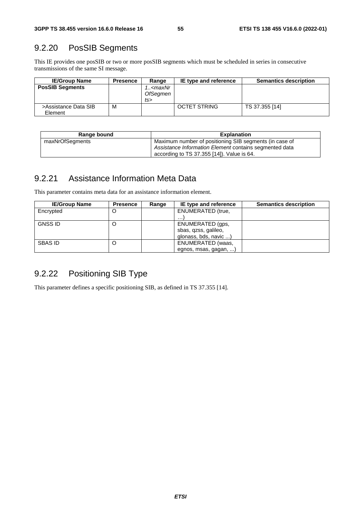## 9.2.20 PosSIB Segments

This IE provides one posSIB or two or more posSIB segments which must be scheduled in series in consecutive transmissions of the same SI message.

| <b>IE/Group Name</b>            | <b>Presence</b> | Range                                                     | IE type and reference | <b>Semantics description</b> |
|---------------------------------|-----------------|-----------------------------------------------------------|-----------------------|------------------------------|
| <b>PosSIB Segments</b>          |                 | <i>∖<maxnr< i=""><br/><b>OfSegmen</b><br/>ts</maxnr<></i> |                       |                              |
| >Assistance Data SIB<br>Element | M               |                                                           | <b>OCTET STRING</b>   | TS 37.355 [14]               |

| Range bound     | <b>Explanation</b>                                     |
|-----------------|--------------------------------------------------------|
| maxNrOfSegments | Maximum number of positioning SIB segments (in case of |
|                 | Assistance Information Element contains segmented data |
|                 | according to TS 37.355 [14]). Value is 64.             |

## 9.2.21 Assistance Information Meta Data

This parameter contains meta data for an assistance information element.

| <b>IE/Group Name</b> | <b>Presence</b> | Range | IE type and reference    | <b>Semantics description</b> |
|----------------------|-----------------|-------|--------------------------|------------------------------|
| Encrypted            | Ő               |       | <b>ENUMERATED (true,</b> |                              |
|                      |                 |       | $\cdots$                 |                              |
| <b>GNSS ID</b>       | Ő               |       | ENUMERATED (gps,         |                              |
|                      |                 |       | sbas, qzss, galileo,     |                              |
|                      |                 |       | glonass, bds, navic )    |                              |
| <b>SBAS ID</b>       | Ő               |       | ENUMERATED (waas,        |                              |
|                      |                 |       | egnos, msas, gagan, )    |                              |

## 9.2.22 Positioning SIB Type

This parameter defines a specific positioning SIB, as defined in TS 37.355 [14].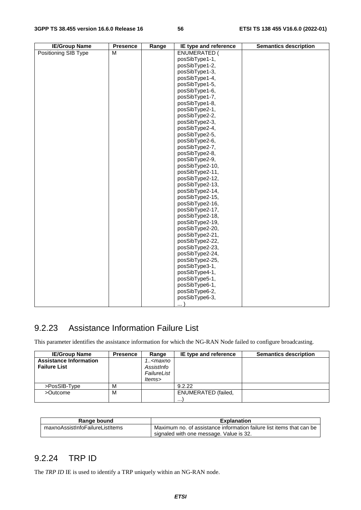| <b>IE/Group Name</b> | <b>Presence</b> | Range | IE type and reference | <b>Semantics description</b> |
|----------------------|-----------------|-------|-----------------------|------------------------------|
| Positioning SIB Type | M               |       | <b>ENUMERATED (</b>   |                              |
|                      |                 |       | posSibType1-1,        |                              |
|                      |                 |       | posSibType1-2,        |                              |
|                      |                 |       | posSibType1-3,        |                              |
|                      |                 |       | posSibType1-4,        |                              |
|                      |                 |       | posSibType1-5,        |                              |
|                      |                 |       | posSibType1-6,        |                              |
|                      |                 |       | posSibType1-7,        |                              |
|                      |                 |       | posSibType1-8,        |                              |
|                      |                 |       | posSibType2-1,        |                              |
|                      |                 |       | posSibType2-2,        |                              |
|                      |                 |       | posSibType2-3,        |                              |
|                      |                 |       | posSibType2-4,        |                              |
|                      |                 |       | posSibType2-5,        |                              |
|                      |                 |       | posSibType2-6,        |                              |
|                      |                 |       | posSibType2-7,        |                              |
|                      |                 |       | posSibType2-8,        |                              |
|                      |                 |       | posSibType2-9,        |                              |
|                      |                 |       | posSibType2-10,       |                              |
|                      |                 |       | posSibType2-11,       |                              |
|                      |                 |       | posSibType2-12,       |                              |
|                      |                 |       | posSibType2-13,       |                              |
|                      |                 |       | posSibType2-14,       |                              |
|                      |                 |       | posSibType2-15,       |                              |
|                      |                 |       | posSibType2-16,       |                              |
|                      |                 |       | posSibType2-17,       |                              |
|                      |                 |       | posSibType2-18,       |                              |
|                      |                 |       | posSibType2-19,       |                              |
|                      |                 |       | posSibType2-20,       |                              |
|                      |                 |       | posSibType2-21,       |                              |
|                      |                 |       | posSibType2-22,       |                              |
|                      |                 |       | posSibType2-23,       |                              |
|                      |                 |       | posSibType2-24,       |                              |
|                      |                 |       | posSibType2-25,       |                              |
|                      |                 |       | posSibType3-1,        |                              |
|                      |                 |       | posSibType4-1,        |                              |
|                      |                 |       | posSibType5-1,        |                              |
|                      |                 |       | posSibType6-1,        |                              |
|                      |                 |       | posSibType6-2,        |                              |
|                      |                 |       | posSibType6-3,        |                              |
|                      |                 |       | .                     |                              |

### 9.2.23 Assistance Information Failure List

This parameter identifies the assistance information for which the NG-RAN Node failed to configure broadcasting.

| <b>IE/Group Name</b>          | <b>Presence</b> | Range                                       | IE type and reference      | <b>Semantics description</b> |
|-------------------------------|-----------------|---------------------------------------------|----------------------------|------------------------------|
| <b>Assistance Information</b> |                 | 1 <maxno< th=""><th></th><th></th></maxno<> |                            |                              |
| <b>Failure List</b>           |                 | AssistInfo                                  |                            |                              |
|                               |                 | FailureList                                 |                            |                              |
|                               |                 | ltems>                                      |                            |                              |
| >PosSIB-Type                  | M               |                                             | 9.2.22                     |                              |
| >Outcome                      | M               |                                             | <b>ENUMERATED</b> (failed, |                              |
|                               |                 |                                             | $\cdots$                   |                              |

| Range bound                     | <b>Explanation</b>                                                   |
|---------------------------------|----------------------------------------------------------------------|
| maxnoAssistInfoFailureListItems | Maximum no, of assistance information failure list items that can be |
|                                 | signaled with one message. Value is 32.                              |

#### 9.2.24 TRP ID

The *TRP ID* IE is used to identify a TRP uniquely within an NG-RAN node.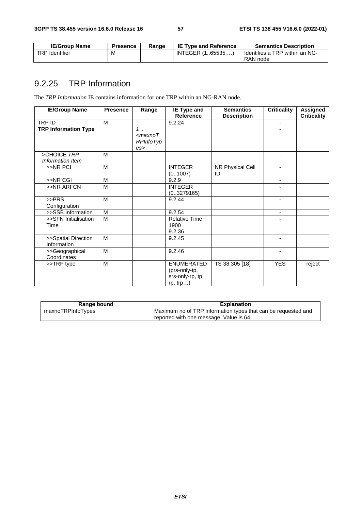| <b>IE/Group Name</b>  | <b>Presence</b> | Range | <b>IE Type and Reference</b> | <b>Semantics Description</b>               |
|-----------------------|-----------------|-------|------------------------------|--------------------------------------------|
| <b>TRP</b> Identifier | M               |       | INTEGER (165535)             | Identifies a TRP within an NG-<br>RAN node |

# 9.2.25 TRP Information

The *TRP Information* IE contains information for one TRP within an NG-RAN node.

| <b>IE/Group Name</b>               | <b>Presence</b> | Range                                     | IE Type and                                                           | <b>Semantics</b>       | <b>Criticality</b>       | <b>Assigned</b>    |
|------------------------------------|-----------------|-------------------------------------------|-----------------------------------------------------------------------|------------------------|--------------------------|--------------------|
|                                    |                 |                                           | <b>Reference</b>                                                      | <b>Description</b>     |                          | <b>Criticality</b> |
| TRP ID                             | M               |                                           | 9.2.24                                                                |                        | $\blacksquare$           |                    |
| <b>TRP Information Type</b>        |                 | $1$ .<br>$<$ maxno $T$<br>RPInfoTyp<br>es |                                                                       |                        |                          |                    |
| >CHOICE TRP<br>Information Item    | M               |                                           |                                                                       |                        |                          |                    |
| >>NR PCI                           | M               |                                           | <b>INTEGER</b><br>(0.1007)                                            | NR Physical Cell<br>ID | $\blacksquare$           |                    |
| >>NR CGI                           | M               |                                           | 9.2.9                                                                 |                        | $\blacksquare$           |                    |
| >>NR ARFCN                         | M               |                                           | <b>INTEGER</b><br>(03279165)                                          |                        |                          |                    |
| >>PRS<br>Configuration             | M               |                                           | 9.2.44                                                                |                        |                          |                    |
| >>SSB Information                  | M               |                                           | 9.2.54                                                                |                        | $\overline{\phantom{a}}$ |                    |
| >>SFN Initialisation<br>Time       | M               |                                           | <b>Relative Time</b><br>1900<br>9.2.36                                |                        |                          |                    |
| >>Spatial Direction<br>Information | M               |                                           | 9.2.45                                                                |                        |                          |                    |
| >>Geographical<br>Coordinates      | M               |                                           | 9.2.46                                                                |                        | ٠                        |                    |
| >>TRP type                         | M               |                                           | <b>ENUMERATED</b><br>(prs-only-tp,<br>srs-only-rp, tp,<br>$rp, trp$ ) | TS 38.305 [18]         | <b>YES</b>               | reject             |

| Range bound       | <b>Explanation</b>                                            |
|-------------------|---------------------------------------------------------------|
| maxnoTRPInfoTypes | Maximum no of TRP information types that can be requested and |
|                   | reported with one message. Value is 64.                       |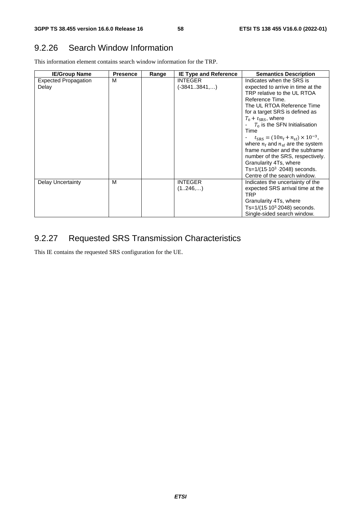### 9.2.26 Search Window Information

This information element contains search window information for the TRP.

| <b>IE/Group Name</b>                 | <b>Presence</b> | Range | <b>IE Type and Reference</b>     | <b>Semantics Description</b>                                                                                                                                                                                                                                                                                                                                                                                                                                                                                                               |
|--------------------------------------|-----------------|-------|----------------------------------|--------------------------------------------------------------------------------------------------------------------------------------------------------------------------------------------------------------------------------------------------------------------------------------------------------------------------------------------------------------------------------------------------------------------------------------------------------------------------------------------------------------------------------------------|
| <b>Expected Propagation</b><br>Delay | М               |       | <b>INTEGER</b><br>$(-38413841,)$ | Indicates when the SRS is<br>expected to arrive in time at the<br>TRP relative to the UL RTOA<br>Reference Time.<br>The UL RTOA Reference Time<br>for a target SRS is defined as<br>$T_0 + t_{SRS}$ , where<br>$T_0$ is the SFN Initialisation<br>Time<br>- $t_{\text{SRS}} = (10n_f + n_{\text{sf}}) \times 10^{-3}$ ,<br>where $n_f$ and $n_{sf}$ are the system<br>frame number and the subframe<br>number of the SRS, respectively.<br>Granularity 4Ts, where<br>Ts= $1/(15.10^3 \cdot 2048)$ seconds.<br>Centre of the search window. |
| <b>Delay Uncertainty</b>             | M               |       | <b>INTEGER</b><br>(1246,)        | Indicates the uncertainty of the<br>expected SRS arrival time at the<br>TRP<br>Granularity 4Ts, where<br>Ts= $1/(15.10^3.2048)$ seconds.<br>Single-sided search window.                                                                                                                                                                                                                                                                                                                                                                    |

# 9.2.27 Requested SRS Transmission Characteristics

This IE contains the requested SRS configuration for the UE.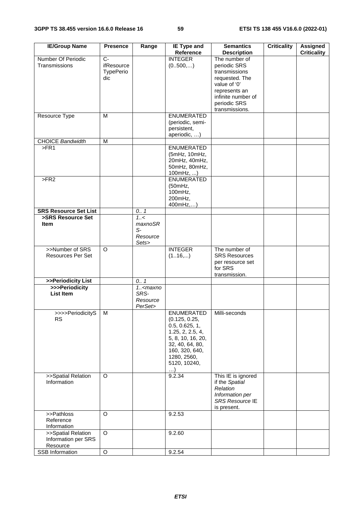| <b>IE/Group Name</b>                                                 | <b>Presence</b>                                         | Range                                        | <b>IE Type and</b>                                                                                                                                                            | <b>Semantics</b>                                                                                                                                                                | Criticality | <b>Assigned</b>    |
|----------------------------------------------------------------------|---------------------------------------------------------|----------------------------------------------|-------------------------------------------------------------------------------------------------------------------------------------------------------------------------------|---------------------------------------------------------------------------------------------------------------------------------------------------------------------------------|-------------|--------------------|
| Number Of Periodic<br>Transmissions                                  | $\overline{C}$<br>ifResource<br><b>TypePerio</b><br>dic |                                              | Reference<br><b>INTEGER</b><br>(0.500,)                                                                                                                                       | <b>Description</b><br>The number of<br>periodic SRS<br>transmissions<br>requested. The<br>value of '0'<br>represents an<br>infinite number of<br>periodic SRS<br>transmissions. |             | <b>Criticality</b> |
| Resource Type                                                        | M                                                       |                                              | <b>ENUMERATED</b><br>(periodic, semi-<br>persistent,<br>aperiodic, )                                                                                                          |                                                                                                                                                                                 |             |                    |
| <b>CHOICE Bandwidth</b>                                              | M                                                       |                                              |                                                                                                                                                                               |                                                                                                                                                                                 |             |                    |
| $>$ FR1                                                              |                                                         |                                              | <b>ENUMERATED</b><br>(5mHz, 10mHz,<br>20mHz, 40mHz,<br>50mHz, 80mHz,<br>100mHz, )                                                                                             |                                                                                                                                                                                 |             |                    |
| >FR2                                                                 |                                                         |                                              | <b>ENUMERATED</b><br>(50mHz,<br>100mHz,<br>200mHz,<br>400mHz,)                                                                                                                |                                                                                                                                                                                 |             |                    |
| <b>SRS Resource Set List</b>                                         |                                                         | 0.1                                          |                                                                                                                                                                               |                                                                                                                                                                                 |             |                    |
| >SRS Resource Set<br><b>Item</b>                                     |                                                         | 1.55<br>maxnoSR<br>$S-$<br>Resource<br>Sets> |                                                                                                                                                                               |                                                                                                                                                                                 |             |                    |
| >>Number of SRS<br><b>Resources Per Set</b>                          | $\overline{O}$                                          |                                              | <b>INTEGER</b><br>(116,)                                                                                                                                                      | The number of<br><b>SRS Resources</b><br>per resource set<br>for SRS<br>transmission.                                                                                           |             |                    |
| >>Periodicity List                                                   |                                                         | 0.1                                          |                                                                                                                                                                               |                                                                                                                                                                                 |             |                    |
| >>>Periodicity<br><b>List Item</b>                                   |                                                         | $1.5$ cmaxno<br>SRS-<br>Resource<br>PerSet>  |                                                                                                                                                                               |                                                                                                                                                                                 |             |                    |
| >>>>PeriodicityS<br><b>RS</b>                                        | м                                                       |                                              | <b>ENUMERATED</b><br>(0.125, 0.25,<br>0.5, 0.625, 1,<br>1.25, 2, 2.5, 4,<br>5, 8, 10, 16, 20,<br>32, 40, 64, 80,<br>160, 320, 640,<br>1280, 2560,<br>5120, 10240,<br>$\ldots$ | Milli-seconds                                                                                                                                                                   |             |                    |
| >>Spatial Relation<br>Information                                    | O                                                       |                                              | 9.2.34                                                                                                                                                                        | This IE is ignored<br>if the Spatial<br>Relation<br>Information per<br>SRS Resource IE<br>is present.                                                                           |             |                    |
| >>Pathloss<br>Reference                                              | O                                                       |                                              | 9.2.53                                                                                                                                                                        |                                                                                                                                                                                 |             |                    |
| Information<br>>>Spatial Relation<br>Information per SRS<br>Resource | $\overline{O}$                                          |                                              | 9.2.60                                                                                                                                                                        |                                                                                                                                                                                 |             |                    |
| SSB Information                                                      | $\circ$                                                 |                                              | 9.2.54                                                                                                                                                                        |                                                                                                                                                                                 |             |                    |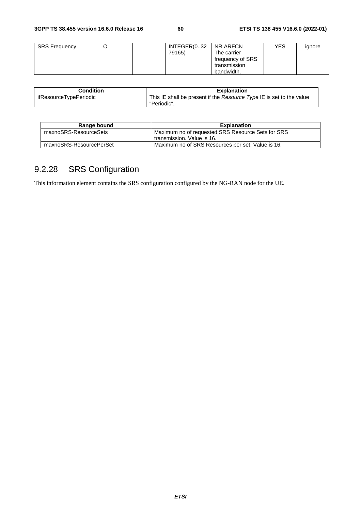| <b>SRS Frequency</b> | ◡ | INTEGER(032 | NR ARFCN         | YES | ignore |
|----------------------|---|-------------|------------------|-----|--------|
|                      |   | 79165)      | The carrier      |     |        |
|                      |   |             | frequency of SRS |     |        |
|                      |   |             | transmission     |     |        |
|                      |   |             | bandwidth.       |     |        |

| <b>Condition</b>       | <b>Explanation</b>                                                                  |
|------------------------|-------------------------------------------------------------------------------------|
| ifResourceTypePeriodic | This IE shall be present if the Resource Type IE is set to the value<br>"Periodic". |

| Range bound             | <b>Explanation</b>                                |
|-------------------------|---------------------------------------------------|
| maxnoSRS-ResourceSets   | Maximum no of requested SRS Resource Sets for SRS |
|                         | transmission. Value is 16.                        |
| maxnoSRS-ResourcePerSet | Maximum no of SRS Resources per set. Value is 16. |

# 9.2.28 SRS Configuration

This information element contains the SRS configuration configured by the NG-RAN node for the UE.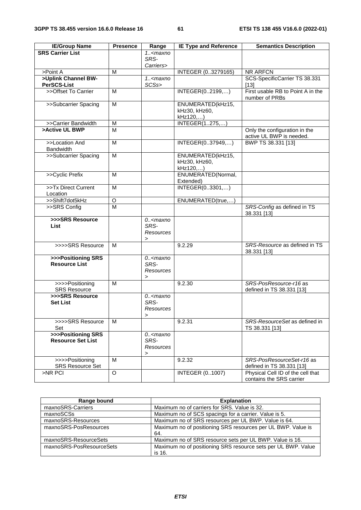| <b>IE/Group Name</b>                           | <b>Presence</b>         | Range                                                  | <b>IE Type and Reference</b>                   | <b>Semantics Description</b>                                  |
|------------------------------------------------|-------------------------|--------------------------------------------------------|------------------------------------------------|---------------------------------------------------------------|
| <b>SRS Carrier List</b>                        |                         | $1.5$ <maxno<br>SRS-</maxno<br>                        |                                                |                                                               |
|                                                |                         | Carriers>                                              |                                                |                                                               |
| >Point A                                       | M                       |                                                        | INTEGER (03279165)                             | NR ARFCN                                                      |
| >Uplink Channel BW-<br>PerSCS-List             |                         | $1.5$ <maxno<br>SCSs&gt;</maxno<br>                    |                                                | SCS-SpecificCarrier TS 38.331<br>$[13]$                       |
| >>Offset To Carrier                            | M                       |                                                        | INTEGER(02199,)                                | First usable RB to Point A in the<br>number of PRBs           |
| >>Subcarrier Spacing                           | M                       |                                                        | ENUMERATED(kHz15,<br>kHz30, kHz60,<br>kHz120,) |                                                               |
| >>Carrier Bandwidth                            | M                       |                                                        | <b>INTEGER(1275,)</b>                          |                                                               |
| >Active UL BWP                                 | M                       |                                                        |                                                | Only the configuration in the<br>active UL BWP is needed.     |
| >>Location And<br><b>Bandwidth</b>             | М                       |                                                        | INTEGER(037949,)                               | BWP TS 38.331 [13]                                            |
| >>Subcarrier Spacing                           | M                       |                                                        | ENUMERATED(kHz15,<br>kHz30, kHz60,<br>kHz120,) |                                                               |
| >>Cyclic Prefix                                | M                       |                                                        | ENUMERATED(Normal,<br>Extended)                |                                                               |
| >>Tx Direct Current<br>Location                | М                       |                                                        | INTEGER(03301,)                                |                                                               |
| >>Shift7dot5kHz                                | O                       |                                                        | ENUMERATED(true,)                              |                                                               |
| >>SRS Config                                   | $\overline{\mathsf{M}}$ |                                                        |                                                | SRS-Config as defined in TS<br>38.331 [13]                    |
| >>>SRS Resource<br><b>List</b>                 |                         | $0.5$ <maxno<br>SRS-<br/>Resources<br/>&gt;</maxno<br> |                                                |                                                               |
| >>>>SRS Resource                               | м                       |                                                        | 9.2.29                                         | SRS-Resource as defined in TS<br>38.331 [13]                  |
| >>>Positioning SRS<br><b>Resource List</b>     |                         | $0.-$ maxno<br>SRS-<br>Resources<br>$\, > \,$          |                                                |                                                               |
| >>>>Positioning<br><b>SRS Resource</b>         | M                       |                                                        | 9.2.30                                         | SRS-PosResource-r16 as<br>defined in TS 38.331 [13]           |
| >>>SRS Resource<br><b>Set List</b>             |                         | $0.5$ <maxno<br>SRS-<br/>Resources<br/>&gt;</maxno<br> |                                                |                                                               |
| >>>>SRS Resource<br>Set                        | M                       |                                                        | 9.2.31                                         | SRS-ResourceSet as defined in<br>TS 38.331 [13]               |
| >>>Positioning SRS<br><b>Resource Set List</b> |                         | $0.-$ maxno<br>SRS-<br>Resources<br>>                  |                                                |                                                               |
| >>>>Positioning<br><b>SRS Resource Set</b>     | M                       |                                                        | 9.2.32                                         | SRS-PosResourceSet-r16 as<br>defined in TS 38.331 [13]        |
| >NR PCI                                        | O                       |                                                        | <b>INTEGER (01007)</b>                         | Physical Cell ID of the cell that<br>contains the SRS carrier |

| Range bound              | <b>Explanation</b>                                                      |
|--------------------------|-------------------------------------------------------------------------|
| maxnoSRS-Carriers        | Maximum no of carriers for SRS. Value is 32.                            |
| maxnoSCSs                | Maximum no of SCS spacings for a carrier. Value is 5.                   |
| maxnoSRS-Resources       | Maximum no of SRS resources per UL BWP. Value is 64.                    |
| maxnoSRS-PosResources    | Maximum no of positioning SRS resources per UL BWP. Value is<br>64.     |
| maxnoSRS-ResourceSets    | Maximum no of SRS resource sets per UL BWP. Value is 16.                |
| maxnoSRS-PosResourceSets | Maximum no of positioning SRS resource sets per UL BWP. Value<br>is 16. |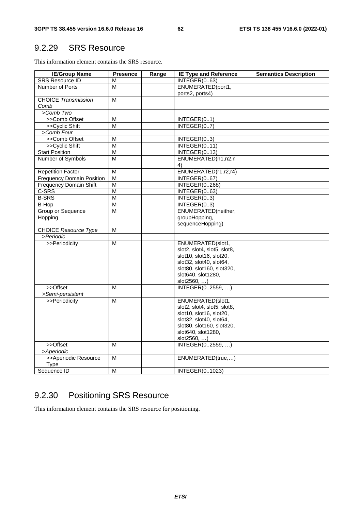## 9.2.29 SRS Resource

This information element contains the SRS resource.

| <b>IE/Group Name</b>             | <b>Presence</b>         | Range | <b>IE Type and Reference</b>    | <b>Semantics Description</b> |
|----------------------------------|-------------------------|-------|---------------------------------|------------------------------|
| <b>SRS Resource ID</b>           | М                       |       | INTEGER(063)                    |                              |
| Number of Ports                  | м                       |       | ENUMERATED(port1,               |                              |
|                                  |                         |       | ports2, ports4)                 |                              |
| <b>CHOICE Transmission</b>       | $\overline{\mathsf{M}}$ |       |                                 |                              |
| Comb                             |                         |       |                                 |                              |
| >Comb Two                        |                         |       |                                 |                              |
| >>Comb Offset                    | М                       |       | INTEGER(01)                     |                              |
| >>Cyclic Shift                   | M                       |       | INTEGER(07)                     |                              |
| >Comb Four                       |                         |       |                                 |                              |
| >>Comb Offset                    | м                       |       | INTEGER(03)                     |                              |
| >>Cyclic Shift                   | M                       |       | $\overline{\text{INTEGR}(011)}$ |                              |
| <b>Start Position</b>            | M                       |       | INTEGER(013)                    |                              |
| Number of Symbols                | M                       |       | ENUMERATED(n1,n2,n              |                              |
|                                  |                         |       | 4)                              |                              |
| <b>Repetition Factor</b>         | М                       |       | ENUMERATED(r1,r2,r4)            |                              |
| <b>Frequency Domain Position</b> | M                       |       | INTEGER(067)                    |                              |
| <b>Frequency Domain Shift</b>    | M                       |       | INTEGER(0268)                   |                              |
| C-SRS                            | $\overline{\mathsf{M}}$ |       | INTEGER(063)                    |                              |
| <b>B-SRS</b>                     | $\overline{\mathsf{M}}$ |       | INTEGER(03)                     |                              |
| B-Hop                            | $\overline{\mathsf{M}}$ |       | $\overline{\mathsf{INTER}}(03)$ |                              |
| Group or Sequence                | M                       |       | ENUMERATED(neither,             |                              |
| Hopping                          |                         |       | groupHopping,                   |                              |
|                                  |                         |       | sequenceHopping)                |                              |
| <b>CHOICE Resource Type</b>      | M                       |       |                                 |                              |
| >Periodic                        |                         |       |                                 |                              |
| >>Periodicity                    | M                       |       | ENUMERATED(slot1,               |                              |
|                                  |                         |       | slot2, slot4, slot5, slot8,     |                              |
|                                  |                         |       | slot10, slot16, slot20,         |                              |
|                                  |                         |       | slot32, slot40, slot64,         |                              |
|                                  |                         |       | slot80, slot160, slot320,       |                              |
|                                  |                         |       | slot640, slot1280,              |                              |
|                                  |                         |       | slot2560, )                     |                              |
| >>Offset                         | м                       |       | INTEGER(02559, )                |                              |
| >Semi-persistent                 |                         |       |                                 |                              |
| >>Periodicity                    | М                       |       | ENUMERATED(slot1,               |                              |
|                                  |                         |       | slot2, slot4, slot5, slot8,     |                              |
|                                  |                         |       | slot10, slot16, slot20,         |                              |
|                                  |                         |       | slot32, slot40, slot64,         |                              |
|                                  |                         |       | slot80, slot160, slot320,       |                              |
|                                  |                         |       | slot640, slot1280,              |                              |
|                                  |                         |       | slot2560,                       |                              |
| >>Offset                         | м                       |       | INTEGER(02559, )                |                              |
| >Aperiodic                       |                         |       |                                 |                              |
| >>Aperiodic Resource             | м                       |       | ENUMERATED(true,)               |                              |
| Type                             |                         |       |                                 |                              |
| Sequence ID                      | M                       |       | INTEGER(01023)                  |                              |

# 9.2.30 Positioning SRS Resource

This information element contains the SRS resource for positioning.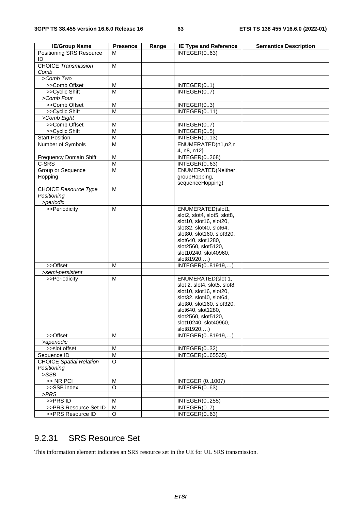| <b>IE/Group Name</b>                       | <b>Presence</b> | Range | <b>IE Type and Reference</b>    | <b>Semantics Description</b> |
|--------------------------------------------|-----------------|-------|---------------------------------|------------------------------|
| <b>Positioning SRS Resource</b>            | м               |       | INTEGER(063)                    |                              |
| ID<br><b>CHOICE Transmission</b>           | M               |       |                                 |                              |
| Comb                                       |                 |       |                                 |                              |
| >Comb Two                                  |                 |       |                                 |                              |
| >>Comb Offset                              | м               |       | INTEGER(01)                     |                              |
| >>Cyclic Shift                             | M               |       | INTEGER(07)                     |                              |
| >Comb Four                                 |                 |       |                                 |                              |
| >>Comb Offset                              | M               |       | INTEGER(03)                     |                              |
| >>Cyclic Shift                             | M               |       | INTEGER(011)                    |                              |
| >Comb Eight                                |                 |       |                                 |                              |
| >>Comb Offset                              | M               |       | INTEGER(07)                     |                              |
| >>Cyclic Shift                             | M               |       | INTEGER(05)                     |                              |
| <b>Start Position</b>                      | M               |       | INTEGER(013)                    |                              |
| Number of Symbols                          | M               |       | ENUMERATED(n1,n2,n              |                              |
|                                            |                 |       | 4, n8, n12}                     |                              |
| Frequency Domain Shift                     | M               |       | <b>INTEGER(0268)</b>            |                              |
| $C-SRS$                                    | M               |       | INTEGER(063)                    |                              |
| Group or Sequence                          | M               |       | ENUMERATED(Neither,             |                              |
| Hopping                                    |                 |       | groupHopping,                   |                              |
|                                            |                 |       | sequenceHopping)                |                              |
| <b>CHOICE Resource Type</b><br>Positioning | M               |       |                                 |                              |
| >periodic                                  |                 |       |                                 |                              |
| >>Periodicity                              | M               |       | ENUMERATED(slot1,               |                              |
|                                            |                 |       | slot2, slot4, slot5, slot8,     |                              |
|                                            |                 |       | slot10, slot16, slot20,         |                              |
|                                            |                 |       | slot32, slot40, slot64,         |                              |
|                                            |                 |       | slot80, slot160, slot320,       |                              |
|                                            |                 |       | slot640, slot1280,              |                              |
|                                            |                 |       | slot2560, slot5120,             |                              |
|                                            |                 |       | slot10240, slot40960,           |                              |
| >>Offset                                   | M               |       | slot81920,)<br>INTEGER(081919,) |                              |
| >semi-persistent                           |                 |       |                                 |                              |
| >>Periodicity                              | M               |       | ENUMERATED(slot 1,              |                              |
|                                            |                 |       | slot 2, slot4, slot5, slot8,    |                              |
|                                            |                 |       | slot10, slot16, slot20,         |                              |
|                                            |                 |       | slot32, slot40, slot64,         |                              |
|                                            |                 |       | slot80, slot160, slot320,       |                              |
|                                            |                 |       | slot640, slot1280,              |                              |
|                                            |                 |       | slot2560, slot5120,             |                              |
|                                            |                 |       | slot10240, slot40960,           |                              |
|                                            |                 |       | slot81920,)                     |                              |
| >>Offset                                   | M               |       | INTEGER(081919,)                |                              |
| >aperiodic                                 |                 |       |                                 |                              |
| >>slot offset                              | M               |       | INTEGER(032)                    |                              |
| Sequence ID                                | M               |       | INTEGER(065535)                 |                              |
| <b>CHOICE Spatial Relation</b>             | O               |       |                                 |                              |
| Positioning                                |                 |       |                                 |                              |
| >SSB                                       |                 |       |                                 |                              |
| $>>$ NR PCI                                | M               |       | <b>INTEGER (01007)</b>          |                              |
| >>SSB index                                | O               |       | INTEGER(063)                    |                              |
| PRS                                        |                 |       |                                 |                              |
| >>PRS ID                                   | M               |       | <b>INTEGER(0255)</b>            |                              |
| >>PRS Resource Set ID<br>>>PRS Resource ID | M<br>$\circ$    |       | INTEGER(07)<br>INTEGER(063)     |                              |
|                                            |                 |       |                                 |                              |

# 9.2.31 SRS Resource Set

This information element indicates an SRS resource set in the UE for UL SRS transmission.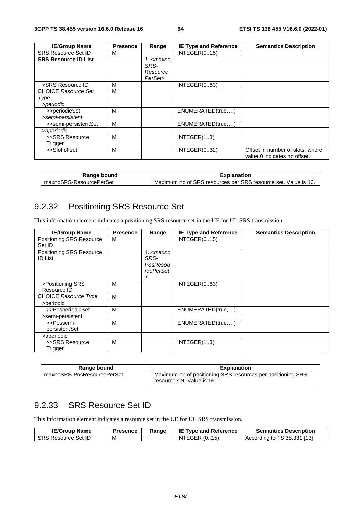| <b>IE/Group Name</b>        | <b>Presence</b> | Range                                       | <b>IE Type and Reference</b> | <b>Semantics Description</b>     |
|-----------------------------|-----------------|---------------------------------------------|------------------------------|----------------------------------|
| <b>SRS Resource Set ID</b>  | М               |                                             | INTEGR(015)                  |                                  |
| <b>SRS Resource ID List</b> |                 | 1 <maxno< td=""><td></td><td></td></maxno<> |                              |                                  |
|                             |                 | SRS-                                        |                              |                                  |
|                             |                 | Resource                                    |                              |                                  |
|                             |                 | PerSet>                                     |                              |                                  |
| >SRS Resource ID            | M               |                                             | INTEGR(063)                  |                                  |
| <b>CHOICE Resource Set</b>  | M               |                                             |                              |                                  |
| Type                        |                 |                                             |                              |                                  |
| >periodic                   |                 |                                             |                              |                                  |
| >>periodicSet               | M               |                                             | ENUMERATED(true)             |                                  |
| >semi-persistent            |                 |                                             |                              |                                  |
| >>semi-persistentSet        | M               |                                             | ENUMERATED(true)             |                                  |
| >aperiodic                  |                 |                                             |                              |                                  |
| >>SRS Resource              | M               |                                             | INTEGR(13)                   |                                  |
| Trigger                     |                 |                                             |                              |                                  |
| >>Slot offset               | M               |                                             | INTEGR(032)                  | Offset in number of slots, where |
|                             |                 |                                             |                              | value 0 indicates no offset.     |

| Range bound             | <b>Explanation</b>                                             |  |  |
|-------------------------|----------------------------------------------------------------|--|--|
| maxnoSRS-ResourcePerSet | Maximum no of SRS resources per SRS resource set. Value is 16. |  |  |

# 9.2.32 Positioning SRS Resource Set

This information element indicates a positioning SRS resource set in the UE for UL SRS transmission.

| <b>IE/Group Name</b>                       | <b>Presence</b> | Range                                                           | <b>IE Type and Reference</b> | <b>Semantics Description</b> |
|--------------------------------------------|-----------------|-----------------------------------------------------------------|------------------------------|------------------------------|
| Positioning SRS Resource<br>Set ID         | м               |                                                                 | INTEGR(015)                  |                              |
| Positioning SRS Resource<br><b>ID List</b> |                 | 1 <maxno<br>SRS-<br/>PosResou<br/>rcePerSet<br/>&gt;</maxno<br> |                              |                              |
| >Positioning SRS<br>Resource ID            | м               |                                                                 | INTEGR(063)                  |                              |
| <b>CHOICE Resource Type</b>                | м               |                                                                 |                              |                              |
| >periodic                                  |                 |                                                                 |                              |                              |
| >>PosperiodicSet                           | M               |                                                                 | ENUMERATED(true)             |                              |
| >semi-persistent                           |                 |                                                                 |                              |                              |
| >>Possemi-<br>persistentSet                | м               |                                                                 | ENUMERATED(true)             |                              |
| >aperiodic                                 |                 |                                                                 |                              |                              |
| >>SRS Resource<br>Trigger                  | M               |                                                                 | INTEGR(13)                   |                              |

| Range bound                | <b>Explanation</b>                                                                        |
|----------------------------|-------------------------------------------------------------------------------------------|
| maxnoSRS-PosResourcePerSet | Maximum no of positioning SRS resources per positioning SRS<br>resource set. Value is 16. |

## 9.2.33 SRS Resource Set ID

This information element indicates a resource set in the UE for UL SRS transmission.

| <b>IE/Group Name</b>       | <b>Presence</b> | Range | <b>IE Type and Reference</b> | <b>Semantics Description</b> |
|----------------------------|-----------------|-------|------------------------------|------------------------------|
| <b>SRS Resource Set ID</b> | M               |       | INTEGER $(015)$              | According to TS 38.331 [13]  |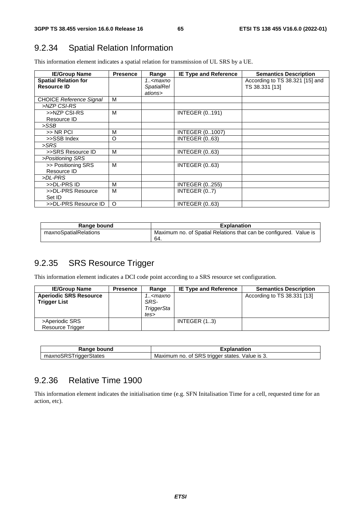# 9.2.34 Spatial Relation Information

This information element indicates a spatial relation for transmission of UL SRS by a UE.

| <b>IE/Group Name</b>           | <b>Presence</b> | Range                                                                      | <b>IE Type and Reference</b> | <b>Semantics Description</b>    |
|--------------------------------|-----------------|----------------------------------------------------------------------------|------------------------------|---------------------------------|
| <b>Spatial Relation for</b>    |                 | 1 <maxno< td=""><td></td><td>According to TS 38.321 [15] and</td></maxno<> |                              | According to TS 38.321 [15] and |
| <b>Resource ID</b>             |                 | <b>SpatialRel</b>                                                          |                              | TS 38.331 [13]                  |
|                                |                 | ations>                                                                    |                              |                                 |
| <b>CHOICE Reference Signal</b> | M               |                                                                            |                              |                                 |
| >NZP CSI-RS                    |                 |                                                                            |                              |                                 |
| >>NZP CSI-RS                   | м               |                                                                            | <b>INTEGER (0191)</b>        |                                 |
| Resource ID                    |                 |                                                                            |                              |                                 |
| >SSB                           |                 |                                                                            |                              |                                 |
| >> NR PCI                      | M               |                                                                            | <b>INTEGER (01007)</b>       |                                 |
| >>SSB Index                    | $\circ$         |                                                                            | <b>INTEGER (063)</b>         |                                 |
| >SRS                           |                 |                                                                            |                              |                                 |
| >>SRS Resource ID              | M               |                                                                            | <b>INTEGER (063)</b>         |                                 |
| >Positioning SRS               |                 |                                                                            |                              |                                 |
| >> Positioning SRS             | M               |                                                                            | <b>INTEGER (063)</b>         |                                 |
| Resource ID                    |                 |                                                                            |                              |                                 |
| >DL-PRS                        |                 |                                                                            |                              |                                 |
| >>DL-PRS ID                    | М               |                                                                            | <b>INTEGER (0255)</b>        |                                 |
| >>DL-PRS Resource              | M               |                                                                            | INTEGER (07)                 |                                 |
| Set ID                         |                 |                                                                            |                              |                                 |
| >>DL-PRS Resource ID           | $\circ$         |                                                                            | <b>INTEGER (063)</b>         |                                 |

| Range bound           | <b>Explanation</b>                                                |
|-----------------------|-------------------------------------------------------------------|
| maxnoSpatialRelations | Maximum no. of Spatial Relations that can be configured. Value is |
|                       | -64.                                                              |

## 9.2.35 SRS Resource Trigger

This information element indicates a DCI code point according to a SRS resource set configuration.

| <b>IE/Group Name</b>          | <b>Presence</b> | Range                                                                  | <b>IE Type and Reference</b> | <b>Semantics Description</b> |
|-------------------------------|-----------------|------------------------------------------------------------------------|------------------------------|------------------------------|
| <b>Aperiodic SRS Resource</b> |                 | 1 <maxno< td=""><td></td><td>According to TS 38.331 [13]</td></maxno<> |                              | According to TS 38.331 [13]  |
| <b>Trigger List</b>           |                 | SRS-                                                                   |                              |                              |
|                               |                 | TriggerSta                                                             |                              |                              |
|                               |                 | tes>                                                                   |                              |                              |
| >Aperiodic SRS                |                 |                                                                        | INTEGER $(13)$               |                              |
| Resource Trigger              |                 |                                                                        |                              |                              |

| <b>Range bound</b>    | Explanation                                       |
|-----------------------|---------------------------------------------------|
| maxnoSRSTriggerStates | Maximum no. of SRS trigger states.<br>Value is 3. |

#### 9.2.36 Relative Time 1900

This information element indicates the initialisation time (e.g. SFN Initalisation Time for a cell, requested time for an action, etc).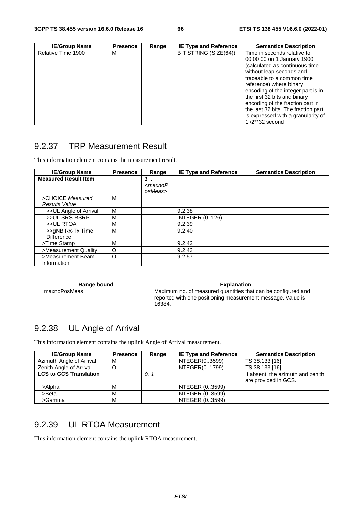| <b>IE/Group Name</b> | <b>Presence</b> | Range | <b>IE Type and Reference</b> | <b>Semantics Description</b>                                                                                                                                                                                                                                                                                                                                                                 |
|----------------------|-----------------|-------|------------------------------|----------------------------------------------------------------------------------------------------------------------------------------------------------------------------------------------------------------------------------------------------------------------------------------------------------------------------------------------------------------------------------------------|
| Relative Time 1900   | M               |       | BIT STRING (SIZE(64))        | Time in seconds relative to<br>00:00:00 on 1 January 1900<br>(calculated as continuous time<br>without leap seconds and<br>traceable to a common time<br>reference) where binary<br>encoding of the integer part is in<br>the first 32 bits and binary<br>encoding of the fraction part in<br>the last 32 bits. The fraction part<br>is expressed with a granularity of<br>$1/2$ **32 second |

## 9.2.37 TRP Measurement Result

This information element contains the measurement result.

| <b>IE/Group Name</b>        | <b>Presence</b> | Range         | <b>IE Type and Reference</b> | <b>Semantics Description</b> |
|-----------------------------|-----------------|---------------|------------------------------|------------------------------|
| <b>Measured Result Item</b> |                 | 1             |                              |                              |
|                             |                 | $<$ maxno $P$ |                              |                              |
|                             |                 | osMeas>       |                              |                              |
| >CHOICE Measured            | м               |               |                              |                              |
| <b>Results Value</b>        |                 |               |                              |                              |
| >>UL Angle of Arrival       | M               |               | 9.2.38                       |                              |
| >>UL SRS-RSRP               | M               |               | <b>INTEGER (0126)</b>        |                              |
| >>UL RTOA                   | М               |               | 9.2.39                       |                              |
| >>gNB Rx-Tx Time            | M               |               | 9.2.40                       |                              |
| <b>Difference</b>           |                 |               |                              |                              |
| >Time Stamp                 | М               |               | 9.2.42                       |                              |
| >Measurement Quality        | $\circ$         |               | 9.2.43                       |                              |
| >Measurement Beam           | $\circ$         |               | 9.2.57                       |                              |
| Information                 |                 |               |                              |                              |

| Range bound  | <b>Explanation</b>                                                                                                           |
|--------------|------------------------------------------------------------------------------------------------------------------------------|
| maxnoPosMeas | Maximum no. of measured quantities that can be configured and<br>reported with one positioning measurement message. Value is |
|              | 16384.                                                                                                                       |

## 9.2.38 UL Angle of Arrival

This information element contains the uplink Angle of Arrival measurement.

| <b>IE/Group Name</b>          | <b>Presence</b> | Range | <b>IE Type and Reference</b> | <b>Semantics Description</b>                              |
|-------------------------------|-----------------|-------|------------------------------|-----------------------------------------------------------|
| Azimuth Angle of Arrival      | м               |       | INTEGER(03599)               | TS 38.133 [16]                                            |
| Zenith Angle of Arrival       | O               |       | INTEGER(01799)               | TS 38.133 [16]                                            |
| <b>LCS to GCS Translation</b> |                 | 0.1   |                              | If absent, the azimuth and zenith<br>are provided in GCS. |
| >Alpha                        | м               |       | <b>INTEGER (03599)</b>       |                                                           |
| $>$ Beta                      | м               |       | <b>INTEGER (03599)</b>       |                                                           |
| >Gamma                        | М               |       | <b>INTEGER (03599)</b>       |                                                           |

## 9.2.39 UL RTOA Measurement

This information element contains the uplink RTOA measurement.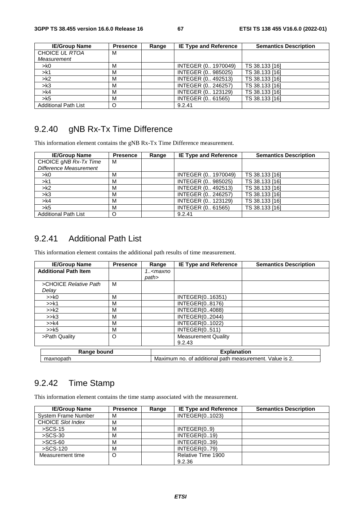| <b>IE/Group Name</b>        | <b>Presence</b> | Range | <b>IE Type and Reference</b> | <b>Semantics Description</b> |
|-----------------------------|-----------------|-------|------------------------------|------------------------------|
| CHOICE UL RTOA              | м               |       |                              |                              |
| Measurement                 |                 |       |                              |                              |
| > k0                        | м               |       | INTEGER (0 1970049)          | TS 38.133 [16]               |
| > k1                        | м               |       | INTEGER (0 985025)           | TS 38.133 [16]               |
| > k2                        | M               |       | INTEGER (0 492513)           | TS 38.133 [16]               |
| > k3                        | м               |       | INTEGER (0., 246257)         | TS 38.133 [16]               |
| > k4                        | M               |       | INTEGER (0 123129)           | TS 38.133 [16]               |
| > k5                        | M               |       | INTEGER (0., 61565)          | TS 38.133 [16]               |
| <b>Additional Path List</b> | O               |       | 9.2.41                       |                              |

# 9.2.40 gNB Rx-Tx Time Difference

This information element contains the gNB Rx-Tx Time Difference measurement.

| <b>IE/Group Name</b>        | <b>Presence</b> | Range | <b>IE Type and Reference</b> | <b>Semantics Description</b> |
|-----------------------------|-----------------|-------|------------------------------|------------------------------|
| CHOICE gNB Rx-Tx Time       | м               |       |                              |                              |
| Difference Measurement      |                 |       |                              |                              |
| > k0                        | M               |       | INTEGER (0 1970049)          | TS 38.133 [16]               |
| > k1                        | M               |       | INTEGER (0 985025)           | TS 38.133 [16]               |
| > k2                        | M               |       | INTEGER (0., 492513)         | TS 38.133 [16]               |
| > k3                        | м               |       | INTEGER (0 246257)           | TS 38.133 [16]               |
| > k4                        | м               |       | INTEGER (0 123129)           | TS 38.133 [16]               |
| > k5                        | M               |       | INTEGER (0 61565)            | TS 38.133 [16]               |
| <b>Additional Path List</b> | O               |       | 9.2.41                       |                              |

### 9.2.41 Additional Path List

This information element contains the additional path results of time measurement.

| <b>IE/Group Name</b>        | <b>Presence</b> | Range                                                   | <b>IE Type and Reference</b> | <b>Semantics Description</b> |
|-----------------------------|-----------------|---------------------------------------------------------|------------------------------|------------------------------|
| <b>Additional Path Item</b> |                 | 1 <maxno< td=""><td></td><td></td></maxno<>             |                              |                              |
|                             |                 | path>                                                   |                              |                              |
| >CHOICE Relative Path       | M               |                                                         |                              |                              |
| Delay                       |                 |                                                         |                              |                              |
| >> <sub>k0</sub>            | М               |                                                         | INTEGER(016351)              |                              |
| >>k1                        | M               |                                                         | <b>INTEGER(08176)</b>        |                              |
| >>k2                        | M               |                                                         | <b>INTEGER(04088)</b>        |                              |
| >>k3                        | м               |                                                         | INTEGER(02044)               |                              |
| >> k4                       | М               |                                                         | INTEGER(01022)               |                              |
| >>k5                        | M               |                                                         | <b>INTEGER(0511)</b>         |                              |
| >Path Quality               | O               |                                                         | <b>Measurement Quality</b>   |                              |
|                             |                 |                                                         | 9.2.43                       |                              |
| Range bound                 |                 |                                                         | <b>Explanation</b>           |                              |
| maxnopath                   |                 | Maximum no. of additional path measurement. Value is 2. |                              |                              |

# 9.2.42 Time Stamp

This information element contains the time stamp associated with the measurement.

| <b>IE/Group Name</b>       | <b>Presence</b> | Range | <b>IE Type and Reference</b> | <b>Semantics Description</b> |
|----------------------------|-----------------|-------|------------------------------|------------------------------|
| <b>System Frame Number</b> | м               |       | INTEGER(01023)               |                              |
| <b>CHOICE Slot Index</b>   | M               |       |                              |                              |
| $>SCS-15$                  | М               |       | INTEGR(09)                   |                              |
| $>SCS-30$                  | M               |       | INTEGER(0., 19)              |                              |
| $>SCS-60$                  | M               |       | INTEGER(039)                 |                              |
| >SCS-120                   | M               |       | INTEGR(079)                  |                              |
| Measurement time           | O               |       | Relative Time 1900           |                              |
|                            |                 |       | 9.2.36                       |                              |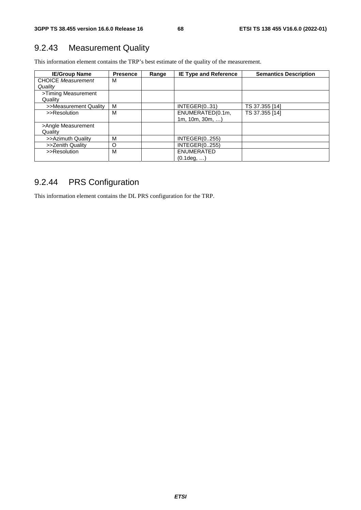## 9.2.43 Measurement Quality

This information element contains the TRP's best estimate of the quality of the measurement.

| <b>IE/Group Name</b>      | <b>Presence</b> | Range | <b>IE Type and Reference</b> | <b>Semantics Description</b> |
|---------------------------|-----------------|-------|------------------------------|------------------------------|
| <b>CHOICE Measurement</b> | м               |       |                              |                              |
| Quality                   |                 |       |                              |                              |
| >Timing Measurement       |                 |       |                              |                              |
| Quality                   |                 |       |                              |                              |
| >>Measurement Quality     | м               |       | INTEGR(031)                  | TS 37.355 [14]               |
| >>Resolution              | М               |       | ENUMERATED(0.1m,             | TS 37.355 [14]               |
|                           |                 |       | 1m, 10m, 30m,                |                              |
| >Angle Measurement        |                 |       |                              |                              |
| Quality                   |                 |       |                              |                              |
| >>Azimuth Quality         | M               |       | INTEGER(0255)                |                              |
| >>Zenith Quality          | O               |       | <b>INTEGER(0255)</b>         |                              |
| >>Resolution              | М               |       | <b>ENUMERATED</b>            |                              |
|                           |                 |       | $(0.1$ deg, )                |                              |

# 9.2.44 PRS Configuration

This information element contains the DL PRS configuration for the TRP.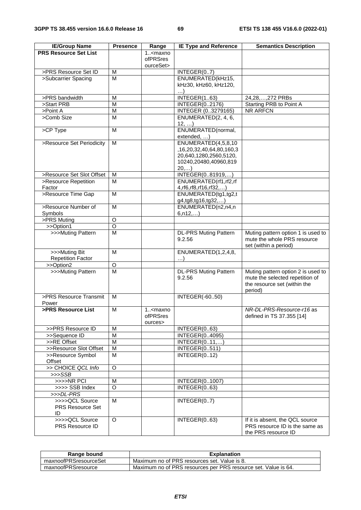| <b>IE/Group Name</b>                            | <b>Presence</b> | Range                                          | <b>IE Type and Reference</b>                      | <b>Semantics Description</b>                                                                                     |
|-------------------------------------------------|-----------------|------------------------------------------------|---------------------------------------------------|------------------------------------------------------------------------------------------------------------------|
| <b>PRS Resource Set List</b>                    |                 | $1.5$ maxno                                    |                                                   |                                                                                                                  |
|                                                 |                 | <b>ofPRSres</b>                                |                                                   |                                                                                                                  |
|                                                 |                 | ourceSet>                                      |                                                   |                                                                                                                  |
| >PRS Resource Set ID                            | M               |                                                | INTEGER(07)                                       |                                                                                                                  |
| >Subcarrier Spacing                             | м               |                                                | ENUMERATED(kHz15,                                 |                                                                                                                  |
|                                                 |                 |                                                | kHz30, kHz60, kHz120,                             |                                                                                                                  |
|                                                 |                 |                                                | $\ldots$                                          |                                                                                                                  |
| >PRS bandwidth                                  | M               |                                                | INTEGER(163)                                      | 24,28, , 272 PRBs                                                                                                |
| >Start PRB                                      | M               |                                                | INTEGER(02176)                                    | Starting PRB to Point A                                                                                          |
| >Point A                                        | M               |                                                | <b>INTEGER (03279165)</b>                         | <b>NR ARFCN</b>                                                                                                  |
| >Comb Size                                      | M               |                                                | ENUMERATED(2, 4, 6,<br>12,                        |                                                                                                                  |
| >CP Type                                        | M               |                                                | ENUMERATED(normal,                                |                                                                                                                  |
|                                                 |                 |                                                | extended, )                                       |                                                                                                                  |
| >Resource Set Periodicity                       | M               |                                                | ENUMERATED(4,5,8,10                               |                                                                                                                  |
|                                                 |                 |                                                | ,16,20,32,40,64,80,160,3                          |                                                                                                                  |
|                                                 |                 |                                                | 20,640,1280,2560,5120,                            |                                                                                                                  |
|                                                 |                 |                                                | 10240,20480,40960,819                             |                                                                                                                  |
|                                                 |                 |                                                | 20,)                                              |                                                                                                                  |
| >Resource Set Slot Offset                       | M               |                                                | INTEGER(081919,)                                  |                                                                                                                  |
| >Resource Repetition<br>Factor                  | M               |                                                | ENUMERATED(rf1,rf2,rf                             |                                                                                                                  |
| >Resource Time Gap                              | M               |                                                | 4, rf6, rf8, rf16, rf32,)<br>ENUMERATED(tg1,tg2,t |                                                                                                                  |
|                                                 |                 |                                                | g4,tg8,tg16,tg32,)                                |                                                                                                                  |
| >Resource Number of                             | M               |                                                | ENUMERATED(n2,n4,n)                               |                                                                                                                  |
| Symbols                                         |                 |                                                | 6, n12,)                                          |                                                                                                                  |
| >PRS Muting                                     | O               |                                                |                                                   |                                                                                                                  |
| >>Option1                                       | $\overline{O}$  |                                                |                                                   |                                                                                                                  |
| >>>Muting Pattern                               | M               |                                                | <b>DL-PRS Muting Pattern</b>                      | Muting pattern option 1 is used to                                                                               |
|                                                 |                 |                                                | 9.2.56                                            | mute the whole PRS resource<br>set (within a period)                                                             |
| >>>Muting Bit                                   | М               |                                                | ENUMERATED(1,2,4,8,                               |                                                                                                                  |
| <b>Repetition Factor</b>                        |                 |                                                | $\ldots$                                          |                                                                                                                  |
| >>Option2                                       | $\circ$         |                                                |                                                   |                                                                                                                  |
| >>>Muting Pattern                               | M               |                                                | <b>DL-PRS Muting Pattern</b><br>9.2.56            | Muting pattern option 2 is used to<br>mute the selected repetition of<br>the resource set (within the<br>period) |
| >PRS Resource Transmit                          | M               |                                                | <b>INTEGER(-6050)</b>                             |                                                                                                                  |
| Power                                           |                 |                                                |                                                   |                                                                                                                  |
| >PRS Resource List                              | M               | 1 <maxno<br>ofPRSres<br/>ources&gt;</maxno<br> |                                                   | NR-DL-PRS-Resource-r16 as<br>defined in TS 37.355 [14]                                                           |
| >>PRS Resource ID                               | M               |                                                | INTEGER(063)                                      |                                                                                                                  |
| >>Sequence ID                                   | M               |                                                | INTEGER(04095)                                    |                                                                                                                  |
| >>RE Offset                                     | M               |                                                | INTEGER(011,)                                     |                                                                                                                  |
| >>Resource Slot Offset                          | M               |                                                | <b>INTEGER(0511)</b>                              |                                                                                                                  |
| >>Resource Symbol                               | M               |                                                | INTEGR(012)                                       |                                                                                                                  |
| Offset                                          |                 |                                                |                                                   |                                                                                                                  |
| >> CHOICE QCL Info                              | O               |                                                |                                                   |                                                                                                                  |
| $>>$ SSB                                        |                 |                                                |                                                   |                                                                                                                  |
| >>>>NR PCI                                      | M               |                                                | INTEGER(01007)                                    |                                                                                                                  |
| >>>> SSB Index                                  | O               |                                                | INTEGER(063)                                      |                                                                                                                  |
| >>>DL-PRS                                       |                 |                                                |                                                   |                                                                                                                  |
| >>>>QCL Source<br><b>PRS Resource Set</b><br>ID | M               |                                                | INTEGER(07)                                       |                                                                                                                  |
| >>>>QCL Source<br>PRS Resource ID               | $\circ$         |                                                | INTEGER(063)                                      | If it is absent, the QCL source<br>PRS resource ID is the same as<br>the PRS resource ID                         |

| Range bound           | <b>Explanation</b>                                             |
|-----------------------|----------------------------------------------------------------|
| maxnoofPRSresourceSet | Maximum no of PRS resources set. Value is 8.                   |
| maxnoofPRSresource    | Maximum no of PRS resources per PRS resource set. Value is 64. |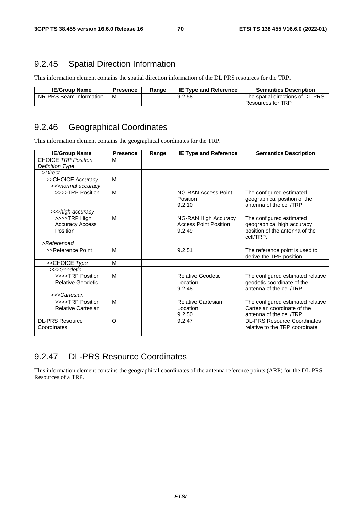### 9.2.45 Spatial Direction Information

This information element contains the spatial direction information of the DL PRS resources for the TRP.

| <b>IE/Group Name</b>    | <b>Presence</b> | Range | <b>IE Type and Reference</b> | <b>Semantics Description</b>     |
|-------------------------|-----------------|-------|------------------------------|----------------------------------|
| NR-PRS Beam Information | M               |       | 9.2.58                       | The spatial directions of DL-PRS |
|                         |                 |       |                              | Resources for TRP                |

## 9.2.46 Geographical Coordinates

This information element contains the geographical coordinates for the TRP.

| <b>IE/Group Name</b>       | <b>Presence</b> | Range | <b>IE Type and Reference</b>                     | <b>Semantics Description</b>                                                         |
|----------------------------|-----------------|-------|--------------------------------------------------|--------------------------------------------------------------------------------------|
| <b>CHOICE TRP Position</b> | м               |       |                                                  |                                                                                      |
| Definition Type            |                 |       |                                                  |                                                                                      |
| >Direct                    |                 |       |                                                  |                                                                                      |
| >>CHOICE Accuracy          | M               |       |                                                  |                                                                                      |
| >>>normal accuracy         |                 |       |                                                  |                                                                                      |
| >>>>TRP Position           | M               |       | <b>NG-RAN Access Point</b><br>Position<br>9.2.10 | The configured estimated<br>geographical position of the<br>antenna of the cell/TRP. |
| >>>high accuracy           |                 |       |                                                  |                                                                                      |
| >>>>TRP High               | M               |       | NG-RAN High Accuracy                             | The configured estimated                                                             |
| <b>Accuracy Access</b>     |                 |       | <b>Access Point Position</b>                     | geographical high accuracy                                                           |
| Position                   |                 |       | 9.2.49                                           | position of the antenna of the<br>cell/TRP.                                          |
| >Referenced                |                 |       |                                                  |                                                                                      |
| >>Reference Point          | м               |       | 9.2.51                                           | The reference point is used to<br>derive the TRP position                            |
| >>CHOICE Type              | M               |       |                                                  |                                                                                      |
| >>>Geodetic                |                 |       |                                                  |                                                                                      |
| >>>>TRP Position           | M               |       | <b>Relative Geodetic</b>                         | The configured estimated relative                                                    |
| <b>Relative Geodetic</b>   |                 |       | Location                                         | geodetic coordinate of the                                                           |
|                            |                 |       | 9.2.48                                           | antenna of the cell/TRP                                                              |
| >>>Cartesian               |                 |       |                                                  |                                                                                      |
| >>>>TRP Position           | M               |       | <b>Relative Cartesian</b>                        | The configured estimated relative                                                    |
| <b>Relative Cartesian</b>  |                 |       | Location                                         | Cartesian coordinate of the                                                          |
|                            |                 |       | 9.2.50                                           | antenna of the cell/TRP                                                              |
| <b>DL-PRS Resource</b>     | O               |       | 9.2.47                                           | <b>DL-PRS Resource Coordinates</b>                                                   |
| Coordinates                |                 |       |                                                  | relative to the TRP coordinate                                                       |

# 9.2.47 DL-PRS Resource Coordinates

This information element contains the geographical coordinates of the antenna reference points (ARP) for the DL-PRS Resources of a TRP.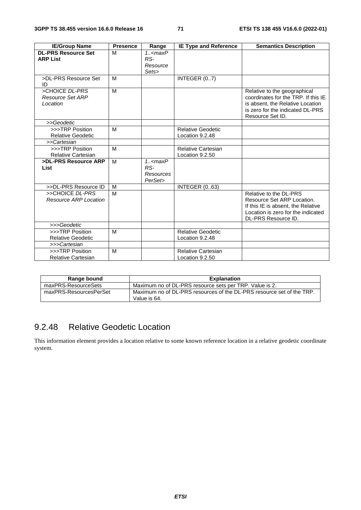| <b>IE/Group Name</b>                           | <b>Presence</b> | Range                                                  | <b>IE Type and Reference</b>                 | <b>Semantics Description</b>                                                                                                                                    |
|------------------------------------------------|-----------------|--------------------------------------------------------|----------------------------------------------|-----------------------------------------------------------------------------------------------------------------------------------------------------------------|
| <b>DL-PRS Resource Set</b><br><b>ARP List</b>  | M               | $1.5$ <maxp<br>RS-<br/>Resource<br/>Sets&gt;</maxp<br> |                                              |                                                                                                                                                                 |
| >DL-PRS Resource Set<br>ID                     | M               |                                                        | INTEGER (07)                                 |                                                                                                                                                                 |
| >CHOICE DL-PRS<br>Resource Set ARP<br>Location | M               |                                                        |                                              | Relative to the geographical<br>coordinates for the TRP. If this IE<br>is absent, the Relative Location<br>is zero for the indicated DL-PRS<br>Resource Set ID. |
| >>Geodetic                                     |                 |                                                        |                                              |                                                                                                                                                                 |
| >>>TRP Position<br><b>Relative Geodetic</b>    | M               |                                                        | <b>Relative Geodetic</b><br>Location 9.2.48  |                                                                                                                                                                 |
| >>Cartesian                                    |                 |                                                        |                                              |                                                                                                                                                                 |
| >>>TRP Position<br><b>Relative Cartesian</b>   | M               |                                                        | <b>Relative Cartesian</b><br>Location 9.2.50 |                                                                                                                                                                 |
| >DL-PRS Resource ARP<br>List                   | M               | $1.5$ cmaxP<br>RS-<br>Resources<br>PerSet>             |                                              |                                                                                                                                                                 |
| >>DL-PRS Resource ID                           | м               |                                                        | <b>INTEGER (063)</b>                         |                                                                                                                                                                 |
| >>CHOICE DL-PRS<br>Resource ARP Location       | M               |                                                        |                                              | Relative to the DL-PRS<br>Resource Set ARP Location.<br>If this IE is absent, the Relative<br>Location is zero for the indicated<br>DL-PRS Resource ID.         |
| >>>Geodetic                                    |                 |                                                        |                                              |                                                                                                                                                                 |
| >>>TRP Position<br><b>Relative Geodetic</b>    | M               |                                                        | <b>Relative Geodetic</b><br>Location 9.2.48  |                                                                                                                                                                 |
| >>>Cartesian                                   |                 |                                                        |                                              |                                                                                                                                                                 |
| >>>TRP Position<br><b>Relative Cartesian</b>   | M               |                                                        | <b>Relative Cartesian</b><br>Location 9.2.50 |                                                                                                                                                                 |

| Range bound            | <b>Explanation</b>                                                                    |
|------------------------|---------------------------------------------------------------------------------------|
| maxPRS-ResourceSets    | Maximum no of DL-PRS resource sets per TRP. Value is 2.                               |
| maxPRS-ResourcesPerSet | Maximum no of DL-PRS resources of the DL-PRS resource set of the TRP.<br>Value is 64. |

## 9.2.48 Relative Geodetic Location

This information element provides a location relative to some known reference location in a relative geodetic coordinate system.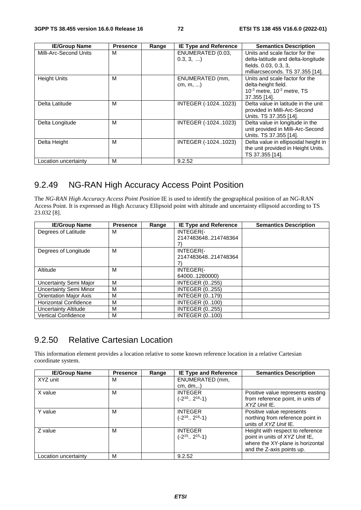| <b>IE/Group Name</b>   | <b>Presence</b> | Range | <b>IE Type and Reference</b>   | <b>Semantics Description</b>                                                                                                      |
|------------------------|-----------------|-------|--------------------------------|-----------------------------------------------------------------------------------------------------------------------------------|
| Milli-Arc-Second Units | м               |       | ENUMERATED (0.03,<br>0.3, 3,   | Units and scale factor for the<br>delta-latitude and delta-longitude<br>fields. 0.03, 0.3, 3,<br>milliarcseconds. TS 37.355 [14]. |
| <b>Height Units</b>    | М               |       | ENUMERATED (mm,<br>$cm, m, $ ) | Units and scale factor for the<br>delta-height field.<br>$10^{-3}$ metre, $10^{-2}$ metre, TS<br>37.355 [14].                     |
| Delta Latitude         | м               |       | INTEGER (-10241023)            | Delta value in latitude in the unit<br>provided in Milli-Arc-Second<br>Units. TS 37.355 [14].                                     |
| Delta Longitude        | M               |       | INTEGER (-10241023)            | Delta value in longitude in the<br>unit provided in Milli-Arc-Second<br>Units. TS 37.355 [14].                                    |
| Delta Height           | M               |       | INTEGER (-10241023)            | Delta value in ellipsoidal height in<br>the unit provided in Height Units.<br>TS 37.355 [14].                                     |
| Location uncertainty   | M               |       | 9.2.52                         |                                                                                                                                   |

# 9.2.49 NG-RAN High Accuracy Access Point Position

The *NG-RAN High Accuracy Access Point Position* IE is used to identify the geographical position of an NG-RAN Access Point. It is expressed as High Accuracy Ellipsoid point with altitude and uncertainty ellipsoid according to TS 23.032 [8].

| <b>IE/Group Name</b>          | <b>Presence</b> | Range | <b>IE Type and Reference</b> | <b>Semantics Description</b> |
|-------------------------------|-----------------|-------|------------------------------|------------------------------|
| Degrees of Latitude           | м               |       | INTEGER(-                    |                              |
|                               |                 |       | 2147483648214748364          |                              |
|                               |                 |       |                              |                              |
| Degrees of Longitude          | M               |       | INTEGER(-                    |                              |
|                               |                 |       | 2147483648214748364          |                              |
|                               |                 |       |                              |                              |
| Altitude                      | м               |       | INTEGER(-                    |                              |
|                               |                 |       | 640001280000)                |                              |
| Uncertainty Semi Major        | м               |       | <b>INTEGER (0255)</b>        |                              |
| <b>Uncertainty Semi Minor</b> | м               |       | <b>INTEGER (0255)</b>        |                              |
| <b>Orientation Major Axis</b> | м               |       | <b>INTEGER (0179)</b>        |                              |
| <b>Horizontal Confidence</b>  | м               |       | <b>INTEGER (0100)</b>        |                              |
| Uncertainty Altitude          | м               |       | <b>INTEGER (0255)</b>        |                              |
| <b>Vertical Confidence</b>    | м               |       | <b>INTEGER (0100)</b>        |                              |

# 9.2.50 Relative Cartesian Location

This information element provides a location relative to some known reference location in a relative Cartesian coordinate system.

| <b>IE/Group Name</b> | <b>Presence</b> | Range | <b>IE Type and Reference</b>                 | <b>Semantics Description</b>                                                                                                        |
|----------------------|-----------------|-------|----------------------------------------------|-------------------------------------------------------------------------------------------------------------------------------------|
| XYZ unit             | м               |       | ENUMERATED (mm,<br>$cm, dm, \ldots$          |                                                                                                                                     |
| X value              | M               |       | <b>INTEGER</b><br>$(-2^{16} \dots 2^{16}-1)$ | Positive value represents easting<br>from reference point, in units of<br>$XYZ$ Unit IE.                                            |
| Y value              | M               |       | <b>INTEGER</b><br>$(-2^{16} \dots 2^{16}-1)$ | Positive value represents<br>northing from reference point in<br>units of <i>XYZ Unit</i> IE.                                       |
| Z value              | M               |       | <b>INTEGER</b><br>$(-2^{15} \dots 2^{15}-1)$ | Height with respect to reference<br>point in units of XYZ Unit IE,<br>where the XY-plane is horizontal<br>and the Z-axis points up. |
| Location uncertainty | M               |       | 9.2.52                                       |                                                                                                                                     |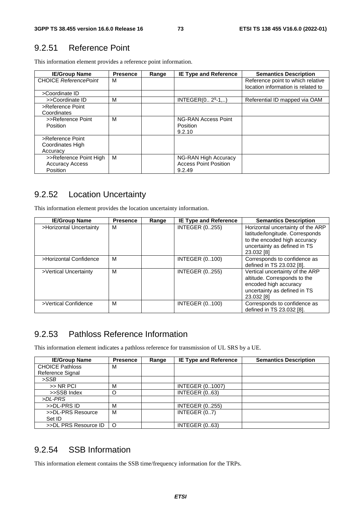### 9.2.51 Reference Point

This information element provides a reference point information.

| <b>IE/Group Name</b>                                         | <b>Presence</b> | Range | <b>IE Type and Reference</b>                                   | <b>Semantics Description</b>                                            |
|--------------------------------------------------------------|-----------------|-------|----------------------------------------------------------------|-------------------------------------------------------------------------|
| <b>CHOICE ReferencePoint</b>                                 | м               |       |                                                                | Reference point to which relative<br>location information is related to |
| >Coordinate ID                                               |                 |       |                                                                |                                                                         |
| >>Coordinate ID                                              | м               |       | INTEGER $(0 29 - 1)$                                           | Referential ID mapped via OAM                                           |
| >Reference Point<br>Coordinates                              |                 |       |                                                                |                                                                         |
| >>Reference Point<br>Position                                | м               |       | NG-RAN Access Point<br>Position<br>9.2.10                      |                                                                         |
| >Reference Point<br>Coordinates High<br>Accuracy             |                 |       |                                                                |                                                                         |
| >>Reference Point High<br><b>Accuracy Access</b><br>Position | м               |       | NG-RAN High Accuracy<br><b>Access Point Position</b><br>9.2.49 |                                                                         |

#### 9.2.52 Location Uncertainty

This information element provides the location uncertainty information.

| <b>IE/Group Name</b>    | <b>Presence</b> | Range | <b>IE Type and Reference</b> | <b>Semantics Description</b>                                                                                                                       |
|-------------------------|-----------------|-------|------------------------------|----------------------------------------------------------------------------------------------------------------------------------------------------|
| >Horizontal Uncertainty | м               |       | <b>INTEGER (0255)</b>        | Horizontal uncertainty of the ARP<br>latitude/longitude. Corresponds<br>to the encoded high accuracy<br>uncertainty as defined in TS<br>23.032 [8] |
| >Horizontal Confidence  | м               |       | <b>INTEGER (0100)</b>        | Corresponds to confidence as<br>defined in TS 23.032 [8].                                                                                          |
| >Vertical Uncertainty   | м               |       | <b>INTEGER (0255)</b>        | Vertical uncertainty of the ARP<br>altitude. Corresponds to the<br>encoded high accuracy<br>uncertainty as defined in TS<br>23.032 [8]             |
| >Vertical Confidence    | м               |       | <b>INTEGER (0100)</b>        | Corresponds to confidence as<br>defined in TS 23.032 [8].                                                                                          |

### 9.2.53 Pathloss Reference Information

This information element indicates a pathloss reference for transmission of UL SRS by a UE.

| <b>IE/Group Name</b>   | <b>Presence</b> | Range | <b>IE Type and Reference</b> | <b>Semantics Description</b> |
|------------------------|-----------------|-------|------------------------------|------------------------------|
| <b>CHOICE Pathloss</b> | М               |       |                              |                              |
| Reference Signal       |                 |       |                              |                              |
| $>$ SSB                |                 |       |                              |                              |
| $>>$ NR PCI            | М               |       | <b>INTEGER (01007)</b>       |                              |
| >>SSB Index            | O               |       | <b>INTEGER (063)</b>         |                              |
| >DL-PRS                |                 |       |                              |                              |
| >>DL-PRS ID            | М               |       | <b>INTEGER (0255)</b>        |                              |
| >>DL-PRS Resource      | М               |       | INTEGER (07)                 |                              |
| Set ID                 |                 |       |                              |                              |
| >>DL PRS Resource ID   | $\circ$         |       | <b>INTEGER (063)</b>         |                              |

# 9.2.54 SSB Information

This information element contains the SSB time/frequency information for the TRPs.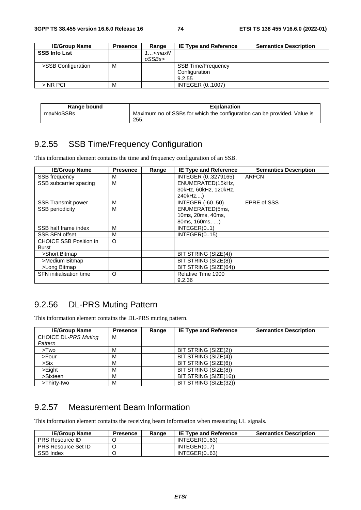| <b>IE/Group Name</b> | <b>Presence</b> | Range                                      | <b>IE Type and Reference</b> | <b>Semantics Description</b> |
|----------------------|-----------------|--------------------------------------------|------------------------------|------------------------------|
| <b>SSB Info List</b> |                 | 1… <maxn< td=""><td></td><td></td></maxn<> |                              |                              |
|                      |                 | oSSBs>                                     |                              |                              |
| >SSB Configuration   | M               |                                            | <b>SSB Time/Frequency</b>    |                              |
|                      |                 |                                            | Configuration                |                              |
|                      |                 |                                            | 9.2.55                       |                              |
| $>$ NR PCI           | M               |                                            | <b>INTEGER (01007)</b>       |                              |

| Range bound | <b>Explanation</b>                                                               |
|-------------|----------------------------------------------------------------------------------|
| maxNoSSBs   | Maximum no of SSBs for which the configuration can be provided. Value is<br>255. |

# 9.2.55 SSB Time/Frequency Configuration

This information element contains the time and frequency configuration of an SSB.

| <b>IE/Group Name</b>           | Presence | Range | <b>IE Type and Reference</b> | <b>Semantics Description</b> |
|--------------------------------|----------|-------|------------------------------|------------------------------|
| SSB frequency                  | М        |       | INTEGER (03279165)           | <b>ARFCN</b>                 |
| SSB subcarrier spacing         | M        |       | ENUMERATED(15kHz,            |                              |
|                                |          |       | 30kHz, 60kHz, 120kHz,        |                              |
|                                |          |       | 240kHz,)                     |                              |
| <b>SSB Transmit power</b>      | M        |       | <b>INTEGER (-6050)</b>       | <b>EPRE of SSS</b>           |
| <b>SSB periodicity</b>         | M        |       | ENUMERATED(5ms,              |                              |
|                                |          |       | 10ms, 20ms, 40ms,            |                              |
|                                |          |       | 80ms, 160ms, )               |                              |
| SSB half frame index           | M        |       | INTEGR(01)                   |                              |
| <b>SSB SFN offset</b>          | М        |       | INTEGER(015)                 |                              |
| <b>CHOICE SSB Position in</b>  | $\circ$  |       |                              |                              |
| Burst                          |          |       |                              |                              |
| >Short Bitmap                  |          |       | BIT STRING (SIZE(4))         |                              |
| >Medium Bitmap                 |          |       | BIT STRING (SIZE(8))         |                              |
| >Long Bitmap                   |          |       | BIT STRING (SIZE(64))        |                              |
| <b>SFN</b> initialisation time | $\circ$  |       | Relative Time 1900           |                              |
|                                |          |       | 9.2.36                       |                              |

# 9.2.56 DL-PRS Muting Pattern

This information element contains the DL-PRS muting pattern.

| <b>IE/Group Name</b>        | <b>Presence</b> | Range | <b>IE Type and Reference</b> | <b>Semantics Description</b> |
|-----------------------------|-----------------|-------|------------------------------|------------------------------|
| <b>CHOICE DL-PRS Muting</b> | M               |       |                              |                              |
| Pattern                     |                 |       |                              |                              |
| >Two                        | M               |       | BIT STRING (SIZE(2))         |                              |
| >Four                       | М               |       | BIT STRING (SIZE(4))         |                              |
| $>$ Six                     | M               |       | BIT STRING (SIZE(6))         |                              |
| $>$ Eight                   | М               |       | BIT STRING (SIZE(8))         |                              |
| >Sixteen                    | М               |       | BIT STRING (SIZE(16))        |                              |
| >Thirty-two                 | M               |       | BIT STRING (SIZE(32))        |                              |

### 9.2.57 Measurement Beam Information

This information element contains the receiving beam information when measuring UL signals.

| <b>IE/Group Name</b>       | <b>Presence</b> | Range | <b>IE Type and Reference</b> | <b>Semantics Description</b> |
|----------------------------|-----------------|-------|------------------------------|------------------------------|
| <b>PRS Resource ID</b>     |                 |       | INTEGR(063)                  |                              |
| <b>PRS Resource Set ID</b> |                 |       | INTEGR(07)                   |                              |
| <b>SSB Index</b>           |                 |       | INTEGR(063)                  |                              |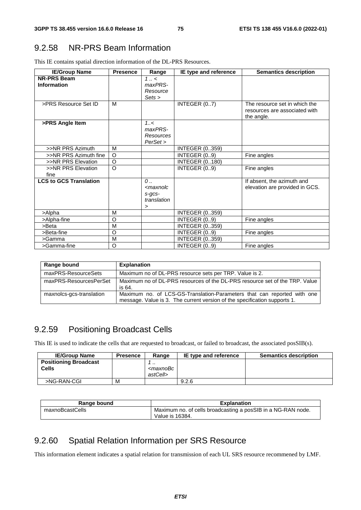# 9.2.58 NR-PRS Beam Information

This IE contains spatial direction information of the DL-PRS Resources.

| <b>IE/Group Name</b>              | <b>Presence</b> | Range                                                                     | IE type and reference | <b>Semantics description</b>                                                 |
|-----------------------------------|-----------------|---------------------------------------------------------------------------|-----------------------|------------------------------------------------------------------------------|
| <b>NR-PRS Beam</b><br>Information |                 | $1 \ldots$<br>maxPRS-<br>Resource<br>Sets >                               |                       |                                                                              |
| >PRS Resource Set ID              | M               |                                                                           | INTEGER (07)          | The resource set in which the<br>resources are associated with<br>the angle. |
| >PRS Angle Item                   |                 | 1.55<br>maxPRS-<br>Resources<br>PerSet                                    |                       |                                                                              |
| >>NR PRS Azimuth                  | M               |                                                                           | <b>INTEGER (0359)</b> |                                                                              |
| >>NR PRS Azimuth fine             | $\circ$         |                                                                           | INTEGER (09)          | Fine angles                                                                  |
| >>NR PRS Elevation                | $\circ$         |                                                                           | <b>INTEGER (0180)</b> |                                                                              |
| >>NR PRS Elevation<br>fine        | $\circ$         |                                                                           | INTEGER (09)          | Fine angles                                                                  |
| <b>LCS to GCS Translation</b>     |                 | $\mathcal{O}$<br><maxnolc<br>s-gcs-<br/>translation<br/>&gt;</maxnolc<br> |                       | If absent, the azimuth and<br>elevation are provided in GCS.                 |
| >Alpha                            | M               |                                                                           | <b>INTEGER (0359)</b> |                                                                              |
| >Alpha-fine                       | O               |                                                                           | INTEGER (09)          | Fine angles                                                                  |
| $>$ Beta                          | M               |                                                                           | <b>INTEGER (0359)</b> |                                                                              |
| >Beta-fine                        | O               |                                                                           | INTEGER (09)          | Fine angles                                                                  |
| >Gamma                            | M               |                                                                           | <b>INTEGER (0359)</b> |                                                                              |
| >Gamma-fine                       | O               |                                                                           | INTEGER (09)          | Fine angles                                                                  |

| Range bound              | <b>Explanation</b>                                                                                                                                   |
|--------------------------|------------------------------------------------------------------------------------------------------------------------------------------------------|
| maxPRS-ResourceSets      | Maximum no of DL-PRS resource sets per TRP. Value is 2.                                                                                              |
| maxPRS-ResourcesPerSet   | Maximum no of DL-PRS resources of the DL-PRS resource set of the TRP. Value<br>is 64.                                                                |
| maxnolcs-gcs-translation | Maximum no. of LCS-GS-Translation-Parameters that can reported with one<br>message. Value is 3. The current version of the specification supports 1. |

# 9.2.59 Positioning Broadcast Cells

This IE is used to indicate the cells that are requested to broadcast, or failed to broadcast, the associated posSIB(s).

| <b>IE/Group Name</b>         | <b>Presence</b> | Range                                         | IE type and reference | <b>Semantics description</b> |
|------------------------------|-----------------|-----------------------------------------------|-----------------------|------------------------------|
| <b>Positioning Broadcast</b> |                 | $\cdot$ .                                     |                       |                              |
| <b>Cells</b>                 |                 | <maxnobc< td=""><td></td><td></td></maxnobc<> |                       |                              |
|                              |                 | astCell>                                      |                       |                              |
| >NG-RAN-CGI                  | M               |                                               | 9.2.6                 |                              |

| Range bound     | <b>Explanation</b>                                           |
|-----------------|--------------------------------------------------------------|
| maxnoBcastCells | Maximum no. of cells broadcasting a posSIB in a NG-RAN node. |
|                 | Value is 16384.                                              |

## 9.2.60 Spatial Relation Information per SRS Resource

This information element indicates a spatial relation for transmission of each UL SRS resource recommened by LMF.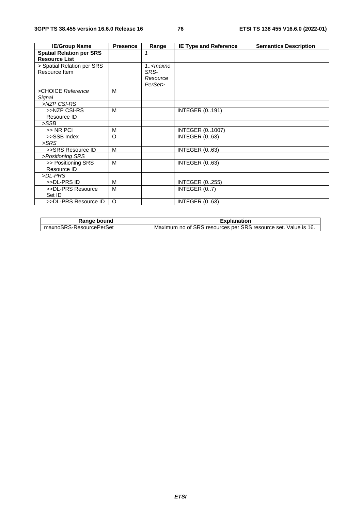| <b>IE/Group Name</b>            | <b>Presence</b> | Range      | <b>IE Type and Reference</b> | <b>Semantics Description</b> |
|---------------------------------|-----------------|------------|------------------------------|------------------------------|
| <b>Spatial Relation per SRS</b> |                 | 1          |                              |                              |
| <b>Resource List</b>            |                 |            |                              |                              |
| > Spatial Relation per SRS      |                 | $1. maxno$ |                              |                              |
| Resource Item                   |                 | SRS-       |                              |                              |
|                                 |                 | Resource   |                              |                              |
|                                 |                 | PerSet>    |                              |                              |
| >CHOICE Reference               | M               |            |                              |                              |
| Signal                          |                 |            |                              |                              |
| >NZP CSI-RS                     |                 |            |                              |                              |
| >>NZP CSI-RS                    | M               |            | <b>INTEGER (0191)</b>        |                              |
| Resource ID                     |                 |            |                              |                              |
| >SSB                            |                 |            |                              |                              |
| >> NR PCI                       | M               |            | <b>INTEGER (01007)</b>       |                              |
| >>SSB Index                     | O               |            | <b>INTEGER (063)</b>         |                              |
| >SRS                            |                 |            |                              |                              |
| >>SRS Resource ID               | M               |            | <b>INTEGER (063)</b>         |                              |
| >Positioning SRS                |                 |            |                              |                              |
| >> Positioning SRS              | M               |            | <b>INTEGER (063)</b>         |                              |
| Resource ID                     |                 |            |                              |                              |
| >DL-PRS                         |                 |            |                              |                              |
| >>DL-PRS ID                     | M               |            | <b>INTEGER (0255)</b>        |                              |
| >>DL-PRS Resource               | M               |            | INTEGER (07)                 |                              |
| Set ID                          |                 |            |                              |                              |
| >>DL-PRS Resource ID            | $\circ$         |            | <b>INTEGER (063)</b>         |                              |

| Range bound             | <b>Explanation</b>                                             |
|-------------------------|----------------------------------------------------------------|
| maxnoSRS-ResourcePerSet | Maximum no of SRS resources per SRS resource set. Value is 16. |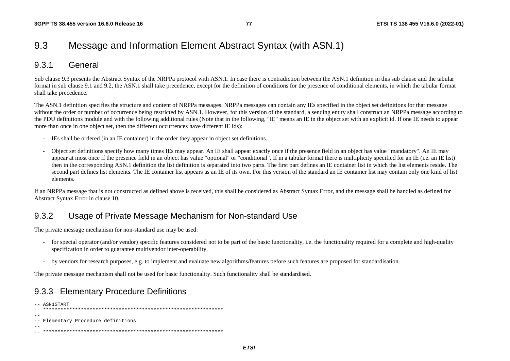# 9.3 Message and Information Element Abstract Syntax (with ASN.1)

### 9.3.1 General

Sub clause 9.3 presents the Abstract Syntax of the NRPPa protocol with ASN.1. In case there is contradiction between the ASN.1 definition in this sub clause and the tabular format in sub clause 9.1 and 9.2, the ASN.1 shall take precedence, except for the definition of conditions for the presence of conditional elements, in which the tabular format shall take precedence.

The ASN.1 definition specifies the structure and content of NRPPa messages. NRPPa messages can contain any IEs specified in the object set definitions for that message without the order or number of occurrence being restricted by ASN.1. However, for this version of the standard, a sending entity shall construct an NRPPa message according to the PDU definitions module and with the following additional rules (Note that in the following, "IE" means an IE in the object set with an explicit id. If one IE needs to appear more than once in one object set, then the different occurrences have different IE ids):

- IEs shall be ordered (in an IE container) in the order they appear in object set definitions.
- Object set definitions specify how many times IEs may appear. An IE shall appear exactly once if the presence field in an object has value "mandatory". An IE may appear at most once if the presence field in an object has value "optional" or "conditional". If in a tabular format there is multiplicity specified for an IE (i.e. an IE list) then in the corresponding ASN.1 definition the list definition is separated into two parts. The first part defines an IE container list in which the list elements reside. The second part defines list elements. The IE container list appears as an IE of its own. For this version of the standard an IE container list may contain only one kind of list elements.

If an NRPPa message that is not constructed as defined above is received, this shall be considered as Abstract Syntax Error, and the message shall be handled as defined for Abstract Syntax Error in clause 10.

## 9.3.2 Usage of Private Message Mechanism for Non-standard Use

The private message mechanism for non-standard use may be used:

- for special operator (and/or vendor) specific features considered not to be part of the basic functionality, i.e. the functionality required for a complete and high-quality specification in order to guarantee multivendor inter-operability.
- by vendors for research purposes, e.g. to implement and evaluate new algorithms/features before such features are proposed for standardisation.

The private message mechanism shall not be used for basic functionality. Such functionality shall be standardised.

## 9.3.3 Elementary Procedure Definitions

```
-- ASN1START 
-- ************************************************************** -- -- Elementary Procedure definitions 
-- 
-- **************************************************************
```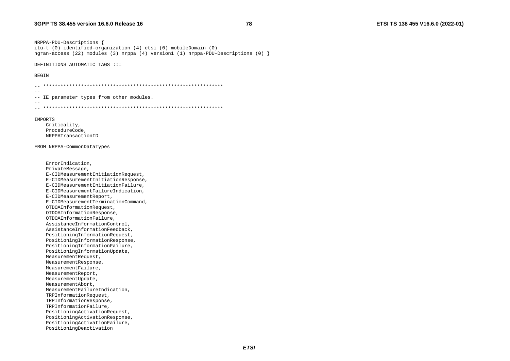NRPPA-PDU-Descriptions { itu-t (0) identified-organization (4) etsi (0) mobileDomain (0) ngran-access (22) modules (3) nrppa (4) version1 (1) nrppa-PDU-Descriptions (0) }

DEFINITIONS AUTOMATIC TAGS ::=

**BEGIN** 

```
\sim --- IE parameter types from other modules.
- -TMPORTS
   Criticality,
   ProcedureCode,
   NRPPATransactionID
FROM NRPPA-CommonDataTypes
   ErrorIndication,
   PrivateMessage,
   E-CIDMeasurementInitiationRequest,
   E-CIDMeasurementInitiationResponse,
   E-CIDMeasurementInitiationFailure,
   E-CIDMeasurementFailureIndication,
   E-CIDMeasurementReport,
   E-CIDMeasurementTerminationCommand,
   OTDOAInformationRequest,
   OTDOAInformationResponse,
   OTDOAInformationFailure,
   AssistanceInformationControl,
   AssistanceInformationFeedback,
   PositioningInformationRequest,
   PositioningInformationResponse,
   PositioningInformationFailure,
   PositioningInformationUpdate,
   MeasurementRequest,
   MeasurementResponse.
   MeasurementFailure,
   MeasurementReport,
   MeasurementUpdate,
   MeasurementAbort,
   MeasurementFailureIndication,
   TRPInformationRequest,
   TRPInformationResponse,
   TRPInformationFailure,
   PositioningActivationRequest,
   PositioningActivationResponse,
   PositioningActivationFailure,
   PositioningDeactivation
```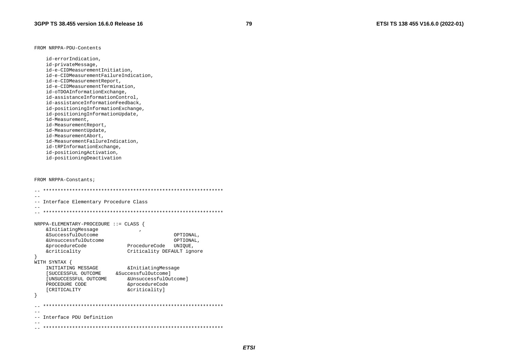FROM NRPPA-PDU-Contents

id-errorIndication, id-privateMessage, id-e-CIDMeasurementInitiation, id-e-CIDMeasurementFailureIndication, id-e-CIDMeasurementReport, id-e-CIDMeasurementTermination, id-oTDOAInformationExchange, id-assistanceInformationControl, id-assistanceInformationFeedback, id-positioningInformationExchange, id-positioningInformationUpdate, id-Measurement, id-MeasurementReport, id-MeasurementUpdate, id-MeasurementAbort, id-MeasurementFailureIndication, id-tRPInformationExchange, id-positioningActivation, id-positioningDeactivation

FROM NRPPA-Constants;

|                                           | Interface Elementary Procedure Class |           |  |  |  |
|-------------------------------------------|--------------------------------------|-----------|--|--|--|
|                                           |                                      |           |  |  |  |
|                                           |                                      |           |  |  |  |
|                                           |                                      |           |  |  |  |
| $NRPPA-ELEMENTARY - PROCEDURE :: = CLASS$ |                                      |           |  |  |  |
| & Initiating Message                      |                                      |           |  |  |  |
| &SuccessfulOutcome                        |                                      | OPTIONAL, |  |  |  |
| &UnsuccessfulOutcome                      |                                      | OPTIONAL, |  |  |  |
| &procedureCode                            | ProcedureCode                        | UNIOUE,   |  |  |  |
| &criticality                              | Criticality DEFAULT ignore           |           |  |  |  |
| $\mathcal{F}$                             |                                      |           |  |  |  |
| WITH SYNTAX {                             |                                      |           |  |  |  |
| INITIATING MESSAGE                        | & Initiating Message                 |           |  |  |  |
| [SUCCESSFUL OUTCOME                       | &SuccessfulOutcomel                  |           |  |  |  |
| [UNSUCCESSFUL OUTCOME                     | &UnsuccessfulOutcome]                |           |  |  |  |
| PROCEDURE CODE                            | &procedureCode                       |           |  |  |  |
| <b>[CRITICALITY</b>                       | &criticality]                        |           |  |  |  |
|                                           |                                      |           |  |  |  |
|                                           |                                      |           |  |  |  |
|                                           |                                      |           |  |  |  |
|                                           |                                      |           |  |  |  |
| -- Interface PDU Definition               |                                      |           |  |  |  |
|                                           |                                      |           |  |  |  |
|                                           |                                      |           |  |  |  |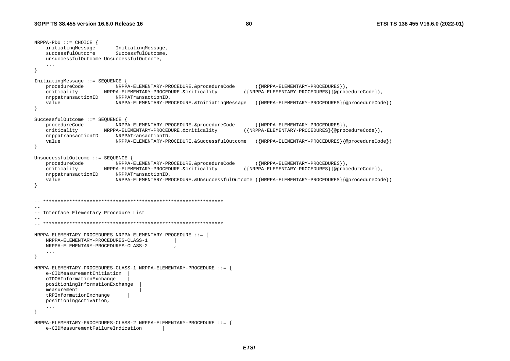```
NRPPA-PDU ::= CHOICE { 
     initiatingMessage InitiatingMessage, 
    successfulOutcome SuccessfulOutcome,
     unsuccessfulOutcome UnsuccessfulOutcome, 
     ... } 
InitiatingMessage ::= SEQUENCE { 
     procedureCode NRPPA-ELEMENTARY-PROCEDURE.&procedureCode ({NRPPA-ELEMENTARY-PROCEDURES}), 
     criticality NRPPA-ELEMENTARY-PROCEDURE.&criticality ({NRPPA-ELEMENTARY-PROCEDURES}{@procedureCode}), 
     nrppatransactionID NRPPATransactionID, 
     value NRPPA-ELEMENTARY-PROCEDURE.&InitiatingMessage ({NRPPA-ELEMENTARY-PROCEDURES}{@procedureCode}) 
} 
SuccessfulOutcome ::= SEQUENCE { 
     procedureCode NRPPA-ELEMENTARY-PROCEDURE.&procedureCode ({NRPPA-ELEMENTARY-PROCEDURES}), 
     criticality NRPPA-ELEMENTARY-PROCEDURE.&criticality ({NRPPA-ELEMENTARY-PROCEDURES}{@procedureCode}), 
     nrppatransactionID NRPPATransactionID, 
     value NRPPA-ELEMENTARY-PROCEDURE.&SuccessfulOutcome ({NRPPA-ELEMENTARY-PROCEDURES}{@procedureCode}) 
} 
UnsuccessfulOutcome ::= SEQUENCE { 
     procedureCode NRPPA-ELEMENTARY-PROCEDURE.&procedureCode ({NRPPA-ELEMENTARY-PROCEDURES}), 
     criticality NRPPA-ELEMENTARY-PROCEDURE.&criticality ({NRPPA-ELEMENTARY-PROCEDURES}{@procedureCode}), 
     nrppatransactionID NRPPATransactionID, 
     value NRPPA-ELEMENTARY-PROCEDURE.&UnsuccessfulOutcome ({NRPPA-ELEMENTARY-PROCEDURES}{@procedureCode}) 
} 
   -- ************************************************************** -- -- Interface Elementary Procedure List 
-- -- ************************************************************** NRPPA-ELEMENTARY-PROCEDURES NRPPA-ELEMENTARY-PROCEDURE ::= { 
     NRPPA-ELEMENTARY-PROCEDURES-CLASS-1 | 
     NRPPA-ELEMENTARY-PROCEDURES-CLASS-2 , 
     ... } 
NRPPA-ELEMENTARY-PROCEDURES-CLASS-1 NRPPA-ELEMENTARY-PROCEDURE ::= { 
     e-CIDMeasurementInitiation | 
     oTDOAInformationExchange | 
     positioningInformationExchange | 
     measurement | 
     tRPInformationExchange | 
     positioningActivation, 
     ... } 
NRPPA-ELEMENTARY-PROCEDURES-CLASS-2 NRPPA-ELEMENTARY-PROCEDURE ::= { 
     e-CIDMeasurementFailureIndication |
```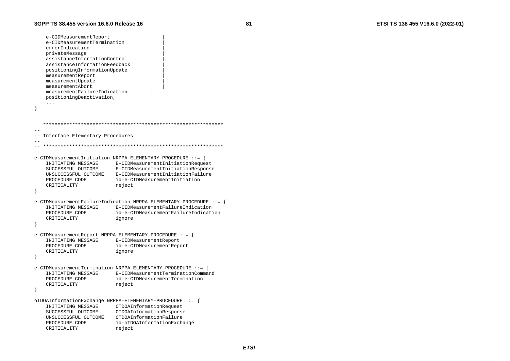```
e-CIDMeasurementReport
   e-CIDMeasurementTermination
   errorIndication
   privateMessage
   assistanceInformationControl
   assistanceInformationFeedback
   positioningInformationUpdate
   measurementReport
   measurementUpdate
   measurementAbort
   measurementFailureIndication
   positioningDeactivation,
   \ldots--- Interface Elementary Procedures
  e-CIDMeasurementInitiation NRPPA-ELEMENTARY-PROCEDURE ::= {
   INITIATING MESSAGE
                         E-CIDMeasurementInitiationRequest
   SUCCESSFUL OUTCOME
                         E-CIDMeasurementInitiationResponse
   UNSUCCESSFUL OUTCOME E-CIDMeasurementInitiationFailure
   PROCEDURE CODE
                         id-e-CIDMeasurementInitiation
   CRITICALITY
                         reject
e-CIDMeasurementFailureIndication NRPPA-ELEMENTARY-PROCEDURE ::=
                         E-CIDMeasurementFailureIndication
   INITIATING MESSAGE
   PROCEDURE CODE
                         id-e-CIDMeasurementFailureIndication
   CRITICALITY
                         ignore
e-CIDMeasurementReport NRPPA-ELEMENTARY-PROCEDURE ::= {
   INITIATING MESSAGE
                         E-CIDMeasurementReport
   PROCEDURE CODE
                         id-e-CIDMeasurementReport
   CRITICALITY
                          ignore
\overline{\mathbf{1}}e-CIDMeasurementTermination NRPPA-ELEMENTARY-PROCEDURE ::=INITIATING MESSAGE
                         E-CIDMeasurementTerminationCommand
                         id-e-CIDMeasurementTermination
   PROCEDURE CODE
   CRITICALITY
                         reject
\rightarrowoTDOAInformationExchange NRPPA-ELEMENTARY-PROCEDURE ::= {
   INITIATING MESSAGE
                         OTDOAInformationRequest
   SUCCESSFUL OUTCOME
                          OTDOAInformationResponse
   UNSUCCESSFUL OUTCOME
                         OTDOAInformationFailure
   PROCEDURE CODE
                         id-oTDOAInformationExchange
   CRITICALITY
                         reject
```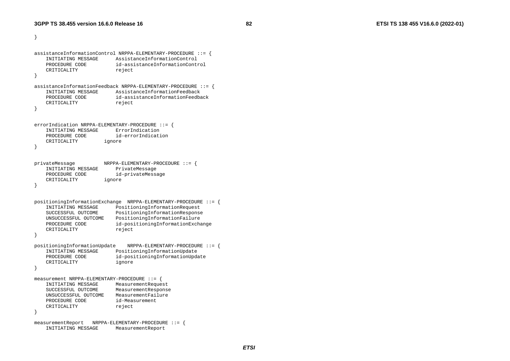}

```
assistanceInformationControl NRPPA-ELEMENTARY-PROCEDURE ::= { 
     INITIATING MESSAGE AssistanceInformationControl 
 PROCEDURE CODE id-assistanceInformationControl CRITICALITY reject
} 
assistanceInformationFeedback NRPPA-ELEMENTARY-PROCEDURE ::= { 
 INITIATING MESSAGE AssistanceInformationFeedback 
     PROCEDURE CODE id-assistanceInformationFeedback CRITICALITY reject
} 
errorIndication NRPPA-ELEMENTARY-PROCEDURE ::= {<br>INITIATING MESSAGE ErrorIndication
    INITIATING MESSAGE
     PROCEDURE CODE id-errorIndication  CRITICALITY ignore 
} 
privateMessage NRPPA-ELEMENTARY-PROCEDURE ::= { 
     INITIATING MESSAGE PrivateMessage 
    PROCEDURE CODE id-privateMessage
     CRITICALITY ignore 
} 
positioningInformationExchange NRPPA-ELEMENTARY-PROCEDURE ::= { 
                          PositioningInformationRequest
     SUCCESSFUL OUTCOME PositioningInformationResponse 
     UNSUCCESSFUL OUTCOME PositioningInformationFailure 
    PROCEDURE CODE id-positioningInformationExchange
    CRITICALITY reject
} 
positioningInformationUpdate NRPPA-ELEMENTARY-PROCEDURE ::= { 
     INITIATING MESSAGE PositioningInformationUpdate 
    PROCEDURE CODE id-positioningInformationUpdate<br>
CRITICALITY ignore
    CRITICALITY
} 
measurement NRPPA-ELEMENTARY-PROCEDURE ::= { 
     INITIATING MESSAGE MeasurementRequest 
     SUCCESSFUL OUTCOME MeasurementResponse 
     UNSUCCESSFUL OUTCOME MeasurementFailure  PROCEDURE CODE id-Measurement CRITICALITY reject
} 
measurementReport NRPPA-ELEMENTARY-PROCEDURE ::= { 
     INITIATING MESSAGE MeasurementReport
```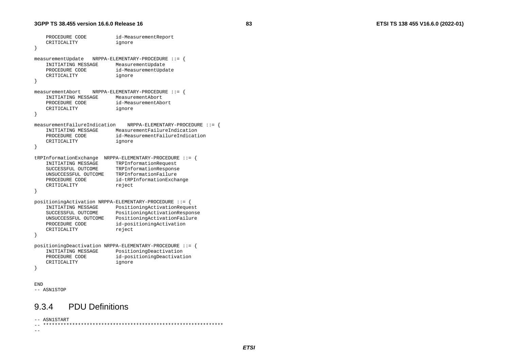```
PROCEDURE CODE id-MeasurementReport
    CRITICALITY ignore 
} 
measurementUpdate NRPPA-ELEMENTARY-PROCEDURE ::= { 
   INITIATING MESSAGE
   PROCEDURE CODE id-MeasurementUpdate
    CRITICALITY ignore 
} 
measurementAbort NRPPA-ELEMENTARY-PROCEDURE ::= { 
    INITIATING MESSAGE MeasurementAbort PROCEDURE CODE id-MeasurementAbort
    CRITICALITY ignore 
} 
measurementFailureIndication NRPPA-ELEMENTARY-PROCEDURE ::= { 
    INITIATING MESSAGE MeasurementFailureIndication  PROCEDURE CODE id-MeasurementFailureIndication  CRITICALITY ignore 
} 
tRPInformationExchange NRPPA-ELEMENTARY-PROCEDURE ::= { 
    INITIATING MESSAGE TRPInformationRequest 
    SUCCESSFUL OUTCOME TRPInformationResponse 
    UNSUCCESSFUL OUTCOME TRPInformationFailure PROCEDURE CODE id-tRPInformationExchange
   CRITICALITY reject
} 
positioningActivation NRPPA-ELEMENTARY-PROCEDURE ::= { 
    INITIATING MESSAGE PositioningActivationRequest 
    SUCCESSFUL OUTCOME PositioningActivationResponse 
    UNSUCCESSFUL OUTCOME PositioningActivationFailure 
   PROCEDURE CODE id-positioningActivation
   CRITICALITY reject
} 
positioningDeactivation NRPPA-ELEMENTARY-PROCEDURE ::= { 
    INITIATING MESSAGE PositioningDeactivation 
    PROCEDURE CODE id-positioningDeactivation 
    CRITICALITY ignore 
} 
END -- ASN1STOP
```
### 9.3.4 PDU Definitions

-- ASN1START -- \*\*\*\*\*\*\*\*\*\*\*\*\*\*\*\*\*\*\*\*\*\*\*\*\*\*\*\*\*\*\*\*\*\*\*\*\*\*\*\*\*\*\*\*\*\*\*\*\*\*\*\*\*\*\*\*\*\*\*\*\*\*

--

*ETSI*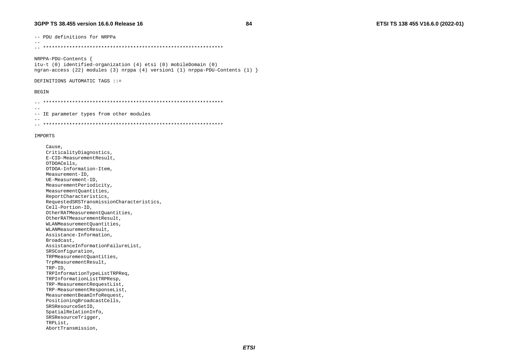-- PDU definitions for NRPPa

NRPPA-PDU-Contents { itu-t (0) identified-organization (4) etsi (0) mobileDomain (0) ngran-access (22) modules (3) nrppa (4) version1 (1) nrppa-PDU-Contents (1)  $\}$ 

#### DEFINITIONS AUTOMATIC TAGS ::=

#### **BEGIN**

 $-$ 

```
\sim --- IE parameter types from other modules
-
```
#### IMPORTS

Cause, CriticalityDiagnostics, E-CID-MeasurementResult, OTDOACells, OTDOA-Information-Item, Measurement-ID. UE-Measurement-ID, MeasurementPeriodicity, MeasurementOuantities, ReportCharacteristics, RequestedSRSTransmissionCharacteristics, Cell-Portion-ID, OtherRATMeasurementQuantities, OtherRATMeasurementResult, WLANMeasurementOuantities, WLANMeasurementResult, Assistance-Information. Broadcast. AssistanceInformationFailureList, SRSConfiguration, TRPMeasurementOuantities, TrpMeasurementResult,  $TRP-ID$ , TRPInformationTypeListTRPReq, TRPInformationListTRPResp, TRP-MeasurementRequestList, TRP-MeasurementResponseList, MeasurementBeamInfoRequest, PositioningBroadcastCells, SRSResourceSetID, SpatialRelationInfo, SRSResourceTriqqer, TRPList. AbortTransmission,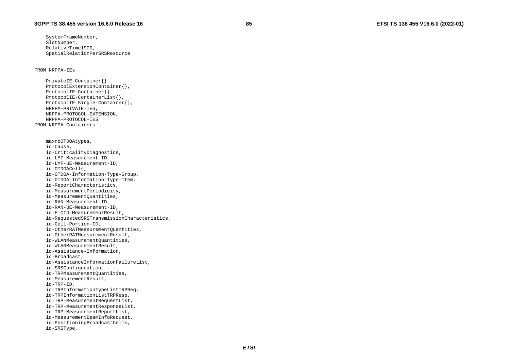#### FROM NRPPA-IEs

 PrivateIE-Container{}, ProtocolExtensionContainer{}, ProtocolIE-Container{}, ProtocolIE-ContainerList{}, ProtocolIE-Single-Container{}, NRPPA-PRIVATE-IES, NRPPA-PROTOCOL-EXTENSION, NRPPA-PROTOCOL-IES FROM NRPPA-Containers maxnoOTDOAtypes, id-Cause, id-CriticalityDiagnostics, id-LMF-Measurement-ID, id-LMF-UE-Measurement-ID, id-OTDOACells, id-OTDOA-Information-Type-Group, id-OTDOA-Information-Type-Item, id-ReportCharacteristics, id-MeasurementPeriodicity, id-MeasurementQuantities, id-RAN-Measurement-ID, id-RAN-UE-Measurement-ID, id-E-CID-MeasurementResult, id-RequestedSRSTransmissionCharacteristics, id-Cell-Portion-ID, id-OtherRATMeasurementQuantities, id-OtherRATMeasurementResult, id-WLANMeasurementQuantities, id-WLANMeasurementResult, id-Assistance-Information, id-Broadcast, id-AssistanceInformationFailureList, id-SRSConfiguration, id-TRPMeasurementQuantities, id-MeasurementResult, id-TRP-ID, id-TRPInformationTypeListTRPReq, id-TRPInformationListTRPResp, id-TRP-MeasurementRequestList, id-TRP-MeasurementResponseList, id-TRP-MeasurementReportList, id-MeasurementBeamInfoRequest, id-PositioningBroadcastCells, id-SRSType,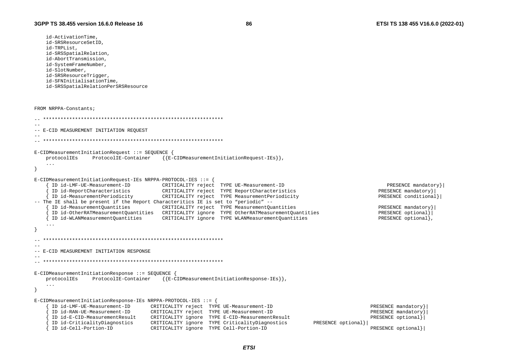id-ActivationTime. id-SRSResourceSetID,

```
id-TRPList.
   id-SRSSpatialRelation,
   id-AbortTransmission.
   id-SystemFrameNumber,
   id-SlotNumber,
   id-SRSResourceTrigger,
   id-SFNInitialisationTime,
   id-SRSSpatialRelationPerSRSResource
FROM NRPPA-Constants;
-- E-CID MEASUREMENT INITIATION REQUEST
E-CIDMeasurementInitiationRequest ::= SEQUENCE {
   protocolIEs
                 ProtocolIE-Container
                                     {{E-CIDMeasurementInitiationRequest-IEs}}
   \ldotsE-CIDMeasurementInitiationRequest-IEs NRPPA-PROTOCOL-IES ::= {
     ID id-LMF-UE-Measurement-ID CRITICALITY reject TYPE UE-Measurement-ID
                                                                                                          PRESENCE mandatory }
     ID id-ReportCharacteristics
                                                                                                       PRESENCE mandatory}
                                   CRITICALITY reject TYPE ReportCharacteristics
   { ID id-MeasurementPeriodicity
                                   CRITICALITY reject TYPE MeasurementPeriodicity
                                                                                                       PRESENCE conditional}
-- The IE shall be present if the Report Characteritics IE is set to "periodic" --
     ID id-MeasurementQuantities
                                      CRITICALITY reject TYPE MeasurementQuantities
                                                                                                       PRESENCE mandatory } |
     ID id-OtherRATMeasurementQuantities  CRITICALITY ignore  TYPE OtherRATMeasurementQuantities
                                                                                                       PRESENCE optional}
                                                                                                       PRESENCE optional},
   { ID id-WLANMeasurementQuantities
                                      CRITICALITY ignore TYPE WLANMeasurementQuantities
  -- E-CID MEASUREMENT INITIATION RESPONSE
E-CIDMeasurementInitiationResponse ::= SEQUENCE {
   protocolIEs ProtocolIE-Container \{E\text{-CIDMeasurement}(\text{InitiationResponse-IES})\},\ldots\left\{ \right.E-CIDMeasurementInitiationResponse-IEs NRPPA-PROTOCOL-IES ::= {
     ID id-LMF-UE-Measurement-ID
                                  CRITICALITY reject TYPE UE-Measurement-ID
                                                                                                     PRESENCE mandatory}
     ID id-RAN-UE-Measurement-ID
                                                                                                     PRESENCE mandatory}
                                  CRITICALITY reject TYPE UE-Measurement-ID
     ID id-E-CID-MeasurementResult
                                  CRITICALITY ignore TYPE E-CID-MeasurementResult
                                                                                                     PRESENCE optional}
     ID id-CriticalityDiagnostics
                                  CRITICALITY ignore TYPE CriticalityDiagnostics
                                                                                    PRESENCE optional}
     ID id-Cell-Portion-ID
                                  CRITICALITY ignore TYPE Cell-Portion-ID
                                                                                                     PRESENCE optional}
```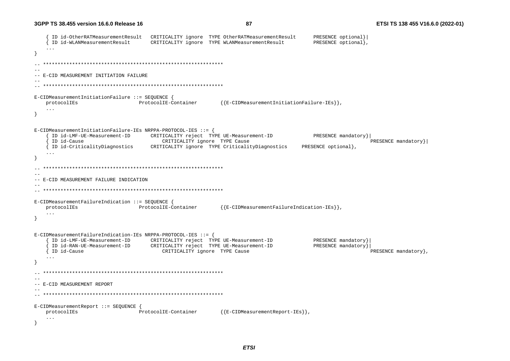```
ID id-OtherRATMeasurementResult
                                CRITICALITY ignore TYPE OtherRATMeasurementResult
                                                                              PRESENCE optional}
    ID id-WLANMeasurementResult
                                CRITICALITY ignore TYPE WLANMeasurementResult
                                                                              PRESENCE optional)
   \sim \sim \sim\sim --- E-CID MEASUREMENT INITIATION FAILURE
E-CIDMeasurementInitiationFailure ::= SEQUENCE {
   protocolIEs
                             ProtocolIE-Container
                                                    {E-CIDMeasurementInitializer Inification Failure-IES},
   \sim \sim \simE-CIDMeasurementInitiationFailure-IEs NRPPA-PROTOCOL-IES ::= {
    ID id-LMF-UE-Measurement-ID CRITICALITY reject TYPE UE-Measurement-ID
                                                                              PRESENCE mandatory }
    ID id-Cause
                                   CRITICALITY ignore TYPE Cause
                                                                                               PRESENCE mandatory } |
   { ID id-CriticalityDiagnostics
                                CRITICALITY ignore TYPE CriticalityDiagnostics
                                                                           PRESENCE optional},
   \ldots\rightarrow-- E-CID MEASUREMENT FAILURE INDICATION
E-CIDMeasurementFailureIndication ::= SEQUENCE {
                                                    {{E-CIDMeasurementFailureIndication-IEs}}
                             ProtocolIE-Container
   protocolIEs
   \cdots\rightarrowE-CLDMeasurementFailureIndication-IEs NRPPA-PROTOCOL-IES ::= {
                                CRITICALITY reject TYPE UE-Measurement-ID
                                                                              PRESENCE mandatory
    ID id-LMF-UE-Measurement-ID
    ID id-RAN-UE-Measurement-ID
                                CRITICALITY reject TYPE UE-Measurement-ID
                                                                              PRESENCE mandatory}
   { ID id-Cause
                                   CRITICALITY ignore TYPE Cause
                                                                                               PRESENCE mandatory },
   \ddots\overline{\mathfrak{z}}--- E-CID MEASUREMENT REPORT
E-CIDMeasurementReport ::= SEOUENCE {
                             ProtocolIE-Container
                                                    {E-CIDMeasurementReport-IES},
   protocolIEs
   \ddots
```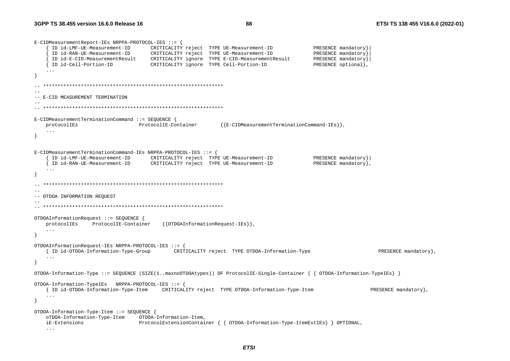```
E-CIDMeasurementReport-IEs NRPPA-PROTOCOL-IES ::= {
     ID id-LMF-UE-Measurement-ID CRITICALITY reject TYPE UE-Measurement-ID
                                                                                    PRESENCE mandatory
     ID id-RAN-UE-Measurement-ID
                                   CRITICALITY reject TYPE UE-Measurement-ID
                                                                                    PRESENCE mandatory
     ID id-E-CID-MeasurementResult CRITICALITY ignore TYPE E-CID-MeasurementResult
                                                                                    PRESENCE mandatory}
                                  CRITICALITY ignore TYPE Cell-Portion-ID
                                                                                    PRESENCE optional},
   { ID id-Cell-Portion-ID
- }
  -- E-CID MEASUREMENT TERMINATION
E-CIDMeasurementTerminationCommand ::= SEQUENCE {
                                                        {{E-CIDMeasurementTerminationCommand-IEs}}
   protocolIEs
                       ProtocolIE-Container
   \ddots- }
E-CIDMeasurementTerminationCommand-IEs NRPPA-PROTOCOL-IES ::= {
     ID id-LMF-UE-Measurement-ID CRITICALITY reject TYPE UE-Measurement-ID
                                                                                    PRESENCE mandatory |
     ID id-RAN-UE-Measurement-ID CRITICALITY reject TYPE UE-Measurement-ID
                                                                                    PRESENCE mandatory },
   \sim \sim \sim\rightarrow--- OTDOA INFORMATION REQUEST
OTDOAInformationRequest ::= SEQUENCE {
   protocolIEs
               ProtocolIE-Container
                                      {{OTDOAInformationRequest-IEs}}
   \ldots\rightarrowOTDOAInformationRequest-IEs NRPPA-PROTOCOL-IES ::= {
   { ID id-OTDOA-Information-Type-Group CRITICALITY reject TYPE OTDOA-Information-Type
                                                                                                        PRESENCE mandatory }
   \ddots\overline{\mathbf{1}}OTDOA-Information-Type ::= SEQUENCE (SIZE(1..maxnoOTDOAtypes)) OF ProtocolIE-Single-Container { { OTDOA-Information-TypeIEs} }
OTDOA-Information-TypeIEs NRPPA-PROTOCOL-IES ::= {
   { ID id-OTDOA-Information-Type-Item CRITICALITY reject TYPE OTDOA-Information-Type-Item
                                                                                                     PRESENCE mandatory },
   \sim \sim \sim\rightarrowOTDOA-Information-Type-Item ::= SEQUENCE {
   oTDOA-Information-Type-Item
                               OTDOA-Information-Item,
   iE-Extensions
                               ProtocolExtensionContainer { { OTDOA-Information-Type-ItemExtIEs } } OPTIONAL,
```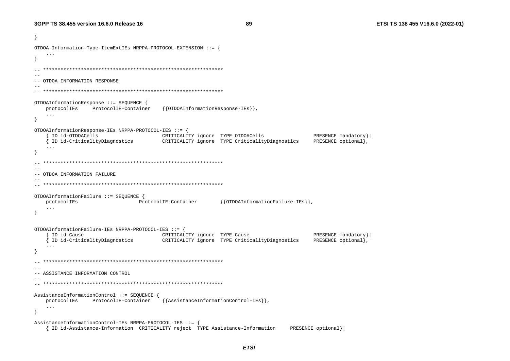ો OTDOA-Information-Type-ItemExtIEs NRPPA-PROTOCOL-EXTENSION ::= {  $\rightarrow$ -- OTDOA INFORMATION RESPONSE OTDOAInformationResponse ::= SEQUENCE { protocolIEs ProtocolIE-Container {{OTDOAInformationResponse-IEs}},  $\sim$   $\sim$   $\sim$  $\overline{\mathbf{1}}$ OTDOAInformationResponse-IEs NRPPA-PROTOCOL-IES ::= { PRESENCE mandatory } { ID id-OTDOACells CRITICALITY ignore TYPE OTDOACells { ID id-CriticalityDiagnostics CRITICALITY ignore TYPE CriticalityDiagnostics PRESENCE optional},  $\ddotsc$  $\rightarrow$  $-$ -- OTDOA INFORMATION FAILURE OTDOAInformationFailure ::= SEOUENCE { protocolIEs ProtocolIE-Container {{OTDOAInformationFailure-IEs}}  $\sim 10$  .  $\rightarrow$ OTDOAInformationFailure-IEs NRPPA-PROTOCOL-IES ::= { { ID id-Cause CRITICALITY ignore TYPE Cause PRESENCE mandatory } { ID id-CriticalityDiagnostics CRITICALITY ignore TYPE CriticalityDiagnostics PRESENCE optional},  $\rightarrow$  $-$ -- ASSISTANCE INFORMATION CONTROL AssistanceInformationControl ::= SEQUENCE { protocolIEs ProtocolIE-Container  $\{\{\text{AssistanceInformationControl-IES}\}\}\,$  $\ddots$  $\mathcal{F}$ AssistanceInformationControl-IEs NRPPA-PROTOCOL-IES ::= { { ID id-Assistance-Information CRITICALITY reject TYPE Assistance-Information PRESENCE optional}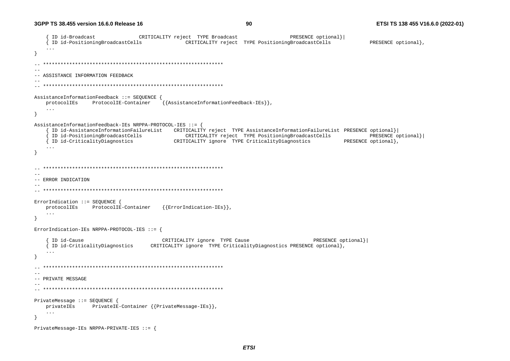```
ID id-Broadcast
                            CRITICALITY reject TYPE Broadcast
                                                                     PRESENCE optional}
   { ID id-PositioningBroadcastCells
                                        CRITICALITY reject TYPE PositioningBroadcastCells
                                                                                           PRESENCE optional},
   \sim \sim \sim\sim --- ASSISTANCE INFORMATION FEEDBACK
AssistanceInformationFeedback ::= SEQUENCE {
                                 {{AssistanceInformationFeedback-IEs}}
   protocolIEs
             ProtocolIE-Container
   \sim \sim \sim\rightarrowAssistanceInformationFeedback-IEs NRPPA-PROTOCOL-IES ::= {
    ID id-AssistanceInformationFailureList CRITICALITY reject TYPE AssistanceInformationFailureList PRESENCE optional}
    ID id-PositioningBroadcastCells
                                        CRITICALITY reject TYPE PositioningBroadcastCells
                                                                                           PRESENCE optional}
   { ID id-CriticalityDiagnostics
                              CRITICALITY ignore TYPE CriticalityDiagnostics
                                                                                    PRESENCE optional},
   \ddots .
\rightarrow\sim-- ERROR INDICATION
ErrorIndication ::= SEQUENCE {
                                  {|ErrorIndication-IES|},protocolIEs ProtocolIE-Container
   \cdots\rightarrowErrorIndication-IEs NRPPA-PROTOCOL-IES ::= {
    ID id-Cause
                                  CRITICALITY ignore TYPE Cause
                                                                           PRESENCE optional}
    ID id-CriticalityDiagnostics
                               CRITICALITY ignore TYPE CriticalityDiagnostics PRESENCE optional},
   \ddots\lambda- --- PRIVATE MESSAGE
-PrivateMessage ::= SEQUENCE {
            PrivateIE-Container {{PrivateMessage-IEs}},
   privateIEs
   \mathbf{1}\rightarrowPrivateMessage-IEs NRPPA-PRIVATE-IES ::= {
```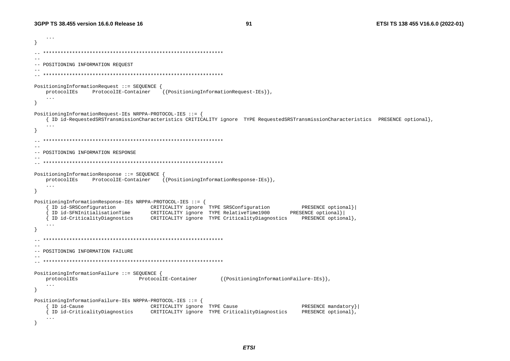ETSI TS 138 455 V16.6.0 (2022-01)

```
\ddots\overline{\mathbf{1}}-- POSITIONING INFORMATION REQUEST
PositioningInformationRequest ::= SEQUENCE {
   protocolIEs
              ProtocolIE-Container
                                  {{PositioningInformationRequest-IEs}}
   \sim 100\rightarrowPositioningInformationRequest-IEs NRPPA-PROTOCOL-IES ::= {
   { ID id-RequestedSRSTransmissionCharacteristics CRITICALITY ignore TYPE RequestedSRSTransmissionCharacteristics PRESENCE optional},
   \sim \sim \sim- --- POSITIONING INFORMATION RESPONSE
PositioningInformationResponse ::= SEOUENCE
   protocolIEs
              ProtocolIE-Container
                                  {{PositioningInformationResponse-IEs}}
   \sim \sim \simPositioningInformationResponse-IEs NRPPA-PROTOCOL-IES ::= {
    ID id-SRSConfiguration CRITICALITY ignore TYPE SRSConfiguration
                                                                        PRESENCE optional}
    ID id-SFNInitialisationTime CRITICALITY ignore TYPE RelativeTime1900
                                                                     PRESENCE optional}
   ID id-CriticalityDiagnostics CRITICALITY ignore TYPE CriticalityDiagnostics
                                                                        PRESENCE optional},
   \cdot \cdot \cdot--- POSITIONING INFORMATION FAILURE
PositioningInformationFailure ::= SEQUENCE {
                                                  {{PositioningInformationFailure-IEs}}
   protocolIEs
                 ProtocolIE-Container
   \ldots\rightarrowPositioningInformationFailure-IEs NRPPA-PROTOCOL-IES ::= {
    ID id-Cause
                               CRITICALITY ignore TYPE Cause
                                                                        PRESENCE mandatory}
   { ID id-CriticalityDiagnostics
                               CRITICALITY ignore TYPE CriticalityDiagnostics
                                                                        PRESENCE optional},
   \ddots
```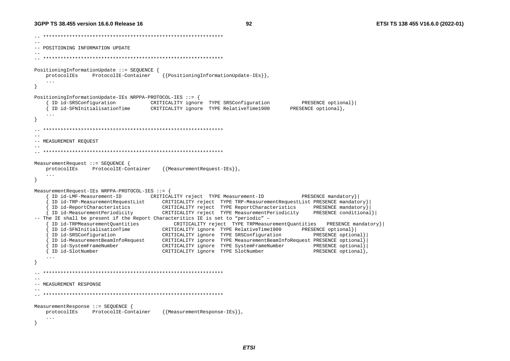92

-- POSITIONING INFORMATION UPDATE  $-$ PositioningInformationUpdate ::= SEOUENCE { protocolIEs ProtocolIE-Container {{PositioningInformationUpdate-IEs}}  $\ldots$ PositioningInformationUpdate-IEs NRPPA-PROTOCOL-IES ::= { ID id-SRSConfiguration CRITICALITY ignore TYPE SRSConfiguration PRESENCE optional} ID id-SFNInitialisationTime CRITICALITY ignore TYPE RelativeTime1900 PRESENCE optional},  $\overline{1}$  $\overline{\mathbf{1}}$  $\sim$ -- MEASUREMENT REQUEST MeasurementRequest ::= SEOUENCE { protocolIEs ProtocolIE-Container {{MeasurementRequest-IEs}},  $\sim$   $\sim$   $\sim$  $\overline{\mathbf{1}}$ MeasurementRequest-IEs NRPPA-PROTOCOL-IES ::= { ID id-LMF-Measurement-ID CRITICALITY reject TYPE Measurement-ID PRESENCE mandatory} ID id-TRP-MeasurementRequestList CRITICALITY reject TYPE TRP-MeasurementRequestList PRESENCE mandatory} ID id-ReportCharacteristics CRITICALITY reject TYPE ReportCharacteristics PRESENCE mandatory} ID id-MeasurementPeriodicity CRITICALITY reject TYPE MeasurementPeriodicity PRESENCE conditional} -- The IE shall be present if the Report Characteritics IE is set to "periodic" -ID id-TRPMeasurementQuantities CRITICALITY reject TYPE TRPMeasurementQuantities PRESENCE mandatory} ID id-SFNInitialisationTime CRITICALITY ignore TYPE RelativeTime1900 PRESENCE optional} ID id-SRSConfiguration CRITICALITY ignore TYPE SRSConfiguration PRESENCE optional} ID id-MeasurementBeamInfoRequest CRITICALITY ignore TYPE MeasurementBeamInfoRequest PRESENCE optional} ID id-SystemFrameNumber CRITICALITY ignore TYPE SystemFrameNumber PRESENCE optional} { ID id-SlotNumber CRITICALITY ignore TYPE SlotNumber PRESENCE optional}  $\ddots$  $\lambda$ -- MEASUREMENT RESPONSE MeasurementResponse ::= SEQUENCE { ProtocolIE-Container {{MeasurementResponse-IEs}}, protocolIEs  $\sim$   $\sim$   $\sim$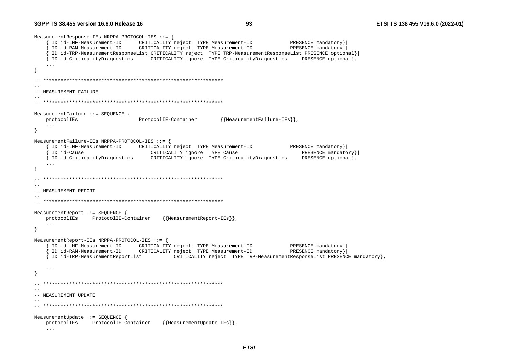```
MeasurementResponse-IEs NRPPA-PROTOCOL-IES ::= {
    ID id-LMF-Measurement-ID
                         CRITICALITY reject TYPE Measurement-ID
                                                                    PRESENCE mandatory}
    ID id-RAN-Measurement-ID
                         CRITICALITY reject TYPE Measurement-ID
                                                                    PRESENCE mandatory}
    ID id-TRP-MeasurementResponseList CRITICALITY reject TYPE TRP-MeasurementResponseList PRESENCE optional}
   { ID id-CriticalityDiagnostics CRITICALITY ignore TYPE CriticalityDiagnostics
                                                                       PRESENCE optional},
   \ddots\lambda-- MEASUREMENT FAILURE
MeasurementFailure ::= SEOUENCE {
   protocolIEs
                            ProtocolIE-Container
                                                  {{MeasurementFailure-IEs}},
   \sim \sim \simMeasurementFailure-IEs NRPPA-PROTOCOL-IES ::= {
    ID id-LMF-Measurement-ID CRITICALITY reject TYPE Measurement-ID
                                                                    PRESENCE mandatory }
    ID id-Cause
                            CRITICALITY ignore TYPE Cause
                                                                       PRESENCE mandatory }
   { ID id-CriticalityDiagnostics
                               CRITICALITY ignore TYPE CriticalityDiagnostics
                                                                       PRESENCE optional},
   \ldots\sim --- MEASUREMENT REPORT
MeasurementReport ::= SEQUENCE {
                                  {{MeasurementReport-IEs}},
   protocolIEs ProtocolIE-Container
   \ldotsMeasurementReport-IEs NRPPA-PROTOCOL-IES ::= {
    ID id-LMF-Measurement-ID CRITICALITY reject TYPE Measurement-ID
                                                                    PRESENCE mandatory}
    ID id-RAN-Measurement-ID CRITICALITY reject TYPE Measurement-ID
                                                                    PRESENCE mandatory}
   { ID id-TRP-MeasurementReportList
                                 CRITICALITY reject TYPE TRP-MeasurementResponseList PRESENCE mandatory},
   \sim . .
- }
--- MEASUREMENT UPDATE
MeasurementUpdate ::= SEOUENCE {
   protocolIEs ProtocolIE-Container
                                  {{MeasurementUpdate-IEs}},
   \ddots
```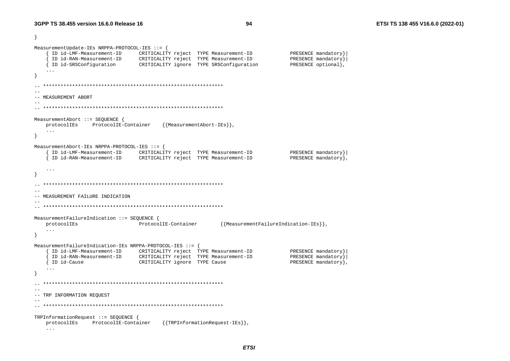- }

```
MeasurementUpdate-IEs NRPPA-PROTOCOL-IES ::= {
    ID id-LMF-Measurement-ID CRITICALITY reject TYPE Measurement-ID
                                                                      PRESENCE mandatory}
    ID id-RAN-Measurement-ID CRITICALITY reject TYPE Measurement-ID
                                                                      PRESENCE mandatory}
   \overline{f} ID id-SRSConfiguration CRITICALITY ignore TYPE SRSConfiguration
                                                                      PRESENCE optional),
   \sim \sim \sim\rightarrow--- MEASUREMENT ABORT
MeasurementAbort ::= SEQUENCE {
   protocolIEs ProtocolIE-Container
                                   {{MeasurementAbort-IEs}}
   \ddots\rightarrowMeasurementAbort-IEs NRPPA-PROTOCOL-IES ::= {
                                                                      PRESENCE mandatory}
    ID id-LMF-Measurement-ID
                         CRITICALITY reject TYPE Measurement-ID
    ID id-RAN-Measurement-ID
                            CRITICALITY reject TYPE Measurement-ID
                                                                      PRESENCE mandatory },
   \sim \sim \sim\rightarrow--- MEASUREMENT FAILURE INDICATION
MeasurementFailureIndication ::= SEQUENCE {
   protocolIEs
                            ProtocolIE-Container
                                                   {{MeasurementFailureIndication-IEs}}
   \ldots\rightarrowMeasurementFailureIndication-IEs NRPPA-PROTOCOL-IES ::= {
    ID id-LMF-Measurement-ID CRITICALITY reject TYPE Measurement-ID
                                                                      PRESENCE mandatory}
    ID id-RAN-Measurement-ID
                         CRITICALITY reject TYPE Measurement-ID
                                                                     PRESENCE mandatory}
                           CRITICALITY ignore TYPE Cause
   { ID id-Cause
                                                                      PRESENCE mandatory}
   \sim . .
- }
  \sim --- TRP INFORMATION REQUEST
TRPInformationRequest ::= SEOUENCE {
   protocolIEs
             ProtocolIE-Container
                                   {{TRPInformationRequest-IEs}},
   \ldots
```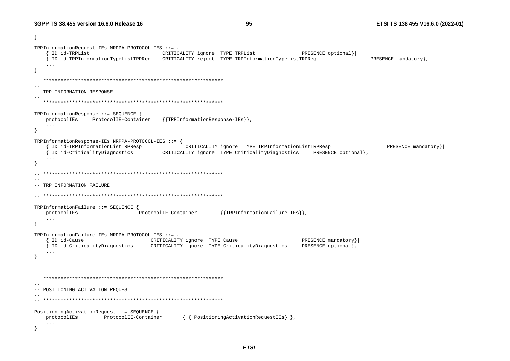$\rightarrow$ TRPInformationRequest-IEs NRPPA-PROTOCOL-IES ::= { { ID id-TRPList CRITICALITY ignore TYPE TRPList PRESENCE optional}| { ID id-TRPInformationTypeListTRPReq CRITICALITY reject TYPE TRPInformationTypeListTRPReq PRESENCE mandatory },  $\ddots$  $\rightarrow$ -- TRP INFORMATION RESPONSE  $\sim$   $-$ TRPInformationResponse ::= SEOUENCE { protocolIEs ProtocolIE-Container {{TRPInformationResponse-IEs}},  $\sim$   $\sim$   $\sim$  $\rightarrow$ TRPInformationResponse-IEs NRPPA-PROTOCOL-IES ::= { ID id-TRPInformationListTRPResp CRITICALITY ignore TYPE TRPInformationListTRPResp PRESENCE mandatory } PRESENCE optional}, { ID id-CriticalityDiagnostics CRITICALITY ignore TYPE CriticalityDiagnostics  $\ddots$  $\rightarrow$  $-$ -- TRP INFORMATION FAILURE  $-$ TRPInformationFailure ::= SEQUENCE { protocolIEs ProtocolIE-Container {{TRPInformationFailure-IEs}}  $\cdots$ TRPInformationFailure-IEs NRPPA-PROTOCOL-IES ::= { { ID id-Cause CRITICALITY ignore TYPE Cause PRESENCE mandatory} { ID id-CriticalityDiagnostics CRITICALITY ignore TYPE CriticalityDiagnostics PRESENCE optional},  $\ddots$  $\mathcal{E}$  $-$ -- POSITIONING ACTIVATION REQUEST PositioningActivationRequest ::= SEQUENCE { protocolIEs ProtocolIE-Container { { PositioningActivationRequestIEs} },  $\sim$   $\sim$   $\sim$ - }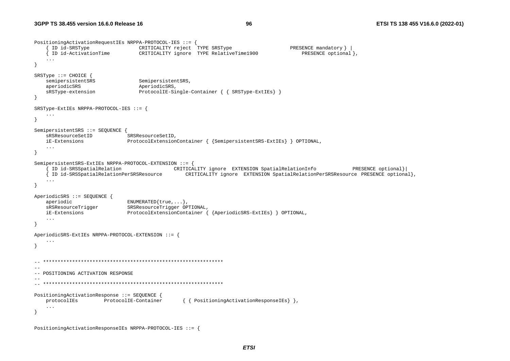```
PositioningActivationRequestIEs NRPPA-PROTOCOL-IES ::= { 
      { ID id-SRSType CRITICALITY reject TYPE SRSType PRESENCE mandatory } | 
     { ID id-ActivationTime CRITICALITY ignore TYPE RelativeTime1900 PRESENCE optional }, 
    ... } 
SRSType ::= CHOICE { 
   semipersistentSRS SemipersistentSRS,
   aperiodicSRS AperiodicSRS,
    sRSType-extension ProtocolIE-Single-Container { { SRSType-ExtIEs} } 
} 
SRSType-ExtIEs NRPPA-PROTOCOL-IES ::= { 
    ... } 
SemipersistentSRS ::= SEQUENCE {
   sRSResourceSetID SRSResourceSetID,
    iE-Extensions ProtocolExtensionContainer { {SemipersistentSRS-ExtIEs} } OPTIONAL, 
    ... } 
SemipersistentSRS-ExtIEs NRPPA-PROTOCOL-EXTENSION ::= { 
      { ID id-SRSSpatialRelation CRITICALITY ignore EXTENSION SpatialRelationInfo PRESENCE optional}| 
    { ID id-SRSSpatialRelationPerSRSResource CRITICALITY ignore EXTENSION SpatialRelationPerSRSResource PRESENCE optional}, 
    ... } 
AperiodicSRS ::= SEQUENCE { 
   aperiodic ENUMERATED{true,...},
    sRSResourceTrigger SRSResourceTrigger OPTIONAL, 
    iE-Extensions ProtocolExtensionContainer { {AperiodicSRS-ExtIEs} } OPTIONAL, 
 ... 
} 
AperiodicSRS-ExtIEs NRPPA-PROTOCOL-EXTENSION ::= { 
    ... } 
  -- ************************************************************** -- -- POSITIONING ACTIVATION RESPONSE 
-- 
-- ************************************************************** PositioningActivationResponse ::= SEQUENCE { 
    protocolIEs ProtocolIE-Container { { PositioningActivationResponseIEs} }, 
    ... } 
PositioningActivationResponseIEs NRPPA-PROTOCOL-IES ::= {
```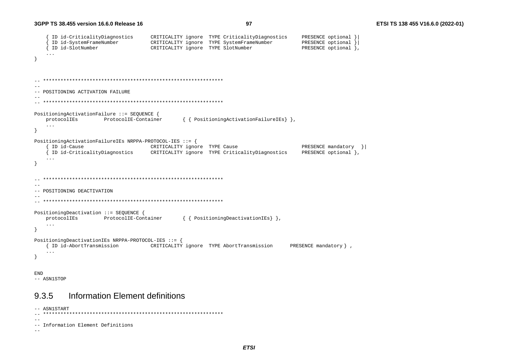```
ID id-CriticalityDiagnostics
                                 CRITICALITY ignore TYPE CriticalityDiagnostics
                                                                             PRESENCE optional }
    ID id-SystemFrameNumber
                                 CRITICALITY ignore TYPE SystemFrameNumber
                                                                             PRESENCE optional }
    ID id-SlotNumber
                                 CRITICALITY ignore TYPE SlotNumber
                                                                             PRESENCE optional },
   \sim \sim \sim\lambda\sim --- POSITIONING ACTIVATION FAILURE
\sim -PositioningActivationFailure ::= SEQUENCE {
   protocolIEs
                   ProtocolIE-Container
                                          { { PositioningActivationFailureIEs} },
   \sim \sim \sim\rightarrowPositioningActivationFailureIEs NRPPA-PROTOCOL-IES ::= {
    ID id-Cause
                                 CRITICALITY ignore TYPE Cause
                                                                             PRESENCE mandatory } |
   { ID id-CriticalityDiagnostics
                                 CRITICALITY ignore TYPE CriticalityDiagnostics
                                                                             PRESENCE optional },
   \ddots\left\{ \right\}\sim --- POSITIONING DEACTIVATION
PositioningDeactivation ::= SEQUENCE {
                                          { { Positioning Deactivation IEs } },
   protocolIEs
               ProtocolIE-Container
   \ldots- }
PositioningDeactivationIEs NRPPA-PROTOCOL-IES ::= {
   { ID id-AbortTransmission CRITICALITY ignore TYPE AbortTransmission
                                                                         PRESENCE mandatory },
   \ddots\mathcal{E}END
```
-- ASN1STOP

#### Information Element definitions 9.3.5

```
-- ASN1START
--- Information Element Definitions
-
```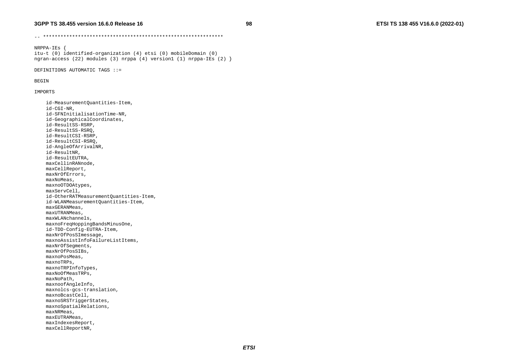98

NRPPA-IEs { itu-t (0) identified-organization (4) etsi (0) mobileDomain (0) ngran-access (22) modules (3) nrppa (4) version1 (1) nrppa-IEs (2)  $\}$ 

DEFINITIONS AUTOMATIC TAGS ::=

#### **BEGIN**

IMPORTS

id-MeasurementQuantities-Item, id-CGI-NR. id-SFNInitialisationTime-NR, id-GeographicalCoordinates, id-ResultSS-RSRP, id-ResultSS-RSRQ, id-ResultCSI-RSRP, id-ResultCSI-RSRQ, id-AngleOfArrivalNR, id-ResultNR, id-ResultEUTRA, maxCellinRANnode, maxCellReport, maxNrOfErrors. maxNoMeas, maxnoOTDOAtypes, maxServCell, id-OtherRATMeasurementOuantities-Item, id-WLANMeasurementQuantities-Item, maxGERANMeas, maxUTRANMeas, maxWLANchannels, maxnoFreqHoppingBandsMinusOne, id-TDD-Config-EUTRA-Item, maxNrOfPosSImessage, maxnoAssistInfoFailureListItems, maxNrOfSeqments, maxNrOfPosSIBs, maxnoPosMeas, maxnoTRPs. maxnoTRPInfoTypes, maxNoOfMeasTRPs, maxNoPath, maxnoofAngleInfo, maxnolcs-gcs-translation, maxnoBcastCell, maxnoSRSTriggerStates, maxnoSpatialRelations, maxNRMeas, maxEUTRAMeas, maxIndexesReport, maxCellReportNR,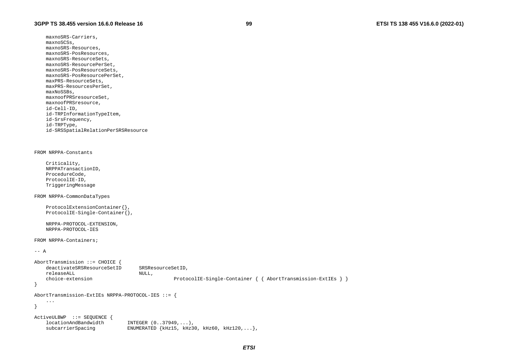maxnoSRS-Carriers, maxnoSCSs, maxnoSRS-Resources, maxnoSRS-PosResources, maxnoSRS-ResourceSets, maxnoSRS-ResourcePerSet, maxnoSRS-PosResourceSets, maxnoSRS-PosResourcePerSet, maxPRS-ResourceSets, maxPRS-ResourcesPerSet, maxNoSSBs, maxnoofPRSresourceSet, maxnoofPRSresource, id-Cell-ID, id-TRPInformationTypeItem, id-SrsFrequency, id-TRPType, id-SRSSpatialRelationPerSRSResource

#### FROM NRPPA-Constants

 Criticality, NRPPATransactionID, ProcedureCode, ProtocolIE-ID, TriggeringMessage

FROM NRPPA-CommonDataTypes

```
 ProtocolExtensionContainer{}, 
 ProtocolIE-Single-Container{},
```
 NRPPA-PROTOCOL-EXTENSION, NRPPA-PROTOCOL-IES

FROM NRPPA-Containers;

```
-- A
```

```
AbortTransmission ::= CHOICE { 
   deactivateSRSResourceSetID SRSResourceSetID,
   releaseALL NULL,
    choice-extension ProtocolIE-Single-Container { { AbortTransmission-ExtIEs } } 
} 
AbortTransmission-ExtIEs NRPPA-PROTOCOL-IES ::= { 
    ... }
```

```
ActiveULBWP ::= SEQUENCE { 
    locationAndBandwidth INTEGER (0..37949,...), 
   subcarrierSpacing ENUMERATED {kHz15, kHz30, kHz60, kHz120,...},
```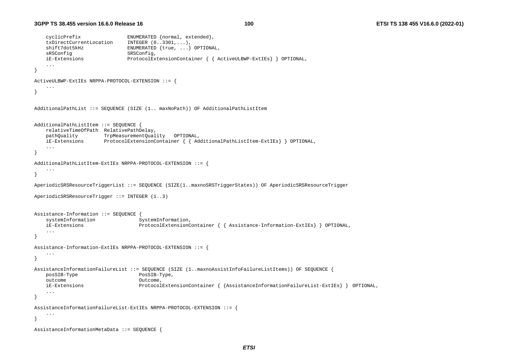```
cyclicPrefix ENUMERATED {normal, extended},<br>txDirectCurrentLocation INTEGER (0..3301,...),
    txDirectCurrentLocation
     shift7dot5kHz ENUMERATED {true, ...} OPTIONAL, 
    sRSConfig SRSConfig,
    iE-Extensions ProtocolExtensionContainer { { ActiveULBWP-ExtIEs} } OPTIONAL, 
     ... } 
ActiveULBWP-ExtIEs NRPPA-PROTOCOL-EXTENSION ::= { 
     ... } 
AdditionalPathList ::= SEQUENCE (SIZE (1.. maxNoPath)) OF AdditionalPathListItem 
AdditionalPathListItem ::= SEQUENCE { 
    relativeTimeOfPath RelativePathDelay, 
    pathQuality TrpMeasurementQuality OPTIONAL, 
    iE-Extensions ProtocolExtensionContainer { { AdditionalPathListItem-ExtIEs} } OPTIONAL, 
     ... } 
AdditionalPathListItem-ExtIEs NRPPA-PROTOCOL-EXTENSION ::= { 
     ... } 
AperiodicSRSResourceTriggerList ::= SEQUENCE (SIZE(1..maxnoSRSTriggerStates)) OF AperiodicSRSResourceTrigger 
AperiodicSRSResourceTrigger ::= INTEGER (1..3) 
Assistance-Information ::= SEQUENCE { 
    systemInformation SystemInformation,
    iE-Extensions ProtocolExtensionContainer { { Assistance-Information-ExtIEs} } OPTIONAL, 
     ... } 
Assistance-Information-ExtIEs NRPPA-PROTOCOL-EXTENSION ::= { 
 ... } 
AssistanceInformationFailureList ::= SEQUENCE (SIZE (1..maxnoAssistInfoFailureListItems)) OF SEQUENCE { 
   posSIB-Type PosSIB-Type,
    outcome Outcome, 
     iE-Extensions ProtocolExtensionContainer { {AssistanceInformationFailureList-ExtIEs} } OPTIONAL, 
     ... } 
AssistanceInformationFailureList-ExtIEs NRPPA-PROTOCOL-EXTENSION ::= { 
     ... } 
AssistanceInformationMetaData ::= SEQUENCE {
```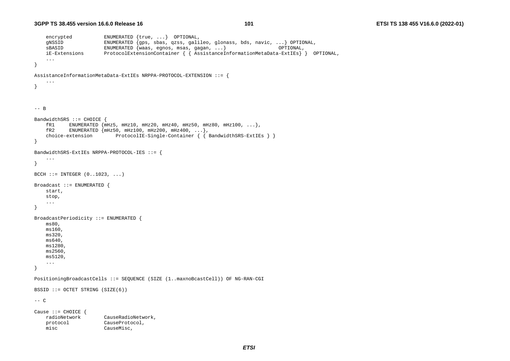```
encrypted ENUMERATED {true, ... } OPTIONAL,
     gNSSID ENUMERATED {gps, sbas, qzss, galileo, glonass, bds, navic, ...} OPTIONAL, 
     sBASID ENUMERATED {waas, egnos, msas, gagan, ...} OPTIONAL, 
                           FrotocolExtensionContainer {\{ \} } \text{d} S. ProtocolExtensionContainer {\{ \} } AssistanceInformationMetaData-ExtIEs{\} } OPTIONAL,
      ... } 
AssistanceInformationMetaData-ExtIEs NRPPA-PROTOCOL-EXTENSION ::= { 
      ... } 
-- B BandwidthSRS ::= CHOICE { 
    fR1 ENUMERATED \{\text{mHz5}, \text{mHz10}, \text{mHz20}, \text{mHz400}, \text{mHz50}, \text{mHz80}, \text{mHz100}, \ldots\},<br>fR2 ENUMERATED \{\text{mHz50}, \text{mHz100}, \text{mHz200}, \text{mHz400}, \ldots\}ENUMERATED \{mHz50, mHz100, mHz200, mHz400, ... \}choice-extension ProtocolIE-Single-Container { { BandwidthSRS-ExtIEs } }
} 
BandwidthSRS-ExtIEs NRPPA-PROTOCOL-IES ::= { 
 ... 
} 
BCCH ::= INTEGER (0, .1023, . . . .)Broadcast ::= ENUMERATED { 
     start, 
     stop, 
      ... } 
BroadcastPeriodicity ::= ENUMERATED { 
     ms80, 
     ms160, 
     ms320, 
     ms640, 
     ms1280, 
     ms2560, 
     ms5120, 
     ... } 
PositioningBroadcastCells ::= SEQUENCE (SIZE (1..maxnoBcastCell)) OF NG-RAN-CGI 
BSSID ::= OCTET STRING (SIZE(6)) 
-- C Cause ::= CHOICE {<br>radioNetwork
                            CauseRadioNetwork,
     protocol CauseProtocol, 
     misc CauseMisc,
```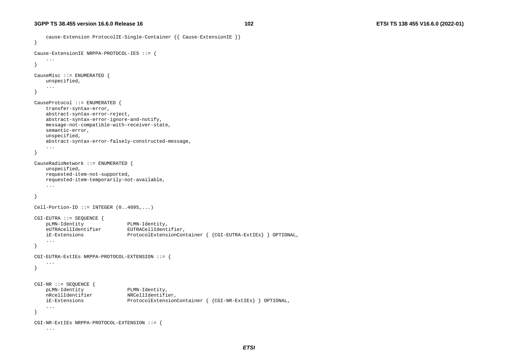cause-Extension ProtocolIE-Single-Container {{ Cause-ExtensionIE }}

```
} 
Cause-ExtensionIE NRPPA-PROTOCOL-IES ::= { 
     ... } 
CauseMisc ::= ENUMERATED { 
     unspecified, 
     ... } 
CauseProtocol ::= ENUMERATED { 
     transfer-syntax-error, 
     abstract-syntax-error-reject, 
     abstract-syntax-error-ignore-and-notify, 
     message-not-compatible-with-receiver-state, 
     semantic-error, 
     unspecified, 
     abstract-syntax-error-falsely-constructed-message, 
 ... 
} 
CauseRadioNetwork ::= ENUMERATED { 
     unspecified, 
     requested-item-not-supported, 
     requested-item-temporarily-not-available, 
     ... } 
Cell-Portion-ID ::= INTEGER (0..4095,...)CGI-EUTRA ::= SEQUENCE { 
    pLMN-Identity PLMN-Identity, 
     eUTRAcellIdentifier EUTRACellIdentifier, 
     iE-Extensions ProtocolExtensionContainer { {CGI-EUTRA-ExtIEs} } OPTIONAL, 
     ... } 
CGI-EUTRA-ExtIEs NRPPA-PROTOCOL-EXTENSION ::= { 
     ... } 
CGI-NR ::= SEQUENCE { 
    pLMN-Identity PLMN-Identity, 
   nRcellIdentifier NRCellIdentifier,
     iE-Extensions ProtocolExtensionContainer { {CGI-NR-ExtIEs} } OPTIONAL, 
     ... } 
CGI-NR-ExtIEs NRPPA-PROTOCOL-EXTENSION ::= { 
     ...
```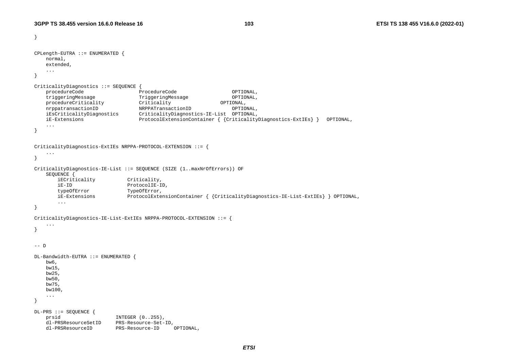```
} 
CPLength-EUTRA ::= ENUMERATED { 
    normal, 
    extended, 
    ... } 
CriticalityDiagnostics ::= SEQUENCE { 
    procedureCode ProcedureCode OPTIONAL, 
    triggeringMessage TriggeringMessage OPTIONAL, 
    procedureCriticality Criticality OPTIONAL, 
    nrppatransactionID NRPPATransactionID OPTIONAL, 
    iEsCriticalityDiagnostics CriticalityDiagnostics-IE-List OPTIONAL, 
    iE-Extensions ProtocolExtensionContainer { {CriticalityDiagnostics-ExtIEs} } OPTIONAL, 
    ... } 
CriticalityDiagnostics-ExtIEs NRPPA-PROTOCOL-EXTENSION ::= { 
    ... } 
CriticalityDiagnostics-IE-List ::= SEQUENCE (SIZE (1..maxNrOfErrors)) OF 
    SEQUENCE { 
       iECriticality Criticality, 
       iE-ID ProtocolIE-ID, 
      typeOfError TypeOfError,
       iE-Extensions ProtocolExtensionContainer { {CriticalityDiagnostics-IE-List-ExtIEs} } OPTIONAL, 
 ... 
} 
CriticalityDiagnostics-IE-List-ExtIEs NRPPA-PROTOCOL-EXTENSION ::= { 
    ... } 
-- D
DL-Bandwidth-EUTRA ::= ENUMERATED { 
    bw6, 
    bw15, 
    bw25, 
    bw50, 
    bw75, 
    bw100, 
 ... 
} 
DL-PRS ::= SEQUENCE { 
   prsid INTEGER (0..255),
    dl-PRSResourceSetID PRS-Resource-Set-ID, 
    dl-PRSResourceID PRS-Resource-ID OPTIONAL,
```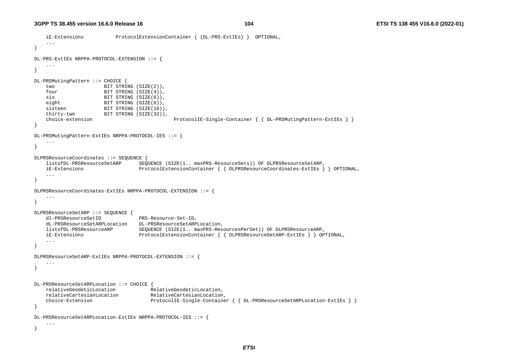```
 iE-Extensions ProtocolExtensionContainer { {DL-PRS-ExtIEs} } OPTIONAL, 
    ... } 
DL-PRS-ExtIEs NRPPA-PROTOCOL-EXTENSION ::= { 
    ... } 
DL-PRSMutingPattern ::= CHOICE { 
    two BIT STRING (SIZE(2)), 
   four BIT STRING (SIZE(4)),
   six BIT STRING (SIZE(6)),
   eight BIT STRING (SIZE(8)),
   sixteen BIT STRING (SIZE(16)),
    thirty-two BIT STRING (SIZE(32)), 
    choice-extension ProtocolIE-Single-Container { { DL-PRSMutingPattern-ExtIEs } } 
} 
DL-PRSMutingPattern-ExtIEs NRPPA-PROTOCOL-IES ::= { 
    ... } 
DLPRSResourceCoordinates ::= SEQUENCE { 
    listofDL-PRSResourceSetARP SEQUENCE (SIZE(1.. maxPRS-ResourceSets)) OF DLPRSResourceSetARP, 
    iE-Extensions ProtocolExtensionContainer { { DLPRSResourceCoordinates-ExtIEs } } OPTIONAL, 
    ... } 
DLPRSResourceCoordinates-ExtIEs NRPPA-PROTOCOL-EXTENSION ::= { 
    ... } 
DLPRSResourceSetARP ::= SEQUENCE { 
    dl-PRSResourceSetID PRS-Resource-Set-ID, 
    dL-PRSResourceSetARPLocation DL-PRSResourceSetARPLocation, 
    listofDL-PRSResourceARP SEQUENCE (SIZE(1.. maxPRS-ResourcesPerSet)) OF DLPRSResourceARP, 
    iE-Extensions ProtocolExtensionContainer { { DLPRSResourceSetARP-ExtIEs } } OPTIONAL, 
    ... } 
DLPRSResourceSetARP-ExtIEs NRPPA-PROTOCOL-EXTENSION ::= { 
    ... } 
DL-PRSResourceSetARPLocation ::= CHOICE { 
    relativeGeodeticLocation RelativeGeodeticLocation, 
    relativeCartesianLocation RelativeCartesianLocation, 
    choice-Extension ProtocolIE-Single-Container { { DL-PRSResourceSetARPLocation-ExtIEs } } 
} 
DL-PRSResourceSetARPLocation-ExtIEs NRPPA-PROTOCOL-IES ::= { 
    ... }
```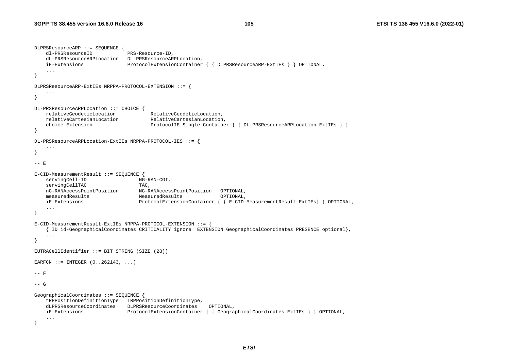```
DLPRSResourceARP ::= SEQUENCE { 
    dl-PRSResourceID PRS-Resource-ID, 
    dL-PRSResourceARPLocation DL-PRSResourceARPLocation, 
    iE-Extensions ProtocolExtensionContainer { { DLPRSResourceARP-ExtIEs } } OPTIONAL, 
     ... } 
DLPRSResourceARP-ExtIEs NRPPA-PROTOCOL-EXTENSION ::= { 
     ... } 
DL-PRSResourceARPLocation ::= CHOICE { 
    relativeGeodeticLocation RelativeGeodeticLocation, 
    relativeCartesianLocation RelativeCartesianLocation, 
    choice-Extension ProtocolIE-Single-Container { { DL-PRSResourceARPLocation-ExtIEs } } 
} 
DL-PRSResourceARPLocation-ExtIEs NRPPA-PROTOCOL-IES ::= { 
 ... } 
-- E E-CID-MeasurementResult ::= SEQUENCE
   servingCell-ID NG-RAN-CGI,
   servingCellTAC TAC,
    nG-RANAccessPointPosition NG-RANAccessPointPosition OPTIONAL, 
    measuredResults MeasuredResults OPTIONAL, 
    iE-Extensions ProtocolExtensionContainer { { E-CID-MeasurementResult-ExtIEs} } OPTIONAL, 
 ... 
} 
E-CID-MeasurementResult-ExtIEs NRPPA-PROTOCOL-EXTENSION ::= { 
     { ID id-GeographicalCoordinates CRITICALITY ignore EXTENSION GeographicalCoordinates PRESENCE optional}, 
     ... } 
EUTRACellIdentifier ::= BIT STRING (SIZE (28)) 
EARFCN ::= INTEGER (0, .262143, . . . .)-- F
-- G GeographicalCoordinates ::= SEQUENCE { 
    tRPPositionDefinitionType TRPPositionDefinitionType, 
    dLPRSResourceCoordinates DLPRSResourceCoordinates OPTIONAL, 
    iE-Extensions ProtocolExtensionContainer { { GeographicalCoordinates-ExtIEs } } OPTIONAL, 
     ... }
```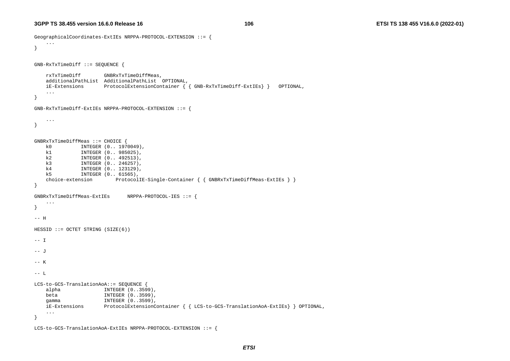```
GeographicalCoordinates-ExtIEs NRPPA-PROTOCOL-EXTENSION ::= { 
     ... } 
GNB-RxTxTimeDiff ::= SEQUENCE { 
    rxTxTimeDiff GNBRxTxTimeDiffMeas, 
    additionalPathList AdditionalPathList OPTIONAL, 
    iE-Extensions ProtocolExtensionContainer { { GNB-RxTxTimeDiff-ExtIEs} } OPTIONAL, 
 ... 
} 
GNB-RxTxTimeDiff-ExtIEs NRPPA-PROTOCOL-EXTENSION ::= { 
    ... } 
GNBRxTxTimeDiffMeas ::= CHOICE { 
    k0 INTEGER (0.. 1970049), 
    k1 INTEGER (0.. 985025), 
    k2 INTEGER (0.. 492513), 
    k3 INTEGER (0.. 246257), 
    k4 INTEGER (0.. 123129), 
    k5 INTEGER (0.. 61565), 
   choice-extension ProtocolIE-Single-Container { { GNBRxTxTimeDiffMeas-ExtIEs } }
} 
GNBRxTxTimeDiffMeas-ExtIEs NRPPA-PROTOCOL-IES ::= { 
    ... } 
-- H 
HESSID ::= OCTET STRING (SIZE(6)) 
-- I
-- J --- K-- L LCS-to-GCS-TranslationAoA::= SEQUENCE { 
    alpha INTEGER (0..3599), 
   beta INTEGER (0..3599),
   gamma INTEGER (0..3599),
    iE-Extensions ProtocolExtensionContainer { { LCS-to-GCS-TranslationAoA-ExtIEs} } OPTIONAL, 
    ... }
```

```
LCS-to-GCS-TranslationAoA-ExtIEs NRPPA-PROTOCOL-EXTENSION ::= {
```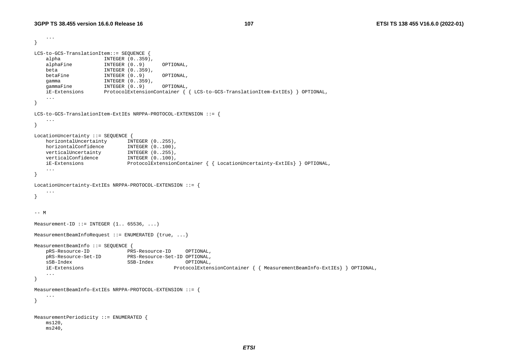```
 ... } 
LCS-to-GCS-TranslationItem::= SEQUENCE { 
   alpha INTEGER (0..359),
 alphaFine INTEGER (0..9) OPTIONAL, 
 beta INTEGER (0..359), 
   betaFine INTEGER (0..9) OPTIONAL,
    gamma INTEGER (0..359), 
   gammaFine INTEGER (0..9) OPTIONAL,
    iE-Extensions ProtocolExtensionContainer { { LCS-to-GCS-TranslationItem-ExtIEs} } OPTIONAL, 
    ... } 
LCS-to-GCS-TranslationItem-ExtIEs NRPPA-PROTOCOL-EXTENSION ::= { 
    ... } 
LocationUncertainty ::= SEQUENCE { 
   horizontalUncertainty INTEGER (0..255),
   horizontalConfidence INTEGER (0..100),
 verticalUncertainty INTEGER (0..255), 
 verticalConfidence INTEGER (0..100), 
 iE-Extensions ProtocolExtensionContainer { { LocationUncertainty-ExtIEs} } OPTIONAL, 
    ... } 
LocationUncertainty-ExtIEs NRPPA-PROTOCOL-EXTENSION ::= { 
    ... } 
-- M Measurement-ID ::= INTEGER (1.. 65536, ...)MeasurementBeamInfoRequest ::= ENUMERATED \{true, \ldots\}MeasurementBeamInfo ::= SEQUENCE { 
    pRS-Resource-ID PRS-Resource-ID OPTIONAL, 
    pRS-Resource-Set-ID PRS-Resource-Set-ID OPTIONAL, 
    sSB-Index SSB-Index OPTIONAL, 
    iE-Extensions ProtocolExtensionContainer { { MeasurementBeamInfo-ExtIEs} } OPTIONAL, 
    ... } 
MeasurementBeamInfo-ExtIEs NRPPA-PROTOCOL-EXTENSION ::= { 
    ... } 
MeasurementPeriodicity ::= ENUMERATED { 
    ms120, 
    ms240,
```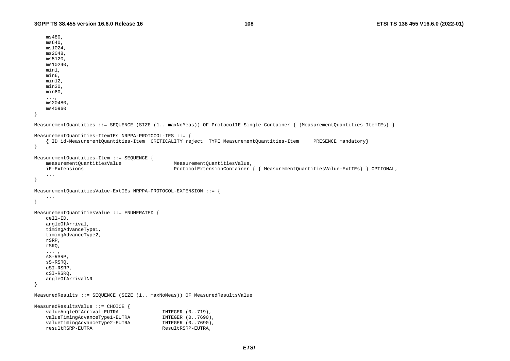```
 ms480, 
     ms640, 
     ms1024, 
    ms2048, 
    ms5120, 
    ms10240, 
    min1, 
     min6, 
     min12, 
     min30, 
     min60, 
     ..., 
     ms20480, 
     ms40960 } 
MeasurementQuantities ::= SEQUENCE (SIZE (1.. maxNoMeas)) OF ProtocolIE-Single-Container { {MeasurementQuantities-ItemIEs} } 
MeasurementQuantities-ItemIEs NRPPA-PROTOCOL-IES ::= { 
     { ID id-MeasurementQuantities-Item CRITICALITY reject TYPE MeasurementQuantities-Item PRESENCE mandatory} 
} 
MeasurementQuantities-Item ::= SEQUENCE { 
     measurementQuantitiesValue MeasurementQuantitiesValue, 
     iE-Extensions ProtocolExtensionContainer { { MeasurementQuantitiesValue-ExtIEs} } OPTIONAL, 
     ... } 
MeasurementQuantitiesValue-ExtIEs NRPPA-PROTOCOL-EXTENSION ::= { 
     ... } 
MeasurementQuantitiesValue ::= ENUMERATED { 
     cell-ID, 
     angleOfArrival, 
     timingAdvanceType1, 
     timingAdvanceType2, 
     rSRP, 
     rSRQ, 
     ... , 
     sS-RSRP, 
     sS-RSRQ, 
     cSI-RSRP, 
     cSI-RSRQ, 
     angleOfArrivalNR 
} 
MeasuredResults ::= SEQUENCE (SIZE (1.. maxNoMeas)) OF MeasuredResultsValue 
MeasuredResultsValue ::= CHOICE { 
    valueAngleOfArrival-EUTRA INTEGER (0..719),
    valueTimingAdvanceType1-EUTRA INTEGER (0..7690),
    valueTimingAdvanceType2-EUTRA INTEGER (0..7690),
    resultRSRP-EUTRA ResultRSRP-EUTRA,
```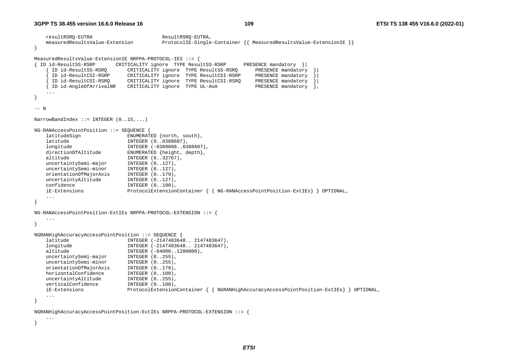...

}

```
resultRSRO-EUTRA ResultRSRO-EUTRA,
    measuredResultsValue-Extension ProtocolIE-Single-Container {{ MeasuredResultsValue-ExtensionIE }} 
} 
MeasuredResultsValue-ExtensionIE NRPPA-PROTOCOL-IES ::= { 
{ ID id-ResultSS-RSRP CRITICALITY ignore TYPE ResultSS-RSRP PRESENCE mandatory }| 
                            CRITICALITY ignore TYPE ResultSS-RSRO
      { ID id-ResultCSI-RSRP CRITICALITY ignore TYPE ResultCSI-RSRP PRESENCE mandatory }| 
      { ID id-ResultCSI-RSRQ CRITICALITY ignore TYPE ResultCSI-RSRQ PRESENCE mandatory }| 
      { ID id-AngleOfArrivalNR CRITICALITY ignore TYPE UL-AoA PRESENCE mandatory }, 
    ... } 
-- N NarrowBandIndex ::= INTEGER (0..15,...) 
NG-RANAccessPointPosition ::= SEQUENCE { 
    latitudeSign ENUMERATED {north, south}, 
    latitude INTEGER (0..8388607), 
    longitude INTEGER (-8388608..8388607), 
   directionOfAltitude ENUMERATED {height, depth},
   altitude INTEGER (0..32767),
   uncertaintySemi-major INTEGER (0..127),
   uncertaintySemi-minor INTEGER (0..127),
    orientationOfMajorAxis INTEGER (0..179), 
   uncertaintyAltitude INTEGER (0..127),
   confidence INTEGER (0..100),
    iE-Extensions ProtocolExtensionContainer { { NG-RANAccessPointPosition-ExtIEs} } OPTIONAL, 
 ... } 
NG-RANAccessPointPosition-ExtIEs NRPPA-PROTOCOL-EXTENSION ::= { 
    ... } 
NGRANHighAccuracyAccessPointPosition ::= SEQUENCE { 
    latitude INTEGER (-2147483648.. 2147483647), 
    longitude INTEGER (-2147483648.. 2147483647), 
   altitude INTEGER (-64000..1280000),
   uncertaintySemi-major INTEGER (0..255),
   uncertaintySemi-minor INTEGER (0..255),
    orientationOfMajorAxis INTEGER (0..179), 
   horizontalConfidence INTEGER (0..100),
   uncertaintyAltitude INTEGER (0..255),
   verticalConfidence INTEGER (0..100),
    iE-Extensions ProtocolExtensionContainer { { NGRANHighAccuracyAccessPointPosition-ExtIEs} } OPTIONAL, 
    ... } 
NGRANHighAccuracyAccessPointPosition-ExtIEs NRPPA-PROTOCOL-EXTENSION ::= {
```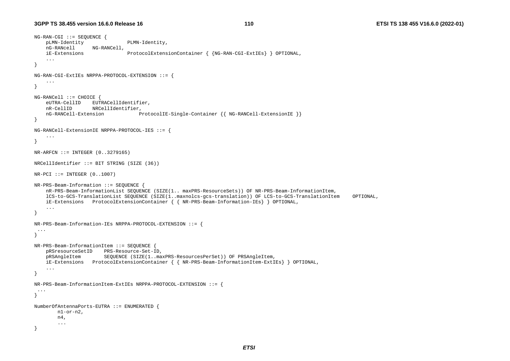```
NG-RAN-CGI ::= SEQUENCE { 
    pLMN-Identity PLMN-Identity, 
    nG-RANcell NG-RANCell, 
     iE-Extensions ProtocolExtensionContainer { {NG-RAN-CGI-ExtIEs} } OPTIONAL, 
     ... } 
NG-RAN-CGI-ExtIEs NRPPA-PROTOCOL-EXTENSION ::= { 
 ... 
} 
NG-RANCell ::= CHOICE { 
     eUTRA-CellID EUTRACellIdentifier, 
    nR-CellID NRCellIdentifier, 
    nG-RANCell-Extension ProtocolIE-Single-Container {{ NG-RANCell-ExtensionIE }} 
} 
NG-RANCell-ExtensionIE NRPPA-PROTOCOL-IES ::= { 
     ... } 
NR-ARFCN ::= INTEGR (0..3279165)NRCellIdentifier ::= BIT STRING (SIZE (36)) 
NR-PCI ::= INTEGER (0.1007)NR-PRS-Beam-Information ::= SEQUENCE { 
     nR-PRS-Beam-InformationList SEQUENCE (SIZE(1.. maxPRS-ResourceSets)) OF NR-PRS-Beam-InformationItem, 
     lCS-to-GCS-TranslationList SEQUENCE (SIZE(1..maxnolcs-gcs-translation)) OF LCS-to-GCS-TranslationItem OPTIONAL, 
     iE-Extensions ProtocolExtensionContainer { { NR-PRS-Beam-Information-IEs} } OPTIONAL, 
     ... } 
NR-PRS-Beam-Information-IEs NRPPA-PROTOCOL-EXTENSION ::= { 
  ... } 
NR-PRS-Beam-InformationItem ::= SEQUENCE { 
     pRSresourceSetID PRS-Resource-Set-ID, 
    pRSAngleItem SEQUENCE (SIZE(1..maxPRS-ResourcesPerSet)) OF PRSAngleItem, 
    iE-Extensions ProtocolExtensionContainer { { NR-PRS-Beam-InformationItem-ExtIEs} } OPTIONAL, 
     ... } 
NR-PRS-Beam-InformationItem-ExtIEs NRPPA-PROTOCOL-EXTENSION ::= { 
  ... } 
NumberOfAntennaPorts-EUTRA ::= ENUMERATED { 
       n1-or-n2.
        n4, 
         ... }
```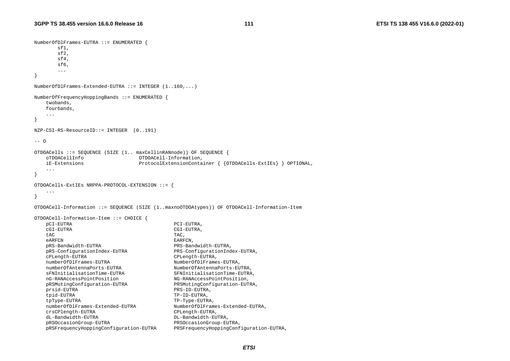```
NumberOfDlFrames-EUTRA ::= ENUMERATED { 
        sf1, 
        sf2, 
       sf4.
        sf6, 
        ... } 
NumberOfDlFrames-Extended-EUTRA ::= INTEGER (1..160,...) 
NumberOfFrequencyHoppingBands ::= ENUMERATED { 
    twobands, 
    fourbands, 
    ... } 
NZP-CSI-RS-ResourceID::= INTEGER (0..191) 
-- O OTDOACells ::= SEQUENCE (SIZE (1.. maxCellinRANnode)) OF SEQUENCE { 
    oTDOACellInfo OTDOACell-Information, 
    iE-Extensions ProtocolExtensionContainer { {OTDOACells-ExtIEs} } OPTIONAL, 
    ... } 
OTDOACells-ExtIEs NRPPA-PROTOCOL-EXTENSION ::= { 
    ... } 
OTDOACell-Information ::= SEQUENCE (SIZE (1..maxnoOTDOAtypes)) OF OTDOACell-Information-Item 
OTDOACell-Information-Item ::= CHOICE { 
    pCI-EUTRA PCI-EUTRA, 
    cGI-EUTRA CGI-EUTRA, 
tac the state of the state \Gamma and \Gamma and \Gamma and \Gamma and \Gamma and \Gamma and \Gamma and \Gamma and \Gamma and \Gamma and \Gamma and \Gamma and \Gamma and \Gamma and \Gamma and \Gamma and \Gamma and \Gamma and \Gamma and \Gamma and \Gamma and \Gamma a
   eARFCN EARFCN
    pRS-Bandwidth-EUTRA PRS-Bandwidth-EUTRA, 
    pRS-ConfigurationIndex-EUTRA PRS-ConfigurationIndex-EUTRA, 
    cPLength-EUTRA CPLength-EUTRA, 
   numberOfDlFrames-EUTRA NumberOfDlFrames-EUTRA,
   numberOfAntennaPorts-EUTRA NumberOfAntennaPorts-EUTRA,
    sFNInitialisationTime-EUTRA SFNInitialisationTime-EUTRA, 
    nG-RANAccessPointPosition NG-RANAccessPointPosition, 
    pRSMutingConfiguration-EUTRA PRSMutingConfiguration-EUTRA, 
    prsid-EUTRA PRS-ID-EUTRA, 
    tpid-EUTRA TP-ID-EUTRA, 
    tpType-EUTRA TP-Type-EUTRA, 
    numberOfDlFrames-Extended-EUTRA NumberOfDlFrames-Extended-EUTRA, 
    crsCPlength-EUTRA CPLength-EUTRA, 
    dL-Bandwidth-EUTRA DL-Bandwidth-EUTRA, 
    pRSOccasionGroup-EUTRA PRSOccasionGroup-EUTRA, 
    pRSFrequencyHoppingConfiguration-EUTRA PRSFrequencyHoppingConfiguration-EUTRA,
```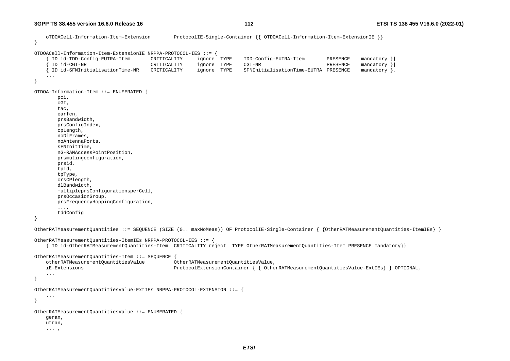oTDOACell-Information-Item-Extension ProtocolIE-Single-Container {{ OTDOACell-Information-Item-ExtensionIE }}

```
}
```
OTDOACell-Information-Item-ExtensionIE NRPPA-PROTOCOL-IES ::= {

```
 { ID id-TDD-Config-EUTRA-Item CRITICALITY ignore TYPE TDD-Config-EUTRA-Item PRESENCE mandatory }| 
 { ID id-CGI-NR CRITICALITY ignore TYPE CGI-NR PRESENCE mandatory }| 
      { ID id-SFNInitialisationTime-NR CRITICALITY ignore TYPE SFNInitialisationTime-EUTRA PRESENCE mandatory }, 
     ... } 
OTDOA-Information-Item ::= ENUMERATED { 
        pci, 
        cGI, 
        tac, 
        earfcn, 
        prsBandwidth, 
        prsConfigIndex, 
        cpLength, 
        noDlFrames, 
        noAntennaPorts, 
        sFNInitTime, 
        nG-RANAccessPointPosition, 
        prsmutingconfiguration, 
        prsid, 
        tpid, 
        tpType, 
        crsCPlength, 
        dlBandwidth, 
        multipleprsConfigurationsperCell, 
        prsOccasionGroup, 
        prsFrequencyHoppingConfiguration, 
        ..., 
        tddConfig 
} 
OtherRATMeasurementQuantities ::= SEQUENCE (SIZE (0.. maxNoMeas)) OF ProtocolIE-Single-Container { {OtherRATMeasurementQuantities-ItemIEs} } 
OtherRATMeasurementQuantities-ItemIEs NRPPA-PROTOCOL-IES ::= { 
     { ID id-OtherRATMeasurementQuantities-Item CRITICALITY reject TYPE OtherRATMeasurementQuantities-Item PRESENCE mandatory}} 
OtherRATMeasurementQuantities-Item ::= SEQUENCE { 
    otherRATMeasurementQuantitiesValue OtherRATMeasurementQuantitiesValue, 
    iE-Extensions ProtocolExtensionContainer { { OtherRATMeasurementQuantitiesValue-ExtIEs} } OPTIONAL, 
     ... } 
OtherRATMeasurementQuantitiesValue-ExtIEs NRPPA-PROTOCOL-EXTENSION ::= { 
     ... } 
OtherRATMeasurementQuantitiesValue ::= ENUMERATED { 
    geran, 
    utran, 
     ... ,
```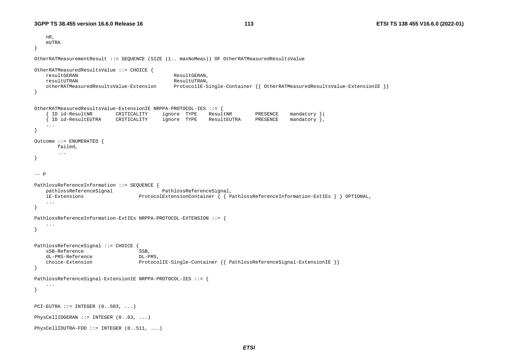```
 nR, 
   eUTRA
} 
OtherRATMeasurementResult ::= SEQUENCE (SIZE (1.. maxNoMeas)) OF OtherRATMeasuredResultsValue 
OtherRATMeasuredResultsValue ::= CHOICE { 
    resultGERAN ResultGERAN, 
   resultUTRAN ResultUTRAN
    otherRATMeasuredResultsValue-Extension ProtocolIE-Single-Container {{ OtherRATMeasuredResultsValue-ExtensionIE }} 
} 
OtherRATMeasuredResultsValue-ExtensionIE NRPPA-PROTOCOL-IES ::= { 
      { ID id-ResultNR CRITICALITY ignore TYPE ResultNR PRESENCE mandatory }| 
      { ID id-ResultEUTRA CRITICALITY ignore TYPE ResultEUTRA PRESENCE mandatory }, 
     ... } 
Outcome ::= ENUMERATED { 
        failed, 
        ... } 
-- P
PathlossReferenceInformation ::= SEQUENCE { 
                                        PathlossReferenceSignal,
    iE-Extensions ProtocolExtensionContainer { { PathlossReferenceInformation-ExtIEs } } OPTIONAL, 
     ... } 
PathlossReferenceInformation-ExtIEs NRPPA-PROTOCOL-EXTENSION ::= { 
     ... } 
PathlossReferenceSignal ::= CHOICE { 
   sSB-Reference SSB,
    dL-PRS-Reference DL-PRS, 
    choice-Extension ProtocolIE-Single-Container {{ PathlossReferenceSignal-ExtensionIE }} 
} 
PathlossReferenceSignal-ExtensionIE NRPPA-PROTOCOL-IES ::= { 
     ... } 
PCI-EUTRA ::= INTEGR (0.00001, ...).PhysCellIDGERAN ::= INTEGER (0..63, ...) 
PhysCellIDUTRA-FDD ::= INTEGER (0..511, ...)
```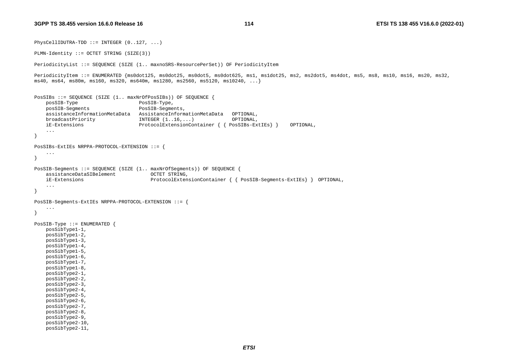$PhysCellIDUTRA-TDD ::= INTEGR (0..127, ...)$ 

```
PLMN-Identity ::= OCTET STRING (SIZE(3)) 
PeriodicityList ::= SEQUENCE (SIZE (1.. maxnoSRS-ResourcePerSet)) OF PeriodicityItem 
PeriodicityItem ::= ENUMERATED {ms0dot125, ms0dot25, ms0dot5, ms0dot625, ms1, ms1dot25, ms2, ms2dot5, ms4dot, ms5, ms8, ms10, ms16, ms20, ms32,
ms40, ms64, ms80m, ms160, ms320, ms640m, ms1280, ms2560, ms5120, ms10240, ...} 
PosSIBs ::= SEQUENCE (SIZE (1.. maxNrOfPosSIBs)) OF SEQUENCE { 
    posSIB-Type PosSIB-Type, 
    posSIB-Segments PosSIB-Segments, 
    assistanceInformationMetaData AssistanceInformationMetaData OPTIONAL, 
    broadcastPriority INTEGER (1..16,...) OPTIONAL, 
    iE-Extensions ProtocolExtensionContainer { { PosSIBs-ExtIEs} } OPTIONAL, 
     ... } 
PosSIBs-ExtIEs NRPPA-PROTOCOL-EXTENSION ::= { 
     ... } 
PosSIB-Segments ::= SEQUENCE (SIZE (1.. maxNrOfSegments)) OF SEQUENCE { 
     assistanceDataSIBelement OCTET STRING, 
    iE-Extensions ProtocolExtensionContainer { { PosSIB-Segments-ExtIEs} } OPTIONAL, 
     ... } 
PosSIB-Segments-ExtIEs NRPPA-PROTOCOL-EXTENSION ::= { 
     ... } 
PosSIB-Type ::= ENUMERATED { 
    posSibType1-1, 
    posSibType1-2, 
    posSibType1-3, 
    posSibType1-4, 
    posSibType1-5, 
    posSibType1-6, 
    posSibType1-7, 
    posSibType1-8, 
    posSibType2-1, 
    posSibType2-2, 
    posSibType2-3, 
    posSibType2-4, 
    posSibType2-5, 
    posSibType2-6, 
    posSibType2-7, 
    posSibType2-8, 
    posSibType2-9, 
    posSibType2-10, 
    posSibType2-11,
```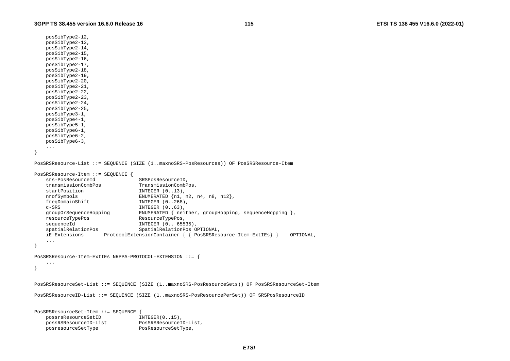```
 posSibType2-12, 
    posSibType2-13, 
    posSibType2-14, 
    posSibType2-15, 
    posSibType2-16, 
    posSibType2-17, 
    posSibType2-18, 
    posSibType2-19, 
    posSibType2-20, 
    posSibType2-21, 
    posSibType2-22, 
    posSibType2-23, 
    posSibType2-24, 
    posSibType2-25, 
    posSibType3-1, 
    posSibType4-1, 
    posSibType5-1, 
    posSibType6-1, 
    posSibType6-2, 
    posSibType6-3, 
     ... } 
PosSRSResource-List ::= SEQUENCE (SIZE (1..maxnoSRS-PosResources)) OF PosSRSResource-Item 
PosSRSResource-Item ::= SEQUENCE { 
    srs-PosResourceId SRSPosResourceID, 
    transmissionCombPos TransmissionCombPos, 
   startPosition INTEGER (0..13),
   nrofSymbols ENUMERATED {n1, n2, n4, n8, n12},
   freqDomainShift INTEGER (0..268),
   c-\text{SRS} INTEGER (0..63),
    groupOrSequenceHopping ENUMERATED { neither, groupHopping, sequenceHopping }, 
    resourceTypePos ResourceTypePos, 
   sequenceId INTEGER (0.. 65535),
    spatialRelationPos SpatialRelationPos OPTIONAL, 
    iE-Extensions ProtocolExtensionContainer { { PosSRSResource-Item-ExtIEs} } OPTIONAL, 
     ... } 
PosSRSResource-Item-ExtIEs NRPPA-PROTOCOL-EXTENSION ::= { 
     ... } 
PosSRSResourceSet-List ::= SEQUENCE (SIZE (1..maxnoSRS-PosResourceSets)) OF PosSRSResourceSet-Item 
PosSRSResourceID-List ::= SEQUENCE (SIZE (1..maxnoSRS-PosResourcePerSet)) OF SRSPosResourceID 
PosSRSResourceSet-Item ::= SEQUENCE { 
   possrsResourceSetID INTEGER(0..15),
```
 possRSResourceID-List PosSRSResourceID-List, posresourceSetType PosResourceSetType,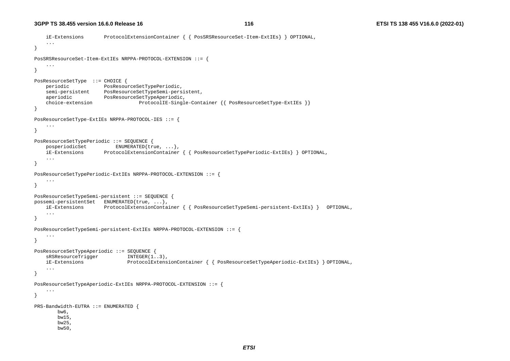```
 iE-Extensions ProtocolExtensionContainer { { PosSRSResourceSet-Item-ExtIEs} } OPTIONAL, 
     ... } 
PosSRSResourceSet-Item-ExtIEs NRPPA-PROTOCOL-EXTENSION ::= { 
     ... } 
PosResourceSetType ::= CHOICE { 
     periodic PosResourceSetTypePeriodic, 
     semi-persistent PosResourceSetTypeSemi-persistent, 
    aperiodic PosResourceSetTypeAperiodic,
     choice-extension ProtocolIE-Single-Container {{ PosResourceSetType-ExtIEs }} 
} 
PosResourceSetType-ExtIEs NRPPA-PROTOCOL-IES ::= { 
     ... } 
PosResourceSetTypePeriodic ::= SEQUENCE { 
    posperiodicSet ENUMERATED{true, ...},
     iE-Extensions ProtocolExtensionContainer { { PosResourceSetTypePeriodic-ExtIEs} } OPTIONAL, 
     ... } 
PosResourceSetTypePeriodic-ExtIEs NRPPA-PROTOCOL-EXTENSION ::= { 
     ... } 
PosResourceSetTypeSemi-persistent ::= SEQUENCE { 
possemi-persistentSet ENUMERATED{true, ...}, 
     iE-Extensions ProtocolExtensionContainer { { PosResourceSetTypeSemi-persistent-ExtIEs} } OPTIONAL, 
 ... 
} 
PosResourceSetTypeSemi-persistent-ExtIEs NRPPA-PROTOCOL-EXTENSION ::= { 
     ... } 
PosResourceSetTypeAperiodic ::= SEQUENCE { 
    sRSResourceTrigger INTEGER(1..3),
     iE-Extensions ProtocolExtensionContainer { { PosResourceSetTypeAperiodic-ExtIEs} } OPTIONAL, 
     ... } 
PosResourceSetTypeAperiodic-ExtIEs NRPPA-PROTOCOL-EXTENSION ::= { 
     ... } 
PRS-Bandwidth-EUTRA ::= ENUMERATED { 
        bw6, 
        bw15, 
        bw25, 
        bw50,
```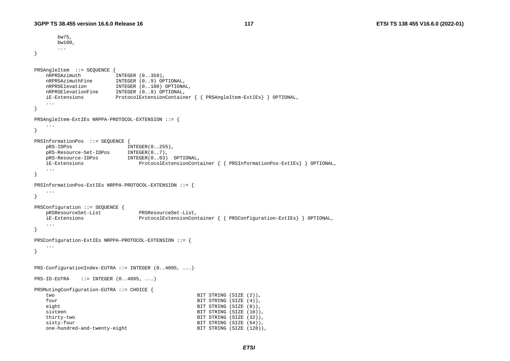```
 bw75, 
       bw100, 
       ... } 
PRSAngleItem ::= SEQUENCE { 
   nRPRSAzimuth INTEGER (0..359),
 nRPRSAzimuthFine INTEGER (0..9) OPTIONAL, 
 nRPRSElevation INTEGER (0..180) OPTIONAL, 
    nRPRSElevationFine INTEGER (0..9) OPTIONAL, 
    iE-Extensions ProtocolExtensionContainer { { PRSAngleItem-ExtIEs} } OPTIONAL, 
 ... 
} 
PRSAngleItem-ExtIEs NRPPA-PROTOCOL-EXTENSION ::= { 
    ... } 
PRSInformationPos ::= SEQUENCE { 
   pRS-IDPos INTEGER(0..255),
    pRS-Resource-Set-IDPos INTEGER(0..7), 
    pRS-Resource-IDPos INTEGER(0..63) OPTIONAL, 
    iE-Extensions ProtocolExtensionContainer { { PRSInformationPos-ExtIEs} } OPTIONAL, 
    ... } 
PRSInformationPos-ExtIEs NRPPA-PROTOCOL-EXTENSION ::= { 
    ... } 
PRSConfiguration ::= SEQUENCE { 
    pRSResourceSet-List PRSResourceSet-List, 
    iE-Extensions ProtocolExtensionContainer { { PRSConfiguration-ExtIEs} } OPTIONAL, 
    ... } 
PRSConfiguration-ExtIEs NRPPA-PROTOCOL-EXTENSION ::= { 
    ... } 
PRS-ConfigurationIndex-EUTRA ::= INTEGER (0..4095, ...) 
PRS-ID-EUTRA ::= INTEGER (0..4095, ...)PRSMutingConfiguration-EUTRA ::= CHOICE { 
    two BIT STRING (SIZE (2)), 
   four BIT STRING (SIZE (4)),
    eight BIT STRING (SIZE (8)), 
   sixteen BIT STRING (SIZE (16)),
    thirty-two BIT STRING (SIZE (32)), 
   sixty-four and sixty-four between the state \texttt{BIT} STRING (SIZE (64)),
   one-hundred-and-twenty-eight BIT STRING (SIZE (128)),
```
*ETSI*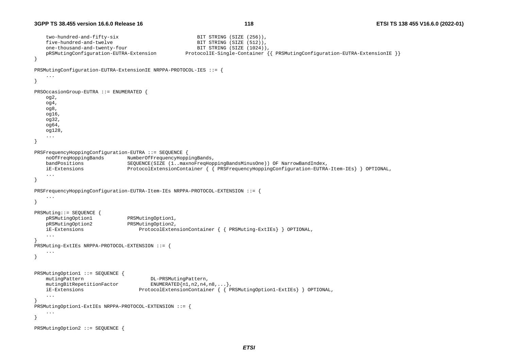```
two-hundred-and-fifty-six BIT STRING (SIZE (256)),
   five-hundred-and-twelve example BIT STRING (SIZE (512)),
    one-thousand-and-twenty-four BIT STRING (SIZE (1024)), 
    pRSMutingConfiguration-EUTRA-Extension ProtocolIE-Single-Container {{ PRSMutingConfiguration-EUTRA-ExtensionIE }} 
} 
PRSMutingConfiguration-EUTRA-ExtensionIE NRPPA-PROTOCOL-IES ::= { 
     ... } 
PRSOccasionGroup-EUTRA ::= ENUMERATED { 
    og2, 
    og4, 
    og8, 
    og16, 
    og32, 
    og64, 
    og128, 
    ... } 
PRSFrequencyHoppingConfiguration-EUTRA ::= SEQUENCE { 
    noOfFreqHoppingBands NumberOfFrequencyHoppingBands, 
    bandPositions SEQUENCE(SIZE (1..maxnoFreqHoppingBandsMinusOne)) OF NarrowBandIndex, 
    iE-Extensions ProtocolExtensionContainer { { PRSFrequencyHoppingConfiguration-EUTRA-Item-IEs} } OPTIONAL, 
     ... } 
PRSFrequencyHoppingConfiguration-EUTRA-Item-IEs NRPPA-PROTOCOL-EXTENSION ::= { 
     ... } 
PRSMuting::= SEQUENCE { 
    pRSMutingOption1 PRSMutingOption1, 
    pRSMutingOption2 PRSMutingOption2, 
    iE-Extensions ProtocolExtensionContainer { { PRSMuting-ExtIEs} } OPTIONAL, 
     ... } 
PRSMuting-ExtIEs NRPPA-PROTOCOL-EXTENSION ::= { 
     ... } 
PRSMutingOption1 ::= SEQUENCE { 
   mutingPattern DL-PRSMutingPattern,
   mutingBitRepetitionFactor ENUMERATED{n1,n2,n4,n8,...},
    iE-Extensions ProtocolExtensionContainer { { PRSMutingOption1-ExtIEs} } OPTIONAL, 
     ... } 
PRSMutingOption1-ExtIEs NRPPA-PROTOCOL-EXTENSION ::= { 
     ... } 
PRSMutingOption2 ::= SEQUENCE
```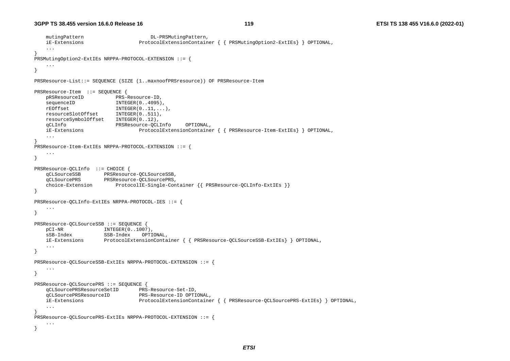```
mutingPattern DL-PRSMutingPattern,
    iE-Extensions ProtocolExtensionContainer { { PRSMutingOption2-ExtIEs} } OPTIONAL, 
     ... } 
PRSMutingOption2-ExtIEs NRPPA-PROTOCOL-EXTENSION ::= { 
    ... } 
PRSResource-List::= SEQUENCE (SIZE (1..maxnoofPRSresource)) OF PRSResource-Item 
PRSResource-Item ::= SEQUENCE { 
    pRSResourceID PRS-Resource-ID, 
   sequenceID INTEGER(0..4095),
    rEOffset INTEGER(0..11,...), 
    resourceSlotOffset INTEGER(0..511), 
    resourceSymbolOffset INTEGER(0..12), 
    qCLInfo PRSResource-QCLInfo OPTIONAL, 
    iE-Extensions ProtocolExtensionContainer { { PRSResource-Item-ExtIEs} } OPTIONAL, 
    ... } 
PRSResource-Item-ExtIEs NRPPA-PROTOCOL-EXTENSION ::= { 
     ... } 
PRSResource-QCLInfo ::= CHOICE { 
    qCLSourceSSB PRSResource-QCLSourceSSB, 
    qCLSourcePRS PRSResource-QCLSourcePRS, 
    choice-Extension ProtocolIE-Single-Container {{ PRSResource-QCLInfo-ExtIEs }} 
} 
PRSResource-QCLInfo-ExtIEs NRPPA-PROTOCOL-IES ::= { 
    ... } 
PRSResource-QCLSourceSSB ::= SEQUENCE
   pCI-NR INTEGER(0..1007),
    sSB-Index SSB-Index OPTIONAL, 
    iE-Extensions ProtocolExtensionContainer { { PRSResource-QCLSourceSSB-ExtIEs} } OPTIONAL, 
     ... } 
PRSResource-QCLSourceSSB-ExtIEs NRPPA-PROTOCOL-EXTENSION ::= { 
     ... } 
PRSResource-QCLSourcePRS ::= SEQUENCE { 
    qCLSourcePRSResourceSetID PRS-Resource-Set-ID, 
    qCLSourcePRSResourceID PRS-Resource-ID OPTIONAL, 
    iE-Extensions ProtocolExtensionContainer { { PRSResource-QCLSourcePRS-ExtIEs} } OPTIONAL, 
     ... } 
PRSResource-QCLSourcePRS-ExtIEs NRPPA-PROTOCOL-EXTENSION ::= { 
    ... }
```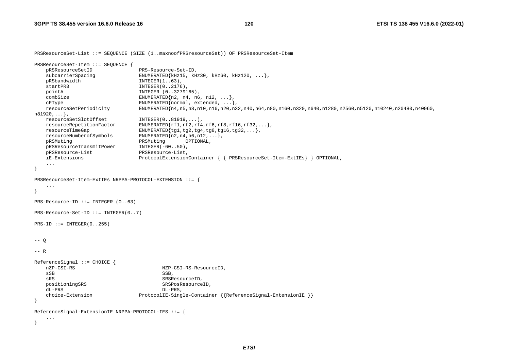PRSResourceSet-List ::= SEQUENCE (SIZE (1..maxnoofPRSresourceSet)) OF PRSResourceSet-Item

```
PRSResourceSet-Item ::= SEQUENCE { 
    pRSResourceSetID PRS-Resource-Set-ID, 
   subcarrierSpacing ENUMERATED{kHz15, kHz30, kHz60, kHz120, ...},
   pRSbandwidth INTEGER(1..63),
   startPRB INTEGER(0..2176)
    pointA INTEGER (0..3279165), 
   combSize ENUMERATED{n2, n4, n6, n12, ...},
   cPType ENUMERATED{normal, extended, ...},
    resourceSetPeriodicity ENUMERATED{n4,n5,n8,n10,n16,n20,n32,n40,n64,n80,n160,n320,n640,n1280,n2560,n5120,n10240,n20480,n40960, 
n81920,...}, 
    resourceSetSlotOffset INTEGER(0..81919,...), 
    resourceRepetitionFactor ENUMERATED{rf1,rf2,rf4,rf6,rf8,rf16,rf32,...}, 
   resourceTimeGap ENUMERATED\{tg1, tg2, tg4, tg8, tg16, tg32, ...\} resourceNumberofSymbols ENUMERATED{n2,n4,n6,n12,...}, 
    pRSMuting PRSMuting OPTIONAL, 
    pRSResourceTransmitPower INTEGER(-60..50), 
    pRSResource-List PRSResource-List, 
    iE-Extensions ProtocolExtensionContainer { { PRSResourceSet-Item-ExtIEs} } OPTIONAL, 
    ... } 
PRSResourceSet-Item-ExtIEs NRPPA-PROTOCOL-EXTENSION ::= { 
    ... } 
PRS-Resource-ID ::= INTEGER (0..63) 
PRS-Resource-Set-ID ::= INTEGER(0..7) 
PRS-ID ::= INTEGR(0.1255)-- 0-- RReferenceSignal ::= CHOICE { 
    nZP-CSI-RS NZP-CSI-RS-ResourceID, 
SSB, SSB, SSB, SSB, SSB, SSB, SSB, SSB, SSB, SSB, SSB, SSB, SSB, SSB, SSB, SSB, SSB, SSB, SSB, SSB, SSB, SSB, SSB, SSB, SSB, SSB, SSB, SSB, SSB, SSB, SSB, SSB, SSB, SSB, SSB, SSB, SSB,
   sRS SRSResourceID,
   positioningSRS SRSPosResourceID,
    dL-PRS DL-PRS, 
    choice-Extension ProtocolIE-Single-Container {{ReferenceSignal-ExtensionIE }} 
} 
ReferenceSignal-ExtensionIE NRPPA-PROTOCOL-IES ::= { 
    ...
```
}

*ETSI*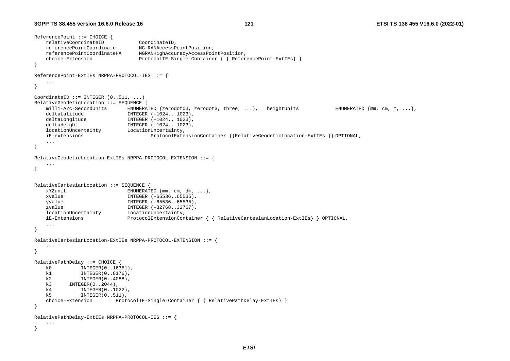```
ReferencePoint ::= CHOICE { 
    relativeCoordinateID CoordinateID, 
    referencePointCoordinate NG-RANAccessPointPosition, 
    referencePointCoordinateHA NGRANHighAccuracyAccessPointPosition, 
    choice-Extension ProtocolIE-Single-Container { { ReferencePoint-ExtIEs} } 
} 
ReferencePoint-ExtIEs NRPPA-PROTOCOL-IES ::= { 
    ... } 
CoordinateID  ::= INTEGER (0..511, ...)RelativeGeodeticLocation ::= SEQUENCE { 
   milli-Arc-SecondUnits ENUMERATED {zerodot03, zerodot3, three, ...}, heightUnits ENUMERATED {mm, cm, m, ...},
   deltaLatitude INTEGER (-1024.. 1023),
   deltaLongitude INTEGER (-1024.. 1023),
   deltaHeight INTEGER (-1024.. 1023),
    locationUncertainty LocationUncertainty, 
    iE-extensions ProtocolExtensionContainer {{RelativeGeodeticLocation-ExtIEs }} OPTIONAL, 
    ... } 
RelativeGeodeticLocation-ExtIEs NRPPA-PROTOCOL-EXTENSION ::= { 
    ... } 
RelativeCartesianLocation ::= SEQUENCE { 
   xYZunit ENUMERATED {mm, cm, dm, ...},
    xvalue INTEGER (-65536..65535), 
    yvalue INTEGER (-65536..65535), 
   zvalue INTEGER (-32768..32767),
    locationUncertainty LocationUncertainty, 
    iE-Extensions ProtocolExtensionContainer { { RelativeCartesianLocation-ExtIEs} } OPTIONAL, 
    ... } 
RelativeCartesianLocation-ExtIEs NRPPA-PROTOCOL-EXTENSION ::= { 
    ... } 
RelativePathDelay ::= CHOICE { 
    k0 INTEGER(0..16351), 
    k1 INTEGER(0..8176), 
    k2 INTEGER(0..4088), 
    k3 INTEGER(0..2044), 
    k4 INTEGER(0..1022), 
    k5 INTEGER(0..511), 
   choice-Extension ProtocolIE-Single-Container { { RelativePathDelay-ExtIEs}
} 
RelativePathDelay-ExtIEs NRPPA-PROTOCOL-IES ::= { 
    ... }
```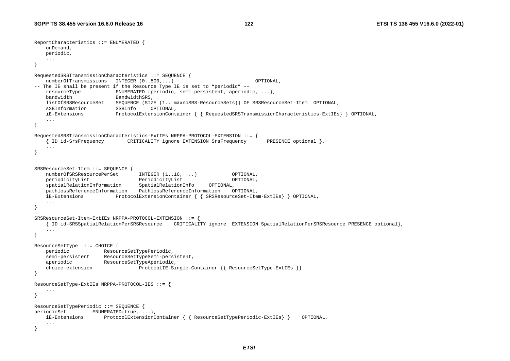```
ReportCharacteristics ::= ENUMERATED { 
    onDemand, 
    periodic, 
     ... } 
RequestedSRSTransmissionCharacteristics ::= SEQUENCE { 
    numberOfTransmissions INTEGER (0..500,...) OPTIONAL, 
-- The IE shall be present if the Resource Type IE is set to "periodic" -- 
    resourceType ENUMERATED {periodic, semi-persistent, aperiodic, ...}, 
   bandwidth BandwidthSRS,
    listOfSRSResourceSet SEQUENCE (SIZE (1.. maxnoSRS-ResourceSets)) OF SRSResourceSet-Item OPTIONAL, 
    sSBInformation SSBInfo OPTIONAL, 
    iE-Extensions ProtocolExtensionContainer { { RequestedSRSTransmissionCharacteristics-ExtIEs} } OPTIONAL, 
     ... } 
RequestedSRSTransmissionCharacteristics-ExtIEs NRPPA-PROTOCOL-EXTENSION ::= { 
     { ID id-SrsFrequency CRITICALITY ignore EXTENSION SrsFrequency PRESENCE optional }, 
     ... } 
SRSResourceSet-Item ::= SEQUENCE { 
    numberOfSRSResourcePerSet INTEGER (1..16, ...) OPTIONAL, 
    periodicityList PeriodicityList OPTIONAL, 
    spatialRelationInformation SpatialRelationInfo OPTIONAL, 
    pathlossReferenceInformation PathlossReferenceInformation OPTIONAL, 
    iE-Extensions ProtocolExtensionContainer { { SRSResourceSet-Item-ExtIEs} } OPTIONAL, 
     ... } 
SRSResourceSet-Item-ExtIEs NRPPA-PROTOCOL-EXTENSION ::= { 
     { ID id-SRSSpatialRelationPerSRSResource CRITICALITY ignore EXTENSION SpatialRelationPerSRSResource PRESENCE optional}, 
     ... } 
ResourceSetType ::= CHOICE { 
    periodic ResourceSetTypePeriodic, 
    semi-persistent ResourceSetTypeSemi-persistent, 
   aperiodic ResourceSetTypeAperiodic,
   choice-extension ProtocolIE-Single-Container {{ ResourceSetType-ExtIEs }}
} 
ResourceSetType-ExtIEs NRPPA-PROTOCOL-IES ::= { 
     ... } 
ResourceSetTypePeriodic ::= SEQUENCE { 
periodicSet ENUMERATED{true, ...},
    iE-Extensions ProtocolExtensionContainer { { ResourceSetTypePeriodic-ExtIEs} } OPTIONAL, 
     ... }
```
*ETSI*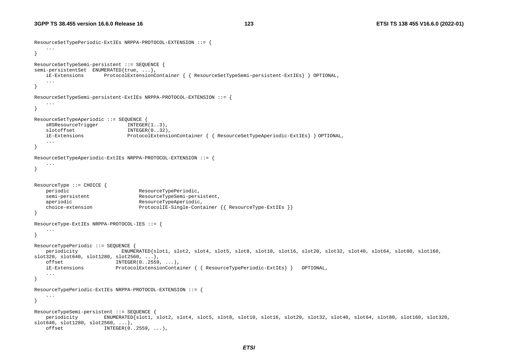```
ResourceSetTypePeriodic-ExtIEs NRPPA-PROTOCOL-EXTENSION ::= { 
     ... } 
ResourceSetTypeSemi-persistent ::= SEQUENCE { 
semi-persistentSet ENUMERATED{true, ...},
    iE-Extensions ProtocolExtensionContainer { { ResourceSetTypeSemi-persistent-ExtIEs} } OPTIONAL, 
     ... } 
ResourceSetTypeSemi-persistent-ExtIEs NRPPA-PROTOCOL-EXTENSION ::= { 
    ... } 
ResourceSetTypeAperiodic ::= SEQUENCE { 
   sRSResourceTrigger INTEGER(1..3),
   slotoffset INTEGER(0..32),
    iE-Extensions ProtocolExtensionContainer { { ResourceSetTypeAperiodic-ExtIEs} } OPTIONAL, 
    ... } 
ResourceSetTypeAperiodic-ExtIEs NRPPA-PROTOCOL-EXTENSION ::= { 
     ... } 
ResourceType ::= CHOICE { 
   periodic ResourceTypePeriodic,
    semi-persistent ResourceTypeSemi-persistent, 
   aperiodic ResourceTypeAperiodic,
    choice-extension ProtocolIE-Single-Container {{ ResourceType-ExtIEs }} 
} 
ResourceType-ExtIEs NRPPA-PROTOCOL-IES ::= { 
     ... } 
ResourceTypePeriodic ::= SEQUENCE { 
    periodicity ENUMERATED{slot1, slot2, slot4, slot5, slot8, slot10, slot16, slot20, slot32, slot40, slot64, slot80, slot160, 
slot320, slot640, slot1280, slot2560, \ldots offset INTEGER(0..2559, ...), 
    iE-Extensions ProtocolExtensionContainer { { ResourceTypePeriodic-ExtIEs} } OPTIONAL, 
     ... } 
ResourceTypePeriodic-ExtIEs NRPPA-PROTOCOL-EXTENSION ::= { 
     ... } 
ResourceTypeSemi-persistent ::= SEQUENCE { 
    periodicity ENUMERATED{slot1, slot2, slot4, slot5, slot8, slot10, slot16, slot20, slot32, slot40, slot64, slot80, slot160, slot320, 
slot640, slot1280, slot2560, ... offset INTEGER(0..2559, ...),
```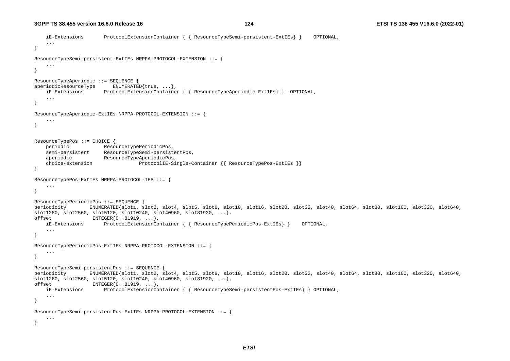```
 iE-Extensions ProtocolExtensionContainer { { ResourceTypeSemi-persistent-ExtIEs} } OPTIONAL, 
     ... } 
ResourceTypeSemi-persistent-ExtIEs NRPPA-PROTOCOL-EXTENSION ::= { 
     ... } 
ResourceTypeAperiodic ::= SEQUENCE { 
aperiodicResourceType ENUMERATED{true, ...},
    iE-Extensions ProtocolExtensionContainer { { ResourceTypeAperiodic-ExtIEs} } OPTIONAL, 
 ... 
} 
ResourceTypeAperiodic-ExtIEs NRPPA-PROTOCOL-EXTENSION ::= { 
 ... } 
ResourceTypePos ::= CHOICE { 
    periodic ResourceTypePeriodicPos, 
     semi-persistent ResourceTypeSemi-persistentPos, 
   aperiodic ResourceTypeAperiodicPos,
     choice-extension ProtocolIE-Single-Container {{ ResourceTypePos-ExtIEs }} 
} 
ResourceTypePos-ExtIEs NRPPA-PROTOCOL-IES ::= { 
     ... } 
ResourceTypePeriodicPos ::= SEQUENCE { 
periodicity ENUMERATED{slot1, slot2, slot4, slot5, slot8, slot10, slot16, slot20, slot32, slot40, slot64, slot80, slot160, slot320, slot640, 
slot1280, slot2560, slot5120, slot10240, slot40960, slot81920, ...offset INTEGER(0..81919, ...), 
    iE-Extensions ProtocolExtensionContainer { { ResourceTypePeriodicPos-ExtIEs} } OPTIONAL, 
     ... } 
ResourceTypePeriodicPos-ExtIEs NRPPA-PROTOCOL-EXTENSION ::= { 
     ... } 
ResourceTypeSemi-persistentPos ::= SEQUENCE { 
periodicity ENUMERATED{slot1, slot2, slot4, slot5, slot8, slot10, slot16, slot20, slot32, slot40, slot64, slot80, slot160, slot320, slot640, 
slot1280, slot2560, slot5120, slot10240, slot40960, slot81920, ...offset INTEGER(0..81919, ...), 
    iE-Extensions ProtocolExtensionContainer { { ResourceTypeSemi-persistentPos-ExtIEs} } OPTIONAL, 
     ... } 
ResourceTypeSemi-persistentPos-ExtIEs NRPPA-PROTOCOL-EXTENSION ::= { 
     ... }
```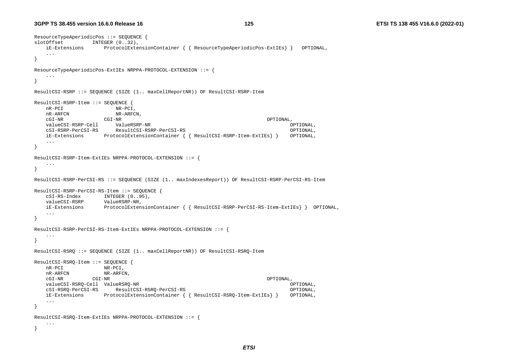```
ResourceTypeAperiodicPos ::= SEQUENCE { 
slotOffset INTEGER (0..32),
    iE-Extensions ProtocolExtensionContainer { { ResourceTypeAperiodicPos-ExtIEs} } OPTIONAL, 
    ... } 
ResourceTypeAperiodicPos-ExtIEs NRPPA-PROTOCOL-EXTENSION ::= { 
    ... } 
ResultCSI-RSRP ::= SEQUENCE (SIZE (1.. maxCellReportNR)) OF ResultCSI-RSRP-Item 
ResultCSI-RSRP-Item ::= SEQUENCE { 
    nR-PCI NR-PCI, 
   nR-ARFCN NR-ARFCN.
 cGI-NR CGI-NR OPTIONAL, 
    valueCSI-RSRP-Cell ValueRSRP-NR OPTIONAL, 
    cSI-RSRP-PerCSI-RS ResultCSI-RSRP-PerCSI-RS OPTIONAL, 
    iE-Extensions ProtocolExtensionContainer { { ResultCSI-RSRP-Item-ExtIEs} } OPTIONAL, 
    ... } 
ResultCSI-RSRP-Item-ExtIEs NRPPA-PROTOCOL-EXTENSION ::= { 
    ... } 
ResultCSI-RSRP-PerCSI-RS ::= SEQUENCE (SIZE (1.. maxIndexesReport)) OF ResultCSI-RSRP-PerCSI-RS-Item 
ResultCSI-RSRP-PerCSI-RS-Item ::= SEQUENCE { 
    cSI-RS-Index INTEGER (0..95), 
    valueCSI-RSRP ValueRSRP-NR, 
    iE-Extensions ProtocolExtensionContainer { { ResultCSI-RSRP-PerCSI-RS-Item-ExtIEs} } OPTIONAL, 
    ... } 
ResultCSI-RSRP-PerCSI-RS-Item-ExtIEs NRPPA-PROTOCOL-EXTENSION ::= { 
    ... } 
ResultCSI-RSRQ ::= SEQUENCE (SIZE (1.. maxCellReportNR)) OF ResultCSI-RSRQ-Item 
ResultCSI-RSRQ-Item ::= SEQUENCE { 
    nR-PCI NR-PCI, 
   nR-ARFCN NR-ARFCN,
 cGI-NR CGI-NR OPTIONAL, 
    valueCSI-RSRQ-Cell ValueRSRQ-NR OPTIONAL, 
    cSI-RSRQ-PerCSI-RS ResultCSI-RSRQ-PerCSI-RS OPTIONAL, 
    iE-Extensions ProtocolExtensionContainer { { ResultCSI-RSRQ-Item-ExtIEs} } OPTIONAL, 
    ... } 
ResultCSI-RSRQ-Item-ExtIEs NRPPA-PROTOCOL-EXTENSION ::= { 
    ... }
```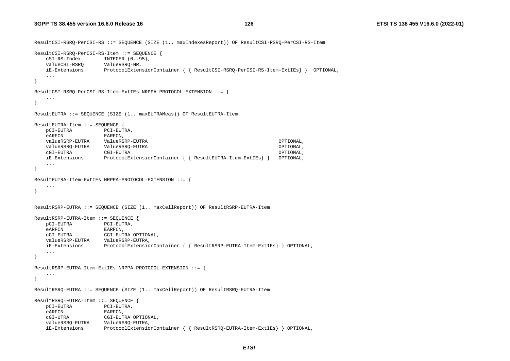ResultCSI-RSRQ-PerCSI-RS ::= SEQUENCE (SIZE (1.. maxIndexesReport)) OF ResultCSI-RSRQ-PerCSI-RS-Item ResultCSI-RSRQ-PerCSI-RS-Item ::= SEQUENCE { cSI-RS-Index INTEGER (0..95), valueCSI-RSRQ ValueRSRQ-NR, iE-Extensions ProtocolExtensionContainer { { ResultCSI-RSRQ-PerCSI-RS-Item-ExtIEs} } OPTIONAL, ... } ResultCSI-RSRQ-PerCSI-RS-Item-ExtIEs NRPPA-PROTOCOL-EXTENSION ::= { ... } ResultEUTRA ::= SEQUENCE (SIZE (1.. maxEUTRAMeas)) OF ResultEUTRA-Item ResultEUTRA-Item ::= SEQUENCE { pCI-EUTRA PCI-EUTRA, eARFCN EARFCN, valueRSRP-EUTRA ValueRSRP-EUTRA OPTIONAL, valueRSRQ-EUTRA ValueRSRQ-EUTRA OPTIONAL, cGI-EUTRA CGI-EUTRA OPTIONAL, iE-Extensions ProtocolExtensionContainer { { ResultEUTRA-Item-ExtIEs} } OPTIONAL, ... } ResultEUTRA-Item-ExtIEs NRPPA-PROTOCOL-EXTENSION ::= { ... } ResultRSRP-EUTRA ::= SEQUENCE (SIZE (1.. maxCellReport)) OF ResultRSRP-EUTRA-Item ResultRSRP-EUTRA-Item ::= SEQUENCE { pCI-EUTRA PCI-EUTRA, eARFCN EARFCN, cGI-EUTRA CGI-EUTRA OPTIONAL, valueRSRP-EUTRA ValueRSRP-EUTRA, iE-Extensions ProtocolExtensionContainer { { ResultRSRP-EUTRA-Item-ExtIEs} } OPTIONAL, ... } ResultRSRP-EUTRA-Item-ExtIEs NRPPA-PROTOCOL-EXTENSION ::= { ... } ResultRSRQ-EUTRA ::= SEQUENCE (SIZE (1.. maxCellReport)) OF ResultRSRQ-EUTRA-Item ResultRSRQ-EUTRA-Item ::= SEQUENCE { pCI-EUTRA PCI-EUTRA, eARFCN EARFCN, cGI-UTRA CGI-EUTRA OPTIONAL, valueRSRQ-EUTRA ValueRSRQ-EUTRA, iE-Extensions ProtocolExtensionContainer { { ResultRSRQ-EUTRA-Item-ExtIEs} } OPTIONAL,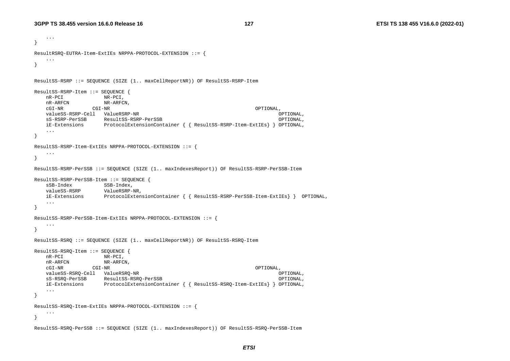```
 ... } 
ResultRSRQ-EUTRA-Item-ExtIEs NRPPA-PROTOCOL-EXTENSION ::= { 
    ... } 
ResultSS-RSRP ::= SEQUENCE (SIZE (1.. maxCellReportNR)) OF ResultSS-RSRP-Item 
ResultSS-RSRP-Item ::= SEQUENCE { 
    nR-PCI NR-PCI, 
 nR-ARFCN NR-ARFCN, 
 cGI-NR CGI-NR OPTIONAL, 
    valueSS-RSRP-Cell ValueRSRP-NR OPTIONAL, 
    sS-RSRP-PerSSB ResultSS-RSRP-PerSSB OPTIONAL, 
    iE-Extensions ProtocolExtensionContainer { { ResultSS-RSRP-Item-ExtIEs} } OPTIONAL, 
    ... } 
ResultSS-RSRP-Item-ExtIEs NRPPA-PROTOCOL-EXTENSION ::= { 
    ... } 
ResultSS-RSRP-PerSSB ::= SEQUENCE (SIZE (1.. maxIndexesReport)) OF ResultSS-RSRP-PerSSB-Item 
ResultSS-RSRP-PerSSB-Item ::= SEQUENCE { 
   sSB-Index SSB-Index,
    valueSS-RSRP ValueRSRP-NR, 
    iE-Extensions ProtocolExtensionContainer { { ResultSS-RSRP-PerSSB-Item-ExtIEs} } OPTIONAL, 
    ... } 
ResultSS-RSRP-PerSSB-Item-ExtIEs NRPPA-PROTOCOL-EXTENSION ::= { 
    ... } 
ResultSS-RSRQ ::= SEQUENCE (SIZE (1.. maxCellReportNR)) OF ResultSS-RSRQ-Item 
ResultSS-RSRQ-Item ::= SEQUENCE { 
    nR-PCI NR-PCI, 
   n<br>R-ARFCN NR-ARFCN,
    cGI-NR CGI-NR OPTIONAL, 
    valueSS-RSRQ-Cell ValueRSRQ-NR OPTIONAL, 
    sS-RSRQ-PerSSB ResultSS-RSRQ-PerSSB OPTIONAL, 
    iE-Extensions ProtocolExtensionContainer { { ResultSS-RSRQ-Item-ExtIEs} } OPTIONAL, 
    ... } 
ResultSS-RSRQ-Item-ExtIEs NRPPA-PROTOCOL-EXTENSION ::= { 
    ... } 
ResultSS-RSRQ-PerSSB ::= SEQUENCE (SIZE (1.. maxIndexesReport)) OF ResultSS-RSRQ-PerSSB-Item
```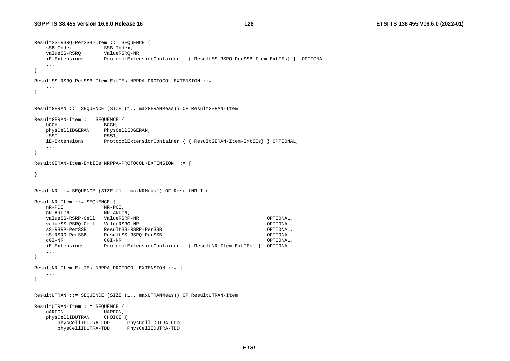```
ResultSS-RSRQ-PerSSB-Item ::= SEQUENCE { 
    sSB-Index SSB-Index, 
    valueSS-RSRQ ValueRSRQ-NR, 
    iE-Extensions ProtocolExtensionContainer { { ResultSS-RSRQ-PerSSB-Item-ExtIEs} } OPTIONAL, 
    ... } 
ResultSS-RSRQ-PerSSB-Item-ExtIEs NRPPA-PROTOCOL-EXTENSION ::= { 
    ... } 
ResultGERAN ::= SEQUENCE (SIZE (1.. maxGERANMeas)) OF ResultGERAN-Item 
ResultGERAN-Item ::= SEQUENCE { 
    bCCH BCCH, 
    physCellIDGERAN PhysCellIDGERAN, 
    rSSI RSSI, 
    iE-Extensions ProtocolExtensionContainer { { ResultGERAN-Item-ExtIEs} } OPTIONAL, 
    ... } 
ResultGERAN-Item-ExtIEs NRPPA-PROTOCOL-EXTENSION ::= { 
    ... } 
ResultNR ::= SEQUENCE (SIZE (1.. maxNRMeas)) OF ResultNR-Item 
ResultNR-Item ::= SEQUENCE { 
    nR-PCI NR-PCI, 
   nR-ARFCN NR-ARFCN,
    valueSS-RSRP-Cell ValueRSRP-NR OPTIONAL, 
    valueSS-RSRQ-Cell ValueRSRQ-NR OPTIONAL, 
    sS-RSRP-PerSSB ResultSS-RSRP-PerSSB OPTIONAL, 
    sS-RSRQ-PerSSB ResultSS-RSRQ-PerSSB OPTIONAL, 
 cGI-NR CGI-NR OPTIONAL, 
    iE-Extensions ProtocolExtensionContainer { { ResultNR-Item-ExtIEs} } OPTIONAL, 
    ... } 
ResultNR-Item-ExtIEs NRPPA-PROTOCOL-EXTENSION ::= { 
    ... } 
ResultUTRAN ::= SEQUENCE (SIZE (1.. maxUTRANMeas)) OF ResultUTRAN-Item 
ResultUTRAN-Item ::= SEQUENCE { 
   uARFCN UARFCN,
    physCellIDUTRAN CHOICE { 
       physCellIDUTRA-FDD PhysCellIDUTRA-FDD, 
       physCellIDUTRA-TDD PhysCellIDUTRA-TDD
```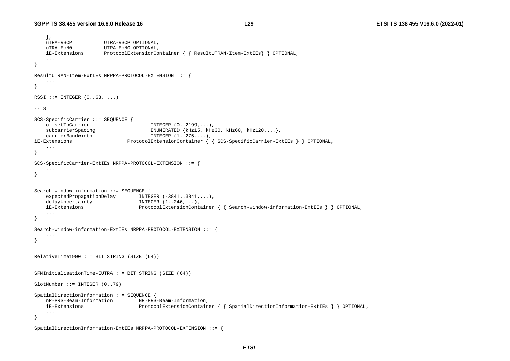```
 }, 
    uTRA-RSCP UTRA-RSCP OPTIONAL, 
   uTRA-ECNO UTRA-ECNO OPTIONAL.
    iE-Extensions ProtocolExtensionContainer { { ResultUTRAN-Item-ExtIEs} } OPTIONAL, 
    ... } 
ResultUTRAN-Item-ExtIEs NRPPA-PROTOCOL-EXTENSION ::= { 
    ... } 
RSSI := INTEGER (0..63, ...)-- S
SCS-SpecificCarrier ::= SEQUENCE { 
   offsetToCarrier INTEGER (0..2199, ...)subcarrierSpacing ENUMERATED {kHz15, kHz30, kHz60, kHz120,...}
    carrierBandwidth INTEGER (1..275,...), 
iE-Extensions ProtocolExtensionContainer { { SCS-SpecificCarrier-ExtIEs } } OPTIONAL, 
 ... 
} 
SCS-SpecificCarrier-ExtIEs NRPPA-PROTOCOL-EXTENSION ::= { 
    ... } 
Search-window-information ::= SEQUENCE { 
   expectedPropagationDelay INTEGER (-3841..3841,...),
   delayUncertainty INTEGER (1..246,...), iE-Extensions ProtocolExtensionContainer { { Search-window-information-ExtIEs } } OPTIONAL, 
    ... } 
Search-window-information-ExtIEs NRPPA-PROTOCOL-EXTENSION ::= { 
    ... } 
RelativeTime1900 ::= BIT STRING (SIZE (64))SFNInitialisationTime-EUTRA ::= BIT STRING (SIZE (64)) 
SlotNumber ::= INTEGER (0..79) 
SpatialDirectionInformation ::= SEQUENCE { 
    nR-PRS-Beam-Information NR-PRS-Beam-Information, 
    iE-Extensions ProtocolExtensionContainer { { SpatialDirectionInformation-ExtIEs } } OPTIONAL, 
    ... }
```

```
SpatialDirectionInformation-ExtIEs NRPPA-PROTOCOL-EXTENSION ::= {
```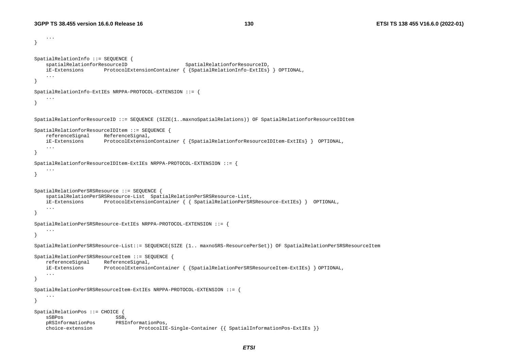```
 ... } 
SpatialRelationInfo ::= SEQUENCE { 
    spatialRelationforResourceID SpatialRelationforResourceID,
     iE-Extensions ProtocolExtensionContainer { {SpatialRelationInfo-ExtIEs} } OPTIONAL, 
     ... } 
SpatialRelationInfo-ExtIEs NRPPA-PROTOCOL-EXTENSION ::= { 
     ... } 
SpatialRelationforResourceID ::= SEQUENCE (SIZE(1..maxnoSpatialRelations)) OF SpatialRelationforResourceIDItem 
SpatialRelationforResourceIDItem ::= SEQUENCE { 
    referenceSignal ReferenceSignal, 
     iE-Extensions ProtocolExtensionContainer { {SpatialRelationforResourceIDItem-ExtIEs} } OPTIONAL, 
     ... } 
SpatialRelationforResourceIDItem-ExtIEs NRPPA-PROTOCOL-EXTENSION ::= { 
. . . .
} 
SpatialRelationPerSRSResource ::= SEQUENCE { 
     spatialRelationPerSRSResource-List SpatialRelationPerSRSResource-List, 
    iE-Extensions ProtocolExtensionContainer { { SpatialRelationPerSRSResource-ExtIEs} } OPTIONAL, 
 ... 
} 
SpatialRelationPerSRSResource-ExtIEs NRPPA-PROTOCOL-EXTENSION ::= { 
     ... } 
SpatialRelationPerSRSResource-List::= SEQUENCE(SIZE (1.. maxnoSRS-ResourcePerSet)) OF SpatialRelationPerSRSResourceItem 
SpatialRelationPerSRSResourceItem ::= SEQUENCE { 
     referenceSignal ReferenceSignal, 
     iE-Extensions ProtocolExtensionContainer { {SpatialRelationPerSRSResourceItem-ExtIEs} } OPTIONAL, 
     ... } 
SpatialRelationPerSRSResourceItem-ExtIEs NRPPA-PROTOCOL-EXTENSION ::= { 
     ... } 
SpatialRelationPos ::= CHOICE { 
    sSBPos SSB,
    pRSInformationPos PRSInformationPos, 
     choice-extension ProtocolIE-Single-Container {{ SpatialInformationPos-ExtIEs }}
```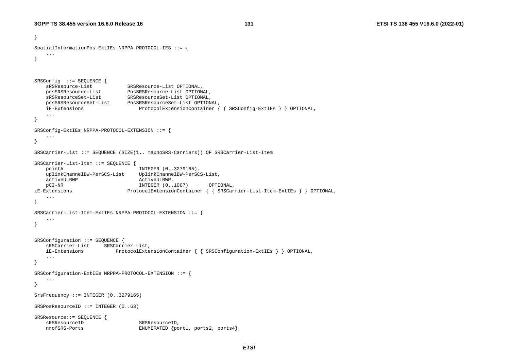}

```
SpatialInformationPos-ExtIEs NRPPA-PROTOCOL-IES ::= { 
    ... } 
SRSConfig ::= SEQUENCE { 
 sRSResource-List SRSResource-List OPTIONAL, 
 posSRSResource-List PosSRSResource-List OPTIONAL, 
 sRSResourceSet-List SRSResourceSet-List OPTIONAL, 
 posSRSResourceSet-List PosSRSResourceSet-List OPTIONAL, 
    iE-Extensions ProtocolExtensionContainer { { SRSConfig-ExtIEs } } OPTIONAL, 
    ... } 
SRSConfig-ExtIEs NRPPA-PROTOCOL-EXTENSION ::= { 
    ... } 
SRSCarrier-List ::= SEQUENCE (SIZE(1.. maxnoSRS-Carriers)) OF SRSCarrier-List-Item 
SRSCarrier-List-Item ::= SEQUENCE { 
    pointA INTEGER (0..3279165), 
    uplinkChannelBW-PerSCS-List UplinkChannelBW-PerSCS-List, 
    activeULBWP ActiveULBWP, 
    pCI-NR INTEGER (0..1007) OPTIONAL, 
iE-Extensions ProtocolExtensionContainer { { SRSCarrier-List-Item-ExtIEs } } OPTIONAL, 
    ... } 
SRSCarrier-List-Item-ExtIEs NRPPA-PROTOCOL-EXTENSION ::= { 
    ... } 
SRSConfiguration ::= SEQUENCE { 
    sRSCarrier-List SRSCarrier-List, 
    iE-Extensions ProtocolExtensionContainer { { SRSConfiguration-ExtIEs } } OPTIONAL, 
    ... } 
SRSConfiguration-ExtIEs NRPPA-PROTOCOL-EXTENSION ::= { 
    ... } 
SrsFrequency ::= INTEGER (0..3279165) 
SRSPosResourceID ::= INTEGER (0..63) 
SRSResource::= SEQUENCE { 
   sRSResourceID SRSResourceID.
    nrofSRS-Ports ENUMERATED {port1, ports2, ports4},
```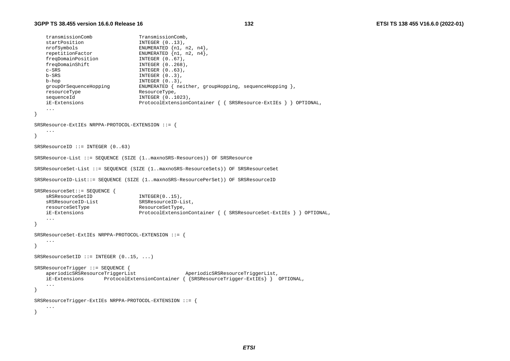```
transmissionComb TransmissionComb,
   startPosition INTEGER (0..13),
nrofSymbols ENUMERATED {n1, n2, n4},
 repetitionFactor ENUMERATED {n1, n2, n4}, 
freqDomainPosition INTEGER (0..67),
 freqDomainShift INTEGER (0..268), 
   c-\text{SRS} INTEGER (0..63),
    b-SRS INTEGER (0..3), 
   b-hop INTEGER (0..3),
    groupOrSequenceHopping ENUMERATED { neither, groupHopping, sequenceHopping }, 
   resourceType ResourceType,
   sequenceId INTEGER (0..1023),
    iE-Extensions ProtocolExtensionContainer { { SRSResource-ExtIEs } } OPTIONAL, 
    ... } 
SRSResource-ExtIEs NRPPA-PROTOCOL-EXTENSION ::= { 
    ... } 
SRSResourceID ::= INTEGER (0..63) 
SRSResource-List ::= SEQUENCE (SIZE (1..maxnoSRS-Resources)) OF SRSResource 
SRSResourceSet-List ::= SEQUENCE (SIZE (1..maxnoSRS-ResourceSets)) OF SRSResourceSet 
SRSResourceID-List::= SEQUENCE (SIZE (1..maxnoSRS-ResourcePerSet)) OF SRSResourceID 
SRSResourceSet::= SEQUENCE { 
   sRSResourceSetID INTEGER(0..15),
   sRSResourceID-List SRSResourceID-List,
   resourceSetType ResourceSetType,
    iE-Extensions ProtocolExtensionContainer { { SRSResourceSet-ExtIEs } } OPTIONAL, 
 ... 
} 
SRSResourceSet-ExtIEs NRPPA-PROTOCOL-EXTENSION ::= { 
    ... } 
SRSResourceSetID ::= INTEGER (0..15, ...) 
SRSResourceTrigger ::= SEQUENCE { 
                                             aperiodicSRSResourceTriggerList AperiodicSRSResourceTriggerList, 
    iE-Extensions ProtocolExtensionContainer { {SRSResourceTrigger-ExtIEs} } OPTIONAL, 
 ... 
} 
SRSResourceTrigger-ExtIEs NRPPA-PROTOCOL-EXTENSION ::= { 
    ... }
```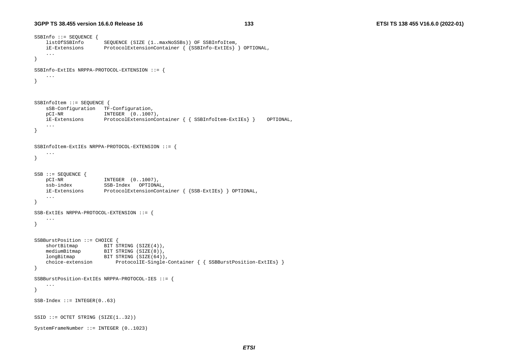```
SSBInfo ::= SEQUENCE { 
    listOfSSBInfo SEQUENCE (SIZE (1..maxNoSSBs)) OF SSBInfoItem, 
    iE-Extensions ProtocolExtensionContainer { {SSBInfo-ExtIEs} } OPTIONAL, 
 ... 
} 
SSBInfo-ExtIEs NRPPA-PROTOCOL-EXTENSION ::= { 
     ... } 
SSBInfoItem ::= SEQUENCE { 
     sSB-Configuration TF-Configuration, 
    pCI-NR INTEGER (0..1007), 
    iE-Extensions ProtocolExtensionContainer { { SSBInfoItem-ExtIEs} } OPTIONAL, 
     ... } 
SSBInfoItem-ExtIEs NRPPA-PROTOCOL-EXTENSION ::= { 
     ... } 
SSB ::= SEQUENCE { 
    pCI-NR INTEGER (0..1007), 
    PUL-NK INIEGER (U..1007),<br>ssb-index SSB-Index OPTIONAL,
    iE-Extensions ProtocolExtensionContainer { {SSB-ExtIEs} } OPTIONAL, 
     ... } 
SSB-ExtIEs NRPPA-PROTOCOL-EXTENSION ::= { 
     ... } 
SSBBurstPosition ::= CHOICE { 
    shortBitmap BIT STRING (SIZE(4)),
    mediumBitmap BIT STRING (SIZE(8)),
   longBitmap BIT STRING (SIZE(64)),<br>choice-extension ProtocolIE-Single-
                           ProtocolIE-Single-Container { { SSBBurstPosition-ExtIEs} }
} 
SSBBurstPosition-ExtIEs NRPPA-PROTOCOL-IES ::= { 
     ... } 
SSB-Index ::=INTER(0..63)SSID ::= OCTET STRING (SIZE(1..32))SystemFrameNumber ::= INTEGER (0..1023)
```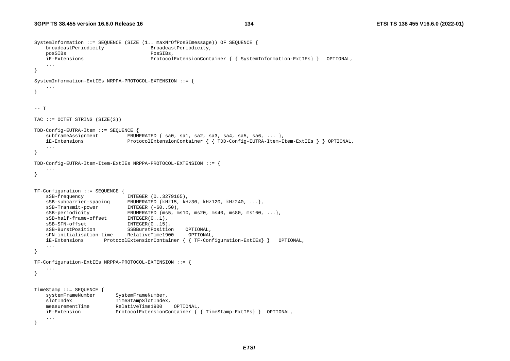```
SystemInformation ::= SEQUENCE (SIZE (1.. maxNrOfPosSImessage)) OF SEQUENCE { 
    broadcastPeriodicity BroadcastPeriodicity, 
    posSIBs PosSIBs, 
    iE-Extensions ProtocolExtensionContainer { { SystemInformation-ExtIEs} } OPTIONAL, 
    ... } 
SystemInformation-ExtIEs NRPPA-PROTOCOL-EXTENSION ::= { 
    ... } 
--- T
TAC ::= OCTET STRING (SIZE(3)) 
TDD-Config-EUTRA-Item ::= SEQUENCE { 
   subframeAssisignment ENUMERATED { sa0, sa1, sa2, sa3, sa4, sa5, sa6, ... },
    iE-Extensions ProtocolExtensionContainer { { TDD-Config-EUTRA-Item-Item-ExtIEs } } OPTIONAL, 
    ... } 
TDD-Config-EUTRA-Item-Item-ExtIEs NRPPA-PROTOCOL-EXTENSION ::= { 
     ... } 
TF-Configuration ::= SEQUENCE { 
   sSB-frequency INTEGER (0..3279165),
    sSB-subcarrier-spacing ENUMERATED {kHz15, kHz30, kHz120, kHz240, ...}, 
   sSB-Transmit-power INTEGER (-60..50),
   SSB-periodicity ENUMERATED \{ms5, ms10, ms20, ms40, ms80, ms160, ...\}sSB-half-frame-offset INTEGER(0..1),
   sSB-SFN-offset INTEGER(0..15),
    sSB-BurstPosition SSBBurstPosition OPTIONAL, 
    sFN-initialisation-time RelativeTime1900 OPTIONAL, 
    iE-Extensions ProtocolExtensionContainer { { TF-Configuration-ExtIEs} } OPTIONAL, 
    ... } 
TF-Configuration-ExtIEs NRPPA-PROTOCOL-EXTENSION ::= { 
     ... } 
TimeStamp ::= SEQUENCE { 
   systemFrameNumber SystemFrameNumber,
   slotIndex TimeStampSlotIndex,
    measurementTime RelativeTime1900 OPTIONAL, 
    iE-Extension ProtocolExtensionContainer { { TimeStamp-ExtIEs} } OPTIONAL, 
    ... }
```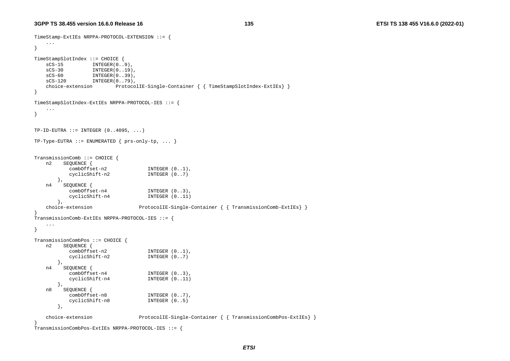```
TimeStamp-ExtIEs NRPPA-PROTOCOL-EXTENSION ::= { 
     ... } 
TimeStampSlotIndex ::= CHOICE {<br>sCS-15 INTEGER(0..
            INTEGR(0..9),
    sCS-30 INTEGER(0..19), 
    sCS-60 INTEGER(0..39), 
   sCS-120 INTEGER(0..79),
     choice-extension ProtocolIE-Single-Container { { TimeStampSlotIndex-ExtIEs} } 
} 
TimeStampSlotIndex-ExtIEs NRPPA-PROTOCOL-IES ::= { 
     ... } 
TP-ID-EUTRA ::= INTEGR (0..4095, ...)TP-Type-EUTRA ::= ENUMERATED { prs-only-top, ... }TransmissionComb ::= CHOICE { 
   n2 SEQUENCE {<br>combOffset-n2
                                  INTER (0..1),
            cyclicShift-n2 INTEGER (0..7) 
        }, 
   n4 SEQUENCE {<br>comb0ffset-n4
                                  INTEGER (0..3),
            cyclicShift-n4 INTEGER (0..11) 
        }, 
     choice-extension ProtocolIE-Single-Container { { TransmissionComb-ExtIEs} } 
} 
TransmissionComb-ExtIEs NRPPA-PROTOCOL-IES ::= { 
     ... } 
TransmissionCombPos ::= CHOICE { 
    n2 SEQUENCE { 
           combOffset-n2 INTEGER (0..1), 
            cyclicShift-n2 INTEGER (0..7) 
        }, 
   n4 SEQUENCE {<br>comb0ffset-n4
                                  INTEGER (0..3),
            cyclicShift-n4 INTEGER (0..11) 
        }, 
     n8 SEQUENCE { 
            combOffset-n8 INTEGER (0..7), 
            cyclicShift-n8 INTEGER (0..5) 
        }, 
     choice-extension ProtocolIE-Single-Container { { TransmissionCombPos-ExtIEs} } 
} 
TransmissionCombPos-ExtIEs NRPPA-PROTOCOL-IES ::= {
```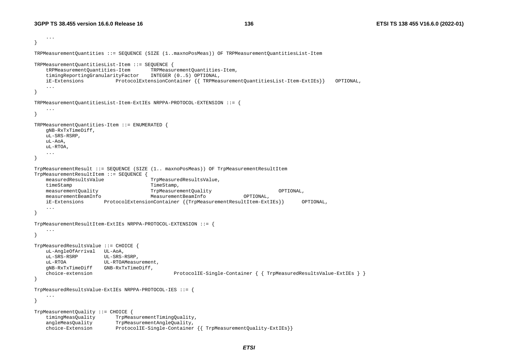```
 ... } 
TRPMeasurementQuantities ::= SEQUENCE (SIZE (1..maxnoPosMeas)) OF TRPMeasurementQuantitiesList-Item 
TRPMeasurementQuantitiesList-Item ::= SEQUENCE { 
     tRPMeasurementQuantities-Item TRPMeasurementQuantities-Item, 
    timingReportingGranularityFactor INTEGER (0..5) OPTIONAL, 
    iE-Extensions ProtocolExtensionContainer {{ TRPMeasurementQuantitiesList-Item-ExtIEs}} OPTIONAL, 
     ... } 
TRPMeasurementQuantitiesList-Item-ExtIEs NRPPA-PROTOCOL-EXTENSION ::= { 
     ... } 
TRPMeasurementQuantities-Item ::= ENUMERATED { 
    gNB-RxTxTimeDiff, 
    uL-SRS-RSRP, 
    uL-AoA, 
    uL-RTOA, 
     ... } 
TrpMeasurementResult ::= SEQUENCE (SIZE (1.. maxnoPosMeas)) OF TrpMeasurementResultItem 
TrpMeasurementResultItem ::= SEQUENCE { 
    measuredResultsValue TrpMeasuredResultsValue, 
   timeStamp TimeStamp,
    measurementQuality TrpMeasurementQuality OPTIONAL, 
    measurementBeamInfo MeasurementBeamInfo OPTIONAL, 
    iE-Extensions ProtocolExtensionContainer {{TrpMeasurementResultItem-ExtIEs}} OPTIONAL, 
     ... } 
TrpMeasurementResultItem-ExtIEs NRPPA-PROTOCOL-EXTENSION ::= { 
     ... } 
TrpMeasuredResultsValue ::= CHOICE { 
    uL-AngleOfArrival UL-AoA, 
    uL-SRS-RSRP UL-SRS-RSRP, 
   uL-RTOA UL-RTOAMeasurement.
    gNB-RxTxTimeDiff GNB-RxTxTimeDiff, 
    choice-extension ProtocolIE-Single-Container { { TrpMeasuredResultsValue-ExtIEs } } 
} 
TrpMeasuredResultsValue-ExtIEs NRPPA-PROTOCOL-IES ::= { 
     ... } 
TrpMeasurementQuality ::= CHOICE { 
    timingMeasQuality TrpMeasurementTimingQuality, 
    angleMeasQuality TrpMeasurementAngleQuality, 
    choice-Extension ProtocolIE-Single-Container {{ TrpMeasurementQuality-ExtIEs}}
```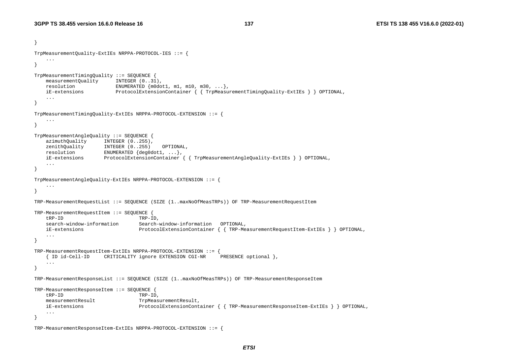```
} 
TrpMeasurementQuality-ExtIEs NRPPA-PROTOCOL-IES ::= { 
     ... } 
TrpMeasurementTimingQuality ::= SEQUENCE { 
   measurementQuality INTEGER (0..31),
    resolution ENUMERATED {m0dot1, m1, m10, m30, ...}, 
    iE-extensions ProtocolExtensionContainer { { TrpMeasurementTimingQuality-ExtIEs } } OPTIONAL, 
     ... } 
TrpMeasurementTimingQuality-ExtIEs NRPPA-PROTOCOL-EXTENSION ::= { 
 ... } 
TrpMeasurementAngleQuality ::= SEQUENCE { 
   azimuthQuality INTEGER (0..255),
    zenithQuality INTEGER (0..255) OPTIONAL, 
   resolution ENUMERATED {deg0dot1, ...},
    iE-extensions ProtocolExtensionContainer { { TrpMeasurementAngleQuality-ExtIEs } } OPTIONAL, 
     ... } 
TrpMeasurementAngleQuality-ExtIEs NRPPA-PROTOCOL-EXTENSION ::= { 
     ... } 
TRP-MeasurementRequestList ::= SEQUENCE (SIZE (1..maxNoOfMeasTRPs)) OF TRP-MeasurementRequestItem 
TRP-MeasurementRequestItem ::= SEQUENCE { 
    tRP-ID TRP-ID, 
    search-window-information Search-window-information OPTIONAL, 
    iE-extensions ProtocolExtensionContainer { { TRP-MeasurementRequestItem-ExtIEs } } OPTIONAL, 
     ... } 
TRP-MeasurementRequestItem-ExtIEs NRPPA-PROTOCOL-EXTENSION ::= { 
     { ID id-Cell-ID CRITICALITY ignore EXTENSION CGI-NR PRESENCE optional }, 
    ... } 
TRP-MeasurementResponseList ::= SEQUENCE (SIZE (1..maxNoOfMeasTRPs)) OF TRP-MeasurementResponseItem 
TRP-MeasurementResponseItem ::= SEQUENCE { 
    tRP-ID TRP-ID, 
   measurementResult TrpMeasurementResult,
    iE-extensions ProtocolExtensionContainer { { TRP-MeasurementResponseItem-ExtIEs } } OPTIONAL, 
     ... }
```

```
TRP-MeasurementResponseItem-ExtIEs NRPPA-PROTOCOL-EXTENSION ::= {
```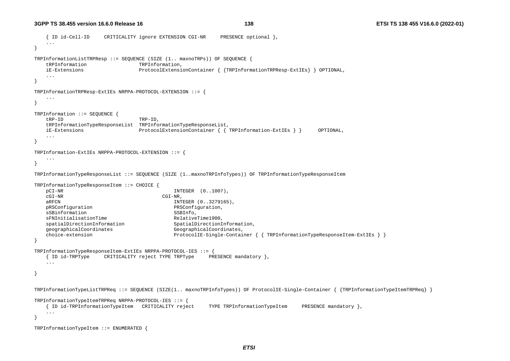```
 { ID id-Cell-ID CRITICALITY ignore EXTENSION CGI-NR PRESENCE optional }, 
 ... } 
TRPInformationListTRPResp ::= SEQUENCE (SIZE (1.. maxnoTRPs)) OF SEQUENCE { 
   tRPInformation TRPInformation,
    iE-Extensions ProtocolExtensionContainer { {TRPInformationTRPResp-ExtIEs} } OPTIONAL, 
    ... } 
TRPInformationTRPResp-ExtIEs NRPPA-PROTOCOL-EXTENSION ::= { 
    ... } 
TRPInformation ::= SEQUENCE { 
    tRP-ID TRP-ID, 
    tRPInformationTypeResponseList TRPInformationTypeResponseList, 
    iE-Extensions ProtocolExtensionContainer { { TRPInformation-ExtIEs } } OPTIONAL, 
    ... } 
TRPInformation-ExtIEs NRPPA-PROTOCOL-EXTENSION ::= { 
 ... } 
TRPInformationTypeResponseList ::= SEQUENCE (SIZE (1..maxnoTRPInfoTypes)) OF TRPInformationTypeResponseItem 
TRPInformationTypeResponseItem ::= CHOICE { 
    pCI-NR INTEGER (0..1007), 
    cGI-NR CGI-NR, 
   aRFCN 1NTEGER (0..3279165),
    pRSConfiguration PRSConfiguration, 
   sSBinformation SSBInfo,
   sFNInitialisationTime RelativeTime1900,
   spatialDirectionInformation SpatialDirectionInformation,
    geographicalCoordinates GeographicalCoordinates, 
    choice-extension ProtocolIE-Single-Container { { TRPInformationTypeResponseItem-ExtIEs } } 
} 
TRPInformationTypeResponseItem-ExtIEs NRPPA-PROTOCOL-IES ::= { 
    { ID id-TRPType CRITICALITY reject TYPE TRPType PRESENCE mandatory }, 
    ... } 
TRPInformationTypeListTRPReq ::= SEQUENCE (SIZE(1.. maxnoTRPInfoTypes)) OF ProtocolIE-Single-Container { {TRPInformationTypeItemTRPReq} } 
TRPInformationTypeItemTRPReq NRPPA-PROTOCOL-IES ::= { 
    { ID id-TRPInformationTypeItem CRITICALITY reject TYPE TRPInformationTypeItem PRESENCE mandatory }, 
    ... } 
TRPInformationTypeItem ::= ENUMERATED {
```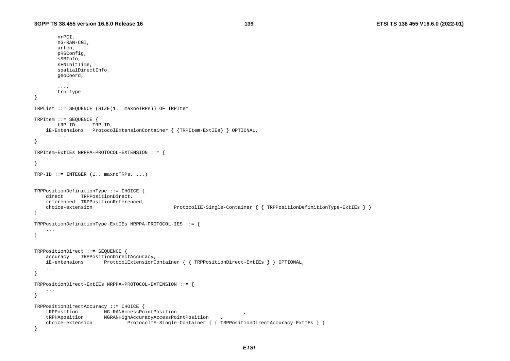nrPCI,

```
 nG-RAN-CGI, 
        arfcn, 
        pRSConfig, 
        sSBInfo, 
        sFNInitTime, 
        spatialDirectInfo, 
        geoCoord, 
         ..., 
        trp-type 
} 
TRPList ::= SEQUENCE (SIZE(1.. maxnoTRPs)) OF TRPItem 
TRPItem ::= SEQUENCE { 
        tRP-ID TRP-ID, 
     iE-Extensions ProtocolExtensionContainer { {TRPItem-ExtIEs} } OPTIONAL, 
        ... } 
TRPItem-ExtIEs NRPPA-PROTOCOL-EXTENSION ::= { 
     ... } 
TRP-ID ::= INTEGR (1.. maxnormPRPs, ...)TRPPositionDefinitionType ::= CHOICE { 
   direct TRPPositionDirect,
    referenced TRPPositionReferenced, 
     choice-extension ProtocolIE-Single-Container { { TRPPositionDefinitionType-ExtIEs } } 
} 
TRPPositionDefinitionType-ExtIEs NRPPA-PROTOCOL-IES ::= { 
     ... } 
TRPPositionDirect ::= SEQUENCE { 
     accuracy TRPPositionDirectAccuracy, 
    iE-extensions ProtocolExtensionContainer { { TRPPositionDirect-ExtIEs } } OPTIONAL, 
     ... } 
TRPPositionDirect-ExtIEs NRPPA-PROTOCOL-EXTENSION ::= { 
 ... 
} 
TRPPositionDirectAccuracy ::= CHOICE { 
     tRPPosition NG-RANAccessPointPosition , 
     tRPHAposition NGRANHighAccuracyAccessPointPosition , 
     choice-extension ProtocolIE-Single-Container { { TRPPositionDirectAccuracy-ExtIEs } } 
}
```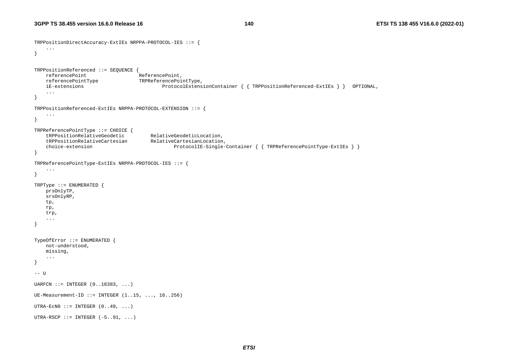```
TRPPositionDirectAccuracy-ExtIEs NRPPA-PROTOCOL-IES ::= { 
     ... } 
TRPPositionReferenced ::= SEQUENCE { 
   referencePoint ReferencePoint,
    referencePointType TRPReferencePointType, 
    iE-extensions ProtocolExtensionContainer { { TRPPositionReferenced-ExtIEs } } OPTIONAL, 
 ... 
} 
TRPPositionReferenced-ExtIEs NRPPA-PROTOCOL-EXTENSION ::= { 
    ... } 
TRPReferencePointType ::= CHOICE { 
    tRPPositionRelativeGeodetic RelativeGeodeticLocation, 
    tRPPositionRelativeCartesian RelativeCartesianLocation, 
    choice-extension ProtocolIE-Single-Container { { TRPReferencePointType-ExtIEs } } 
} 
TRPReferencePointType-ExtIEs NRPPA-PROTOCOL-IES ::= { 
 ... 
} 
TRPType ::= ENUMERATED { 
    prsOnlyTP, 
    srsOnlyRP, 
    tp, 
    rp, 
    trp, 
 ... 
} 
TypeOfError ::= ENUMERATED { 
    not-understood, 
    missing, 
 ... 
} 
-- U UARFCN ::= INTEGER (0..16383, ...)UE-Measurement-ID ::= INTEGER (1..15, ..., 16..256) 
UTRA-ECNO ::= INTEGER (0..49, ...)UTRA-RSCP ::= INTEGER (-5..91, ...)
```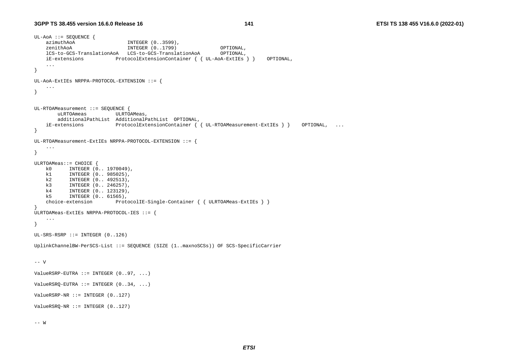```
UL-AoA ::= SEQUENCE { 
   azimuthAoA INTEGER (0..3599),
    zenithAoA INTEGER (0..1799) OPTIONAL, 
    lCS-to-GCS-TranslationAoA LCS-to-GCS-TranslationAoA OPTIONAL, 
    iE-extensions ProtocolExtensionContainer { { UL-AoA-ExtIEs } } OPTIONAL, 
    ... } 
UL-AoA-ExtIEs NRPPA-PROTOCOL-EXTENSION ::= { 
    ... } 
UL-RTOAMeasurement ::= SEQUENCE { 
       uLRTOAmeas ULRTOAMeas, 
        additionalPathList AdditionalPathList OPTIONAL, 
    iE-extensions ProtocolExtensionContainer { { UL-RTOAMeasurement-ExtIEs } } OPTIONAL, ... 
} 
UL-RTOAMeasurement-ExtIEs NRPPA-PROTOCOL-EXTENSION ::= { 
     ... } 
ULRTOAMeas::= CHOICE { 
    k0 INTEGER (0.. 1970049), 
   k1 INTEGER (0.. 985025),
    k2 INTEGER (0.. 492513), 
   k3 INTEGER (0.. 246257),
    k4 INTEGER (0.. 123129), 
    k5 INTEGER (0.. 61565), 
    choice-extension ProtocolIE-Single-Container { { ULRTOAMeas-ExtIEs } } 
} 
ULRTOAMeas-ExtIEs NRPPA-PROTOCOL-IES ::= { 
    ... } 
UL-SRS-RSRP ::= INTEGER (0..126) 
UplinkChannelBW-PerSCS-List ::= SEQUENCE (SIZE (1..maxnoSCSs)) OF SCS-SpecificCarrier 
-- V
ValueRSRP-EUTRA ::= INTEGR (0..97, ...)ValueRSRQ-EUTRA ::= INTEGR (0..34, ...)ValueRSRP-NR :: = INTEGR (0..127)ValueRSRQ-NR ::= INTEGER (0..127)
```
 $--- W$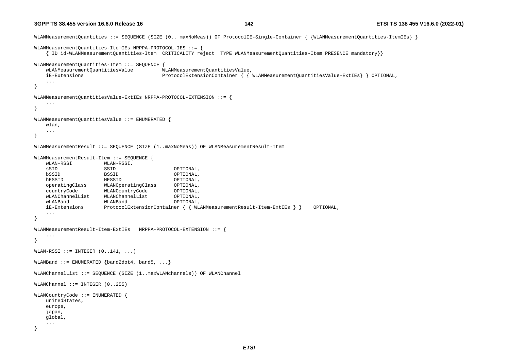```
WLANMeasurementQuantities ::= SEQUENCE (SIZE (0.. maxNoMeas)) OF ProtocolIE-Single-Container { {WLANMeasurementQuantities-ItemIEs} } 
WLANMeasurementQuantities-ItemIEs NRPPA-PROTOCOL-IES ::= { 
    { ID id-WLANMeasurementQuantities-Item CRITICALITY reject TYPE WLANMeasurementQuantities-Item PRESENCE mandatory}} 
WLANMeasurementQuantities-Item ::= SEQUENCE { 
    wLANMeasurementQuantitiesValue WLANMeasurementQuantitiesValue, 
    iE-Extensions ProtocolExtensionContainer { { WLANMeasurementQuantitiesValue-ExtIEs} } OPTIONAL, 
    ... } 
WLANMeasurementQuantitiesValue-ExtIEs NRPPA-PROTOCOL-EXTENSION ::= { 
    ... } 
WLANMeasurementQuantitiesValue ::= ENUMERATED { 
    wlan, 
    ... } 
WLANMeasurementResult ::= SEQUENCE (SIZE (1..maxNoMeas)) OF WLANMeasurementResult-Item 
WLANMeasurementResult-Item ::= SEQUENCE { 
    wLAN-RSSI WLAN-RSSI, 
    sSID SSID OPTIONAL, 
    bSSID BSSID OPTIONAL, 
    hESSID HESSID OPTIONAL, 
    operatingClass WLANOperatingClass OPTIONAL, 
    countryCode WLANCountryCode OPTIONAL, 
    wLANChannelList WLANChannelList OPTIONAL, 
    wLANBand WLANBand OPTIONAL, 
    iE-Extensions ProtocolExtensionContainer { { WLANMeasurementResult-Item-ExtIEs } } OPTIONAL, 
    ... } 
WLANMeasurementResult-Item-ExtIEs NRPPA-PROTOCOL-EXTENSION ::= { 
     ... } 
WLAN-RSSI := INTEGER (0, .141, . . .)WLANBand  ::= ENUMERATED \{band2dot4, band5, ... \}WLANChannelList ::= SEQUENCE (SIZE (1..maxWLANchannels)) OF WLANChannel 
WLANChannel ::= INTEGER (0..255) 
WLANCountryCode ::= ENUMERATED { 
    unitedStates, 
    europe, 
    japan, 
    global, 
    ... }
```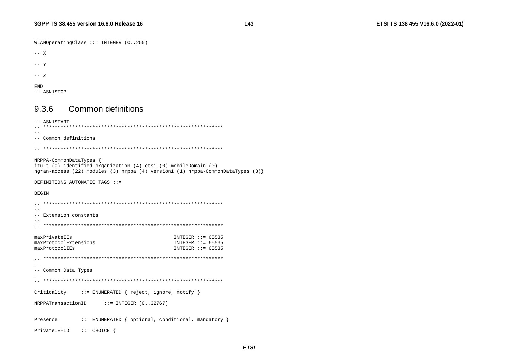WLANOperatingClass ::= INTEGER (0..255)

```
--- X
```
 $--$  Y

-- Z

END

-- ASN1STOP

# 9.3.6 Common definitions

```
-- ASN1START 
-- ************************************************************** --- Common definitions -- 
-- ************************************************************** NRPPA-CommonDataTypes { 
itu-t (0) identified-organization (4) etsi (0) mobileDomain (0) 
ngran-access (22) modules (3) nrppa (4) version1 (1) nrppa-CommonDataTypes (3)} 
DEFINITIONS AUTOMATIC TAGS ::= BEGIN 
-- ************************************************************** -- -- Extension constants -- 
-- ************************************************************** maxPrivateIEs INTEGER ::= 65535
maxProtocolExtensions 1NTEGER ::= 65535
maxProtocolIEs INTEGER ::= 65535 -- ************************************************************** -- -- Common Data Types 
-- 
-- ************************************************************** Criticality ::= ENUMERATED { reject, ignore, notify }
NRPPATransactionID ::= INTEGER (0..32767) 
Presence ::= ENUMERATED { optional, conditional, mandatory }
PrivateIE-ID ::= CHOICE {
```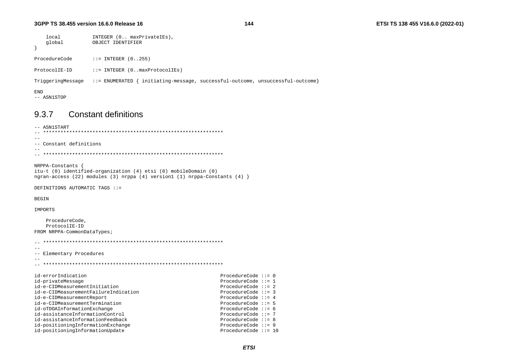144

```
local
                    INTEGER (0.. maxPrivateIEs),
    global
                    OBJECT IDENTIFIER
\rightarrowProcedureCode
                  ::= INTEGER (0, .255)ProtocolIE-ID
                  ::= INTEGER (0.. maxProtocolIEs)
TriggeringMessage ::= ENUMERATED { initiating-message, successful-outcome, unsuccessful-outcome}
END
-- ASN1STOP
```
9.3.7 **Constant definitions** 

-- ASN1START -- Constant definitions  $-$ 

NRPPA-Constants { itu-t (0) identified-organization (4) etsi (0) mobileDomain (0) ngran-access (22) modules (3) nrppa (4) version1 (1) nrppa-Constants (4)  $\}$ 

DEFINITIONS AUTOMATIC TAGS ::=

**BEGIN** 

IMPORTS

ProcedureCode. ProtocolIE-ID FROM NRPPA-CommonDataTypes;

 $\sim$ -- Elementary Procedures id-errorIndication ProcedureCode  $::= 0$ id-privateMessage ProcedureCode  $::= 1$ ProcedureCode  $::= 2$ id-e-CIDMeasurementInitiation id-e-CIDMeasurementFailureIndication ProcedureCode  $::= 3$ id-e-CIDMeasurementReport ProcedureCode  $::= 4$ id-e-CIDMeasurementTermination ProcedureCode  $\mathbf{::} = 5$ id-oTDOAInformationExchange ProcedureCode  $\mathbf{::=} 6$ id-assistanceInformationControl ProcedureCode  $::= 7$ id-assistanceInformationFeedback ProcedureCode ::= 8 id-positioningInformationExchange ProcedureCode  $::= 9$ id-positioningInformationUpdate ProcedureCode ::= 10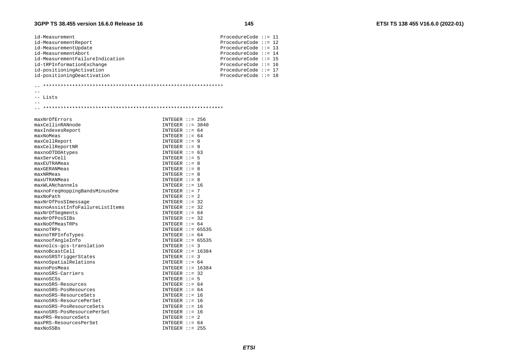maxnoSRS-PosResourcePerSet maxPRS-ResourceSets

maxPRS-ResourcesPerSet

 $maxNoSSBs$ 

| id-Measurement                        | ProcedureCode $::= 11$                  |
|---------------------------------------|-----------------------------------------|
| id-MeasurementReport                  | ProcedureCode $::= 12$                  |
| id-MeasurementUpdate                  | ProcedureCode $::= 13$                  |
| id-MeasurementAbort                   | ProcedureCode $::= 14$                  |
| id-MeasurementFailureIndication       | ProcedureCode $::= 15$                  |
| id-tRPInformationExchange             | ProcedureCode $::= 16$                  |
| id-positioningActivation              | ProcedureCode $::= 17$                  |
| id-positioningDeactivation            | ProcedureCode $:= 18$                   |
|                                       |                                         |
|                                       |                                         |
| -- Lists                              |                                         |
| $- -$                                 |                                         |
|                                       |                                         |
|                                       |                                         |
| maxNrOfErrors                         | INTEGER $::= 256$                       |
| maxCellinRANnode                      | INTEGER $::= 3840$                      |
| maxIndexesReport                      | INTEGER $::= 64$                        |
| maxNoMeas                             | INTEGER $::= 64$                        |
| maxCellReport                         | INTEGER $::= 9$                         |
| maxCellReportNR                       | $INTEGER :: = 9$                        |
| maxnoOTDOAtypes                       | INTEGER $: = 63$                        |
| maxServCell                           | INTEGER $:= 5$                          |
| maxEUTRAMeas                          | INTEGER $::= 8$                         |
| maxGERANMeas                          | INTEGER $: = 8$                         |
| maxNRMeas                             | $INTER :: = 8$                          |
| maxUTRANMeas                          | INTEGER $::= 8$                         |
| maxWLANchannels                       | INTEGER $::= 16$                        |
| maxnoFreqHoppingBandsMinusOne         | INTEGER $: = 7$                         |
| maxNoPath                             | INTEGER $::= 2$                         |
| maxNrOfPosSImessage                   | INTEGER $::= 32$                        |
| maxnoAssistInfoFailureListItems       | $INTER : := 32$                         |
| maxNrOfSeqments                       | INTEGER $::= 64$                        |
| maxNrOfPosSIBs                        | INTEGER $::=$ 32                        |
| maxNoOfMeasTRPs                       | INTEGER $::= 64$                        |
|                                       | INTEGER $::= 65535$                     |
| maxnoTRPs                             |                                         |
| maxnoTRPInfoTypes<br>maxnoofAngleInfo | INTEGER $::= 64$<br>INTEGER $::= 65535$ |
|                                       |                                         |
| maxnolcs-gcs-translation              | INTEGER $::=$ 3                         |
| maxnoBcastCell                        | INTEGER $::= 16384$                     |
| maxnoSRSTriqqerStates                 | $INTER : := 3$                          |
| maxnoSpatialRelations                 | INTEGER $::= 64$                        |
| maxnoPosMeas                          | INTEGER $::= 16384$                     |
| maxnoSRS-Carriers                     | INTEGER $::=$ 32                        |
| maxnoSCSs                             | INTEGER $::= 5$                         |
| maxnoSRS-Resources                    | INTEGER $::= 64$                        |
| maxnoSRS-PosResources                 | INTEGER $::= 64$                        |
| maxnoSRS-ResourceSets                 | $INTER :: = 16$                         |
| maxnoSRS-ResourcePerSet               | $INTER : := 16$                         |
| maxnoSRS-PosResourceSets              | $INTER :: = 16$                         |

 $INTER :: = 16$ 

 $INTER :: = 2$ INTEGER  $::= 64$ 

 $INTER :: = 255$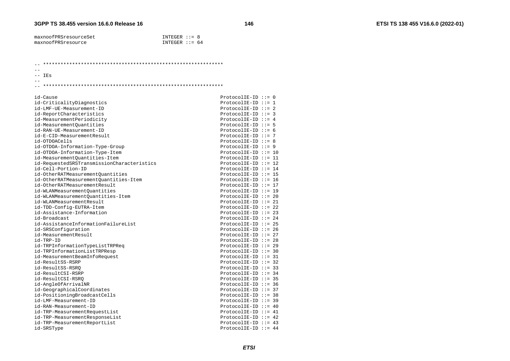| maxnoofPRSresourceSet | $INTER : := 8$  |  |
|-----------------------|-----------------|--|
| maxnoofPRSresource    | INTEGER $:= 64$ |  |

 $\equiv$   $\equiv$ 

 $--$  IEs  $-$ 

#### 

| id-Cause                                   | $ProtocolIE-ID :: = 0$  |  |
|--------------------------------------------|-------------------------|--|
| id-CriticalityDiagnostics                  | ProtocolIE-ID ::= 1     |  |
| id-LMF-UE-Measurement-ID                   | $ProtocolIE-ID ::= 2$   |  |
| id-ReportCharacteristics                   | $ProtocolIE-ID ::= 3$   |  |
| id-MeasurementPeriodicity                  | $ProtocolIE-ID ::= 4$   |  |
| id-MeasurementQuantities                   | ProtocolIE-ID $:= 5$    |  |
| id-RAN-UE-Measurement-ID                   | ProtocolIE-ID $:= 6$    |  |
| id-E-CID-MeasurementResult                 | ProtocolIE-ID ::= $7$   |  |
| id-OTDOACells                              | $ProtocolIE-ID :: = 8$  |  |
| id-OTDOA-Information-Type-Group            | $ProtocolIE-ID :: = 9$  |  |
| id-OTDOA-Information-Type-Item             | $ProtocolIE-ID ::= 10$  |  |
| id-MeasurementQuantities-Item              | ProtocolIE-ID ::= 11    |  |
| id-RequestedSRSTransmissionCharacteristics | ProtocolIE-ID ::= 12    |  |
| id-Cell-Portion-ID                         | ProtocolIE-ID ::= 14    |  |
| id-OtherRATMeasurementOuantities           | $ProtocolIE-ID ::= 15$  |  |
| id-OtherRATMeasurementOuantities-Item      | ProtocolIE-ID ::= $16$  |  |
| id-OtherRATMeasurementResult               | ProtocolIE-ID ::= 17    |  |
| id-WLANMeasurementOuantities               | $ProtocolIE-ID ::= 19$  |  |
| id-WLANMeasurementQuantities-Item          | $ProtocolIE-ID ::= 20$  |  |
| id-WLANMeasurementResult                   | ProtocolIE-ID ::= 21    |  |
| id-TDD-Config-EUTRA-Item                   | $ProtocolIE-ID ::= 22$  |  |
| id-Assistance-Information                  | $ProtocolIE-ID ::= 23$  |  |
| id-Broadcast                               | ProtocolIE-ID ::= 24    |  |
| id-AssistanceInformationFailureList        | $ProtocolIE-ID ::= 25$  |  |
| id-SRSConfiguration                        | $ProtocolIE-ID ::= 26$  |  |
| id-MeasurementResult                       | ProtocolIE-ID ::= 27    |  |
| id-TRP-ID                                  | $ProtocolIE-ID ::= 28$  |  |
| id-TRPInformationTypeListTRPReq            | $ProtocolIE-ID ::= 29$  |  |
| id-TRPInformationListTRPResp               | ProtocolIE-ID ::= 30    |  |
| id-MeasurementBeamInfoRequest              | ProtocolIE-ID ::= $31$  |  |
| id-ResultSS-RSRP                           | ProtocolIE-ID $:= 32$   |  |
| id-ResultSS-RSRO                           | $ProtocolIE-ID ::= 33$  |  |
| id-ResultCSI-RSRP                          | ProtocolIE-ID ::= $34$  |  |
| id-ResultCSI-RSRO                          | $ProtocolIE-ID :: = 35$ |  |
| id-AngleOfArrivalNR                        | $ProtocolIE-ID :: = 36$ |  |
| id-GeographicalCoordinates                 | $ProtocolIE-ID ::= 37$  |  |
| id-PositioningBroadcastCells               | ProtocolIE-ID $:= 38$   |  |
| id-LMF-Measurement-ID                      | $ProtocolIE-ID ::= 39$  |  |
| id-RAN-Measurement-ID                      | ProtocolIE-ID ::= $40$  |  |
| id-TRP-MeasurementRequestList              | ProtocolIE-ID ::= $41$  |  |
| id-TRP-MeasurementResponseList             | ProtocolIE-ID ::= $42$  |  |
| id-TRP-MeasurementReportList               | ProtocolIE-ID ::= $43$  |  |
| id-SRSType                                 | ProtocolIE-ID ::= $44$  |  |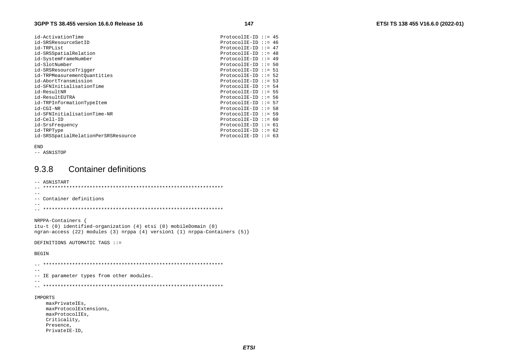| id-ActivationTime                   | ProtocolIE-ID ::= $45$  |  |
|-------------------------------------|-------------------------|--|
| id-SRSResourceSetID                 | ProtocolIE-ID ::= $46$  |  |
| id-TRPList                          | ProtocolIE-ID ::= $47$  |  |
|                                     | ProtocolIE-ID ::= $48$  |  |
| id-SRSSpatialRelation               |                         |  |
| id-SystemFrameNumber                | ProtocolIE-ID ::= 49    |  |
| id-SlotNumber                       | $ProtocolIE-ID :: = 50$ |  |
| id-SRSResourceTriqqer               | ProtocolIE-ID ::= $51$  |  |
| id-TRPMeasurementOuantities         | ProtocolIE-ID ::= 52    |  |
| id-AbortTransmission                | ProtocolIE-ID ::= 53    |  |
| id-SFNInitialisationTime            | ProtocolIE-ID ::= $54$  |  |
| id-ResultNR                         | $ProtocolIE-ID :: = 55$ |  |
| id-ResultEUTRA                      | $ProtocolIE-ID :: = 56$ |  |
| id-TRPInformationTypeItem           | ProtocolIE-ID ::= 57    |  |
| id-CGI-NR                           | ProtocolIE-ID ::= 58    |  |
| id-SFNInitialisationTime-NR         | $ProtocolIE-ID :: = 59$ |  |
| id-Cell-ID                          | $ProtocolIE-ID :: = 60$ |  |
| id-SrsFrequency                     | ProtocolIE-ID ::= $61$  |  |
| id-TRPType                          | ProtocolIE-ID ::= $62$  |  |
| id-SRSSpatialRelationPerSRSResource | ProtocolIE-ID ::= $63$  |  |

#### **END**

-- ASN1STOP

#### 9.3.8 **Container definitions**

```
-- ASN1START
\equiv \equiv-- Container definitions
\sim -NRPPA-Containers {
itu-t (0) identified-organization (4) etsi (0) mobileDomain (0)
ngran-access (22) modules (3) nrppa (4) version1 (1) nrppa-Containers (5)}
DEFINITIONS AUTOMATIC TAGS ::=
BEGIN
- -
```
-- IE parameter types from other modules.

 $\equiv$   $\equiv$ 

#### IMPORTS

maxPrivateIEs, maxProtocolExtensions, maxProtocolIEs, Criticality, Presence, PrivateIE-ID,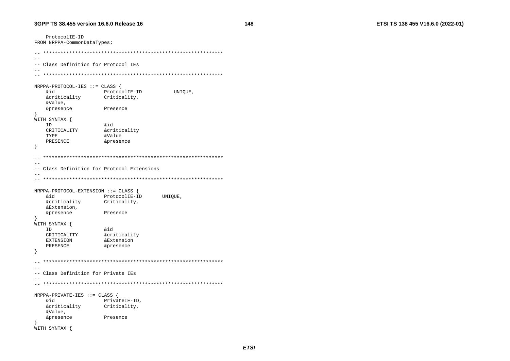ProtocolIE-ID FROM NRPPA-CommonDataTypes;  $\sim$   $\sim$ -- Class Definition for Protocol IEs NRPPA-PROTOCOL-IES ::= CLASS { ProtocolIE-ID **&id** UNIQUE, &criticality Criticality, &Value, &presence Presence WITH SYNTAX {  $\&$ id ID CRITICALITY &criticality &Value TYPE PRESENCE &presence - }  $\equiv$   $\equiv$  $\sim$   $\sim$ -- Class Definition for Protocol Extensions  $\sim$   $-$ NRPPA-PROTOCOL-EXTENSION ::= CLASS { bia ProtocolIE-ID UNIOUE, &criticality Criticality, &Extension, &presence Presence  $\rightarrow$ WITH SYNTAX { ID &id CRITICALITY **&criticality EXTENSION** &Extension PRESENCE &presence  $\rightarrow$  $\sim$   $-$ -- Class Definition for Private IEs  $NRPPA-PRIVATE-IES :: = CLASS$ **&id** PrivateIE-ID, **&criticality** Criticality, &Value, &presence Presence  $\mathcal{F}$ WITH SYNTAX {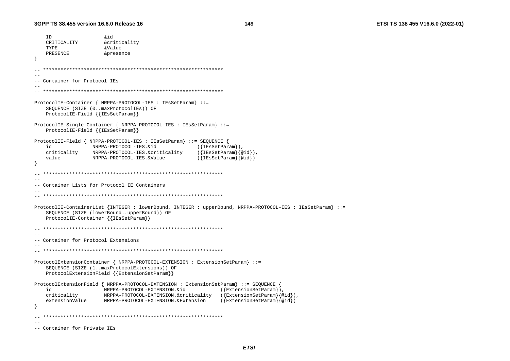```
ID
                  hiŵ
   CRITICALITY
                 &criticality
   TYPE
                  &Value
   PRESENCE
                  &presence
  -- Container for Protocol IEs
ProtocolIE-Container { NRPPA-PROTOCOL-IES : IEsSetParam} ::=
   SEQUENCE (SIZE (0..maxProtocolIEs)) OF
   ProtocolIE-Field { { IESSetParam} }
ProtocolIE-Single-Container { NRPPA-PROTOCOL-IES : IESSetParam} ::=
   ProtocolIE-Field { {IEsSetParam}}
ProtocolIE-Field { NRPPA-PROTOCOL-IES : IEsSetParam} ::= SEQUENCE {
   hi
              NRPPA-PROTOCOL-IES.&id
                                          ({[IEsSetParam]}),criticality NRPPA-PROTOCOL-IES.&criticality
                                         ({IEsSetParam}{@id}),
                                         ({IEsSetParam}@id)value
             NRPPA-PROTOCOL-IES.&Value
  --- Container Lists for Protocol IE Containers
-ProtocolIE-ContainerList {INTEGER : lowerBound, INTEGER : upperBound, NRPPA-PROTOCOL-IES : IEsSetParam} ::=
   SEQUENCE (SIZE (lowerBound..upperBound)) OF
   ProtocolIE-Container { { IESSetParam}}
-- Container for Protocol Extensions
- -ProtocolExtensionContainer { NRPPA-PROTOCOL-EXTENSION : ExtensionSetParam} ::=
   SEQUENCE (SIZE (1..maxProtocolExtensions)) OF
   ProtocolExtensionField {{ExtensionSetParam}}
ProtocolExtensionField { NRPPA-PROTOCOL-EXTENSION : ExtensionSetParam} ::= SEQUENCE
   id
                 NRPPA-PROTOCOL-EXTENSION.&id
                                                ({{ExtensionSetParam}),criticality
                 NRPPA-PROTOCOL-EXTENSION.S. criticality ({ExtensionSetParam}{@id}),
   extensionValue
               NRPPA-PROTOCOL-EXTENSION.&Extension
                                                ({[ExtensionSetParam}{@id}]
   -- Container for Private IEs
```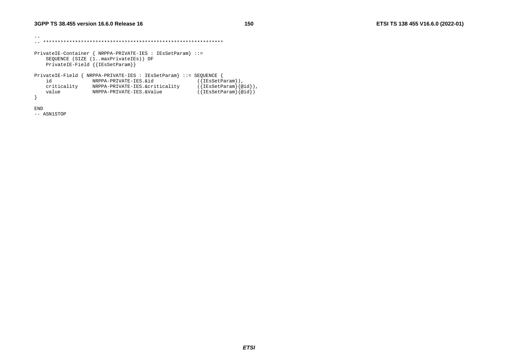```
\pm\pm
-- ************************************************************** PrivateIE-Container { NRPPA-PRIVATE-IES : IEsSetParam} ::= 
    SEQUENCE (SIZE (1..maxPrivateIEs)) OF 
    PrivateIE-Field {{IEsSetParam}} 
PrivateIE-Field { NRPPA-PRIVATE-IES : IEsSetParam} ::= SEQUENCE { 
    id NRPPA-PRIVATE-IES.&id ({IEsSetParam}), 
 criticality NRPPA-PRIVATE-IES.&criticality ({IEsSetParam}{@id}), 
 value NRPPA-PRIVATE-IES.&Value ({IEsSetParam}{@id}) 
} 
END
```
-- ASN1STOP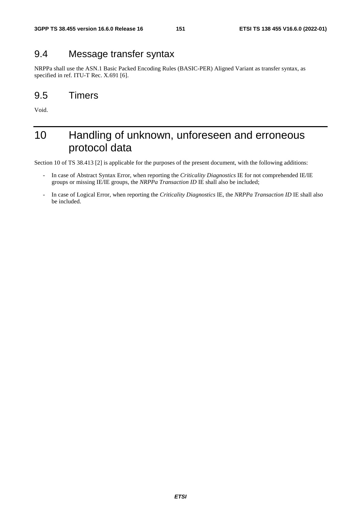### 9.4 Message transfer syntax

NRPPa shall use the ASN.1 Basic Packed Encoding Rules (BASIC-PER) Aligned Variant as transfer syntax, as specified in ref. ITU-T Rec. X.691 [6].

### 9.5 Timers

Void.

### 10 Handling of unknown, unforeseen and erroneous protocol data

Section 10 of TS 38.413 [2] is applicable for the purposes of the present document, with the following additions:

- In case of Abstract Syntax Error, when reporting the *Criticality Diagnostics* IE for not comprehended IE/IE groups or missing IE/IE groups, the *NRPPa Transaction ID* IE shall also be included;
- In case of Logical Error, when reporting the *Criticality Diagnostics* IE, the *NRPPa Transaction ID* IE shall also be included.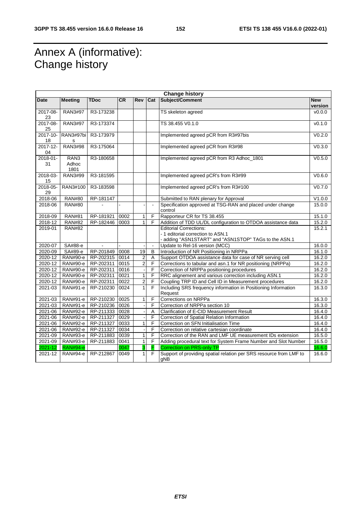## Annex A (informative): Change history

| <b>Change history</b> |                      |                |           |                   |                |                                                                             |                    |
|-----------------------|----------------------|----------------|-----------|-------------------|----------------|-----------------------------------------------------------------------------|--------------------|
| <b>Date</b>           | <b>Meeting</b>       | <b>TDoc</b>    | <b>CR</b> | Rev               | Cat            | Subject/Comment                                                             | <b>New</b>         |
|                       |                      |                |           |                   |                |                                                                             | version            |
| 2017-08-              | <b>RAN3#97</b>       | R3-173238      |           |                   |                | TS skeleton agreed                                                          | V0.0.0             |
| 23                    |                      |                |           |                   |                |                                                                             |                    |
| 2017-08-              | <b>RAN3#97</b>       | R3-173374      |           |                   |                | TS 38.455 V0.1.0                                                            | v0.1.0             |
| 25                    |                      |                |           |                   |                |                                                                             |                    |
| 2017-10-              | RAN3#97bi            | R3-173979      |           |                   |                | Implemented agreed pCR from R3#97bis                                        | V <sub>0.2.0</sub> |
| 18                    | s<br><b>RAN3#98</b>  |                |           |                   |                |                                                                             |                    |
| 2017-12-<br>04        |                      | R3-175064      |           |                   |                | Implemented agreed pCR from R3#98                                           | V <sub>0.3.0</sub> |
| 2018-01-              | RAN <sub>3</sub>     | R3-180658      |           |                   |                | Implemented agreed pCR from R3 Adhoc_1801                                   | V0.5.0             |
| 31                    | Adhoc                |                |           |                   |                |                                                                             |                    |
|                       | 1801                 |                |           |                   |                |                                                                             |                    |
| 2018-03-              | RAN3#99              | R3-181595      |           |                   |                | Implemented agreed pCR's from R3#99                                         | V0.6.0             |
| 15                    |                      |                |           |                   |                |                                                                             |                    |
| 2018-05-              | RAN3#100             | R3-183598      |           |                   |                | Implemented agreed pCR's from R3#100                                        | V <sub>0.7.0</sub> |
| 29                    |                      |                |           |                   |                |                                                                             |                    |
| 2018-06               | <b>RAN#80</b>        | RP-181147      |           |                   |                | Submitted to RAN plenary for Approval                                       | V1.0.0             |
| 2018-06               | <b>RAN#80</b>        |                |           |                   | $\blacksquare$ | Specification approved at TSG-RAN and placed under change                   | 15.0.0             |
|                       |                      |                |           |                   |                | control                                                                     |                    |
| 2018-09               | <b>RAN#81</b>        | RP-181921      | 0002      | 1                 | F              | Rapporteur CR for TS 38.455                                                 | 15.1.0             |
| 2018-12               | <b>RAN#82</b>        | RP-182446      | 0003      | 1                 | F              | Addition of TDD UL/DL configuration to OTDOA assistance data                | 15.2.0             |
| 2019-01               | <b>RAN#82</b>        |                |           |                   |                | <b>Editorial Corrections:</b>                                               | 15.2.1             |
|                       |                      |                |           |                   |                | - 1 editorial correction to ASN.1                                           |                    |
|                       |                      |                |           |                   |                | - adding "ASN1START" and "ASN1STOP" TAGs to the ASN.1                       |                    |
| $2020 - 07$           | SA#88-e              |                |           |                   | $\blacksquare$ | Update to Rel-16 version (MCC)                                              | 16.0.0             |
| 2020-09               | SA#89-e              | RP-201849      | 0008      | 19                | B              | Introduction of NR Positioning in NRPPa                                     | 16.1.0             |
| 2020-12               | <b>RAN#90-e</b>      | RP-202315 0014 |           | 2                 | Α              | Support OTDOA assistance data for case of NR serving cell                   | 16.2.0             |
| 2020-12               | <b>RAN#90-e</b>      | RP-202311      | 0015      | $\overline{c}$    | F              | Corrections to tabular and asn.1 for NR positioning (NRPPa)                 | 16.2.0             |
| 2020-12               | RAN#90-e             | RP-202311      | 0016      |                   | F              | Correction of NRPPa positioning procedures                                  | 16.2.0             |
| 2020-12               | RAN#90-e             | RP-202311      | 0021      | $\mathbf{1}$      | F              | RRC alignement and various correction including ASN.1                       | 16.2.0             |
| 2020-12               | <b>RAN#90-e</b>      | RP-202311      | 0022      | 2                 | F              | Coupling TRP ID and Cell ID in Measurement procedures                       | 16.2.0             |
| 2021-03               | RAN#91-e             | RP-210230      | 0024      | $\mathbf{1}$      | $\overline{F}$ | Including SRS frequency information in Positioning Information              | 16.3.0             |
| 2021-03               |                      |                | 0025      |                   | F              | Request<br>Corrections on NRPPa                                             |                    |
|                       | RAN#91-e             | RP-210230      |           | $\mathbf{1}$      |                |                                                                             | 16.3.0             |
| 2021-03               | RAN#91-e<br>RAN#92-e | RP-210236      | 0026      |                   | F<br>A         | Correction of NRPPa section 10<br>Clarification of E-CID Measurement Result | 16.3.0<br>16.4.0   |
| 2021-06               |                      | RP-211333      | 0028      |                   | F              |                                                                             | 16.4.0             |
| 2021-06               | RAN#92-e             | RP-211327      | 0029      |                   | F              | Correction of Spatial Relation Information                                  |                    |
| 2021-06               | RAN#92-e             | RP-211327      | 0033      | $\mathbf{1}$      | F              | Correction on SFN Initialisation Time                                       | 16.4.0             |
| 2021-06               | <b>RAN#92-e</b>      | RP-211327      | 0034      |                   |                | Correction on relative cartesian coordinate                                 | 16.4.0             |
| 2021-09               | RAN#93-e             | RP-211883      | 0039      | $\mathbf{1}$      | F              | Correction of the RAN and LMF UE measurement IDs extension                  | 16.5.0             |
| 2021-09               | RAN#93-e             | RP-211883      | 0041      | $\mathbf{1}$<br>3 | F<br>F         | Adding procedural text for System Frame Number and Slot Number              | 16.5.0             |
| 2021-12               | <b>RAN#94-e</b>      |                | 0047      |                   |                | <b>Correction on PRS-only TP</b>                                            | 16.6.0             |
| 2021-12               | RAN#94-e             | RP-212867      | 0049      | 1                 | F.             | Support of providing spatial relation per SRS resource from LMF to          | 16.6.0             |
|                       |                      |                |           |                   |                | gNB                                                                         |                    |